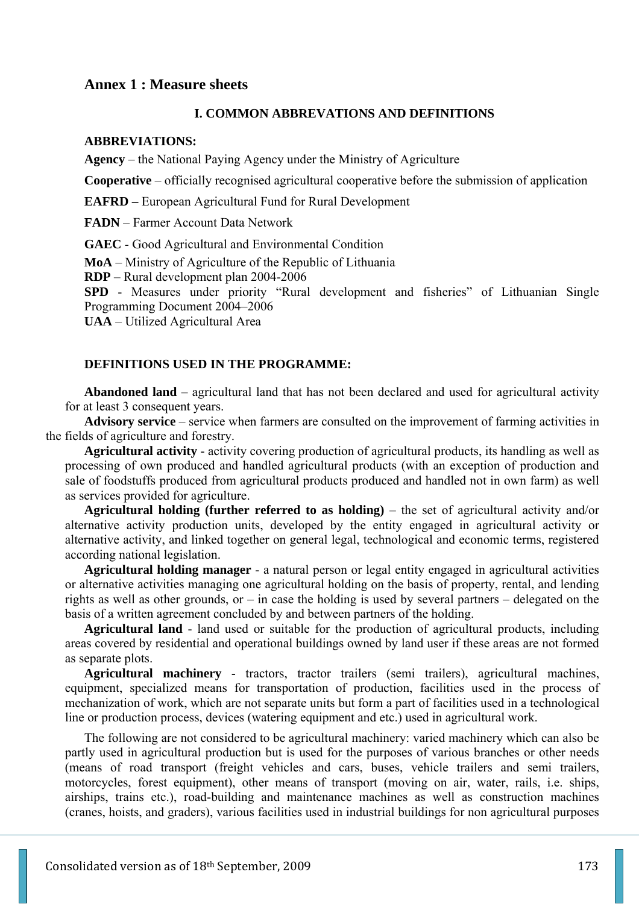# **Annex 1 : Measure sheets**

### **I. COMMON ABBREVATIONS AND DEFINITIONS**

#### **ABBREVIATIONS:**

**Agency** – the National Paying Agency under the Ministry of Agriculture

**Cooperative** – officially recognised agricultural cooperative before the submission of application

**EAFRD –** European Agricultural Fund for Rural Development

**FADN** – Farmer Account Data Network

**GAEC** - Good Agricultural and Environmental Condition

**MoA** – Ministry of Agriculture of the Republic of Lithuania

**RDP** – Rural development plan 2004-2006

**SPD** - Measures under priority "Rural development and fisheries" of Lithuanian Single Programming Document 2004–2006

**UAA** – Utilized Agricultural Area

### **DEFINITIONS USED IN THE PROGRAMME:**

**Abandoned land** – agricultural land that has not been declared and used for agricultural activity for at least 3 consequent years.

**Advisory service** – service when farmers are consulted on the improvement of farming activities in the fields of agriculture and forestry.

**Agricultural activity** - activity covering production of agricultural products, its handling as well as processing of own produced and handled agricultural products (with an exception of production and sale of foodstuffs produced from agricultural products produced and handled not in own farm) as well as services provided for agriculture.

**Agricultural holding (further referred to as holding)** – the set of agricultural activity and/or alternative activity production units, developed by the entity engaged in agricultural activity or alternative activity, and linked together on general legal, technological and economic terms, registered according national legislation.

**Agricultural holding manager** - a natural person or legal entity engaged in agricultural activities or alternative activities managing one agricultural holding on the basis of property, rental, and lending rights as well as other grounds, or – in case the holding is used by several partners – delegated on the basis of a written agreement concluded by and between partners of the holding.

**Agricultural land** - land used or suitable for the production of agricultural products, including areas covered by residential and operational buildings owned by land user if these areas are not formed as separate plots.

**Agricultural machinery** - tractors, tractor trailers (semi trailers), agricultural machines, equipment, specialized means for transportation of production, facilities used in the process of mechanization of work, which are not separate units but form a part of facilities used in a technological line or production process, devices (watering equipment and etc.) used in agricultural work.

The following are not considered to be agricultural machinery: varied machinery which can also be partly used in agricultural production but is used for the purposes of various branches or other needs (means of road transport (freight vehicles and cars, buses, vehicle trailers and semi trailers, motorcycles, forest equipment), other means of transport (moving on air, water, rails, i.e. ships, airships, trains etc.), road-building and maintenance machines as well as construction machines (cranes, hoists, and graders), various facilities used in industrial buildings for non agricultural purposes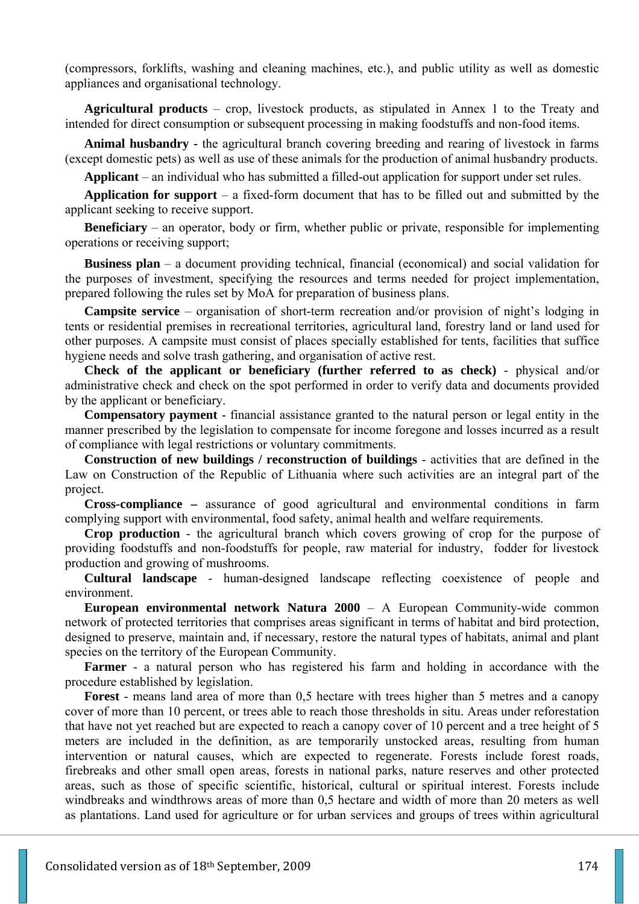(compressors, forklifts, washing and cleaning machines, etc.), and public utility as well as domestic appliances and organisational technology.

**Agricultural products** – crop, livestock products, as stipulated in Annex 1 to the Treaty and intended for direct consumption or subsequent processing in making foodstuffs and non-food items.

**Animal husbandry -** the agricultural branch covering breeding and rearing of livestock in farms (except domestic pets) as well as use of these animals for the production of animal husbandry products.

**Applicant** – an individual who has submitted a filled-out application for support under set rules.

**Application for support** – a fixed-form document that has to be filled out and submitted by the applicant seeking to receive support.

**Beneficiary** – an operator, body or firm, whether public or private, responsible for implementing operations or receiving support;

**Business plan** – a document providing technical, financial (economical) and social validation for the purposes of investment, specifying the resources and terms needed for project implementation, prepared following the rules set by MoA for preparation of business plans.

**Campsite service** – organisation of short-term recreation and/or provision of night's lodging in tents or residential premises in recreational territories, agricultural land, forestry land or land used for other purposes. A campsite must consist of places specially established for tents, facilities that suffice hygiene needs and solve trash gathering, and organisation of active rest.

**Check of the applicant or beneficiary (further referred to as check)** - physical and/or administrative check and check on the spot performed in order to verify data and documents provided by the applicant or beneficiary.

**Compensatory payment** - financial assistance granted to the natural person or legal entity in the manner prescribed by the legislation to compensate for income foregone and losses incurred as a result of compliance with legal restrictions or voluntary commitments.

**Construction of new buildings / reconstruction of buildings** - activities that are defined in the Law on Construction of the Republic of Lithuania where such activities are an integral part of the project.

**Cross-compliance –** assurance of good agricultural and environmental conditions in farm complying support with environmental, food safety, animal health and welfare requirements.

**Crop production** - the agricultural branch which covers growing of crop for the purpose of providing foodstuffs and non-foodstuffs for people, raw material for industry, fodder for livestock production and growing of mushrooms.

**Cultural landscape** - human-designed landscape reflecting coexistence of people and environment.

**European environmental network Natura 2000** – A European Community-wide common network of protected territories that comprises areas significant in terms of habitat and bird protection, designed to preserve, maintain and, if necessary, restore the natural types of habitats, animal and plant species on the territory of the European Community.

**Farmer** - a natural person who has registered his farm and holding in accordance with the procedure established by legislation.

**Forest** - means land area of more than 0,5 hectare with trees higher than 5 metres and a canopy cover of more than 10 percent, or trees able to reach those thresholds in situ. Areas under reforestation that have not yet reached but are expected to reach a canopy cover of 10 percent and a tree height of 5 meters are included in the definition, as are temporarily unstocked areas, resulting from human intervention or natural causes, which are expected to regenerate. Forests include forest roads, firebreaks and other small open areas, forests in national parks, nature reserves and other protected areas, such as those of specific scientific, historical, cultural or spiritual interest. Forests include windbreaks and windthrows areas of more than 0,5 hectare and width of more than 20 meters as well as plantations. Land used for agriculture or for urban services and groups of trees within agricultural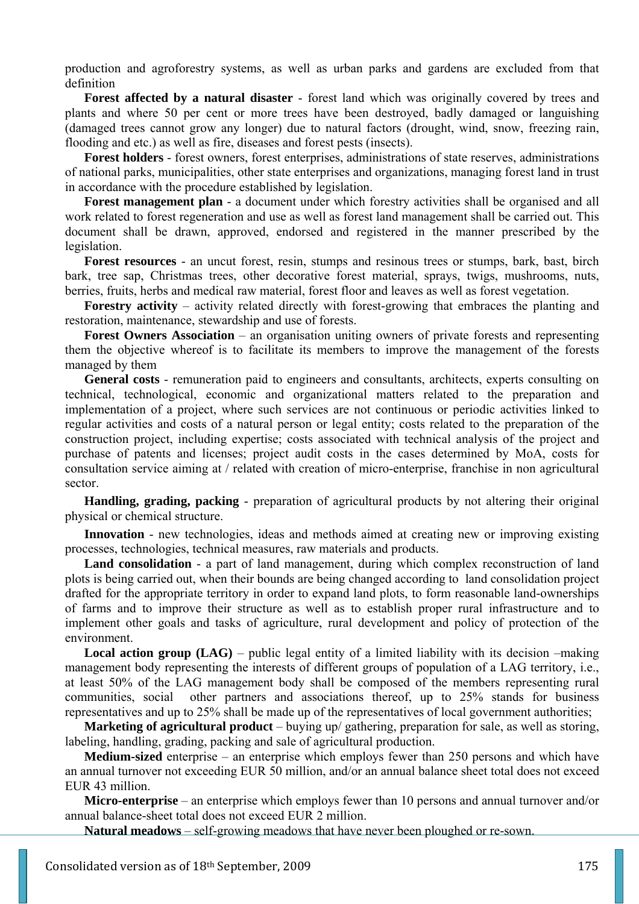production and agroforestry systems, as well as urban parks and gardens are excluded from that definition

**Forest affected by a natural disaster** - forest land which was originally covered by trees and plants and where 50 per cent or more trees have been destroyed, badly damaged or languishing (damaged trees cannot grow any longer) due to natural factors (drought, wind, snow, freezing rain, flooding and etc.) as well as fire, diseases and forest pests (insects).

**Forest holders** - forest owners, forest enterprises, administrations of state reserves, administrations of national parks, municipalities, other state enterprises and organizations, managing forest land in trust in accordance with the procedure established by legislation.

**Forest management plan** - a document under which forestry activities shall be organised and all work related to forest regeneration and use as well as forest land management shall be carried out. This document shall be drawn, approved, endorsed and registered in the manner prescribed by the legislation.

**Forest resources** - an uncut forest, resin, stumps and resinous trees or stumps, bark, bast, birch bark, tree sap, Christmas trees, other decorative forest material, sprays, twigs, mushrooms, nuts, berries, fruits, herbs and medical raw material, forest floor and leaves as well as forest vegetation.

**Forestry activity** – activity related directly with forest-growing that embraces the planting and restoration, maintenance, stewardship and use of forests.

**Forest Owners Association** *–* an organisation uniting owners of private forests and representing them the objective whereof is to facilitate its members to improve the management of the forests managed by them

**General costs** - remuneration paid to engineers and consultants, architects, experts consulting on technical, technological, economic and organizational matters related to the preparation and implementation of a project, where such services are not continuous or periodic activities linked to regular activities and costs of a natural person or legal entity; costs related to the preparation of the construction project, including expertise; costs associated with technical analysis of the project and purchase of patents and licenses; project audit costs in the cases determined by MoA, costs for consultation service aiming at / related with creation of micro-enterprise, franchise in non agricultural sector.

**Handling, grading, packing** - preparation of agricultural products by not altering their original physical or chemical structure.

**Innovation** - new technologies, ideas and methods aimed at creating new or improving existing processes, technologies, technical measures, raw materials and products.

**Land consolidation** - a part of land management, during which complex reconstruction of land plots is being carried out, when their bounds are being changed according to land consolidation project drafted for the appropriate territory in order to expand land plots, to form reasonable land-ownerships of farms and to improve their structure as well as to establish proper rural infrastructure and to implement other goals and tasks of agriculture, rural development and policy of protection of the environment.

**Local action group (LAG)** – public legal entity of a limited liability with its decision –making management body representing the interests of different groups of population of a LAG territory, i.e., at least 50% of the LAG management body shall be composed of the members representing rural communities, social other partners and associations thereof, up to 25% stands for business representatives and up to 25% shall be made up of the representatives of local government authorities;

**Marketing of agricultural product** – buying up/ gathering, preparation for sale, as well as storing, labeling, handling, grading, packing and sale of agricultural production.

**Medium-sized** enterprise – an enterprise which employs fewer than 250 persons and which have an annual turnover not exceeding EUR 50 million, and/or an annual balance sheet total does not exceed EUR 43 million.

**Micro-enterprise** – an enterprise which employs fewer than 10 persons and annual turnover and/or annual balance-sheet total does not exceed EUR 2 million.

**Natural meadows** – self-growing meadows that have never been ploughed or re-sown.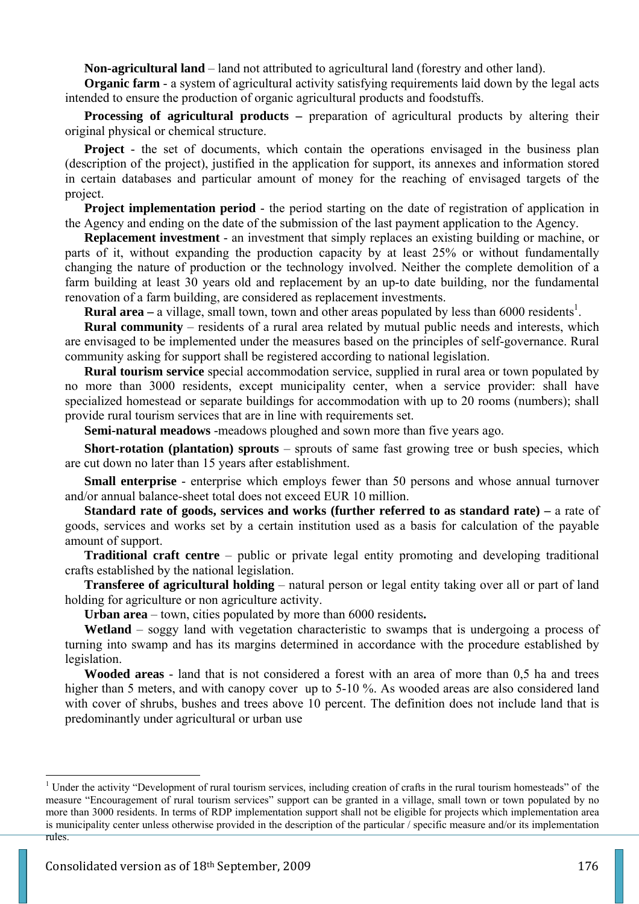**Non-agricultural land** – land not attributed to agricultural land (forestry and other land).

**Organic farm - a** system of agricultural activity satisfying requirements laid down by the legal acts intended to ensure the production of organic agricultural products and foodstuffs.

**Processing of agricultural products** – preparation of agricultural products by altering their original physical or chemical structure.

**Project** - the set of documents, which contain the operations envisaged in the business plan (description of the project), justified in the application for support, its annexes and information stored in certain databases and particular amount of money for the reaching of envisaged targets of the project.

**Project implementation period** - the period starting on the date of registration of application in the Agency and ending on the date of the submission of the last payment application to the Agency.

**Replacement investment** - an investment that simply replaces an existing building or machine, or parts of it, without expanding the production capacity by at least 25% or without fundamentally changing the nature of production or the technology involved. Neither the complete demolition of a farm building at least 30 years old and replacement by an up-to date building, nor the fundamental renovation of a farm building, are considered as replacement investments.

**Rural area** – a village, small town, town and other areas populated by less than 6000 residents<sup>1</sup>.

**Rural community** – residents of a rural area related by mutual public needs and interests, which are envisaged to be implemented under the measures based on the principles of self-governance. Rural community asking for support shall be registered according to national legislation.

**Rural tourism service** special accommodation service, supplied in rural area or town populated by no more than 3000 residents, except municipality center, when a service provider: shall have specialized homestead or separate buildings for accommodation with up to 20 rooms (numbers); shall provide rural tourism services that are in line with requirements set.

**Semi-natural meadows** -meadows ploughed and sown more than five years ago.

**Short-rotation (plantation) sprouts** – sprouts of same fast growing tree or bush species, which are cut down no later than 15 years after establishment.

**Small enterprise** - enterprise which employs fewer than 50 persons and whose annual turnover and/or annual balance-sheet total does not exceed EUR 10 million.

**Standard rate of goods, services and works (further referred to as standard rate)** – a rate of goods, services and works set by a certain institution used as a basis for calculation of the payable amount of support.

**Traditional craft centre** – public or private legal entity promoting and developing traditional crafts established by the national legislation.

**Transferee of agricultural holding** – natural person or legal entity taking over all or part of land holding for agriculture or non agriculture activity.

**Urban area** – town, cities populated by more than 6000 residents**.**

**Wetland** – soggy land with vegetation characteristic to swamps that is undergoing a process of turning into swamp and has its margins determined in accordance with the procedure established by legislation.

**Wooded areas** - land that is not considered a forest with an area of more than 0,5 ha and trees higher than 5 meters, and with canopy cover up to 5-10 %. As wooded areas are also considered land with cover of shrubs, bushes and trees above 10 percent. The definition does not include land that is predominantly under agricultural or urban use

 $\overline{a}$ 

<sup>&</sup>lt;sup>1</sup> Under the activity "Development of rural tourism services, including creation of crafts in the rural tourism homesteads" of the measure "Encouragement of rural tourism services" support can be granted in a village, small town or town populated by no more than 3000 residents. In terms of RDP implementation support shall not be eligible for projects which implementation area is municipality center unless otherwise provided in the description of the particular / specific measure and/or its implementation rules.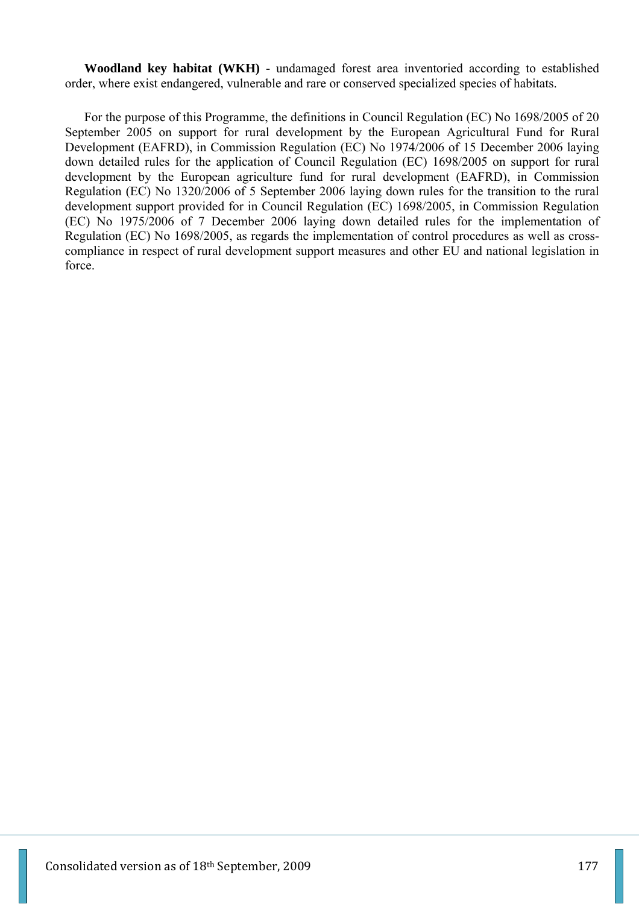**Woodland key habitat (WKH) -** undamaged forest area inventoried according to established order, where exist endangered, vulnerable and rare or conserved specialized species of habitats.

For the purpose of this Programme, the definitions in Council Regulation (EC) No 1698/2005 of 20 September 2005 on support for rural development by the European Agricultural Fund for Rural Development (EAFRD), in Commission Regulation (EC) No 1974/2006 of 15 December 2006 laying down detailed rules for the application of Council Regulation (EC) 1698/2005 on support for rural development by the European agriculture fund for rural development (EAFRD), in Commission Regulation (EC) No 1320/2006 of 5 September 2006 laying down rules for the transition to the rural development support provided for in Council Regulation (EC) 1698/2005, in Commission Regulation (EC) No 1975/2006 of 7 December 2006 laying down detailed rules for the implementation of Regulation (EC) No 1698/2005, as regards the implementation of control procedures as well as crosscompliance in respect of rural development support measures and other EU and national legislation in force.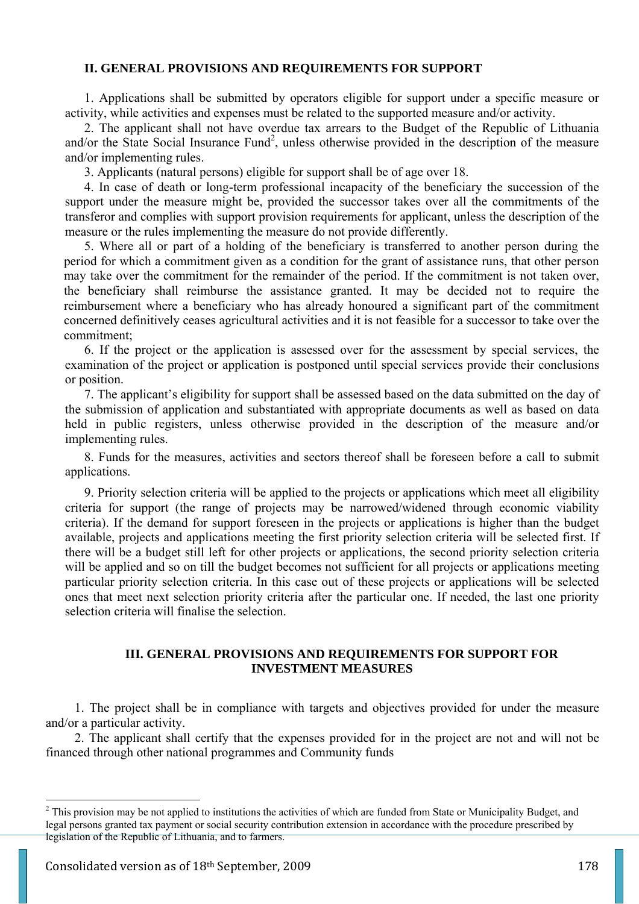#### **II. GENERAL PROVISIONS AND REQUIREMENTS FOR SUPPORT**

1. Applications shall be submitted by operators eligible for support under a specific measure or activity, while activities and expenses must be related to the supported measure and/or activity.

2. The applicant shall not have overdue tax arrears to the Budget of the Republic of Lithuania and/or the State Social Insurance Fund<sup>2</sup>, unless otherwise provided in the description of the measure and/or implementing rules.

3. Applicants (natural persons) eligible for support shall be of age over 18.

4. In case of death or long-term professional incapacity of the beneficiary the succession of the support under the measure might be, provided the successor takes over all the commitments of the transferor and complies with support provision requirements for applicant, unless the description of the measure or the rules implementing the measure do not provide differently.

5. Where all or part of a holding of the beneficiary is transferred to another person during the period for which a commitment given as a condition for the grant of assistance runs, that other person may take over the commitment for the remainder of the period. If the commitment is not taken over, the beneficiary shall reimburse the assistance granted. It may be decided not to require the reimbursement where a beneficiary who has already honoured a significant part of the commitment concerned definitively ceases agricultural activities and it is not feasible for a successor to take over the commitment;

6. If the project or the application is assessed over for the assessment by special services, the examination of the project or application is postponed until special services provide their conclusions or position.

7. The applicant's eligibility for support shall be assessed based on the data submitted on the day of the submission of application and substantiated with appropriate documents as well as based on data held in public registers, unless otherwise provided in the description of the measure and/or implementing rules.

8. Funds for the measures, activities and sectors thereof shall be foreseen before a call to submit applications.

9. Priority selection criteria will be applied to the projects or applications which meet all eligibility criteria for support (the range of projects may be narrowed/widened through economic viability criteria). If the demand for support foreseen in the projects or applications is higher than the budget available, projects and applications meeting the first priority selection criteria will be selected first. If there will be a budget still left for other projects or applications, the second priority selection criteria will be applied and so on till the budget becomes not sufficient for all projects or applications meeting particular priority selection criteria. In this case out of these projects or applications will be selected ones that meet next selection priority criteria after the particular one. If needed, the last one priority selection criteria will finalise the selection.

# **III. GENERAL PROVISIONS AND REQUIREMENTS FOR SUPPORT FOR INVESTMENT MEASURES**

1. The project shall be in compliance with targets and objectives provided for under the measure and/or a particular activity.

2. The applicant shall certify that the expenses provided for in the project are not and will not be financed through other national programmes and Community funds

 $\overline{a}$ 

 $2$  This provision may be not applied to institutions the activities of which are funded from State or Municipality Budget, and legal persons granted tax payment or social security contribution extension in accordance with the procedure prescribed by legislation of the Republic of Lithuania, and to farmers.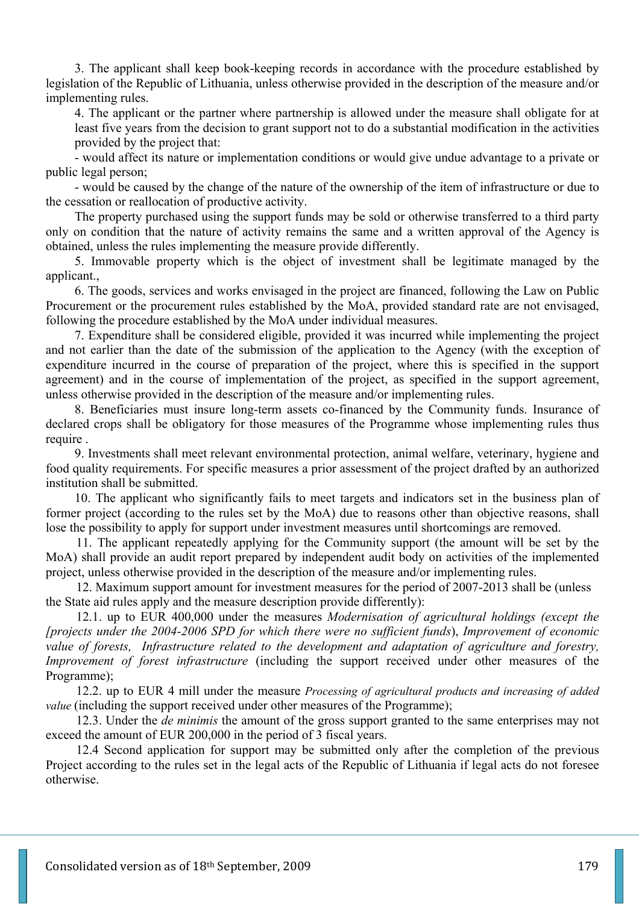3. The applicant shall keep book-keeping records in accordance with the procedure established by legislation of the Republic of Lithuania, unless otherwise provided in the description of the measure and/or implementing rules.

4. The applicant or the partner where partnership is allowed under the measure shall obligate for at least five years from the decision to grant support not to do a substantial modification in the activities provided by the project that:

- would affect its nature or implementation conditions or would give undue advantage to a private or public legal person;

- would be caused by the change of the nature of the ownership of the item of infrastructure or due to the cessation or reallocation of productive activity.

The property purchased using the support funds may be sold or otherwise transferred to a third party only on condition that the nature of activity remains the same and a written approval of the Agency is obtained, unless the rules implementing the measure provide differently.

5. Immovable property which is the object of investment shall be legitimate managed by the applicant.,

6. The goods, services and works envisaged in the project are financed, following the Law on Public Procurement or the procurement rules established by the MoA, provided standard rate are not envisaged, following the procedure established by the MoA under individual measures.

7. Expenditure shall be considered eligible, provided it was incurred while implementing the project and not earlier than the date of the submission of the application to the Agency (with the exception of expenditure incurred in the course of preparation of the project, where this is specified in the support agreement) and in the course of implementation of the project, as specified in the support agreement, unless otherwise provided in the description of the measure and/or implementing rules.

8. Beneficiaries must insure long-term assets co-financed by the Community funds. Insurance of declared crops shall be obligatory for those measures of the Programme whose implementing rules thus require .

9. Investments shall meet relevant environmental protection, animal welfare, veterinary, hygiene and food quality requirements. For specific measures a prior assessment of the project drafted by an authorized institution shall be submitted.

10. The applicant who significantly fails to meet targets and indicators set in the business plan of former project (according to the rules set by the MoA) due to reasons other than objective reasons, shall lose the possibility to apply for support under investment measures until shortcomings are removed.

11. The applicant repeatedly applying for the Community support (the amount will be set by the MoA) shall provide an audit report prepared by independent audit body on activities of the implemented project, unless otherwise provided in the description of the measure and/or implementing rules.

12. Maximum support amount for investment measures for the period of 2007-2013 shall be (unless the State aid rules apply and the measure description provide differently):

12.1. up to EUR 400,000 under the measures *Modernisation of agricultural holdings (except the [projects under the 2004-2006 SPD for which there were no sufficient funds*), *Improvement of economic value of forests, Infrastructure related to the development and adaptation of agriculture and forestry, Improvement of forest infrastructure* (including the support received under other measures of the Programme);

12.2. up to EUR 4 mill under the measure *Processing of agricultural products and increasing of added value* (including the support received under other measures of the Programme);

12.3. Under the *de minimis* the amount of the gross support granted to the same enterprises may not exceed the amount of EUR 200,000 in the period of 3 fiscal years.

12.4 Second application for support may be submitted only after the completion of the previous Project according to the rules set in the legal acts of the Republic of Lithuania if legal acts do not foresee otherwise.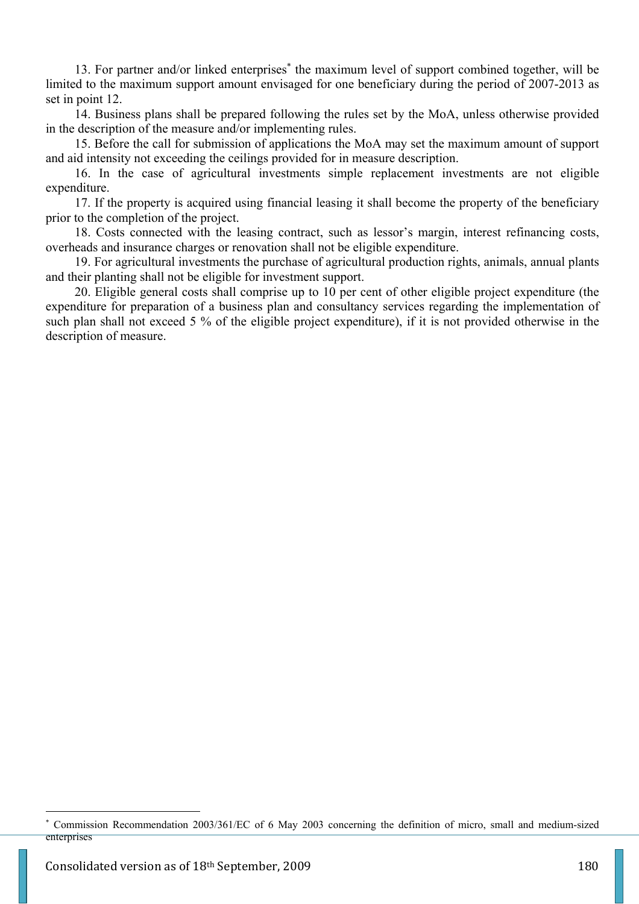13. For partner and/or linked enterprises<sup>\*</sup> the maximum level of support combined together, will be limited to the maximum support amount envisaged for one beneficiary during the period of 2007-2013 as set in point 12.

14. Business plans shall be prepared following the rules set by the MoA, unless otherwise provided in the description of the measure and/or implementing rules.

15. Before the call for submission of applications the MoA may set the maximum amount of support and aid intensity not exceeding the ceilings provided for in measure description.

16. In the case of agricultural investments simple replacement investments are not eligible expenditure.

17. If the property is acquired using financial leasing it shall become the property of the beneficiary prior to the completion of the project.

18. Costs connected with the leasing contract, such as lessor's margin, interest refinancing costs, overheads and insurance charges or renovation shall not be eligible expenditure.

19. For agricultural investments the purchase of agricultural production rights, animals, annual plants and their planting shall not be eligible for investment support.

20. Eligible general costs shall comprise up to 10 per cent of other eligible project expenditure (the expenditure for preparation of a business plan and consultancy services regarding the implementation of such plan shall not exceed 5 % of the eligible project expenditure), if it is not provided otherwise in the description of measure.

 $\overline{a}$ 

<sup>∗</sup> Commission Recommendation 2003/361/EC of 6 May 2003 concerning the definition of micro, small and medium-sized enterprises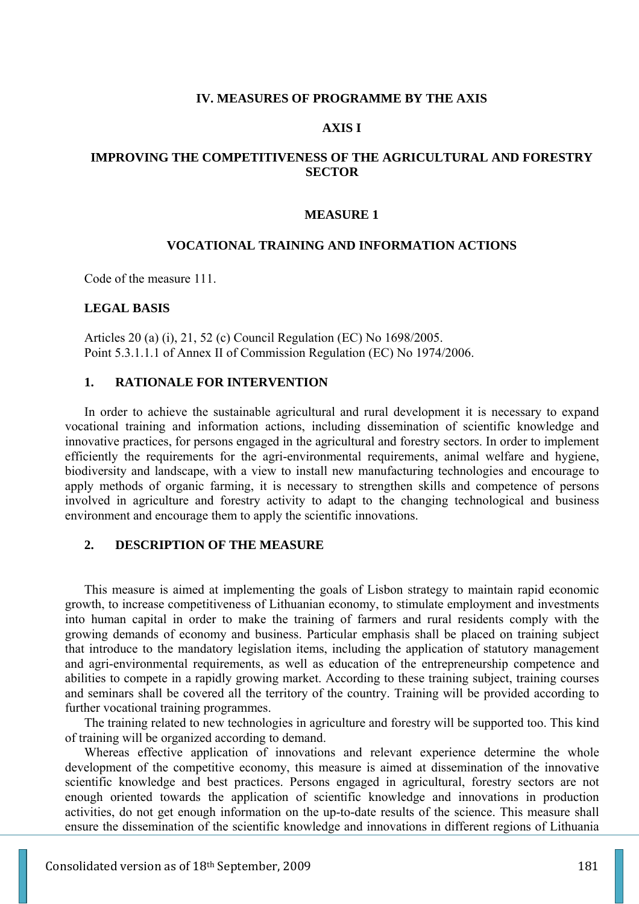#### **IV. MEASURES OF PROGRAMME BY THE AXIS**

#### **AXIS I**

## **IMPROVING THE COMPETITIVENESS OF THE AGRICULTURAL AND FORESTRY SECTOR**

#### **MEASURE 1**

#### **VOCATIONAL TRAINING AND INFORMATION ACTIONS**

Code of the measure 111.

#### **LEGAL BASIS**

Articles 20 (a) (i), 21, 52 (c) Council Regulation (EC) No 1698/2005. Point 5.3.1.1.1 of Annex II of Commission Regulation (EC) No 1974/2006.

#### **1. RATIONALE FOR INTERVENTION**

In order to achieve the sustainable agricultural and rural development it is necessary to expand vocational training and information actions, including dissemination of scientific knowledge and innovative practices, for persons engaged in the agricultural and forestry sectors. In order to implement efficiently the requirements for the agri-environmental requirements, animal welfare and hygiene, biodiversity and landscape, with a view to install new manufacturing technologies and encourage to apply methods of organic farming, it is necessary to strengthen skills and competence of persons involved in agriculture and forestry activity to adapt to the changing technological and business environment and encourage them to apply the scientific innovations.

#### **2. DESCRIPTION OF THE MEASURE**

This measure is aimed at implementing the goals of Lisbon strategy to maintain rapid economic growth, to increase competitiveness of Lithuanian economy, to stimulate employment and investments into human capital in order to make the training of farmers and rural residents comply with the growing demands of economy and business. Particular emphasis shall be placed on training subject that introduce to the mandatory legislation items, including the application of statutory management and agri-environmental requirements, as well as education of the entrepreneurship competence and abilities to compete in a rapidly growing market. According to these training subject, training courses and seminars shall be covered all the territory of the country. Training will be provided according to further vocational training programmes.

The training related to new technologies in agriculture and forestry will be supported too. This kind of training will be organized according to demand.

Whereas effective application of innovations and relevant experience determine the whole development of the competitive economy, this measure is aimed at dissemination of the innovative scientific knowledge and best practices. Persons engaged in agricultural, forestry sectors are not enough oriented towards the application of scientific knowledge and innovations in production activities, do not get enough information on the up-to-date results of the science. This measure shall ensure the dissemination of the scientific knowledge and innovations in different regions of Lithuania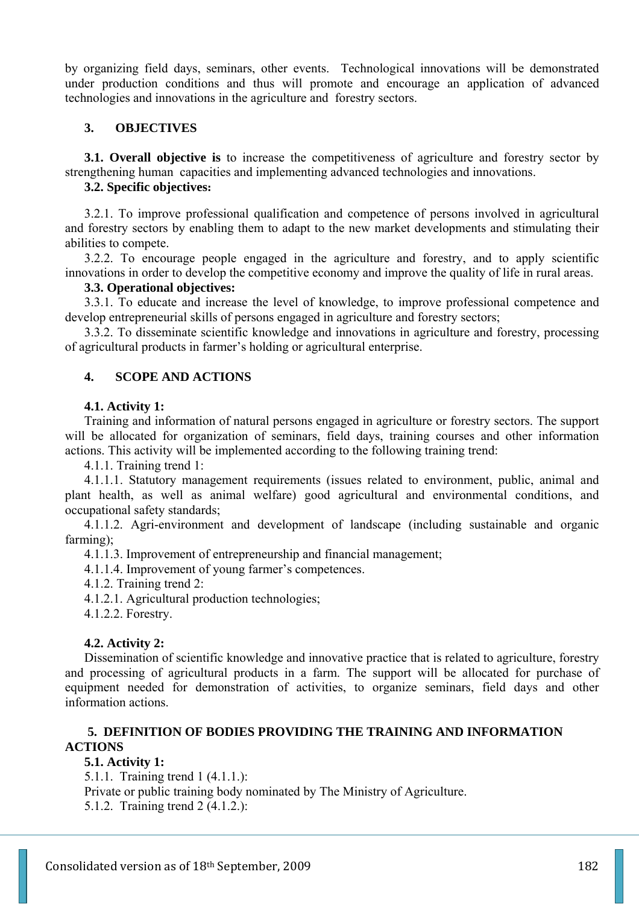by organizing field days, seminars, other events. Technological innovations will be demonstrated under production conditions and thus will promote and encourage an application of advanced technologies and innovations in the agriculture and forestry sectors.

### **3. OBJECTIVES**

**3.1. Overall objective is** to increase the competitiveness of agriculture and forestry sector by strengthening human capacities and implementing advanced technologies and innovations.

# **3.2. Specific objectives:**

3.2.1. To improve professional qualification and competence of persons involved in agricultural and forestry sectors by enabling them to adapt to the new market developments and stimulating their abilities to compete.

3.2.2. To encourage people engaged in the agriculture and forestry, and to apply scientific innovations in order to develop the competitive economy and improve the quality of life in rural areas.

# **3.3. Operational objectives:**

3.3.1. To educate and increase the level of knowledge, to improve professional competence and develop entrepreneurial skills of persons engaged in agriculture and forestry sectors;

3.3.2. To disseminate scientific knowledge and innovations in agriculture and forestry, processing of agricultural products in farmer's holding or agricultural enterprise.

# **4. SCOPE AND ACTIONS**

# **4.1. Activity 1:**

Training and information of natural persons engaged in agriculture or forestry sectors. The support will be allocated for organization of seminars, field days, training courses and other information actions. This activity will be implemented according to the following training trend:

4.1.1. Training trend 1:

4.1.1.1. Statutory management requirements (issues related to environment, public, animal and plant health, as well as animal welfare) good agricultural and environmental conditions, and occupational safety standards;

4.1.1.2. Agri-environment and development of landscape (including sustainable and organic farming)<sup>.</sup>

4.1.1.3. Improvement of entrepreneurship and financial management;

4.1.1.4. Improvement of young farmer's competences.

4.1.2. Training trend 2:

4.1.2.1. Agricultural production technologies;

4.1.2.2. Forestry.

# **4.2. Activity 2:**

Dissemination of scientific knowledge and innovative practice that is related to agriculture, forestry and processing of agricultural products in a farm. The support will be allocated for purchase of equipment needed for demonstration of activities, to organize seminars, field days and other information actions.

# **5. DEFINITION OF BODIES PROVIDING THE TRAINING AND INFORMATION ACTIONS**

# **5.1. Activity 1:**

5.1.1. Training trend 1 (4.1.1.):

Private or public training body nominated by The Ministry of Agriculture.

5.1.2. Training trend 2 (4.1.2.):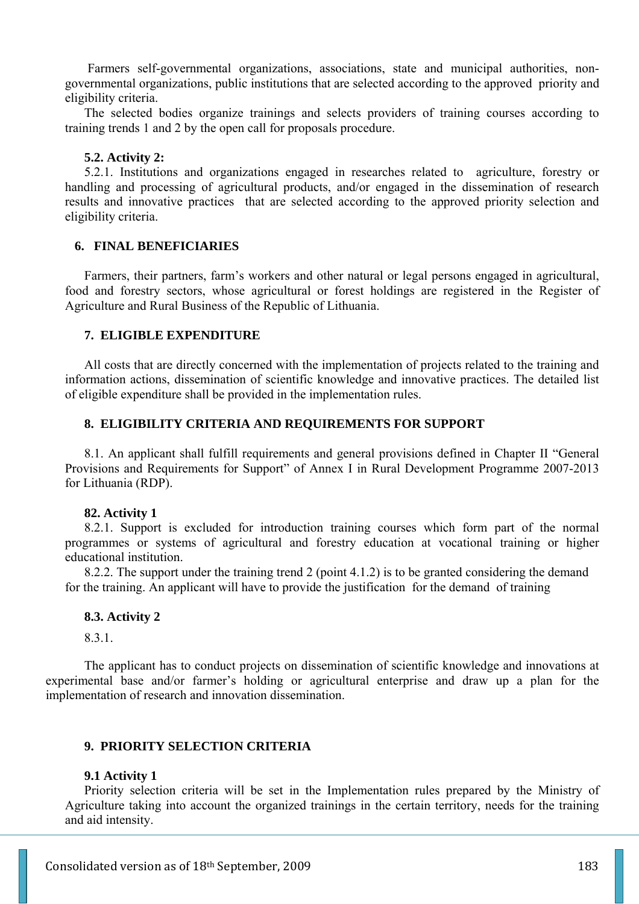Farmers self-governmental organizations, associations, state and municipal authorities, nongovernmental organizations, public institutions that are selected according to the approved priority and eligibility criteria.

The selected bodies organize trainings and selects providers of training courses according to training trends 1 and 2 by the open call for proposals procedure.

#### **5.2. Activity 2:**

5.2.1. Institutions and organizations engaged in researches related to agriculture, forestry or handling and processing of agricultural products, and/or engaged in the dissemination of research results and innovative practices that are selected according to the approved priority selection and eligibility criteria.

#### **6. FINAL BENEFICIARIES**

Farmers, their partners, farm's workers and other natural or legal persons engaged in agricultural, food and forestry sectors, whose agricultural or forest holdings are registered in the Register of Agriculture and Rural Business of the Republic of Lithuania.

#### **7. ELIGIBLE EXPENDITURE**

All costs that are directly concerned with the implementation of projects related to the training and information actions, dissemination of scientific knowledge and innovative practices. The detailed list of eligible expenditure shall be provided in the implementation rules.

### **8. ELIGIBILITY CRITERIA AND REQUIREMENTS FOR SUPPORT**

8.1. An applicant shall fulfill requirements and general provisions defined in Chapter II "General Provisions and Requirements for Support" of Annex I in Rural Development Programme 2007-2013 for Lithuania (RDP).

#### **82. Activity 1**

8.2.1. Support is excluded for introduction training courses which form part of the normal programmes or systems of agricultural and forestry education at vocational training or higher educational institution.

8.2.2. The support under the training trend 2 (point 4.1.2) is to be granted considering the demand for the training. An applicant will have to provide the justification for the demand of training

#### **8.3. Activity 2**

8.3.1.

The applicant has to conduct projects on dissemination of scientific knowledge and innovations at experimental base and/or farmer's holding or agricultural enterprise and draw up a plan for the implementation of research and innovation dissemination.

### **9. PRIORITY SELECTION CRITERIA**

#### **9.1 Activity 1**

Priority selection criteria will be set in the Implementation rules prepared by the Ministry of Agriculture taking into account the organized trainings in the certain territory, needs for the training and aid intensity.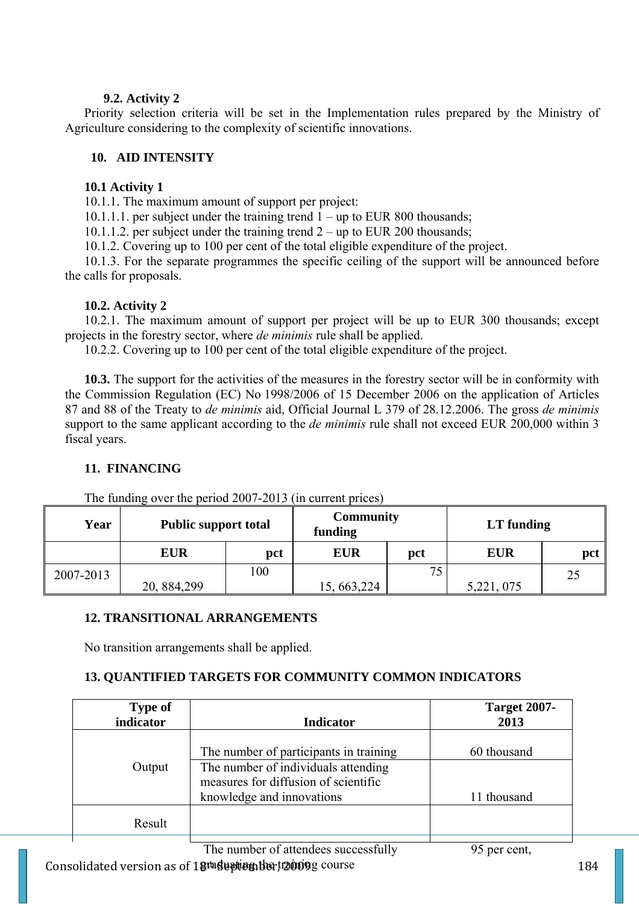# **9.2. Activity 2**

Priority selection criteria will be set in the Implementation rules prepared by the Ministry of Agriculture considering to the complexity of scientific innovations.

# **10. AID INTENSITY**

# **10.1 Activity 1**

10.1.1. The maximum amount of support per project:

10.1.1.1. per subject under the training trend 1 – up to EUR 800 thousands;

10.1.1.2. per subject under the training trend 2 – up to EUR 200 thousands;

10.1.2. Covering up to 100 per cent of the total eligible expenditure of the project.

10.1.3. For the separate programmes the specific ceiling of the support will be announced before the calls for proposals.

# **10.2. Activity 2**

10.2.1. The maximum amount of support per project will be up to EUR 300 thousands; except projects in the forestry sector, where *de minimis* rule shall be applied.

10.2.2. Covering up to 100 per cent of the total eligible expenditure of the project.

**10.3.** The support for the activities of the measures in the forestry sector will be in conformity with the Commission Regulation (EC) No 1998/2006 of 15 December 2006 on the application of Articles 87 and 88 of the Treaty to *de minimis* aid, Official Journal L 379 of 28.12.2006. The gross *de minimis* support to the same applicant according to the *de minimis* rule shall not exceed EUR 200,000 within 3 fiscal years.

# **11. FINANCING**

The funding over the period 2007-2013 (in current prices)

| Year      | <b>Public support total</b> |     | <b>Community</b><br>funding |     | LT funding |             |
|-----------|-----------------------------|-----|-----------------------------|-----|------------|-------------|
|           | <b>EUR</b>                  | pct | <b>EUR</b>                  | pct | <b>EUR</b> | ${\bf pct}$ |
| 2007-2013 |                             | 100 |                             | 75  |            | 25          |
|           | 20, 884, 299                |     | 15, 663, 224                |     | 5,221,075  |             |

# **12. TRANSITIONAL ARRANGEMENTS**

No transition arrangements shall be applied.

# **13. QUANTIFIED TARGETS FOR COMMUNITY COMMON INDICATORS**

| <b>Type of</b><br>indicator | <b>Indicator</b>                                                                                                                                   | <b>Target 2007-</b><br>2013 |
|-----------------------------|----------------------------------------------------------------------------------------------------------------------------------------------------|-----------------------------|
| Output                      | The number of participants in training<br>The number of individuals attending<br>measures for diffusion of scientific<br>knowledge and innovations | 60 thousand<br>11 thousand  |
| Result                      |                                                                                                                                                    |                             |
|                             | The number of ettendoes successfully                                                                                                               | $05$ por cont               |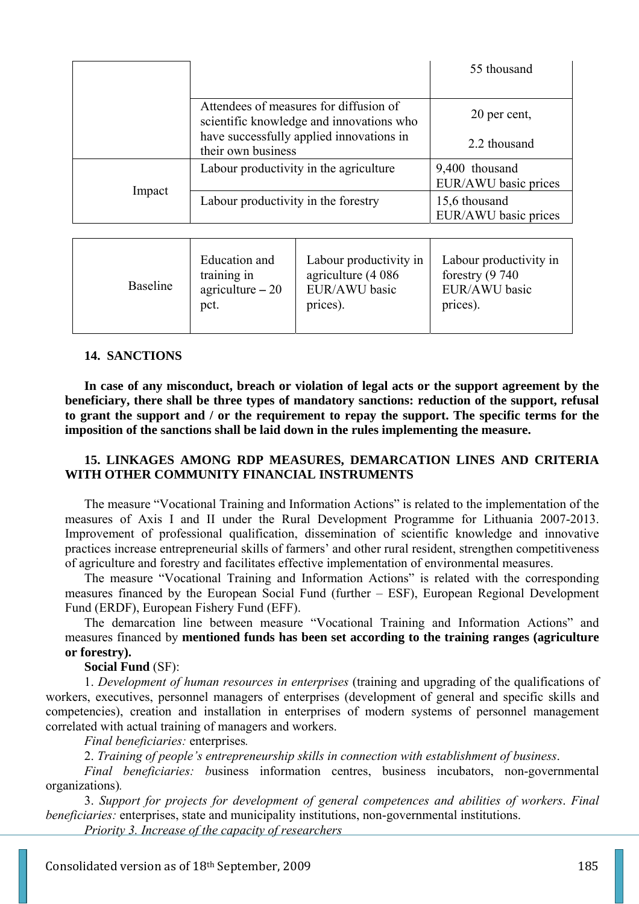|        |                                                                                    | 55 thousand                            |
|--------|------------------------------------------------------------------------------------|----------------------------------------|
|        | Attendees of measures for diffusion of<br>scientific knowledge and innovations who | 20 per cent,                           |
|        | have successfully applied innovations in<br>their own business                     | 2.2 thousand                           |
|        | Labour productivity in the agriculture                                             | 9,400 thousand<br>EUR/AWU basic prices |
| Impact | Labour productivity in the forestry                                                | 15,6 thousand<br>EUR/AWU basic prices  |

| <b>Baseline</b> | Education and     | Labour productivity in | Labour productivity in |
|-----------------|-------------------|------------------------|------------------------|
|                 | training in       | agriculture (4 086     | forestry $(9740)$      |
|                 | agriculture $-20$ | EUR/AWU basic          | EUR/AWU basic          |
|                 | pct.              | prices).               | prices).               |

#### **14. SANCTIONS**

**In case of any misconduct, breach or violation of legal acts or the support agreement by the beneficiary, there shall be three types of mandatory sanctions: reduction of the support, refusal to grant the support and / or the requirement to repay the support. The specific terms for the imposition of the sanctions shall be laid down in the rules implementing the measure.** 

## **15. LINKAGES AMONG RDP MEASURES, DEMARCATION LINES AND CRITERIA WITH OTHER COMMUNITY FINANCIAL INSTRUMENTS**

The measure "Vocational Training and Information Actions" is related to the implementation of the measures of Axis I and II under the Rural Development Programme for Lithuania 2007-2013. Improvement of professional qualification, dissemination of scientific knowledge and innovative practices increase entrepreneurial skills of farmers' and other rural resident, strengthen competitiveness of agriculture and forestry and facilitates effective implementation of environmental measures.

The measure "Vocational Training and Information Actions" is related with the corresponding measures financed by the European Social Fund (further – ESF), European Regional Development Fund (ERDF), European Fishery Fund (EFF).

The demarcation line between measure "Vocational Training and Information Actions" and measures financed by **mentioned funds has been set according to the training ranges (agriculture or forestry).**

### **Social Fund** (SF):

1. *Development of human resources in enterprises* (training and upgrading of the qualifications of workers, executives, personnel managers of enterprises (development of general and specific skills and competencies), creation and installation in enterprises of modern systems of personnel management correlated with actual training of managers and workers.

*Final beneficiaries:* enterprises*.* 

2. *Training of people's entrepreneurship skills in connection with establishment of business*.

 *Final beneficiaries: b*usiness information centres, business incubators, non-governmental organizations)*.* 

3. *Support for projects for development of general competences and abilities of workers*. *Final beneficiaries:* enterprises, state and municipality institutions, non-governmental institutions.

*Priority 3. Increase of the capacity of researchers*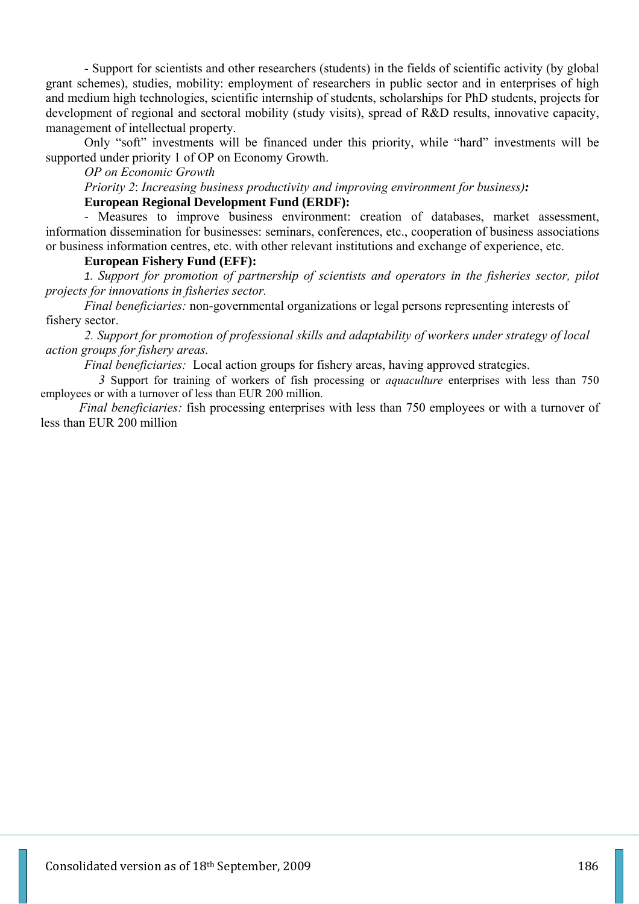- Support for scientists and other researchers (students) in the fields of scientific activity (by global grant schemes), studies, mobility: employment of researchers in public sector and in enterprises of high and medium high technologies, scientific internship of students, scholarships for PhD students, projects for development of regional and sectoral mobility (study visits), spread of R&D results, innovative capacity, management of intellectual property.

Only "soft" investments will be financed under this priority, while "hard" investments will be supported under priority 1 of OP on Economy Growth.

#### *OP on Economic Growth*

*Priority 2*: *Increasing business productivity and improving environment for business):* 

# **European Regional Development Fund (ERDF):**

- Measures to improve business environment: creation of databases, market assessment, information dissemination for businesses: seminars, conferences, etc., cooperation of business associations or business information centres, etc. with other relevant institutions and exchange of experience, etc.

#### **European Fishery Fund (EFF):**

*1. Support for promotion of partnership of scientists and operators in the fisheries sector, pilot projects for innovations in fisheries sector.* 

*Final beneficiaries:* non-governmental organizations or legal persons representing interests of fishery sector.

*2. Support for promotion of professional skills and adaptability of workers under strategy of local action groups for fishery areas.* 

*Final beneficiaries:* Local action groups for fishery areas, having approved strategies.

 *3* Support for training of workers of fish processing or *aquaculture* enterprises with less than 750 employees or with a turnover of less than EUR 200 million.

 *Final beneficiaries:* fish processing enterprises with less than 750 employees or with a turnover of less than EUR 200 million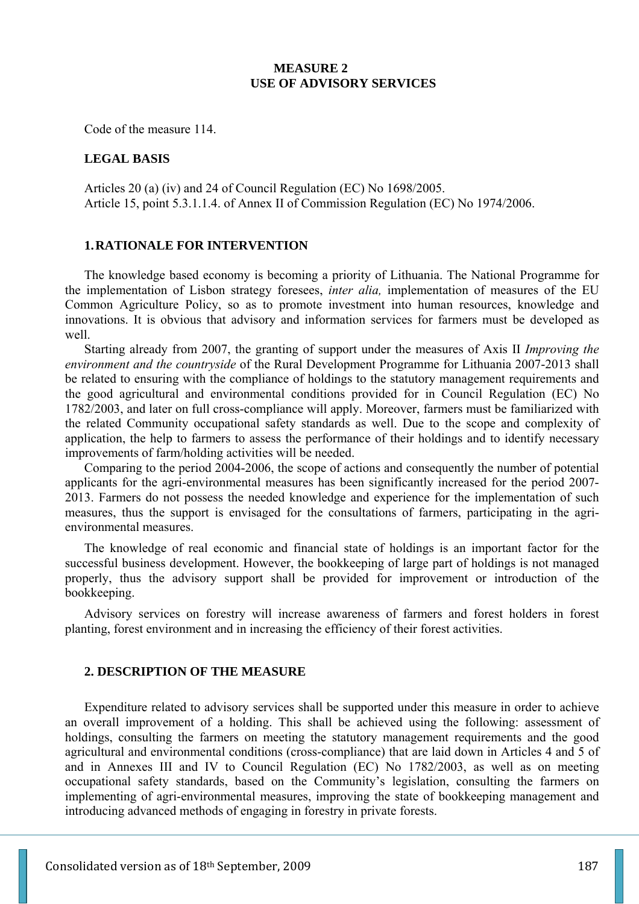## **MEASURE 2 USE OF ADVISORY SERVICES**

Code of the measure 114.

### **LEGAL BASIS**

Articles 20 (a) (iv) and 24 of Council Regulation (EC) No 1698/2005. Article 15, point 5.3.1.1.4. of Annex II of Commission Regulation (EC) No 1974/2006.

#### **1.RATIONALE FOR INTERVENTION**

The knowledge based economy is becoming a priority of Lithuania. The National Programme for the implementation of Lisbon strategy foresees, *inter alia,* implementation of measures of the EU Common Agriculture Policy, so as to promote investment into human resources, knowledge and innovations. It is obvious that advisory and information services for farmers must be developed as well.

Starting already from 2007, the granting of support under the measures of Axis II *Improving the environment and the countryside* of the Rural Development Programme for Lithuania 2007-2013 shall be related to ensuring with the compliance of holdings to the statutory management requirements and the good agricultural and environmental conditions provided for in Council Regulation (EC) No 1782/2003, and later on full cross-compliance will apply. Moreover, farmers must be familiarized with the related Community occupational safety standards as well. Due to the scope and complexity of application, the help to farmers to assess the performance of their holdings and to identify necessary improvements of farm/holding activities will be needed.

Comparing to the period 2004-2006, the scope of actions and consequently the number of potential applicants for the agri-environmental measures has been significantly increased for the period 2007- 2013. Farmers do not possess the needed knowledge and experience for the implementation of such measures, thus the support is envisaged for the consultations of farmers, participating in the agrienvironmental measures.

The knowledge of real economic and financial state of holdings is an important factor for the successful business development. However, the bookkeeping of large part of holdings is not managed properly, thus the advisory support shall be provided for improvement or introduction of the bookkeeping.

Advisory services on forestry will increase awareness of farmers and forest holders in forest planting, forest environment and in increasing the efficiency of their forest activities.

#### **2. DESCRIPTION OF THE MEASURE**

Expenditure related to advisory services shall be supported under this measure in order to achieve an overall improvement of a holding. This shall be achieved using the following: assessment of holdings, consulting the farmers on meeting the statutory management requirements and the good agricultural and environmental conditions (cross-compliance) that are laid down in Articles 4 and 5 of and in Annexes III and IV to Council Regulation (EC) No 1782/2003, as well as on meeting occupational safety standards, based on the Community's legislation, consulting the farmers on implementing of agri-environmental measures, improving the state of bookkeeping management and introducing advanced methods of engaging in forestry in private forests.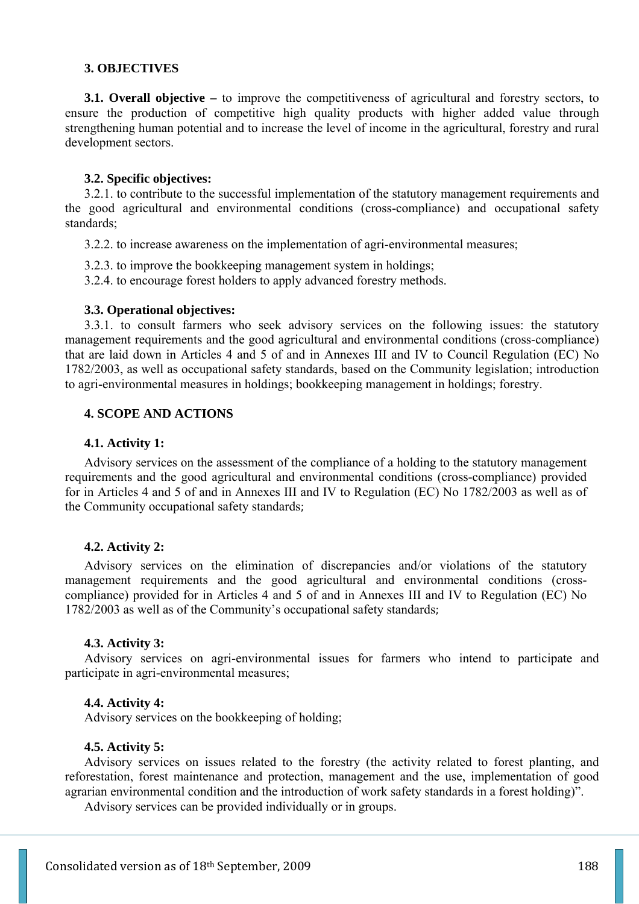#### **3. OBJECTIVES**

**3.1. Overall objective – to improve the competitiveness of agricultural and forestry sectors, to** ensure the production of competitive high quality products with higher added value through strengthening human potential and to increase the level of income in the agricultural, forestry and rural development sectors.

#### **3.2. Specific objectives:**

3.2.1. to contribute to the successful implementation of the statutory management requirements and the good agricultural and environmental conditions (cross-compliance) and occupational safety standards;

3.2.2. to increase awareness on the implementation of agri-environmental measures;

3.2.3. to improve the bookkeeping management system in holdings;

3.2.4. to encourage forest holders to apply advanced forestry methods.

#### **3.3. Operational objectives:**

3.3.1. to consult farmers who seek advisory services on the following issues: the statutory management requirements and the good agricultural and environmental conditions (cross-compliance) that are laid down in Articles 4 and 5 of and in Annexes III and IV to Council Regulation (EC) No 1782/2003, as well as occupational safety standards, based on the Community legislation; introduction to agri-environmental measures in holdings; bookkeeping management in holdings; forestry.

#### **4. SCOPE AND ACTIONS**

#### **4.1. Activity 1:**

Advisory services on the assessment of the compliance of a holding to the statutory management requirements and the good agricultural and environmental conditions (cross-compliance) provided for in Articles 4 and 5 of and in Annexes III and IV to Regulation (EC) No 1782/2003 as well as of the Community occupational safety standards;

### **4.2. Activity 2:**

Advisory services on the elimination of discrepancies and/or violations of the statutory management requirements and the good agricultural and environmental conditions (crosscompliance) provided for in Articles 4 and 5 of and in Annexes III and IV to Regulation (EC) No 1782/2003 as well as of the Community's occupational safety standards;

#### **4.3. Activity 3:**

Advisory services on agri-environmental issues for farmers who intend to participate and participate in agri-environmental measures;

#### **4.4. Activity 4:**

Advisory services on the bookkeeping of holding;

#### **4.5. Activity 5:**

Advisory services on issues related to the forestry (the activity related to forest planting, and reforestation, forest maintenance and protection, management and the use, implementation of good agrarian environmental condition and the introduction of work safety standards in a forest holding)".

Advisory services can be provided individually or in groups.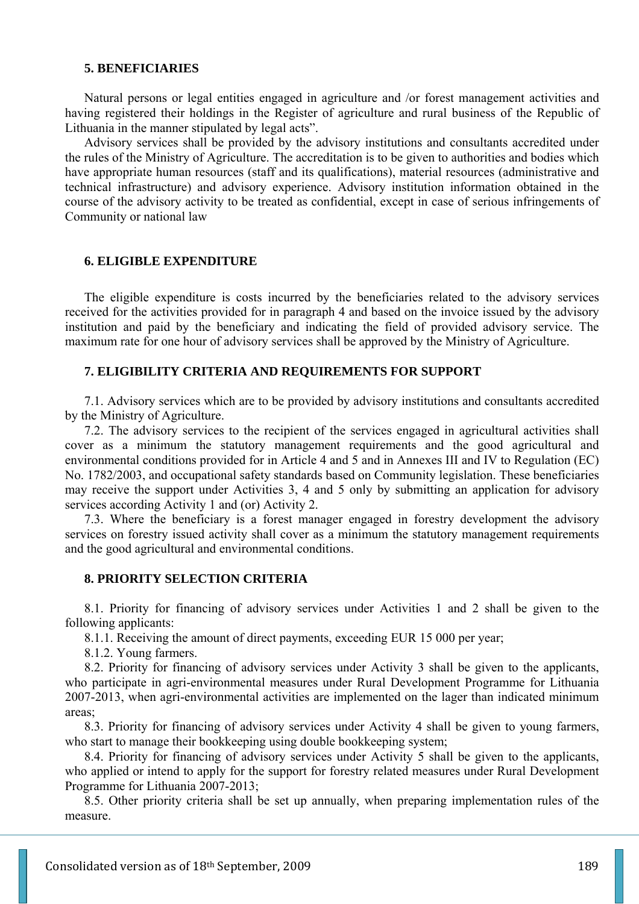#### **5. BENEFICIARIES**

Natural persons or legal entities engaged in agriculture and /or forest management activities and having registered their holdings in the Register of agriculture and rural business of the Republic of Lithuania in the manner stipulated by legal acts".

Advisory services shall be provided by the advisory institutions and consultants accredited under the rules of the Ministry of Agriculture. The accreditation is to be given to authorities and bodies which have appropriate human resources (staff and its qualifications), material resources (administrative and technical infrastructure) and advisory experience. Advisory institution information obtained in the course of the advisory activity to be treated as confidential, except in case of serious infringements of Community or national law

#### **6. ELIGIBLE EXPENDITURE**

The eligible expenditure is costs incurred by the beneficiaries related to the advisory services received for the activities provided for in paragraph 4 and based on the invoice issued by the advisory institution and paid by the beneficiary and indicating the field of provided advisory service. The maximum rate for one hour of advisory services shall be approved by the Ministry of Agriculture.

#### **7. ELIGIBILITY CRITERIA AND REQUIREMENTS FOR SUPPORT**

7.1. Advisory services which are to be provided by advisory institutions and consultants accredited by the Ministry of Agriculture.

7.2. The advisory services to the recipient of the services engaged in agricultural activities shall cover as a minimum the statutory management requirements and the good agricultural and environmental conditions provided for in Article 4 and 5 and in Annexes III and IV to Regulation (EC) No. 1782/2003, and occupational safety standards based on Community legislation. These beneficiaries may receive the support under Activities 3, 4 and 5 only by submitting an application for advisory services according Activity 1 and (or) Activity 2.

7.3. Where the beneficiary is a forest manager engaged in forestry development the advisory services on forestry issued activity shall cover as a minimum the statutory management requirements and the good agricultural and environmental conditions.

#### **8. PRIORITY SELECTION CRITERIA**

8.1. Priority for financing of advisory services under Activities 1 and 2 shall be given to the following applicants:

8.1.1. Receiving the amount of direct payments, exceeding EUR 15 000 per year;

8.1.2. Young farmers.

8.2. Priority for financing of advisory services under Activity 3 shall be given to the applicants, who participate in agri-environmental measures under Rural Development Programme for Lithuania 2007-2013, when agri-environmental activities are implemented on the lager than indicated minimum areas;

8.3. Priority for financing of advisory services under Activity 4 shall be given to young farmers, who start to manage their bookkeeping using double bookkeeping system;

8.4. Priority for financing of advisory services under Activity 5 shall be given to the applicants, who applied or intend to apply for the support for forestry related measures under Rural Development Programme for Lithuania 2007-2013;

8.5. Other priority criteria shall be set up annually, when preparing implementation rules of the measure.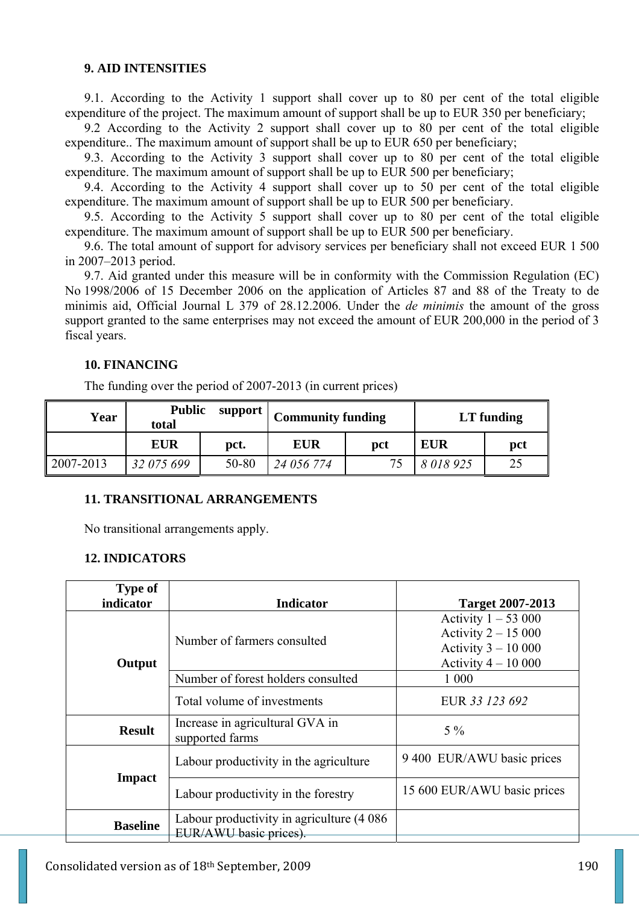# **9. AID INTENSITIES**

9.1. According to the Activity 1 support shall cover up to 80 per cent of the total eligible expenditure of the project. The maximum amount of support shall be up to EUR 350 per beneficiary;

9.2 According to the Activity 2 support shall cover up to 80 per cent of the total eligible expenditure.. The maximum amount of support shall be up to EUR 650 per beneficiary;

9.3. According to the Activity 3 support shall cover up to 80 per cent of the total eligible expenditure. The maximum amount of support shall be up to EUR 500 per beneficiary;

9.4. According to the Activity 4 support shall cover up to 50 per cent of the total eligible expenditure. The maximum amount of support shall be up to EUR 500 per beneficiary.

9.5. According to the Activity 5 support shall cover up to 80 per cent of the total eligible expenditure. The maximum amount of support shall be up to EUR 500 per beneficiary.

9.6. The total amount of support for advisory services per beneficiary shall not exceed EUR 1 500 in 2007–2013 period.

9.7. Aid granted under this measure will be in conformity with the Commission Regulation (EC) No 1998/2006 of 15 December 2006 on the application of Articles 87 and 88 of the Treaty to de minimis aid, Official Journal L 379 of 28.12.2006. Under the *de minimis* the amount of the gross support granted to the same enterprises may not exceed the amount of EUR 200,000 in the period of 3 fiscal years.

# **10. FINANCING**

The funding over the period of 2007-2013 (in current prices)

| Year      | <b>Public</b><br>total | support | <b>Community funding</b> |     |            | LT funding |
|-----------|------------------------|---------|--------------------------|-----|------------|------------|
|           | <b>EUR</b>             | pct.    | <b>EUR</b>               | pct | <b>EUR</b> | pct        |
| 2007-2013 | 32 075 699             | 50-80   | 24 056 774               |     | 8018925    | 25         |

### **11. TRANSITIONAL ARRANGEMENTS**

No transitional arrangements apply.

### **12. INDICATORS**

| <b>Type of</b><br>indicator | <b>Indicator</b>                                                     | <b>Target 2007-2013</b>                                                                      |
|-----------------------------|----------------------------------------------------------------------|----------------------------------------------------------------------------------------------|
| Output                      | Number of farmers consulted                                          | Activity $1 - 53000$<br>Activity $2 - 15000$<br>Activity $3 - 10000$<br>Activity $4 - 10000$ |
|                             | Number of forest holders consulted                                   | 1 0 0 0                                                                                      |
|                             | Total volume of investments                                          | EUR 33 123 692                                                                               |
| <b>Result</b>               | Increase in agricultural GVA in<br>supported farms                   | $5\%$                                                                                        |
| <b>Impact</b>               | Labour productivity in the agriculture                               | 9 400 EUR/AWU basic prices                                                                   |
|                             | Labour productivity in the forestry                                  | 15 600 EUR/AWU basic prices                                                                  |
| <b>Baseline</b>             | Labour productivity in agriculture (4 086)<br>EUR/AWU basic prices). |                                                                                              |
|                             |                                                                      |                                                                                              |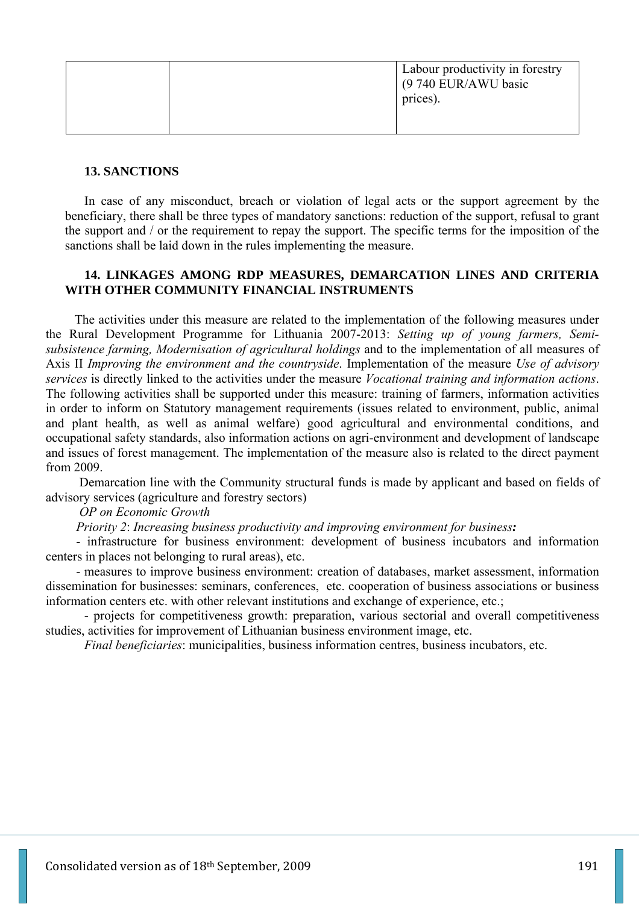|  | Labour productivity in forestry<br>(9 740 EUR/AWU basic<br>prices). |
|--|---------------------------------------------------------------------|
|  |                                                                     |

#### **13. SANCTIONS**

In case of any misconduct, breach or violation of legal acts or the support agreement by the beneficiary, there shall be three types of mandatory sanctions: reduction of the support, refusal to grant the support and / or the requirement to repay the support. The specific terms for the imposition of the sanctions shall be laid down in the rules implementing the measure.

## **14. LINKAGES AMONG RDP MEASURES, DEMARCATION LINES AND CRITERIA WITH OTHER COMMUNITY FINANCIAL INSTRUMENTS**

The activities under this measure are related to the implementation of the following measures under the Rural Development Programme for Lithuania 2007-2013: *Setting up of young farmers, Semisubsistence farming, Modernisation of agricultural holdings* and to the implementation of all measures of Axis II *Improving the environment and the countryside*. Implementation of the measure *Use of advisory services* is directly linked to the activities under the measure *Vocational training and information actions*. The following activities shall be supported under this measure: training of farmers, information activities in order to inform on Statutory management requirements (issues related to environment, public, animal and plant health, as well as animal welfare) good agricultural and environmental conditions, and occupational safety standards, also information actions on agri-environment and development of landscape and issues of forest management. The implementation of the measure also is related to the direct payment from 2009.

 Demarcation line with the Community structural funds is made by applicant and based on fields of advisory services (agriculture and forestry sectors)

*OP on Economic Growth* 

*Priority 2*: *Increasing business productivity and improving environment for business:* 

- infrastructure for business environment: development of business incubators and information centers in places not belonging to rural areas), etc.

- measures to improve business environment: creation of databases, market assessment, information dissemination for businesses: seminars, conferences, etc. cooperation of business associations or business information centers etc. with other relevant institutions and exchange of experience, etc.;

- projects for competitiveness growth: preparation, various sectorial and overall competitiveness studies, activities for improvement of Lithuanian business environment image, etc.

*Final beneficiaries*: municipalities, business information centres, business incubators, etc.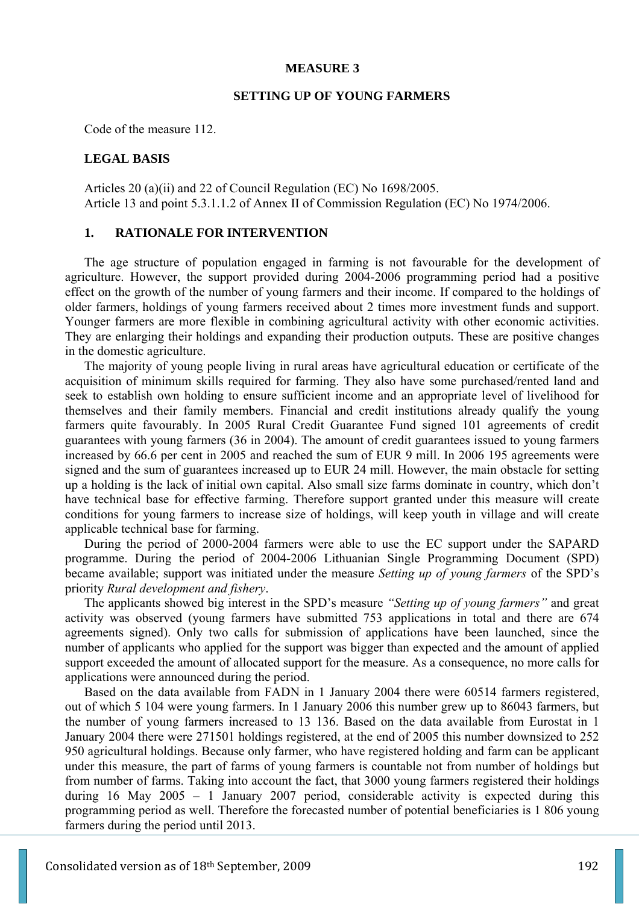#### **MEASURE 3**

#### **SETTING UP OF YOUNG FARMERS**

Code of the measure 112.

### **LEGAL BASIS**

Articles 20 (a)(ii) and 22 of Council Regulation (EC) No 1698/2005. Article 13 and point 5.3.1.1.2 of Annex II of Commission Regulation (EC) No 1974/2006.

#### **1. RATIONALE FOR INTERVENTION**

The age structure of population engaged in farming is not favourable for the development of agriculture. However, the support provided during 2004-2006 programming period had a positive effect on the growth of the number of young farmers and their income. If compared to the holdings of older farmers, holdings of young farmers received about 2 times more investment funds and support. Younger farmers are more flexible in combining agricultural activity with other economic activities. They are enlarging their holdings and expanding their production outputs. These are positive changes in the domestic agriculture.

The majority of young people living in rural areas have agricultural education or certificate of the acquisition of minimum skills required for farming. They also have some purchased/rented land and seek to establish own holding to ensure sufficient income and an appropriate level of livelihood for themselves and their family members. Financial and credit institutions already qualify the young farmers quite favourably. In 2005 Rural Credit Guarantee Fund signed 101 agreements of credit guarantees with young farmers (36 in 2004). The amount of credit guarantees issued to young farmers increased by 66.6 per cent in 2005 and reached the sum of EUR 9 mill. In 2006 195 agreements were signed and the sum of guarantees increased up to EUR 24 mill. However, the main obstacle for setting up a holding is the lack of initial own capital. Also small size farms dominate in country, which don't have technical base for effective farming. Therefore support granted under this measure will create conditions for young farmers to increase size of holdings, will keep youth in village and will create applicable technical base for farming.

During the period of 2000-2004 farmers were able to use the EC support under the SAPARD programme. During the period of 2004-2006 Lithuanian Single Programming Document (SPD) became available; support was initiated under the measure *Setting up of young farmers* of the SPD's priority *Rural development and fishery*.

The applicants showed big interest in the SPD's measure *"Setting up of young farmers"* and great activity was observed (young farmers have submitted 753 applications in total and there are 674 agreements signed). Only two calls for submission of applications have been launched, since the number of applicants who applied for the support was bigger than expected and the amount of applied support exceeded the amount of allocated support for the measure. As a consequence, no more calls for applications were announced during the period.

Based on the data available from FADN in 1 January 2004 there were 60514 farmers registered, out of which 5 104 were young farmers. In 1 January 2006 this number grew up to 86043 farmers, but the number of young farmers increased to 13 136. Based on the data available from Eurostat in 1 January 2004 there were 271501 holdings registered, at the end of 2005 this number downsized to 252 950 agricultural holdings. Because only farmer, who have registered holding and farm can be applicant under this measure, the part of farms of young farmers is countable not from number of holdings but from number of farms. Taking into account the fact, that 3000 young farmers registered their holdings during 16 May 2005 – 1 January 2007 period, considerable activity is expected during this programming period as well. Therefore the forecasted number of potential beneficiaries is 1 806 young farmers during the period until 2013.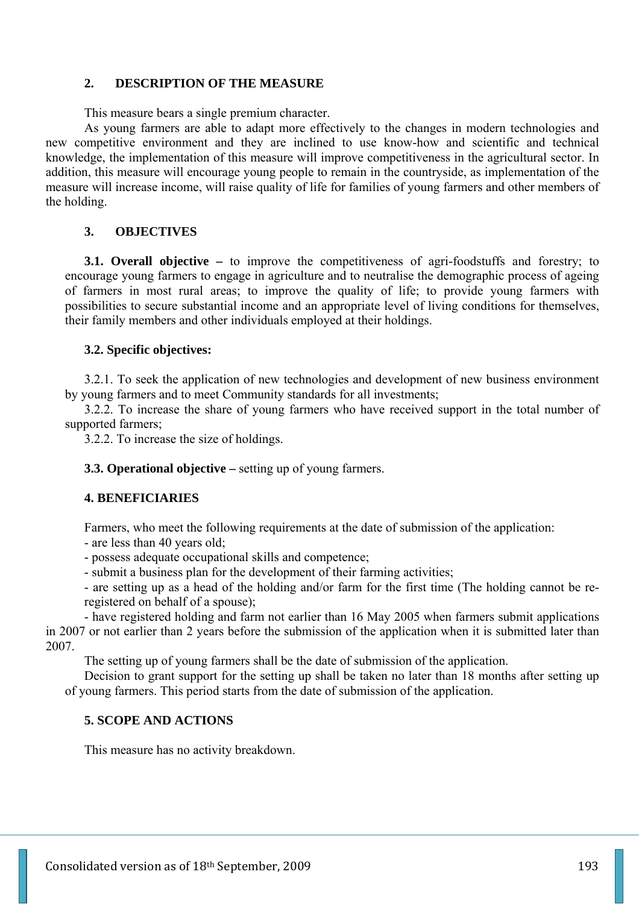# **2. DESCRIPTION OF THE MEASURE**

This measure bears a single premium character.

As young farmers are able to adapt more effectively to the changes in modern technologies and new competitive environment and they are inclined to use know-how and scientific and technical knowledge, the implementation of this measure will improve competitiveness in the agricultural sector. In addition, this measure will encourage young people to remain in the countryside, as implementation of the measure will increase income, will raise quality of life for families of young farmers and other members of the holding.

# **3. OBJECTIVES**

**3.1. Overall objective –** to improve the competitiveness of agri-foodstuffs and forestry; to encourage young farmers to engage in agriculture and to neutralise the demographic process of ageing of farmers in most rural areas; to improve the quality of life; to provide young farmers with possibilities to secure substantial income and an appropriate level of living conditions for themselves, their family members and other individuals employed at their holdings.

# **3.2. Specific objectives:**

3.2.1. To seek the application of new technologies and development of new business environment by young farmers and to meet Community standards for all investments;

3.2.2. To increase the share of young farmers who have received support in the total number of supported farmers;

3.2.2. To increase the size of holdings.

**3.3. Operational objective –** setting up of young farmers.

### **4. BENEFICIARIES**

Farmers, who meet the following requirements at the date of submission of the application:

- are less than 40 years old;

- possess adequate occupational skills and competence;

- submit a business plan for the development of their farming activities;

- are setting up as a head of the holding and/or farm for the first time (The holding cannot be reregistered on behalf of a spouse);

- have registered holding and farm not earlier than 16 May 2005 when farmers submit applications in 2007 or not earlier than 2 years before the submission of the application when it is submitted later than 2007.

The setting up of young farmers shall be the date of submission of the application.

Decision to grant support for the setting up shall be taken no later than 18 months after setting up of young farmers. This period starts from the date of submission of the application.

### **5. SCOPE AND ACTIONS**

This measure has no activity breakdown.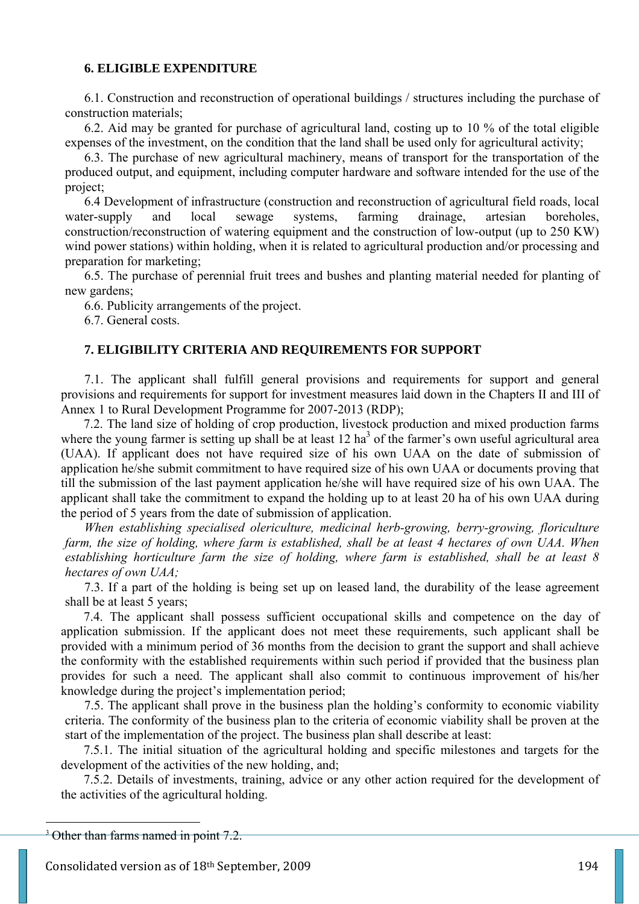### **6. ELIGIBLE EXPENDITURE**

6.1. Construction and reconstruction of operational buildings / structures including the purchase of construction materials;

6.2. Aid may be granted for purchase of agricultural land, costing up to 10 % of the total eligible expenses of the investment, on the condition that the land shall be used only for agricultural activity;

6.3. The purchase of new agricultural machinery, means of transport for the transportation of the produced output, and equipment, including computer hardware and software intended for the use of the project;

6.4 Development of infrastructure (construction and reconstruction of agricultural field roads, local water-supply and local sewage systems, farming drainage, artesian boreholes, construction/reconstruction of watering equipment and the construction of low-output (up to 250 KW) wind power stations) within holding, when it is related to agricultural production and/or processing and preparation for marketing;

6.5. The purchase of perennial fruit trees and bushes and planting material needed for planting of new gardens;

6.6. Publicity arrangements of the project.

6.7. General costs.

### **7. ELIGIBILITY CRITERIA AND REQUIREMENTS FOR SUPPORT**

7.1. The applicant shall fulfill general provisions and requirements for support and general provisions and requirements for support for investment measures laid down in the Chapters II and III of Annex 1 to Rural Development Programme for 2007-2013 (RDP);

 7.2. The land size of holding of crop production, livestock production and mixed production farms where the young farmer is setting up shall be at least  $12$  ha<sup>3</sup> of the farmer's own useful agricultural area (UAA). If applicant does not have required size of his own UAA on the date of submission of application he/she submit commitment to have required size of his own UAA or documents proving that till the submission of the last payment application he/she will have required size of his own UAA. The applicant shall take the commitment to expand the holding up to at least 20 ha of his own UAA during the period of 5 years from the date of submission of application.

*When establishing specialised olericulture, medicinal herb-growing, berry-growing, floriculture farm, the size of holding, where farm is established, shall be at least 4 hectares of own UAA. When establishing horticulture farm the size of holding, where farm is established, shall be at least 8 hectares of own UAA;* 

7.3. If a part of the holding is being set up on leased land, the durability of the lease agreement shall be at least 5 years;

7.4. The applicant shall possess sufficient occupational skills and competence on the day of application submission. If the applicant does not meet these requirements, such applicant shall be provided with a minimum period of 36 months from the decision to grant the support and shall achieve the conformity with the established requirements within such period if provided that the business plan provides for such a need. The applicant shall also commit to continuous improvement of his/her knowledge during the project's implementation period;

7.5. The applicant shall prove in the business plan the holding's conformity to economic viability criteria. The conformity of the business plan to the criteria of economic viability shall be proven at the start of the implementation of the project. The business plan shall describe at least:

7.5.1. The initial situation of the agricultural holding and specific milestones and targets for the development of the activities of the new holding, and;

7.5.2. Details of investments, training, advice or any other action required for the development of the activities of the agricultural holding.

 $\overline{a}$ 

<sup>&</sup>lt;sup>3</sup> Other than farms named in point 7.2.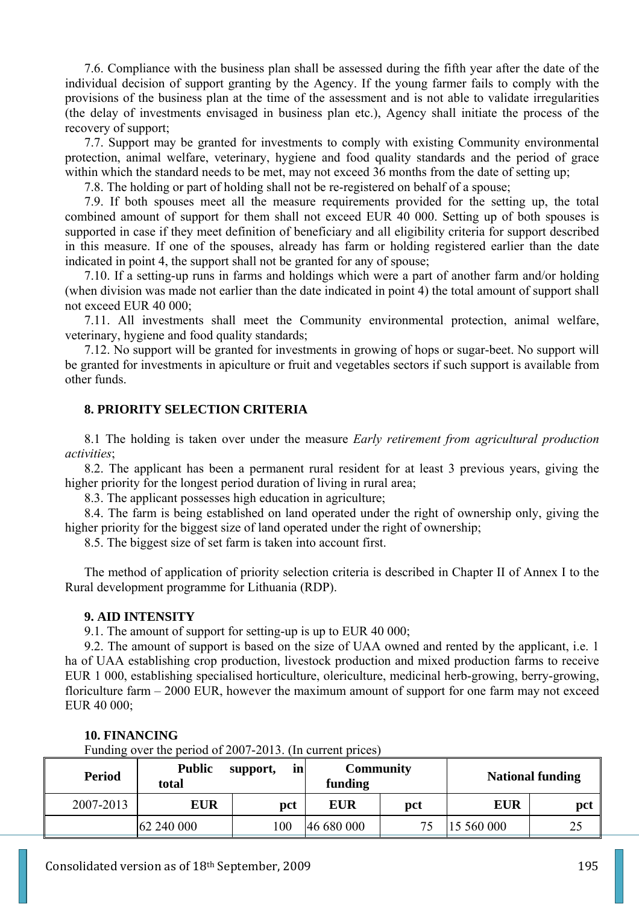7.6. Compliance with the business plan shall be assessed during the fifth year after the date of the individual decision of support granting by the Agency. If the young farmer fails to comply with the provisions of the business plan at the time of the assessment and is not able to validate irregularities (the delay of investments envisaged in business plan etc.), Agency shall initiate the process of the recovery of support;

7.7. Support may be granted for investments to comply with existing Community environmental protection, animal welfare, veterinary, hygiene and food quality standards and the period of grace within which the standard needs to be met, may not exceed 36 months from the date of setting up;

7.8. The holding or part of holding shall not be re-registered on behalf of a spouse;

7.9. If both spouses meet all the measure requirements provided for the setting up, the total combined amount of support for them shall not exceed EUR 40 000. Setting up of both spouses is supported in case if they meet definition of beneficiary and all eligibility criteria for support described in this measure. If one of the spouses, already has farm or holding registered earlier than the date indicated in point 4, the support shall not be granted for any of spouse;

7.10. If a setting-up runs in farms and holdings which were a part of another farm and/or holding (when division was made not earlier than the date indicated in point 4) the total amount of support shall not exceed EUR 40 000;

7.11. All investments shall meet the Community environmental protection, animal welfare, veterinary, hygiene and food quality standards;

7.12. No support will be granted for investments in growing of hops or sugar-beet. No support will be granted for investments in apiculture or fruit and vegetables sectors if such support is available from other funds.

### **8. PRIORITY SELECTION CRITERIA**

8.1 The holding is taken over under the measure *Early retirement from agricultural production activities*;

8.2. The applicant has been a permanent rural resident for at least 3 previous years, giving the higher priority for the longest period duration of living in rural area;

8.3. The applicant possesses high education in agriculture;

8.4. The farm is being established on land operated under the right of ownership only, giving the higher priority for the biggest size of land operated under the right of ownership;

8.5. The biggest size of set farm is taken into account first.

The method of application of priority selection criteria is described in Chapter II of Annex I to the Rural development programme for Lithuania (RDP).

#### **9. AID INTENSITY**

9.1. The amount of support for setting-up is up to EUR 40 000;

9.2. The amount of support is based on the size of UAA owned and rented by the applicant, i.e. 1 ha of UAA establishing crop production, livestock production and mixed production farms to receive EUR 1 000, establishing specialised horticulture, olericulture, medicinal herb-growing, berry-growing, floriculture farm – 2000 EUR, however the maximum amount of support for one farm may not exceed EUR 40 000;

| <b>Period</b> | <b>Public</b><br>total | support,<br>in  | <b>Community</b><br>funding |     |            | <b>National funding</b> |
|---------------|------------------------|-----------------|-----------------------------|-----|------------|-------------------------|
| 2007-2013     | <b>EUR</b>             | pct             | <b>EUR</b>                  | pct | <b>EUR</b> | pct                     |
|               | 62 240 000             | 00 <sub>1</sub> | 46 680 000                  |     | 15 560 000 |                         |

#### **10. FINANCING**

Funding over the period of 2007-2013. (In current prices)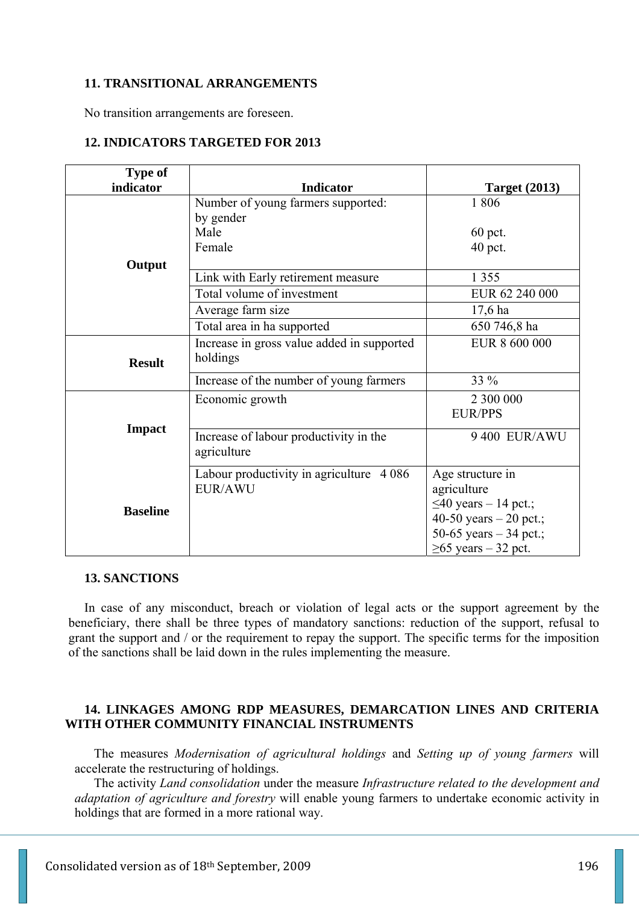# **11. TRANSITIONAL ARRANGEMENTS**

No transition arrangements are foreseen.

## **12. INDICATORS TARGETED FOR 2013**

| <b>Type of</b>  |                                                                 |                                                    |
|-----------------|-----------------------------------------------------------------|----------------------------------------------------|
| indicator       | <b>Indicator</b>                                                | <b>Target (2013)</b>                               |
|                 | Number of young farmers supported:<br>by gender                 | 1806                                               |
|                 | Male                                                            | 60 pct.                                            |
|                 | Female                                                          | 40 pct.                                            |
| Output          |                                                                 |                                                    |
|                 | Link with Early retirement measure                              | 1 3 5 5                                            |
|                 | Total volume of investment                                      | EUR 62 240 000                                     |
|                 | Average farm size                                               | $17,6$ ha                                          |
|                 | Total area in ha supported                                      | 650 746,8 ha                                       |
| <b>Result</b>   | Increase in gross value added in supported<br>holdings          | EUR 8 600 000                                      |
|                 | Increase of the number of young farmers                         | 33 %                                               |
|                 | Economic growth                                                 | 2 300 000                                          |
|                 |                                                                 | <b>EUR/PPS</b>                                     |
| <b>Impact</b>   | Increase of labour productivity in the<br>agriculture           | 9 400 EUR/AWU                                      |
|                 | Labour productivity in agriculture<br>4 0 8 6<br><b>EUR/AWU</b> | Age structure in<br>agriculture                    |
| <b>Baseline</b> |                                                                 | $\leq$ 40 years - 14 pct.;                         |
|                 |                                                                 | 40-50 years $-20$ pct.;<br>50-65 years $-34$ pct.; |
|                 |                                                                 | $\geq$ 65 years – 32 pct.                          |

### **13. SANCTIONS**

In case of any misconduct, breach or violation of legal acts or the support agreement by the beneficiary, there shall be three types of mandatory sanctions: reduction of the support, refusal to grant the support and / or the requirement to repay the support. The specific terms for the imposition of the sanctions shall be laid down in the rules implementing the measure.

# **14. LINKAGES AMONG RDP MEASURES, DEMARCATION LINES AND CRITERIA WITH OTHER COMMUNITY FINANCIAL INSTRUMENTS**

The measures *Modernisation of agricultural holdings* and *Setting up of young farmers* will accelerate the restructuring of holdings.

The activity *Land consolidation* under the measure *Infrastructure related to the development and adaptation of agriculture and forestry* will enable young farmers to undertake economic activity in holdings that are formed in a more rational way.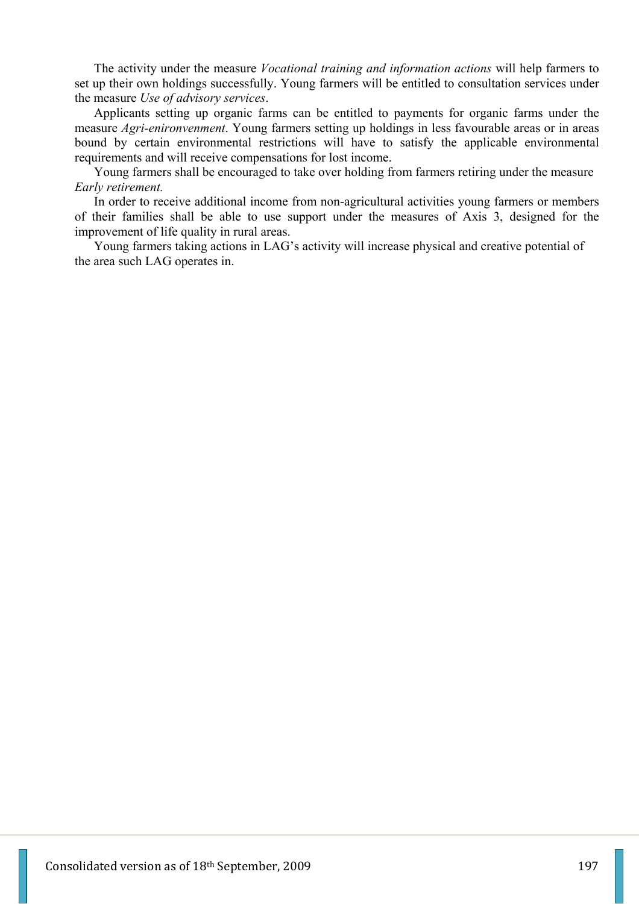The activity under the measure *Vocational training and information actions* will help farmers to set up their own holdings successfully. Young farmers will be entitled to consultation services under the measure *Use of advisory services*.

Applicants setting up organic farms can be entitled to payments for organic farms under the measure *Agri-enironvenment*. Young farmers setting up holdings in less favourable areas or in areas bound by certain environmental restrictions will have to satisfy the applicable environmental requirements and will receive compensations for lost income.

Young farmers shall be encouraged to take over holding from farmers retiring under the measure *Early retirement.*

In order to receive additional income from non-agricultural activities young farmers or members of their families shall be able to use support under the measures of Axis 3, designed for the improvement of life quality in rural areas.

Young farmers taking actions in LAG's activity will increase physical and creative potential of the area such LAG operates in.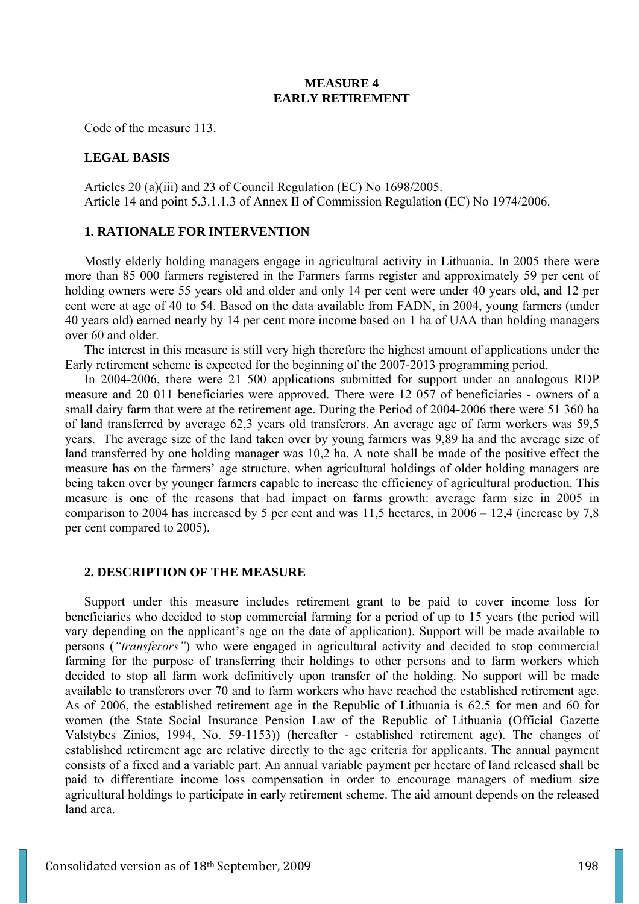### **MEASURE 4 EARLY RETIREMENT**

Code of the measure 113.

#### **LEGAL BASIS**

Articles 20 (a)(iii) and 23 of Council Regulation (EC) No 1698/2005. Article 14 and point 5.3.1.1.3 of Annex II of Commission Regulation (EC) No 1974/2006.

### **1. RATIONALE FOR INTERVENTION**

Mostly elderly holding managers engage in agricultural activity in Lithuania. In 2005 there were more than 85 000 farmers registered in the Farmers farms register and approximately 59 per cent of holding owners were 55 years old and older and only 14 per cent were under 40 years old, and 12 per cent were at age of 40 to 54. Based on the data available from FADN, in 2004, young farmers (under 40 years old) earned nearly by 14 per cent more income based on 1 ha of UAA than holding managers over 60 and older.

The interest in this measure is still very high therefore the highest amount of applications under the Early retirement scheme is expected for the beginning of the 2007-2013 programming period.

In 2004-2006, there were 21 500 applications submitted for support under an analogous RDP measure and 20 011 beneficiaries were approved. There were 12 057 of beneficiaries - owners of a small dairy farm that were at the retirement age. During the Period of 2004-2006 there were 51 360 ha of land transferred by average 62,3 years old transferors. An average age of farm workers was 59,5 years. The average size of the land taken over by young farmers was 9,89 ha and the average size of land transferred by one holding manager was 10,2 ha. A note shall be made of the positive effect the measure has on the farmers' age structure, when agricultural holdings of older holding managers are being taken over by younger farmers capable to increase the efficiency of agricultural production. This measure is one of the reasons that had impact on farms growth: average farm size in 2005 in comparison to 2004 has increased by 5 per cent and was 11,5 hectares, in 2006 – 12,4 (increase by 7,8 per cent compared to 2005).

### **2. DESCRIPTION OF THE MEASURE**

Support under this measure includes retirement grant to be paid to cover income loss for beneficiaries who decided to stop commercial farming for a period of up to 15 years (the period will vary depending on the applicant's age on the date of application). Support will be made available to persons (*"transferors"*) who were engaged in agricultural activity and decided to stop commercial farming for the purpose of transferring their holdings to other persons and to farm workers which decided to stop all farm work definitively upon transfer of the holding. No support will be made available to transferors over 70 and to farm workers who have reached the established retirement age. As of 2006, the established retirement age in the Republic of Lithuania is 62,5 for men and 60 for women (the State Social Insurance Pension Law of the Republic of Lithuania (Official Gazette Valstybes Zinios, 1994, No. 59-1153)) (hereafter - established retirement age). The changes of established retirement age are relative directly to the age criteria for applicants. The annual payment consists of a fixed and a variable part. An annual variable payment per hectare of land released shall be paid to differentiate income loss compensation in order to encourage managers of medium size agricultural holdings to participate in early retirement scheme. The aid amount depends on the released land area.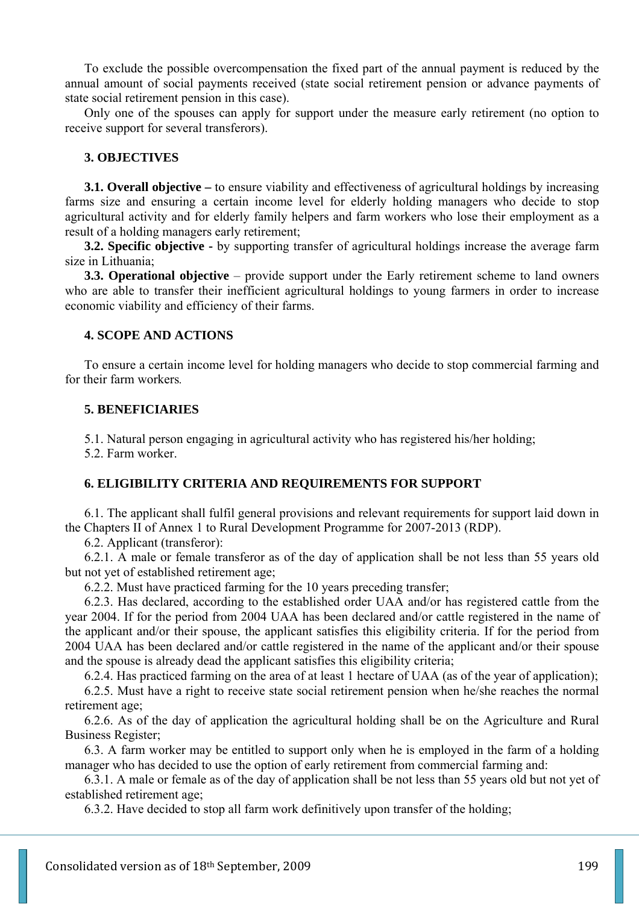To exclude the possible overcompensation the fixed part of the annual payment is reduced by the annual amount of social payments received (state social retirement pension or advance payments of state social retirement pension in this case).

Only one of the spouses can apply for support under the measure early retirement (no option to receive support for several transferors).

# **3. OBJECTIVES**

**3.1. Overall objective –** to ensure viability and effectiveness of agricultural holdings by increasing farms size and ensuring a certain income level for elderly holding managers who decide to stop agricultural activity and for elderly family helpers and farm workers who lose their employment as a result of a holding managers early retirement;

**3.2. Specific objective -** by supporting transfer of agricultural holdings increase the average farm size in Lithuania;

**3.3. Operational objective** – provide support under the Early retirement scheme to land owners who are able to transfer their inefficient agricultural holdings to young farmers in order to increase economic viability and efficiency of their farms.

# **4. SCOPE AND ACTIONS**

To ensure a certain income level for holding managers who decide to stop commercial farming and for their farm workers*.* 

### **5. BENEFICIARIES**

5.1. Natural person engaging in agricultural activity who has registered his/her holding;

5.2. Farm worker.

# **6. ELIGIBILITY CRITERIA AND REQUIREMENTS FOR SUPPORT**

6.1. The applicant shall fulfil general provisions and relevant requirements for support laid down in the Chapters II of Annex 1 to Rural Development Programme for 2007-2013 (RDP).

6.2. Applicant (transferor):

6.2.1. A male or female transferor as of the day of application shall be not less than 55 years old but not yet of established retirement age;

6.2.2. Must have practiced farming for the 10 years preceding transfer;

6.2.3. Has declared, according to the established order UAA and/or has registered cattle from the year 2004. If for the period from 2004 UAA has been declared and/or cattle registered in the name of the applicant and/or their spouse, the applicant satisfies this eligibility criteria. If for the period from 2004 UAA has been declared and/or cattle registered in the name of the applicant and/or their spouse and the spouse is already dead the applicant satisfies this eligibility criteria;

6.2.4. Has practiced farming on the area of at least 1 hectare of UAA (as of the year of application);

6.2.5. Must have a right to receive state social retirement pension when he/she reaches the normal retirement age;

6.2.6. As of the day of application the agricultural holding shall be on the Agriculture and Rural Business Register;

6.3. A farm worker may be entitled to support only when he is employed in the farm of a holding manager who has decided to use the option of early retirement from commercial farming and:

6.3.1. A male or female as of the day of application shall be not less than 55 years old but not yet of established retirement age;

6.3.2. Have decided to stop all farm work definitively upon transfer of the holding;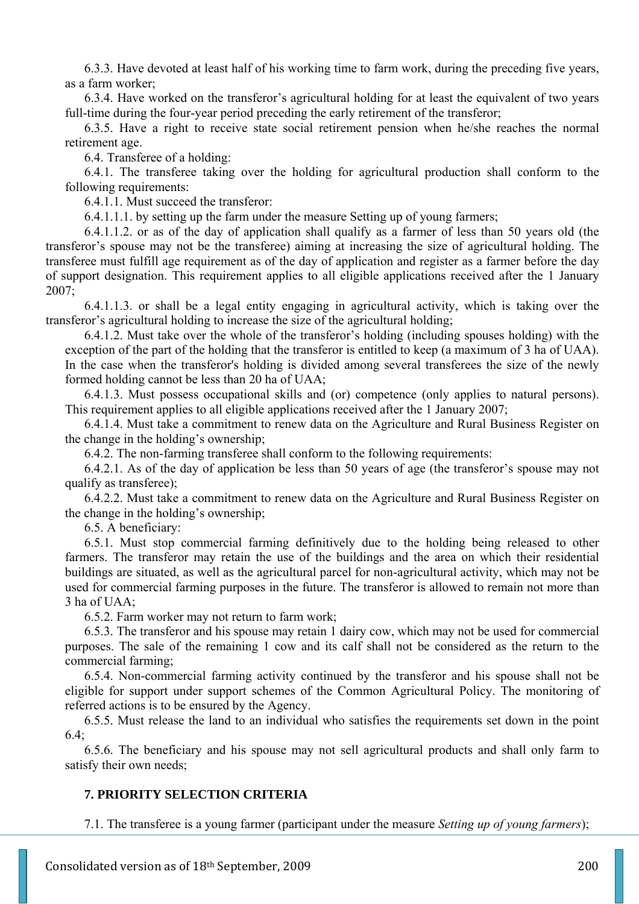6.3.3. Have devoted at least half of his working time to farm work, during the preceding five years, as a farm worker;

6.3.4. Have worked on the transferor's agricultural holding for at least the equivalent of two years full-time during the four-year period preceding the early retirement of the transferor;

6.3.5. Have a right to receive state social retirement pension when he/she reaches the normal retirement age.

6.4. Transferee of a holding:

6.4.1. The transferee taking over the holding for agricultural production shall conform to the following requirements:

6.4.1.1. Must succeed the transferor:

6.4.1.1.1. by setting up the farm under the measure Setting up of young farmers;

6.4.1.1.2. or as of the day of application shall qualify as a farmer of less than 50 years old (the transferor's spouse may not be the transferee) aiming at increasing the size of agricultural holding. The transferee must fulfill age requirement as of the day of application and register as a farmer before the day of support designation. This requirement applies to all eligible applications received after the 1 January 2007;

6.4.1.1.3. or shall be a legal entity engaging in agricultural activity, which is taking over the transferor's agricultural holding to increase the size of the agricultural holding;

6.4.1.2. Must take over the whole of the transferor's holding (including spouses holding) with the exception of the part of the holding that the transferor is entitled to keep (a maximum of 3 ha of UAA). In the case when the transferor's holding is divided among several transferees the size of the newly formed holding cannot be less than 20 ha of UAA;

6.4.1.3. Must possess occupational skills and (or) competence (only applies to natural persons). This requirement applies to all eligible applications received after the 1 January 2007;

6.4.1.4. Must take a commitment to renew data on the Agriculture and Rural Business Register on the change in the holding's ownership;

6.4.2. The non-farming transferee shall conform to the following requirements:

6.4.2.1. As of the day of application be less than 50 years of age (the transferor's spouse may not qualify as transferee);

6.4.2.2. Must take a commitment to renew data on the Agriculture and Rural Business Register on the change in the holding's ownership;

6.5. A beneficiary:

6.5.1. Must stop commercial farming definitively due to the holding being released to other farmers. The transferor may retain the use of the buildings and the area on which their residential buildings are situated, as well as the agricultural parcel for non-agricultural activity, which may not be used for commercial farming purposes in the future. The transferor is allowed to remain not more than 3 ha of UAA;

6.5.2. Farm worker may not return to farm work;

6.5.3. The transferor and his spouse may retain 1 dairy cow, which may not be used for commercial purposes. The sale of the remaining 1 cow and its calf shall not be considered as the return to the commercial farming;

6.5.4. Non-commercial farming activity continued by the transferor and his spouse shall not be eligible for support under support schemes of the Common Agricultural Policy. The monitoring of referred actions is to be ensured by the Agency.

6.5.5. Must release the land to an individual who satisfies the requirements set down in the point  $64$ 

6.5.6. The beneficiary and his spouse may not sell agricultural products and shall only farm to satisfy their own needs;

# **7. PRIORITY SELECTION CRITERIA**

7.1. The transferee is a young farmer (participant under the measure *Setting up of young farmers*);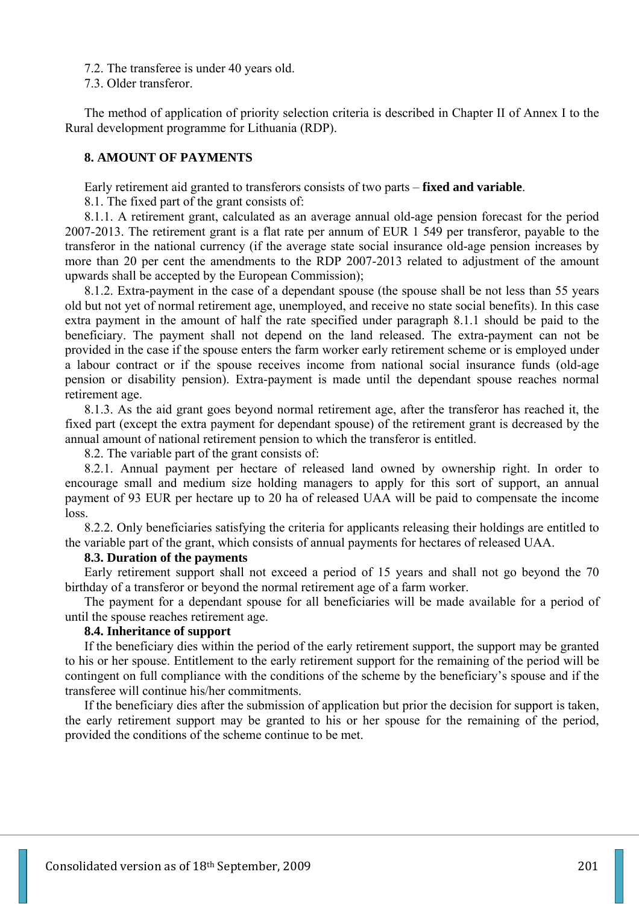7.2. The transferee is under 40 years old.

7.3. Older transferor.

The method of application of priority selection criteria is described in Chapter II of Annex I to the Rural development programme for Lithuania (RDP).

## **8. AMOUNT OF PAYMENTS**

Early retirement aid granted to transferors consists of two parts – **fixed and variable**.

8.1. The fixed part of the grant consists of:

8.1.1. A retirement grant, calculated as an average annual old-age pension forecast for the period 2007-2013. The retirement grant is a flat rate per annum of EUR 1 549 per transferor, payable to the transferor in the national currency (if the average state social insurance old-age pension increases by more than 20 per cent the amendments to the RDP 2007-2013 related to adjustment of the amount upwards shall be accepted by the European Commission);

8.1.2. Extra-payment in the case of a dependant spouse (the spouse shall be not less than 55 years old but not yet of normal retirement age, unemployed, and receive no state social benefits). In this case extra payment in the amount of half the rate specified under paragraph 8.1.1 should be paid to the beneficiary. The payment shall not depend on the land released. The extra-payment can not be provided in the case if the spouse enters the farm worker early retirement scheme or is employed under a labour contract or if the spouse receives income from national social insurance funds (old-age pension or disability pension). Extra-payment is made until the dependant spouse reaches normal retirement age.

8.1.3. As the aid grant goes beyond normal retirement age, after the transferor has reached it, the fixed part (except the extra payment for dependant spouse) of the retirement grant is decreased by the annual amount of national retirement pension to which the transferor is entitled.

8.2. The variable part of the grant consists of:

8.2.1. Annual payment per hectare of released land owned by ownership right. In order to encourage small and medium size holding managers to apply for this sort of support, an annual payment of 93 EUR per hectare up to 20 ha of released UAA will be paid to compensate the income loss.

8.2.2. Only beneficiaries satisfying the criteria for applicants releasing their holdings are entitled to the variable part of the grant, which consists of annual payments for hectares of released UAA.

### **8.3. Duration of the payments**

Early retirement support shall not exceed a period of 15 years and shall not go beyond the 70 birthday of a transferor or beyond the normal retirement age of a farm worker.

The payment for a dependant spouse for all beneficiaries will be made available for a period of until the spouse reaches retirement age.

# **8.4. Inheritance of support**

If the beneficiary dies within the period of the early retirement support, the support may be granted to his or her spouse. Entitlement to the early retirement support for the remaining of the period will be contingent on full compliance with the conditions of the scheme by the beneficiary's spouse and if the transferee will continue his/her commitments.

If the beneficiary dies after the submission of application but prior the decision for support is taken, the early retirement support may be granted to his or her spouse for the remaining of the period, provided the conditions of the scheme continue to be met.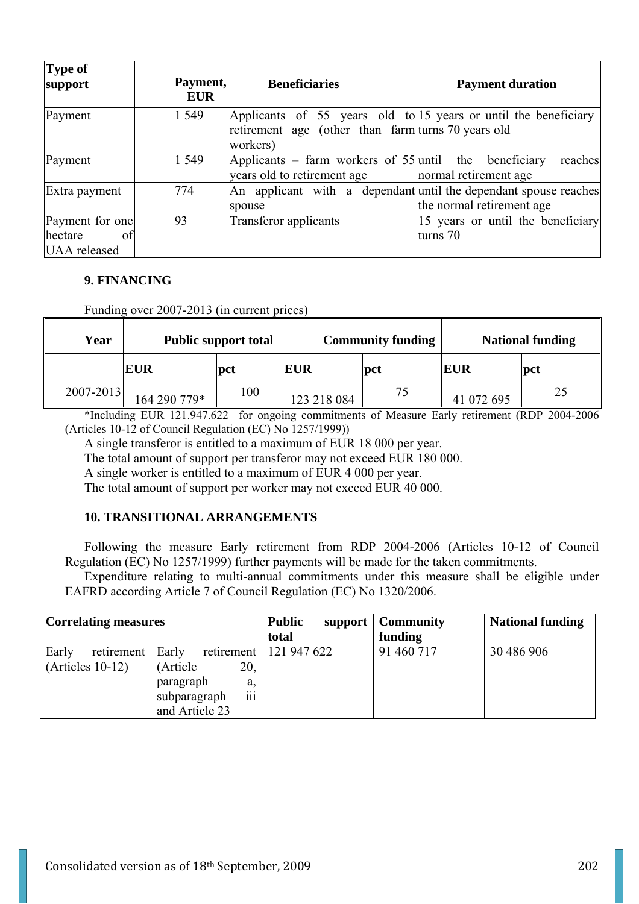| Type of<br>support  | Payment,<br><b>EUR</b> | <b>Beneficiaries</b>                                                       | <b>Payment duration</b>           |
|---------------------|------------------------|----------------------------------------------------------------------------|-----------------------------------|
| Payment             | 1 5 4 9                | Applicants of 55 years old to $ 15 \rangle$ years or until the beneficiary |                                   |
|                     |                        | retirement age (other than farm turns 70 years old<br>workers)             |                                   |
| Payment             | 1 5 4 9                | Applicants – farm workers of 55 until the beneficiary                      | reaches                           |
|                     |                        | years old to retirement age                                                | normal retirement age             |
| Extra payment       | 774                    | An applicant with a dependant until the dependant spouse reaches           |                                   |
|                     |                        | spouse                                                                     | the normal retirement age         |
| Payment for one     | 93                     | Transferor applicants                                                      | 15 years or until the beneficiary |
| hectare<br>of       |                        |                                                                            | turns 70                          |
| <b>UAA</b> released |                        |                                                                            |                                   |

# **9. FINANCING**

Funding over 2007-2013 (in current prices)

| Year      | <b>Public support total</b> |     | <b>Community funding</b> |     | <b>National funding</b> |     |
|-----------|-----------------------------|-----|--------------------------|-----|-------------------------|-----|
|           | <b>EUR</b>                  | pct | <b>EUR</b>               | pct | <b>EUR</b>              | pct |
| 2007-2013 | 164 290 779*                | 100 | 123 218 084              | 75  | 41 072 695              | 25  |

\*Including EUR 121.947.622 for ongoing commitments of Measure Early retirement (RDP 2004-2006 (Articles 10-12 of Council Regulation (EC) No 1257/1999))

A single transferor is entitled to a maximum of EUR 18 000 per year.

The total amount of support per transferor may not exceed EUR 180 000.

A single worker is entitled to a maximum of EUR 4 000 per year.

The total amount of support per worker may not exceed EUR 40 000.

# **10. TRANSITIONAL ARRANGEMENTS**

Following the measure Early retirement from RDP 2004-2006 (Articles 10-12 of Council Regulation (EC) No 1257/1999) further payments will be made for the taken commitments.

Expenditure relating to multi-annual commitments under this measure shall be eligible under EAFRD according Article 7 of Council Regulation (EC) No 1320/2006.

| <b>Correlating measures</b> |                                 | <b>Public</b><br>support | <b>Community</b> | <b>National funding</b> |
|-----------------------------|---------------------------------|--------------------------|------------------|-------------------------|
|                             |                                 | total                    | funding          |                         |
| Early<br>retirement   Early | retirement                      | 121 947 622              | 91 460 717       | 30 486 906              |
| $(Articles 10-12)$          | (Article)<br>20,                |                          |                  |                         |
|                             | paragraph<br>a,                 |                          |                  |                         |
|                             | $\cdots$<br>subparagraph<br>111 |                          |                  |                         |
|                             | and Article 23                  |                          |                  |                         |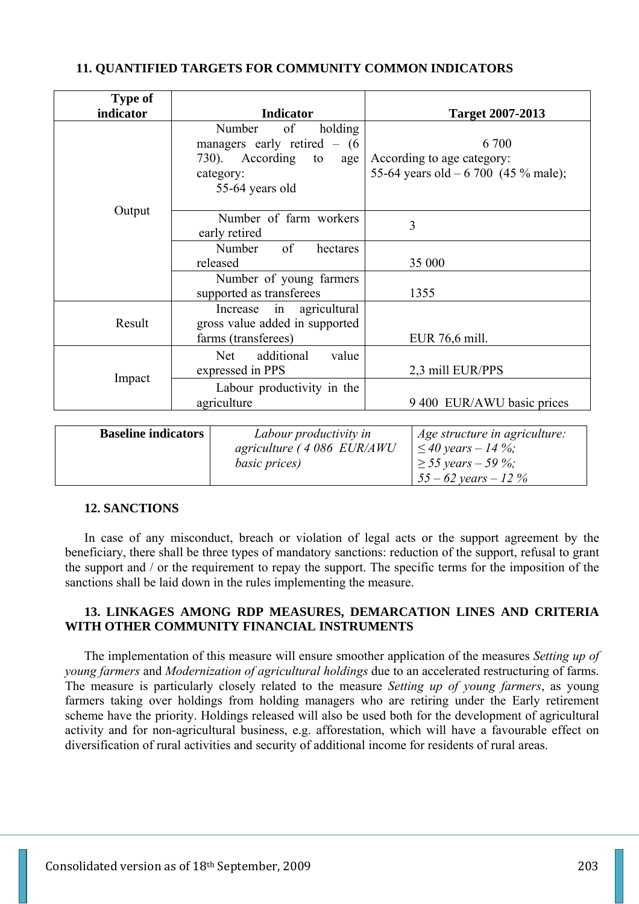# **11. QUANTIFIED TARGETS FOR COMMUNITY COMMON INDICATORS**

| <b>Type of</b>             |                                                                                                                 |                                                                                    |
|----------------------------|-----------------------------------------------------------------------------------------------------------------|------------------------------------------------------------------------------------|
| indicator                  | <b>Indicator</b>                                                                                                | <b>Target 2007-2013</b>                                                            |
|                            | Number<br>of<br>holding<br>managers early retired $- (6)$<br>730). According to<br>category:<br>55-64 years old | 6 700<br>According to age category:<br>age<br>55-64 years old $-6700$ (45 % male); |
| Output                     | Number of farm workers<br>early retired                                                                         | 3                                                                                  |
|                            | of<br>Number<br>hectares<br>released                                                                            | 35 000                                                                             |
|                            | Number of young farmers<br>supported as transferees                                                             | 1355                                                                               |
| Result                     | Increase in agricultural<br>gross value added in supported<br>farms (transferees)                               | EUR 76,6 mill.                                                                     |
| Impact                     | additional<br>Net<br>expressed in PPS                                                                           | value<br>2,3 mill EUR/PPS                                                          |
|                            | Labour productivity in the<br>agriculture                                                                       | 9 400 EUR/AWU basic prices                                                         |
| <b>Baseline indicators</b> | Labour productivity in<br>agriculture (4 086 EUR/AWU                                                            | Age structure in agriculture:<br>$\leq 40$ years $-14$ %;                          |

### **12. SANCTIONS**

In case of any misconduct, breach or violation of legal acts or the support agreement by the beneficiary, there shall be three types of mandatory sanctions: reduction of the support, refusal to grant the support and / or the requirement to repay the support. The specific terms for the imposition of the sanctions shall be laid down in the rules implementing the measure.

*≥ 55 years – 59 %; 55 – 62 years – 12 %*

*basic prices)*

# **13. LINKAGES AMONG RDP MEASURES, DEMARCATION LINES AND CRITERIA WITH OTHER COMMUNITY FINANCIAL INSTRUMENTS**

The implementation of this measure will ensure smoother application of the measures *Setting up of young farmers* and *Modernization of agricultural holdings* due to an accelerated restructuring of farms. The measure is particularly closely related to the measure *Setting up of young farmers*, as young farmers taking over holdings from holding managers who are retiring under the Early retirement scheme have the priority. Holdings released will also be used both for the development of agricultural activity and for non-agricultural business, e.g. afforestation, which will have a favourable effect on diversification of rural activities and security of additional income for residents of rural areas.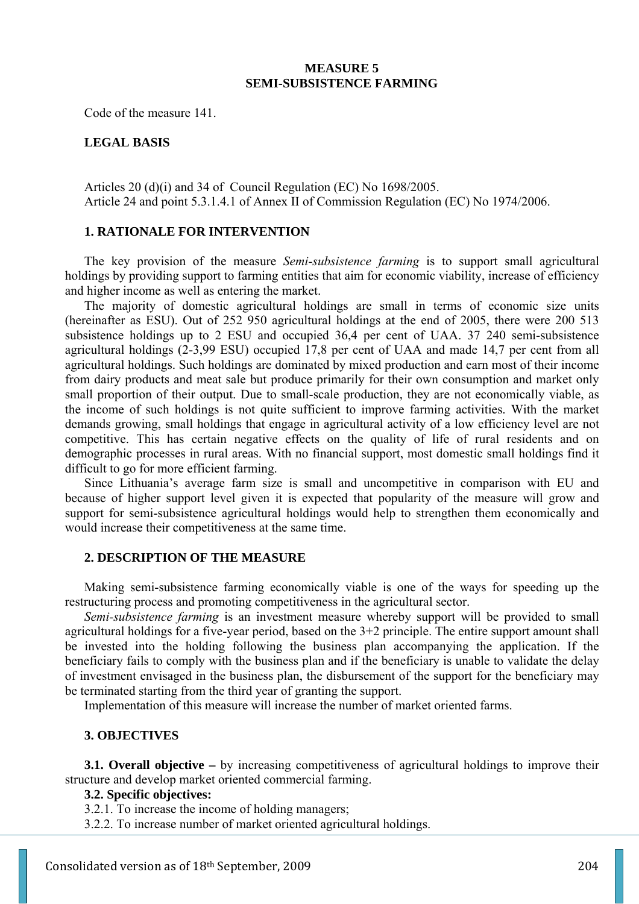#### **MEASURE 5 SEMI-SUBSISTENCE FARMING**

Code of the measure 141.

#### **LEGAL BASIS**

Articles 20 (d)(i) and 34 of Council Regulation (EC) No 1698/2005. Article 24 and point 5.3.1.4.1 of Annex II of Commission Regulation (EC) No 1974/2006.

#### **1. RATIONALE FOR INTERVENTION**

The key provision of the measure *Semi-subsistence farming* is to support small agricultural holdings by providing support to farming entities that aim for economic viability, increase of efficiency and higher income as well as entering the market.

The majority of domestic agricultural holdings are small in terms of economic size units (hereinafter as ESU). Out of 252 950 agricultural holdings at the end of 2005, there were 200 513 subsistence holdings up to 2 ESU and occupied 36,4 per cent of UAA. 37 240 semi-subsistence agricultural holdings (2-3,99 ESU) occupied 17,8 per cent of UAA and made 14,7 per cent from all agricultural holdings. Such holdings are dominated by mixed production and earn most of their income from dairy products and meat sale but produce primarily for their own consumption and market only small proportion of their output. Due to small-scale production, they are not economically viable, as the income of such holdings is not quite sufficient to improve farming activities. With the market demands growing, small holdings that engage in agricultural activity of a low efficiency level are not competitive. This has certain negative effects on the quality of life of rural residents and on demographic processes in rural areas. With no financial support, most domestic small holdings find it difficult to go for more efficient farming.

Since Lithuania's average farm size is small and uncompetitive in comparison with EU and because of higher support level given it is expected that popularity of the measure will grow and support for semi-subsistence agricultural holdings would help to strengthen them economically and would increase their competitiveness at the same time.

#### **2. DESCRIPTION OF THE MEASURE**

Making semi-subsistence farming economically viable is one of the ways for speeding up the restructuring process and promoting competitiveness in the agricultural sector.

*Semi-subsistence farming* is an investment measure whereby support will be provided to small agricultural holdings for a five-year period, based on the 3+2 principle. The entire support amount shall be invested into the holding following the business plan accompanying the application. If the beneficiary fails to comply with the business plan and if the beneficiary is unable to validate the delay of investment envisaged in the business plan, the disbursement of the support for the beneficiary may be terminated starting from the third year of granting the support.

Implementation of this measure will increase the number of market oriented farms.

### **3. OBJECTIVES**

**3.1. Overall objective –** by increasing competitiveness of agricultural holdings to improve their structure and develop market oriented commercial farming.

## **3.2. Specific objectives:**

3.2.1. To increase the income of holding managers;

3.2.2. To increase number of market oriented agricultural holdings.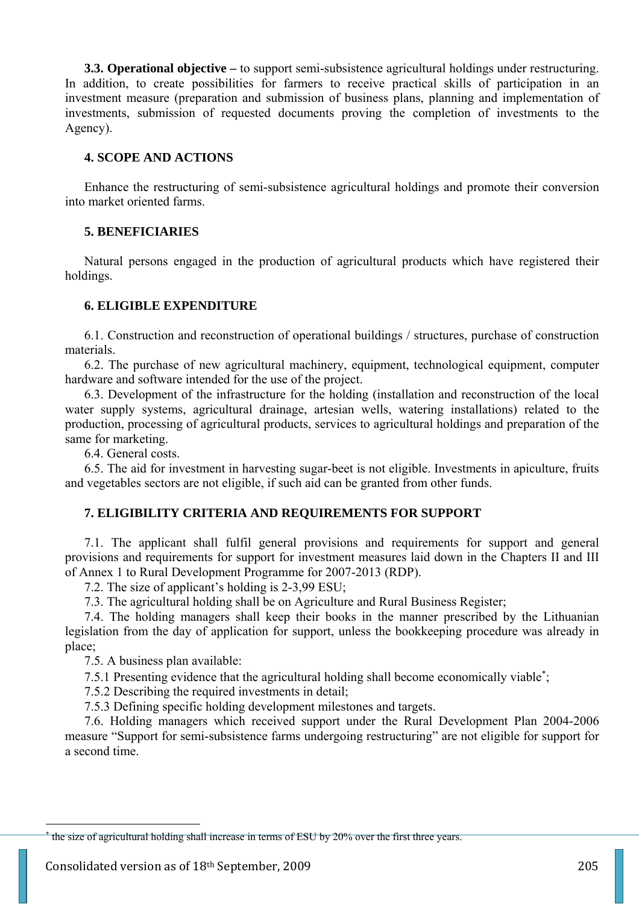**3.3. Operational objective –** to support semi-subsistence agricultural holdings under restructuring. In addition, to create possibilities for farmers to receive practical skills of participation in an investment measure (preparation and submission of business plans, planning and implementation of investments, submission of requested documents proving the completion of investments to the Agency).

# **4. SCOPE AND ACTIONS**

Enhance the restructuring of semi-subsistence agricultural holdings and promote their conversion into market oriented farms.

# **5. BENEFICIARIES**

Natural persons engaged in the production of agricultural products which have registered their holdings.

### **6. ELIGIBLE EXPENDITURE**

6.1. Construction and reconstruction of operational buildings / structures, purchase of construction materials.

6.2. The purchase of new agricultural machinery, equipment, technological equipment, computer hardware and software intended for the use of the project.

6.3. Development of the infrastructure for the holding (installation and reconstruction of the local water supply systems, agricultural drainage, artesian wells, watering installations) related to the production, processing of agricultural products, services to agricultural holdings and preparation of the same for marketing.

6.4. General costs.

6.5. The aid for investment in harvesting sugar-beet is not eligible. Investments in apiculture, fruits and vegetables sectors are not eligible, if such aid can be granted from other funds.

# **7. ELIGIBILITY CRITERIA AND REQUIREMENTS FOR SUPPORT**

7.1. The applicant shall fulfil general provisions and requirements for support and general provisions and requirements for support for investment measures laid down in the Chapters II and III of Annex 1 to Rural Development Programme for 2007-2013 (RDP).

7.2. The size of applicant's holding is 2-3,99 ESU;

7.3. The agricultural holding shall be on Agriculture and Rural Business Register;

7.4. The holding managers shall keep their books in the manner prescribed by the Lithuanian legislation from the day of application for support, unless the bookkeeping procedure was already in place;

7.5. A business plan available:

7.5.1 Presenting evidence that the agricultural holding shall become economically viable<sup>\*</sup>;

7.5.2 Describing the required investments in detail;

7.5.3 Defining specific holding development milestones and targets.

7.6. Holding managers which received support under the Rural Development Plan 2004-2006 measure "Support for semi-subsistence farms undergoing restructuring" are not eligible for support for a second time.

 $\overline{a}$ 

<sup>∗</sup> the size of agricultural holding shall increase in terms of ESU by 20% over the first three years.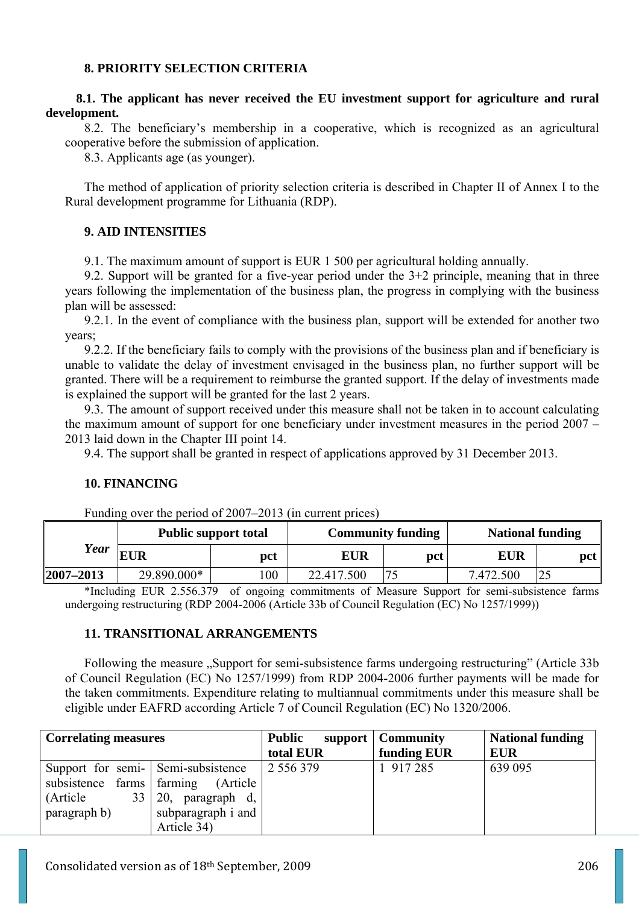# **8. PRIORITY SELECTION CRITERIA**

# **8.1. The applicant has never received the EU investment support for agriculture and rural development.**

8.2. The beneficiary's membership in a cooperative, which is recognized as an agricultural cooperative before the submission of application.

8.3. Applicants age (as younger).

The method of application of priority selection criteria is described in Chapter II of Annex I to the Rural development programme for Lithuania (RDP).

# **9. AID INTENSITIES**

9.1. The maximum amount of support is EUR 1 500 per agricultural holding annually.

9.2. Support will be granted for a five-year period under the 3+2 principle, meaning that in three years following the implementation of the business plan, the progress in complying with the business plan will be assessed:

9.2.1. In the event of compliance with the business plan, support will be extended for another two years;

9.2.2. If the beneficiary fails to comply with the provisions of the business plan and if beneficiary is unable to validate the delay of investment envisaged in the business plan, no further support will be granted. There will be a requirement to reimburse the granted support. If the delay of investments made is explained the support will be granted for the last 2 years.

9.3. The amount of support received under this measure shall not be taken in to account calculating the maximum amount of support for one beneficiary under investment measures in the period 2007 – 2013 laid down in the Chapter III point 14.

9.4. The support shall be granted in respect of applications approved by 31 December 2013.

# **10. FINANCING**

|                 | <b>Public support total</b> |     | <b>Community funding</b> |     | <b>National funding</b> |         |
|-----------------|-----------------------------|-----|--------------------------|-----|-------------------------|---------|
| <b>Year</b>     | <b>EUR</b>                  | pct | <b>EUR</b>               | pct | <b>EUR</b>              | $pct_1$ |
| $ 2007 - 2013 $ | 29.890.000*                 | 100 | 22.417.500               | 75  | .472.500                | 25      |

Funding over the period of 2007–2013 (in current prices)

\*Including EUR 2.556.379 of ongoing commitments of Measure Support for semi-subsistence farms undergoing restructuring (RDP 2004-2006 (Article 33b of Council Regulation (EC) No 1257/1999))

### **11. TRANSITIONAL ARRANGEMENTS**

Following the measure "Support for semi-subsistence farms undergoing restructuring" (Article 33b) of Council Regulation (EC) No 1257/1999) from RDP 2004-2006 further payments will be made for the taken commitments. Expenditure relating to multiannual commitments under this measure shall be eligible under EAFRD according Article 7 of Council Regulation (EC) No 1320/2006.

| <b>Correlating measures</b>        |                            | <b>Public</b> | support   Community | <b>National funding</b> |
|------------------------------------|----------------------------|---------------|---------------------|-------------------------|
|                                    |                            | total EUR     | funding EUR         | <b>EUR</b>              |
| Support for semi- Semi-subsistence |                            | 2 5 5 6 3 7 9 | 1 917 285           | 639 095                 |
| subsistence                        | farms farming<br>(Article) |               |                     |                         |
| (Article)<br>33                    | paragraph d,<br>20,        |               |                     |                         |
| subparagraph i and<br>paragraph b) |                            |               |                     |                         |
|                                    | Article 34)                |               |                     |                         |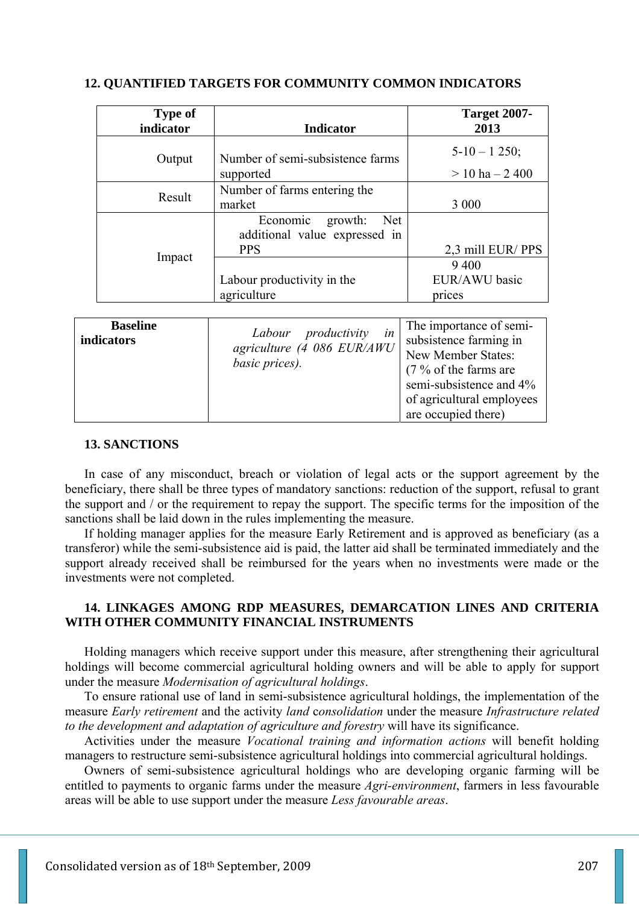|                               | <b>Type of</b> |                                                                                                                               | <b>Target 2007-</b>                                                                                                                           |  |
|-------------------------------|----------------|-------------------------------------------------------------------------------------------------------------------------------|-----------------------------------------------------------------------------------------------------------------------------------------------|--|
|                               | indicator      | <b>Indicator</b>                                                                                                              | 2013                                                                                                                                          |  |
|                               | Output         | Number of semi-subsistence farms<br>supported                                                                                 | $5-10-1250$ ;<br>$>$ 10 ha – 2 400                                                                                                            |  |
|                               | Result         | Number of farms entering the<br>market                                                                                        | 3 0 0 0                                                                                                                                       |  |
|                               | Impact         | growth:<br>Economic<br><b>Net</b><br>additional value expressed in<br><b>PPS</b><br>Labour productivity in the<br>agriculture | 2,3 mill EUR/PPS<br>9400<br>EUR/AWU basic<br>prices                                                                                           |  |
| <b>Baseline</b><br>indicators |                | Labour<br>productivity<br>in<br>agriculture (4 086 EUR/AWU<br>basic prices).                                                  | The importance of semi-<br>subsistence farming in<br><b>New Member States:</b><br>$(7\% \text{ of the farms are})$<br>semi-subsistence and 4% |  |

# **12. QUANTIFIED TARGETS FOR COMMUNITY COMMON INDICATORS**

### **13. SANCTIONS**

In case of any misconduct, breach or violation of legal acts or the support agreement by the beneficiary, there shall be three types of mandatory sanctions: reduction of the support, refusal to grant the support and / or the requirement to repay the support. The specific terms for the imposition of the sanctions shall be laid down in the rules implementing the measure.

of agricultural employees

are occupied there)

If holding manager applies for the measure Early Retirement and is approved as beneficiary (as a transferor) while the semi-subsistence aid is paid, the latter aid shall be terminated immediately and the support already received shall be reimbursed for the years when no investments were made or the investments were not completed.

# **14. LINKAGES AMONG RDP MEASURES, DEMARCATION LINES AND CRITERIA WITH OTHER COMMUNITY FINANCIAL INSTRUMENTS**

Holding managers which receive support under this measure, after strengthening their agricultural holdings will become commercial agricultural holding owners and will be able to apply for support under the measure *Modernisation of agricultural holdings*.

To ensure rational use of land in semi-subsistence agricultural holdings, the implementation of the measure *Early retirement* and the activity *land* c*onsolidation* under the measure *Infrastructure related to the development and adaptation of agriculture and forestry* will have its significance.

Activities under the measure *Vocational training and information actions* will benefit holding managers to restructure semi-subsistence agricultural holdings into commercial agricultural holdings.

Owners of semi-subsistence agricultural holdings who are developing organic farming will be entitled to payments to organic farms under the measure *Agri-environment*, farmers in less favourable areas will be able to use support under the measure *Less favourable areas*.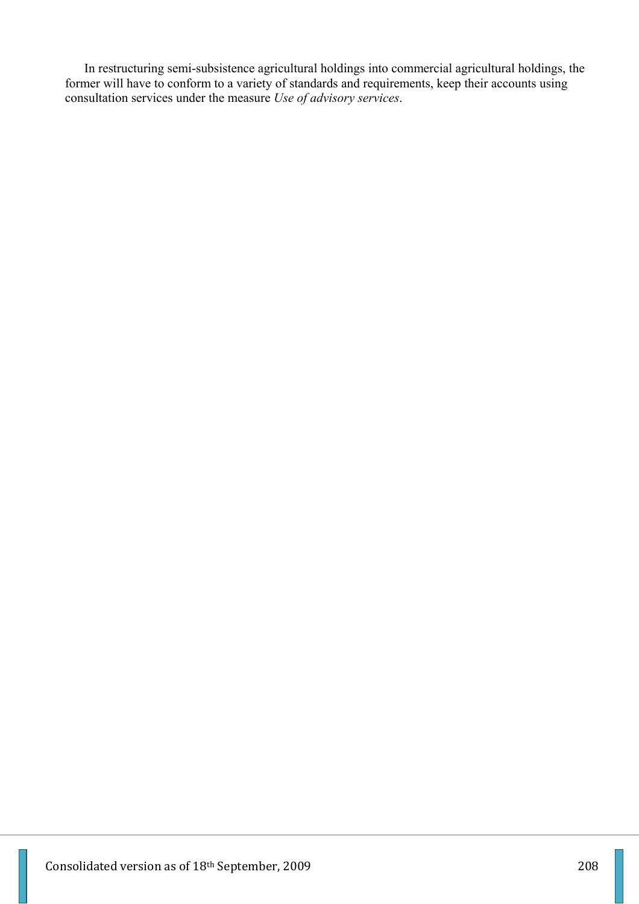In restructuring semi-subsistence agricultural holdings into commercial agricultural holdings, the former will have to conform to a variety of standards and requirements, keep their accounts using consultation services under the measure *Use of advisory services*.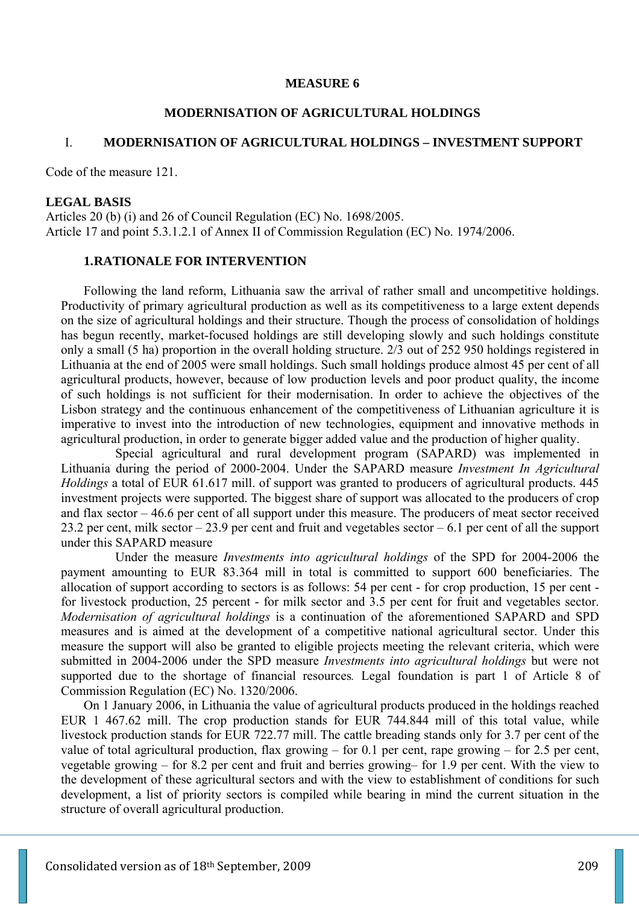#### **MEASURE 6**

### **MODERNISATION OF AGRICULTURAL HOLDINGS**

### I. **MODERNISATION OF AGRICULTURAL HOLDINGS – INVESTMENT SUPPORT**

Code of the measure 121.

### **LEGAL BASIS**

Articles 20 (b) (i) and 26 of Council Regulation (EC) No. 1698/2005. Article 17 and point 5.3.1.2.1 of Annex II of Commission Regulation (EC) No. 1974/2006.

# **1.RATIONALE FOR INTERVENTION**

Following the land reform, Lithuania saw the arrival of rather small and uncompetitive holdings. Productivity of primary agricultural production as well as its competitiveness to a large extent depends on the size of agricultural holdings and their structure. Though the process of consolidation of holdings has begun recently, market-focused holdings are still developing slowly and such holdings constitute only a small (5 ha) proportion in the overall holding structure. 2/3 out of 252 950 holdings registered in Lithuania at the end of 2005 were small holdings. Such small holdings produce almost 45 per cent of all agricultural products, however, because of low production levels and poor product quality, the income of such holdings is not sufficient for their modernisation. In order to achieve the objectives of the Lisbon strategy and the continuous enhancement of the competitiveness of Lithuanian agriculture it is imperative to invest into the introduction of new technologies, equipment and innovative methods in agricultural production, in order to generate bigger added value and the production of higher quality.

 Special agricultural and rural development program (SAPARD) was implemented in Lithuania during the period of 2000-2004. Under the SAPARD measure *Investment In Agricultural Holdings* a total of EUR 61.617 mill. of support was granted to producers of agricultural products. 445 investment projects were supported. The biggest share of support was allocated to the producers of crop and flax sector – 46.6 per cent of all support under this measure. The producers of meat sector received 23.2 per cent, milk sector – 23.9 per cent and fruit and vegetables sector – 6.1 per cent of all the support under this SAPARD measure

 Under the measure *Investments into agricultural holdings* of the SPD for 2004-2006 the payment amounting to EUR 83.364 mill in total is committed to support 600 beneficiaries. The allocation of support according to sectors is as follows: 54 per cent - for crop production, 15 per cent for livestock production, 25 percent - for milk sector and 3.5 per cent for fruit and vegetables sector. *Modernisation of agricultural holdings* is a continuation of the aforementioned SAPARD and SPD measures and is aimed at the development of a competitive national agricultural sector. Under this measure the support will also be granted to eligible projects meeting the relevant criteria, which were submitted in 2004-2006 under the SPD measure *Investments into agricultural holdings* but were not supported due to the shortage of financial resources*.* Legal foundation is part 1 of Article 8 of Commission Regulation (EC) No. 1320/2006.

On 1 January 2006, in Lithuania the value of agricultural products produced in the holdings reached EUR 1 467.62 mill. The crop production stands for EUR 744.844 mill of this total value, while livestock production stands for EUR 722.77 mill. The cattle breading stands only for 3.7 per cent of the value of total agricultural production, flax growing – for 0.1 per cent, rape growing – for 2.5 per cent, vegetable growing – for 8.2 per cent and fruit and berries growing– for 1.9 per cent. With the view to the development of these agricultural sectors and with the view to establishment of conditions for such development, a list of priority sectors is compiled while bearing in mind the current situation in the structure of overall agricultural production.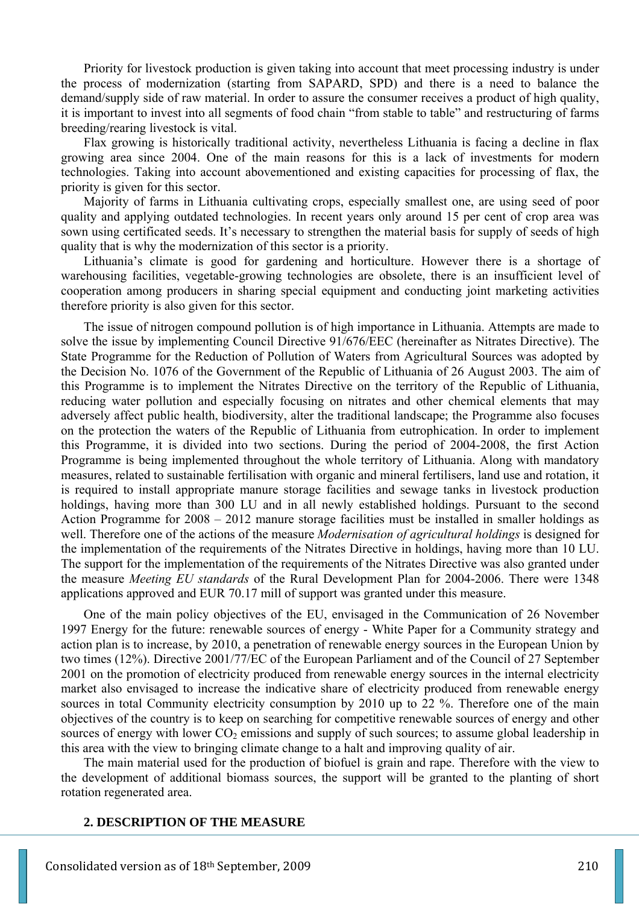Priority for livestock production is given taking into account that meet processing industry is under the process of modernization (starting from SAPARD, SPD) and there is a need to balance the demand/supply side of raw material. In order to assure the consumer receives a product of high quality, it is important to invest into all segments of food chain "from stable to table" and restructuring of farms breeding/rearing livestock is vital.

Flax growing is historically traditional activity, nevertheless Lithuania is facing a decline in flax growing area since 2004. One of the main reasons for this is a lack of investments for modern technologies. Taking into account abovementioned and existing capacities for processing of flax, the priority is given for this sector.

Majority of farms in Lithuania cultivating crops, especially smallest one, are using seed of poor quality and applying outdated technologies. In recent years only around 15 per cent of crop area was sown using certificated seeds. It's necessary to strengthen the material basis for supply of seeds of high quality that is why the modernization of this sector is a priority.

Lithuania's climate is good for gardening and horticulture. However there is a shortage of warehousing facilities, vegetable-growing technologies are obsolete, there is an insufficient level of cooperation among producers in sharing special equipment and conducting joint marketing activities therefore priority is also given for this sector.

The issue of nitrogen compound pollution is of high importance in Lithuania. Attempts are made to solve the issue by implementing Council Directive 91/676/EEC (hereinafter as Nitrates Directive). The State Programme for the Reduction of Pollution of Waters from Agricultural Sources was adopted by the Decision No. 1076 of the Government of the Republic of Lithuania of 26 August 2003. The aim of this Programme is to implement the Nitrates Directive on the territory of the Republic of Lithuania, reducing water pollution and especially focusing on nitrates and other chemical elements that may adversely affect public health, biodiversity, alter the traditional landscape; the Programme also focuses on the protection the waters of the Republic of Lithuania from eutrophication. In order to implement this Programme, it is divided into two sections. During the period of 2004-2008, the first Action Programme is being implemented throughout the whole territory of Lithuania. Along with mandatory measures, related to sustainable fertilisation with organic and mineral fertilisers, land use and rotation, it is required to install appropriate manure storage facilities and sewage tanks in livestock production holdings, having more than 300 LU and in all newly established holdings. Pursuant to the second Action Programme for 2008 – 2012 manure storage facilities must be installed in smaller holdings as well. Therefore one of the actions of the measure *Modernisation of agricultural holdings* is designed for the implementation of the requirements of the Nitrates Directive in holdings, having more than 10 LU. The support for the implementation of the requirements of the Nitrates Directive was also granted under the measure *Meeting EU standards* of the Rural Development Plan for 2004-2006. There were 1348 applications approved and EUR 70.17 mill of support was granted under this measure.

One of the main policy objectives of the EU, envisaged in the Communication of 26 November 1997 Energy for the future: renewable sources of energy - White Paper for a Community strategy and action plan is to increase, by 2010, a penetration of renewable energy sources in the European Union by two times (12%). Directive 2001/77/EC of the European Parliament and of the Council of 27 September 2001 on the promotion of electricity produced from renewable energy sources in the internal electricity market also envisaged to increase the indicative share of electricity produced from renewable energy sources in total Community electricity consumption by 2010 up to 22 %. Therefore one of the main objectives of the country is to keep on searching for competitive renewable sources of energy and other sources of energy with lower  $CO<sub>2</sub>$  emissions and supply of such sources; to assume global leadership in this area with the view to bringing climate change to a halt and improving quality of air.

The main material used for the production of biofuel is grain and rape. Therefore with the view to the development of additional biomass sources, the support will be granted to the planting of short rotation regenerated area.

#### **2. DESCRIPTION OF THE MEASURE**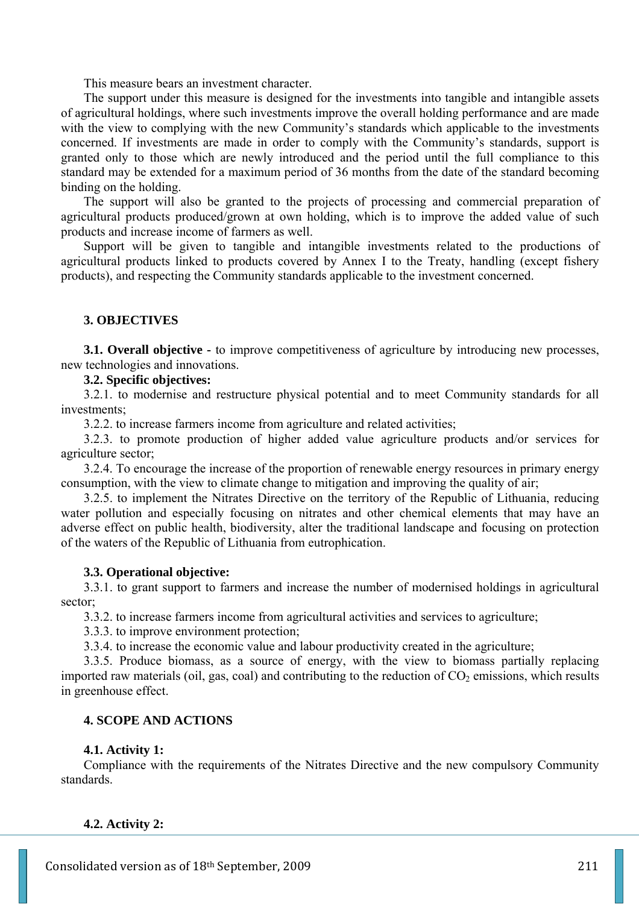This measure bears an investment character.

The support under this measure is designed for the investments into tangible and intangible assets of agricultural holdings, where such investments improve the overall holding performance and are made with the view to complying with the new Community's standards which applicable to the investments concerned. If investments are made in order to comply with the Community's standards, support is granted only to those which are newly introduced and the period until the full compliance to this standard may be extended for a maximum period of 36 months from the date of the standard becoming binding on the holding.

The support will also be granted to the projects of processing and commercial preparation of agricultural products produced/grown at own holding, which is to improve the added value of such products and increase income of farmers as well.

Support will be given to tangible and intangible investments related to the productions of agricultural products linked to products covered by Annex I to the Treaty, handling (except fishery products), and respecting the Community standards applicable to the investment concerned.

## **3. OBJECTIVES**

**3.1. Overall objective -** to improve competitiveness of agriculture by introducing new processes, new technologies and innovations.

### **3.2. Specific objectives:**

3.2.1. to modernise and restructure physical potential and to meet Community standards for all investments;

3.2.2. to increase farmers income from agriculture and related activities;

3.2.3. to promote production of higher added value agriculture products and/or services for agriculture sector;

3.2.4. To encourage the increase of the proportion of renewable energy resources in primary energy consumption, with the view to climate change to mitigation and improving the quality of air;

3.2.5. to implement the Nitrates Directive on the territory of the Republic of Lithuania, reducing water pollution and especially focusing on nitrates and other chemical elements that may have an adverse effect on public health, biodiversity, alter the traditional landscape and focusing on protection of the waters of the Republic of Lithuania from eutrophication.

### **3.3. Operational objective:**

3.3.1. to grant support to farmers and increase the number of modernised holdings in agricultural sector;

3.3.2. to increase farmers income from agricultural activities and services to agriculture;

3.3.3. to improve environment protection;

3.3.4. to increase the economic value and labour productivity created in the agriculture;

3.3.5. Produce biomass, as a source of energy, with the view to biomass partially replacing imported raw materials (oil, gas, coal) and contributing to the reduction of  $CO<sub>2</sub>$  emissions, which results in greenhouse effect.

### **4. SCOPE AND ACTIONS**

## **4.1. Activity 1:**

Compliance with the requirements of the Nitrates Directive and the new compulsory Community standards.

### **4.2. Activity 2:**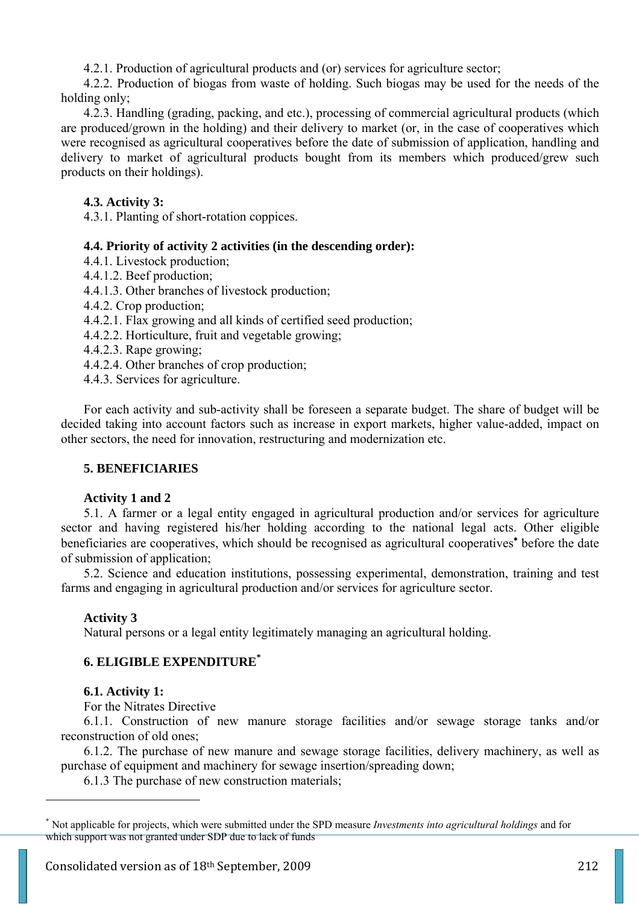4.2.1. Production of agricultural products and (or) services for agriculture sector;

4.2.2. Production of biogas from waste of holding. Such biogas may be used for the needs of the holding only;

4.2.3. Handling (grading, packing, and etc.), processing of commercial agricultural products (which are produced/grown in the holding) and their delivery to market (or, in the case of cooperatives which were recognised as agricultural cooperatives before the date of submission of application, handling and delivery to market of agricultural products bought from its members which produced/grew such products on their holdings).

# **4.3. Activity 3:**

4.3.1. Planting of short-rotation coppices.

# **4.4. Priority of activity 2 activities (in the descending order):**

- 4.4.1. Livestock production;
- 4.4.1.2. Beef production;
- 4.4.1.3. Other branches of livestock production;
- 4.4.2. Crop production;
- 4.4.2.1. Flax growing and all kinds of certified seed production;
- 4.4.2.2. Horticulture, fruit and vegetable growing;
- 4.4.2.3. Rape growing;
- 4.4.2.4. Other branches of crop production;
- 4.4.3. Services for agriculture.

For each activity and sub-activity shall be foreseen a separate budget. The share of budget will be decided taking into account factors such as increase in export markets, higher value-added, impact on other sectors, the need for innovation, restructuring and modernization etc.

# **5. BENEFICIARIES**

# **Activity 1 and 2**

5.1. A farmer or a legal entity engaged in agricultural production and/or services for agriculture sector and having registered his/her holding according to the national legal acts. Other eligible beneficiaries are cooperatives, which should be recognised as agricultural cooperatives<sup>∗</sup> before the date of submission of application;

5.2. Science and education institutions, possessing experimental, demonstration, training and test farms and engaging in agricultural production and/or services for agriculture sector.

# **Activity 3**

Natural persons or a legal entity legitimately managing an agricultural holding.

# **6. ELIGIBLE EXPENDITURE\***

# **6.1. Activity 1:**

 $\overline{a}$ 

For the Nitrates Directive

6.1.1. Construction of new manure storage facilities and/or sewage storage tanks and/or reconstruction of old ones;

6.1.2. The purchase of new manure and sewage storage facilities, delivery machinery, as well as purchase of equipment and machinery for sewage insertion/spreading down;

6.1.3 The purchase of new construction materials;

<sup>\*</sup> Not applicable for projects, which were submitted under the SPD measure *Investments into agricultural holdings* and for which support was not granted under SDP due to lack of funds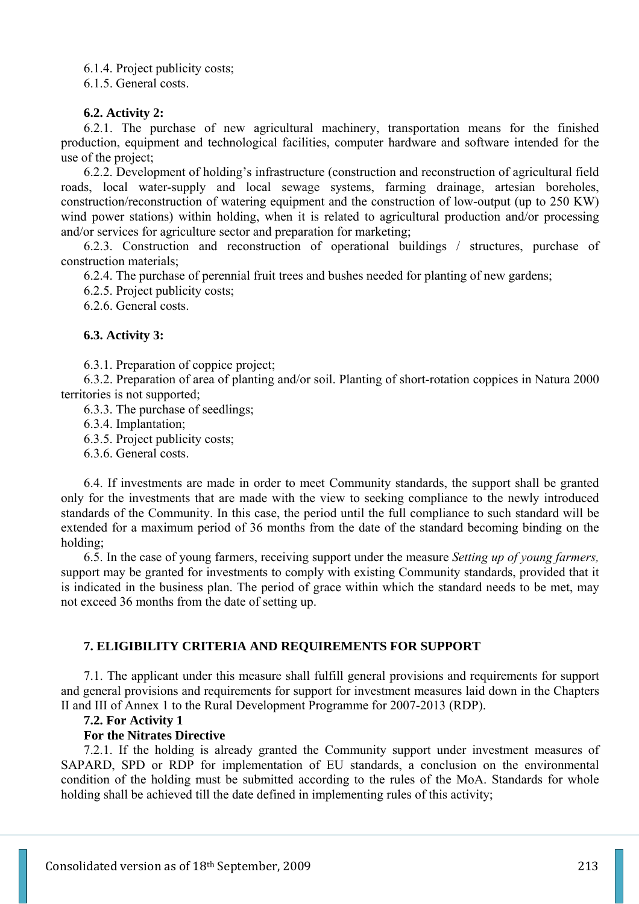6.1.4. Project publicity costs;

6.1.5. General costs.

# **6.2. Activity 2:**

6.2.1. The purchase of new agricultural machinery, transportation means for the finished production, equipment and technological facilities, computer hardware and software intended for the use of the project;

6.2.2. Development of holding's infrastructure (construction and reconstruction of agricultural field roads, local water-supply and local sewage systems, farming drainage, artesian boreholes, construction/reconstruction of watering equipment and the construction of low-output (up to 250 KW) wind power stations) within holding, when it is related to agricultural production and/or processing and/or services for agriculture sector and preparation for marketing;

6.2.3. Construction and reconstruction of operational buildings / structures, purchase of construction materials;

6.2.4. The purchase of perennial fruit trees and bushes needed for planting of new gardens;

6.2.5. Project publicity costs;

6.2.6. General costs.

# **6.3. Activity 3:**

6.3.1. Preparation of coppice project;

6.3.2. Preparation of area of planting and/or soil. Planting of short-rotation coppices in Natura 2000 territories is not supported;

6.3.3. The purchase of seedlings;

6.3.4. Implantation;

6.3.5. Project publicity costs;

6.3.6. General costs.

6.4. If investments are made in order to meet Community standards, the support shall be granted only for the investments that are made with the view to seeking compliance to the newly introduced standards of the Community. In this case, the period until the full compliance to such standard will be extended for a maximum period of 36 months from the date of the standard becoming binding on the holding;

6.5. In the case of young farmers, receiving support under the measure *Setting up of young farmers,*  support may be granted for investments to comply with existing Community standards, provided that it is indicated in the business plan. The period of grace within which the standard needs to be met, may not exceed 36 months from the date of setting up.

# **7. ELIGIBILITY CRITERIA AND REQUIREMENTS FOR SUPPORT**

7.1. The applicant under this measure shall fulfill general provisions and requirements for support and general provisions and requirements for support for investment measures laid down in the Chapters II and III of Annex 1 to the Rural Development Programme for 2007-2013 (RDP).

# **7.2. For Activity 1**

# **For the Nitrates Directive**

7.2.1. If the holding is already granted the Community support under investment measures of SAPARD, SPD or RDP for implementation of EU standards, a conclusion on the environmental condition of the holding must be submitted according to the rules of the MoA. Standards for whole holding shall be achieved till the date defined in implementing rules of this activity;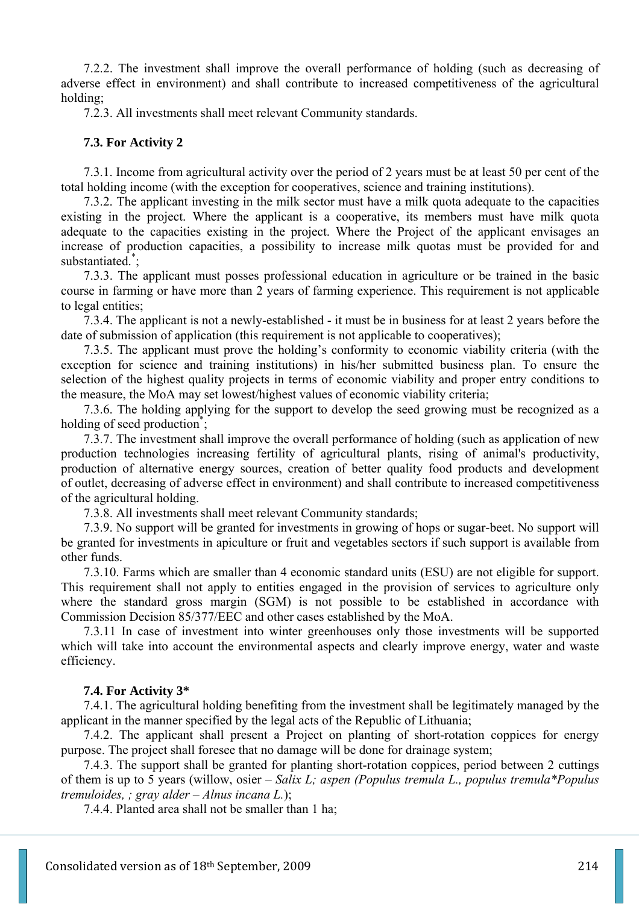7.2.2. The investment shall improve the overall performance of holding (such as decreasing of adverse effect in environment) and shall contribute to increased competitiveness of the agricultural holding;

7.2.3. All investments shall meet relevant Community standards.

### **7.3. For Activity 2**

7.3.1. Income from agricultural activity over the period of 2 years must be at least 50 per cent of the total holding income (with the exception for cooperatives, science and training institutions).

7.3.2. The applicant investing in the milk sector must have a milk quota adequate to the capacities existing in the project. Where the applicant is a cooperative, its members must have milk quota adequate to the capacities existing in the project. Where the Project of the applicant envisages an increase of production capacities, a possibility to increase milk quotas must be provided for and substantiated.<sup>\*</sup>;

7.3.3. The applicant must posses professional education in agriculture or be trained in the basic course in farming or have more than 2 years of farming experience. This requirement is not applicable to legal entities;

7.3.4. The applicant is not a newly-established - it must be in business for at least 2 years before the date of submission of application (this requirement is not applicable to cooperatives);

7.3.5. The applicant must prove the holding's conformity to economic viability criteria (with the exception for science and training institutions) in his/her submitted business plan. To ensure the selection of the highest quality projects in terms of economic viability and proper entry conditions to the measure, the MoA may set lowest/highest values of economic viability criteria;

7.3.6. The holding applying for the support to develop the seed growing must be recognized as a holding of seed production<sup>\*</sup>;

7.3.7. The investment shall improve the overall performance of holding (such as application of new production technologies increasing fertility of agricultural plants, rising of animal's productivity, production of alternative energy sources, creation of better quality food products and development of outlet, decreasing of adverse effect in environment) and shall contribute to increased competitiveness of the agricultural holding.

7.3.8. All investments shall meet relevant Community standards;

7.3.9. No support will be granted for investments in growing of hops or sugar-beet. No support will be granted for investments in apiculture or fruit and vegetables sectors if such support is available from other funds.

7.3.10. Farms which are smaller than 4 economic standard units (ESU) are not eligible for support. This requirement shall not apply to entities engaged in the provision of services to agriculture only where the standard gross margin (SGM) is not possible to be established in accordance with Commission Decision 85/377/EEC and other cases established by the MoA.

7.3.11 In case of investment into winter greenhouses only those investments will be supported which will take into account the environmental aspects and clearly improve energy, water and waste efficiency.

#### **7.4. For Activity 3\***

7.4.1. The agricultural holding benefiting from the investment shall be legitimately managed by the applicant in the manner specified by the legal acts of the Republic of Lithuania;

7.4.2. The applicant shall present a Project on planting of short-rotation coppices for energy purpose. The project shall foresee that no damage will be done for drainage system;

7.4.3. The support shall be granted for planting short-rotation coppices, period between 2 cuttings of them is up to 5 years (willow, osier – *Salix L; aspen (Populus tremula L., populus tremula\*Populus tremuloides, ; gray alder – Alnus incana L.*);

7.4.4. Planted area shall not be smaller than 1 ha;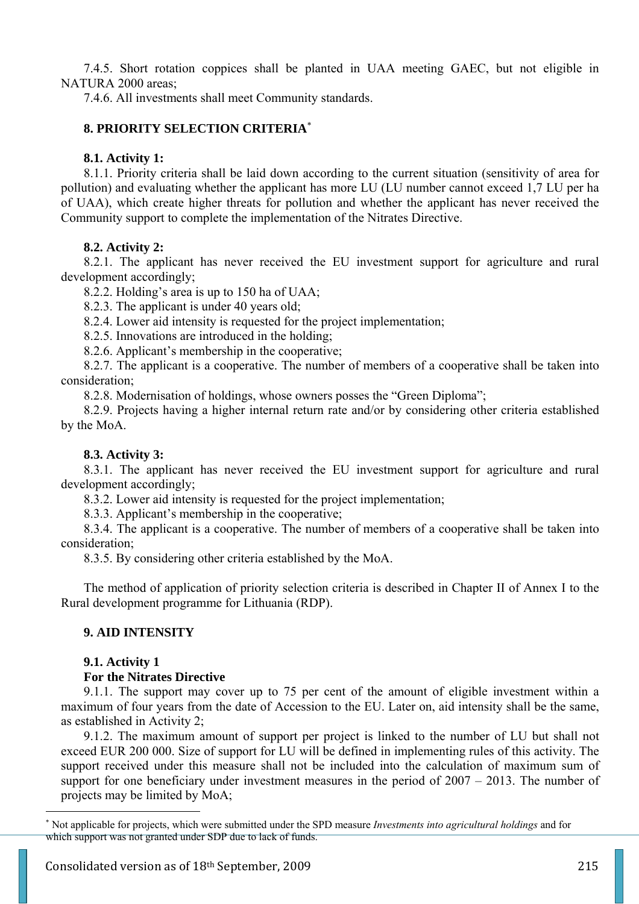7.4.5. Short rotation coppices shall be planted in UAA meeting GAEC, but not eligible in NATURA 2000 areas;

7.4.6. All investments shall meet Community standards.

# **8. PRIORITY SELECTION CRITERIA**<sup>∗</sup>

### **8.1. Activity 1:**

8.1.1. Priority criteria shall be laid down according to the current situation (sensitivity of area for pollution) and evaluating whether the applicant has more LU (LU number cannot exceed 1,7 LU per ha of UAA), which create higher threats for pollution and whether the applicant has never received the Community support to complete the implementation of the Nitrates Directive.

### **8.2. Activity 2:**

8.2.1. The applicant has never received the EU investment support for agriculture and rural development accordingly;

8.2.2. Holding's area is up to 150 ha of UAA;

8.2.3. The applicant is under 40 years old;

8.2.4. Lower aid intensity is requested for the project implementation;

8.2.5. Innovations are introduced in the holding;

8.2.6. Applicant's membership in the cooperative;

8.2.7. The applicant is a cooperative. The number of members of a cooperative shall be taken into consideration;

8.2.8. Modernisation of holdings, whose owners posses the "Green Diploma";

8.2.9. Projects having a higher internal return rate and/or by considering other criteria established by the MoA.

### **8.3. Activity 3:**

8.3.1. The applicant has never received the EU investment support for agriculture and rural development accordingly;

8.3.2. Lower aid intensity is requested for the project implementation;

8.3.3. Applicant's membership in the cooperative;

8.3.4. The applicant is a cooperative. The number of members of a cooperative shall be taken into consideration;

8.3.5. By considering other criteria established by the MoA.

The method of application of priority selection criteria is described in Chapter II of Annex I to the Rural development programme for Lithuania (RDP).

### **9. AID INTENSITY**

### **9.1. Activity 1**

 $\overline{a}$ 

### **For the Nitrates Directive**

9.1.1. The support may cover up to 75 per cent of the amount of eligible investment within a maximum of four years from the date of Accession to the EU. Later on, aid intensity shall be the same, as established in Activity 2;

9.1.2. The maximum amount of support per project is linked to the number of LU but shall not exceed EUR 200 000. Size of support for LU will be defined in implementing rules of this activity. The support received under this measure shall not be included into the calculation of maximum sum of support for one beneficiary under investment measures in the period of 2007 – 2013. The number of projects may be limited by MoA;

<sup>∗</sup> Not applicable for projects, which were submitted under the SPD measure *Investments into agricultural holdings* and for which support was not granted under SDP due to lack of funds.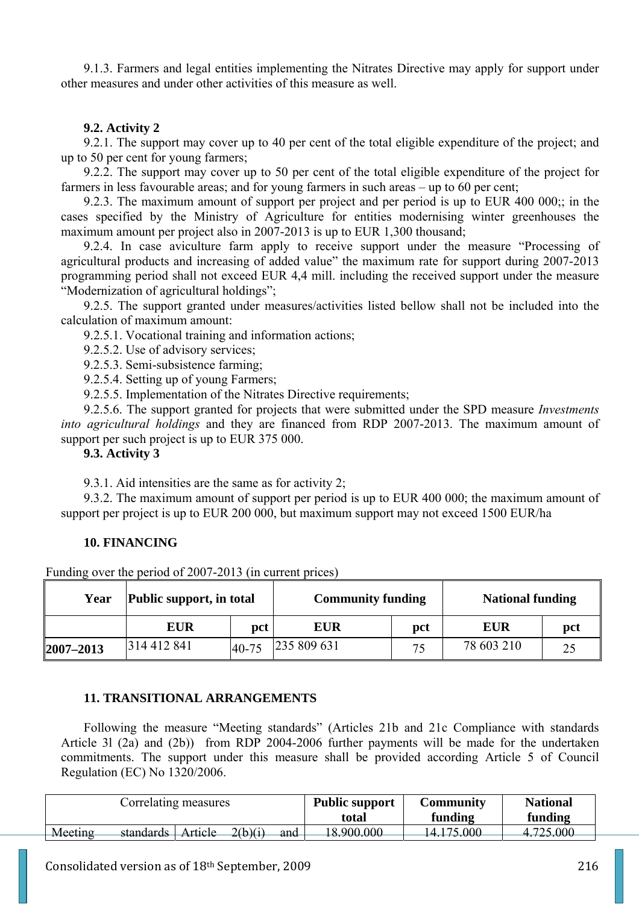9.1.3. Farmers and legal entities implementing the Nitrates Directive may apply for support under other measures and under other activities of this measure as well.

## **9.2. Activity 2**

9.2.1. The support may cover up to 40 per cent of the total eligible expenditure of the project; and up to 50 per cent for young farmers;

9.2.2. The support may cover up to 50 per cent of the total eligible expenditure of the project for farmers in less favourable areas; and for young farmers in such areas – up to 60 per cent;

9.2.3. The maximum amount of support per project and per period is up to EUR 400 000;; in the cases specified by the Ministry of Agriculture for entities modernising winter greenhouses the maximum amount per project also in 2007-2013 is up to EUR 1,300 thousand;

9.2.4. In case aviculture farm apply to receive support under the measure "Processing of agricultural products and increasing of added value" the maximum rate for support during 2007-2013 programming period shall not exceed EUR 4,4 mill. including the received support under the measure "Modernization of agricultural holdings";

9.2.5. The support granted under measures/activities listed bellow shall not be included into the calculation of maximum amount:

9.2.5.1. Vocational training and information actions;

9.2.5.2. Use of advisory services;

9.2.5.3. Semi-subsistence farming;

9.2.5.4. Setting up of young Farmers;

9.2.5.5. Implementation of the Nitrates Directive requirements:

9.2.5.6. The support granted for projects that were submitted under the SPD measure *Investments into agricultural holdings* and they are financed from RDP 2007-2013. The maximum amount of support per such project is up to EUR 375 000.

## **9.3. Activity 3**

9.3.1. Aid intensities are the same as for activity 2;

9.3.2. The maximum amount of support per period is up to EUR 400 000; the maximum amount of support per project is up to EUR 200 000, but maximum support may not exceed 1500 EUR/ha

### **10. FINANCING**

Funding over the period of 2007-2013 (in current prices)

| Year      | <b>Public support, in total</b> |           | <b>Community funding</b> |     | <b>National funding</b> |     |
|-----------|---------------------------------|-----------|--------------------------|-----|-------------------------|-----|
|           | EUR                             | pct       | <b>EUR</b>               | pct | <b>EUR</b>              | pct |
| 2007-2013 | 314 412 841                     | $40 - 75$ | 235 809 631              | 75  | 78 603 210              | 25  |

### **11. TRANSITIONAL ARRANGEMENTS**

Following the measure "Meeting standards" (Articles 21b and 21c Compliance with standards Article 3l (2a) and (2b)) from RDP 2004-2006 further payments will be made for the undertaken commitments. The support under this measure shall be provided according Article 5 of Council Regulation (EC) No 1320/2006.

| Correlating measures |                   |  |         |      | <b>Public support</b><br>total | Community<br>funding | <b>National</b><br>funding |
|----------------------|-------------------|--|---------|------|--------------------------------|----------------------|----------------------------|
| Meeting              | standards Article |  | 2(b)(i) | and– | 18.900.000                     | 14.175.000           | 4.725.000                  |
|                      |                   |  |         |      |                                |                      |                            |

Consolidated version as of 18<sup>th</sup> September, 2009 216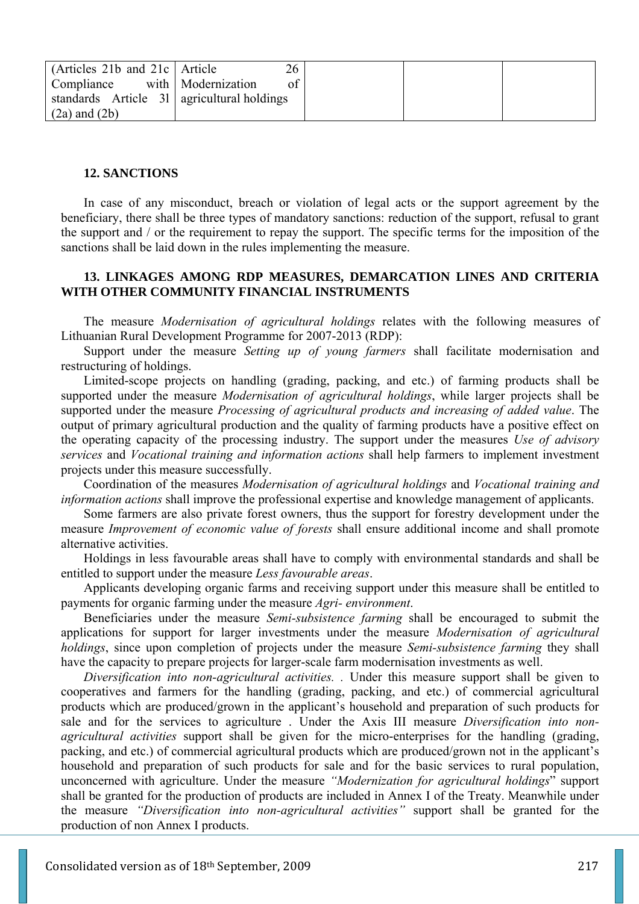| (Articles 21b and 21c   Article              | 26 |  |  |
|----------------------------------------------|----|--|--|
| Compliance with Modernization                | of |  |  |
| standards Article 31   agricultural holdings |    |  |  |
| $(2a)$ and $(2b)$                            |    |  |  |

### **12. SANCTIONS**

In case of any misconduct, breach or violation of legal acts or the support agreement by the beneficiary, there shall be three types of mandatory sanctions: reduction of the support, refusal to grant the support and / or the requirement to repay the support. The specific terms for the imposition of the sanctions shall be laid down in the rules implementing the measure.

# **13. LINKAGES AMONG RDP MEASURES, DEMARCATION LINES AND CRITERIA WITH OTHER COMMUNITY FINANCIAL INSTRUMENTS**

The measure *Modernisation of agricultural holdings* relates with the following measures of Lithuanian Rural Development Programme for 2007-2013 (RDP):

Support under the measure *Setting up of young farmers* shall facilitate modernisation and restructuring of holdings.

Limited-scope projects on handling (grading, packing, and etc.) of farming products shall be supported under the measure *Modernisation of agricultural holdings*, while larger projects shall be supported under the measure *Processing of agricultural products and increasing of added value*. The output of primary agricultural production and the quality of farming products have a positive effect on the operating capacity of the processing industry. The support under the measures *Use of advisory services* and *Vocational training and information actions* shall help farmers to implement investment projects under this measure successfully.

Coordination of the measures *Modernisation of agricultural holdings* and *Vocational training and information actions* shall improve the professional expertise and knowledge management of applicants.

Some farmers are also private forest owners, thus the support for forestry development under the measure *Improvement of economic value of forests* shall ensure additional income and shall promote alternative activities.

Holdings in less favourable areas shall have to comply with environmental standards and shall be entitled to support under the measure *Less favourable areas*.

Applicants developing organic farms and receiving support under this measure shall be entitled to payments for organic farming under the measure *Agri- environment*.

Beneficiaries under the measure *Semi-subsistence farming* shall be encouraged to submit the applications for support for larger investments under the measure *Modernisation of agricultural holdings*, since upon completion of projects under the measure *Semi-subsistence farming* they shall have the capacity to prepare projects for larger-scale farm modernisation investments as well.

*Diversification into non-agricultural activities. .* Under this measure support shall be given to cooperatives and farmers for the handling (grading, packing, and etc.) of commercial agricultural products which are produced/grown in the applicant's household and preparation of such products for sale and for the services to agriculture . Under the Axis III measure *Diversification into nonagricultural activities* support shall be given for the micro-enterprises for the handling (grading, packing, and etc.) of commercial agricultural products which are produced/grown not in the applicant's household and preparation of such products for sale and for the basic services to rural population, unconcerned with agriculture. Under the measure *"Modernization for agricultural holdings*" support shall be granted for the production of products are included in Annex I of the Treaty. Meanwhile under the measure *"Diversification into non-agricultural activities"* support shall be granted for the production of non Annex I products.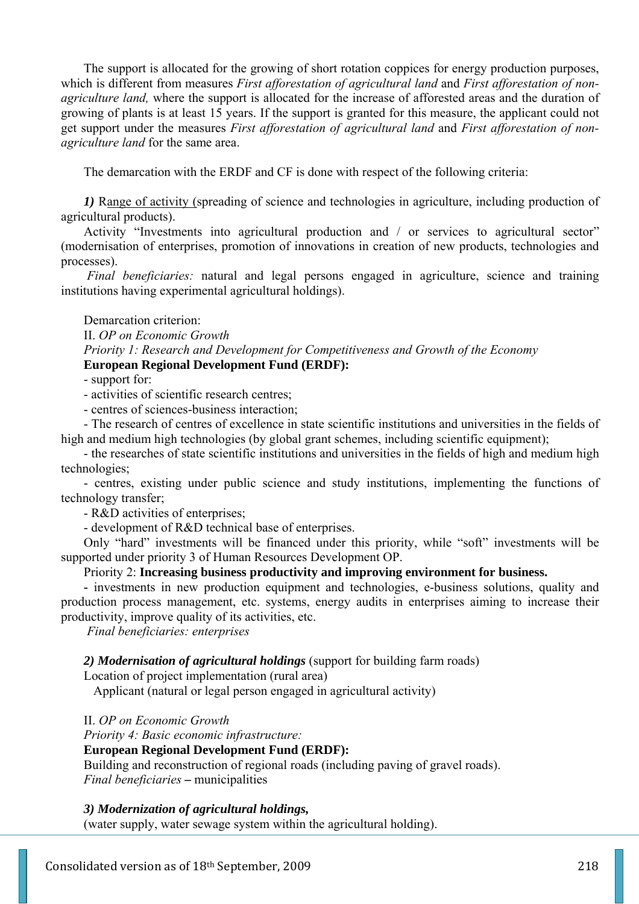The support is allocated for the growing of short rotation coppices for energy production purposes, which is different from measures *First afforestation of agricultural land* and *First afforestation of nonagriculture land,* where the support is allocated for the increase of afforested areas and the duration of growing of plants is at least 15 years. If the support is granted for this measure, the applicant could not get support under the measures *First afforestation of agricultural land* and *First afforestation of nonagriculture land* for the same area.

The demarcation with the ERDF and CF is done with respect of the following criteria:

*1)* Range of activity (spreading of science and technologies in agriculture, including production of agricultural products).

Activity "Investments into agricultural production and / or services to agricultural sector" (modernisation of enterprises, promotion of innovations in creation of new products, technologies and processes).

*Final beneficiaries:* natural and legal persons engaged in agriculture, science and training institutions having experimental agricultural holdings).

### Demarcation criterion:

II. *OP on Economic Growth* 

*Priority 1: Research and Development for Competitiveness and Growth of the Economy* 

## **European Regional Development Fund (ERDF):**

- support for:

- activities of scientific research centres;

- centres of sciences-business interaction;

- The research of centres of excellence in state scientific institutions and universities in the fields of high and medium high technologies (by global grant schemes, including scientific equipment);

- the researches of state scientific institutions and universities in the fields of high and medium high technologies;

- centres, existing under public science and study institutions, implementing the functions of technology transfer;

- R&D activities of enterprises;

- development of R&D technical base of enterprises.

Only "hard" investments will be financed under this priority, while "soft" investments will be supported under priority 3 of Human Resources Development OP.

### Priority 2: **Increasing business productivity and improving environment for business.**

**-** investments in new production equipment and technologies, e-business solutions, quality and production process management, etc. systems, energy audits in enterprises aiming to increase their productivity, improve quality of its activities, etc.

*Final beneficiaries: enterprises*

### *2) Modernisation of agricultural holdings* (support for building farm roads)

Location of project implementation (rural area)

Applicant (natural or legal person engaged in agricultural activity)

II. *OP on Economic Growth* 

*Priority 4: Basic economic infrastructure:* 

#### **European Regional Development Fund (ERDF):**

Building and reconstruction of regional roads (including paving of gravel roads). *Final beneficiaries* **–** municipalities

*3) Modernization of agricultural holdings,* 

(water supply, water sewage system within the agricultural holding).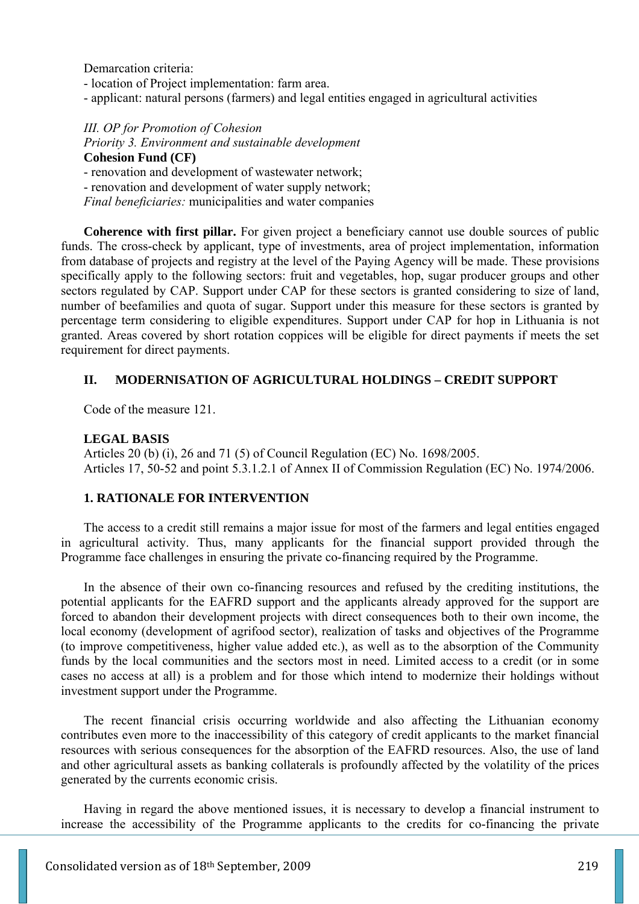Demarcation criteria:

- location of Project implementation: farm area.

- applicant: natural persons (farmers) and legal entities engaged in agricultural activities

*III. OP for Promotion of Cohesion Priority 3. Environment and sustainable development* 

**Cohesion Fund (CF)** 

- renovation and development of wastewater network;

- renovation and development of water supply network;

*Final beneficiaries:* municipalities and water companies

**Coherence with first pillar.** For given project a beneficiary cannot use double sources of public funds. The cross-check by applicant, type of investments, area of project implementation, information from database of projects and registry at the level of the Paying Agency will be made. These provisions specifically apply to the following sectors: fruit and vegetables, hop, sugar producer groups and other sectors regulated by CAP. Support under CAP for these sectors is granted considering to size of land, number of beefamilies and quota of sugar. Support under this measure for these sectors is granted by percentage term considering to eligible expenditures. Support under CAP for hop in Lithuania is not granted. Areas covered by short rotation coppices will be eligible for direct payments if meets the set requirement for direct payments.

## **II. MODERNISATION OF AGRICULTURAL HOLDINGS – CREDIT SUPPORT**

Code of the measure 121.

### **LEGAL BASIS**

Articles 20 (b) (i), 26 and 71 (5) of Council Regulation (EC) No. 1698/2005. Articles 17, 50-52 and point 5.3.1.2.1 of Annex II of Commission Regulation (EC) No. 1974/2006.

### **1. RATIONALE FOR INTERVENTION**

The access to a credit still remains a major issue for most of the farmers and legal entities engaged in agricultural activity. Thus, many applicants for the financial support provided through the Programme face challenges in ensuring the private co-financing required by the Programme.

In the absence of their own co-financing resources and refused by the crediting institutions, the potential applicants for the EAFRD support and the applicants already approved for the support are forced to abandon their development projects with direct consequences both to their own income, the local economy (development of agrifood sector), realization of tasks and objectives of the Programme (to improve competitiveness, higher value added etc.), as well as to the absorption of the Community funds by the local communities and the sectors most in need. Limited access to a credit (or in some cases no access at all) is a problem and for those which intend to modernize their holdings without investment support under the Programme.

The recent financial crisis occurring worldwide and also affecting the Lithuanian economy contributes even more to the inaccessibility of this category of credit applicants to the market financial resources with serious consequences for the absorption of the EAFRD resources. Also, the use of land and other agricultural assets as banking collaterals is profoundly affected by the volatility of the prices generated by the currents economic crisis.

Having in regard the above mentioned issues, it is necessary to develop a financial instrument to increase the accessibility of the Programme applicants to the credits for co-financing the private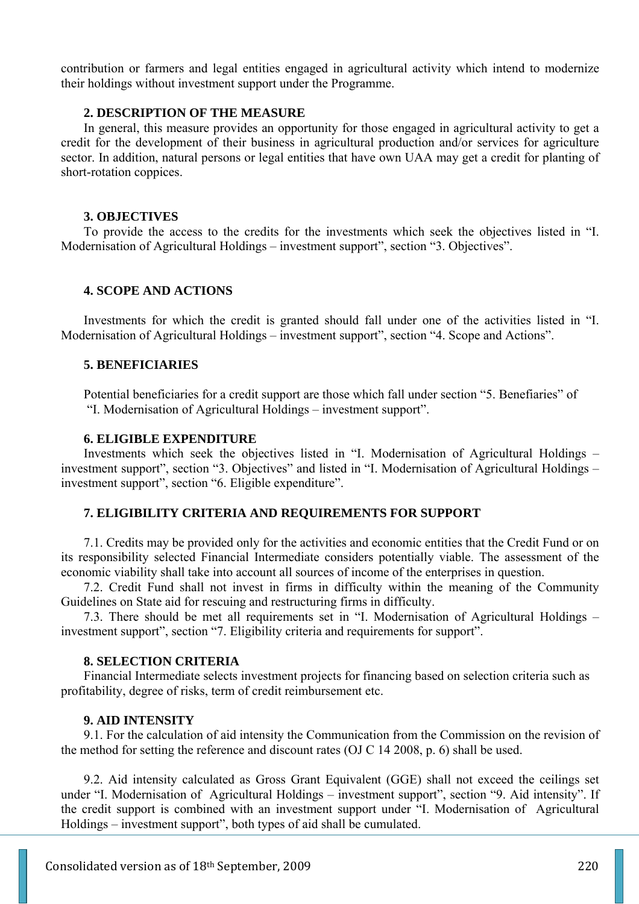contribution or farmers and legal entities engaged in agricultural activity which intend to modernize their holdings without investment support under the Programme.

## **2. DESCRIPTION OF THE MEASURE**

In general, this measure provides an opportunity for those engaged in agricultural activity to get a credit for the development of their business in agricultural production and/or services for agriculture sector. In addition, natural persons or legal entities that have own UAA may get a credit for planting of short-rotation coppices.

#### **3. OBJECTIVES**

To provide the access to the credits for the investments which seek the objectives listed in "I. Modernisation of Agricultural Holdings – investment support", section "3. Objectives".

### **4. SCOPE AND ACTIONS**

Investments for which the credit is granted should fall under one of the activities listed in "I. Modernisation of Agricultural Holdings – investment support", section "4. Scope and Actions".

### **5. BENEFICIARIES**

Potential beneficiaries for a credit support are those which fall under section "5. Benefiaries" of "I. Modernisation of Agricultural Holdings – investment support".

### **6. ELIGIBLE EXPENDITURE**

Investments which seek the objectives listed in "I. Modernisation of Agricultural Holdings – investment support", section "3. Objectives" and listed in "I. Modernisation of Agricultural Holdings – investment support", section "6. Eligible expenditure".

### **7. ELIGIBILITY CRITERIA AND REQUIREMENTS FOR SUPPORT**

7.1. Credits may be provided only for the activities and economic entities that the Credit Fund or on its responsibility selected Financial Intermediate considers potentially viable. The assessment of the economic viability shall take into account all sources of income of the enterprises in question.

7.2. Credit Fund shall not invest in firms in difficulty within the meaning of the Community Guidelines on State aid for rescuing and restructuring firms in difficulty.

7.3. There should be met all requirements set in "I. Modernisation of Agricultural Holdings – investment support", section "7. Eligibility criteria and requirements for support".

#### **8. SELECTION CRITERIA**

Financial Intermediate selects investment projects for financing based on selection criteria such as profitability, degree of risks, term of credit reimbursement etc.

#### **9. AID INTENSITY**

9.1. For the calculation of aid intensity the Communication from the Commission on the revision of the method for setting the reference and discount rates (OJ C 14 2008, p. 6) shall be used.

9.2. Aid intensity calculated as Gross Grant Equivalent (GGE) shall not exceed the ceilings set under "I. Modernisation of Agricultural Holdings – investment support", section "9. Aid intensity". If the credit support is combined with an investment support under "I. Modernisation of Agricultural Holdings – investment support", both types of aid shall be cumulated.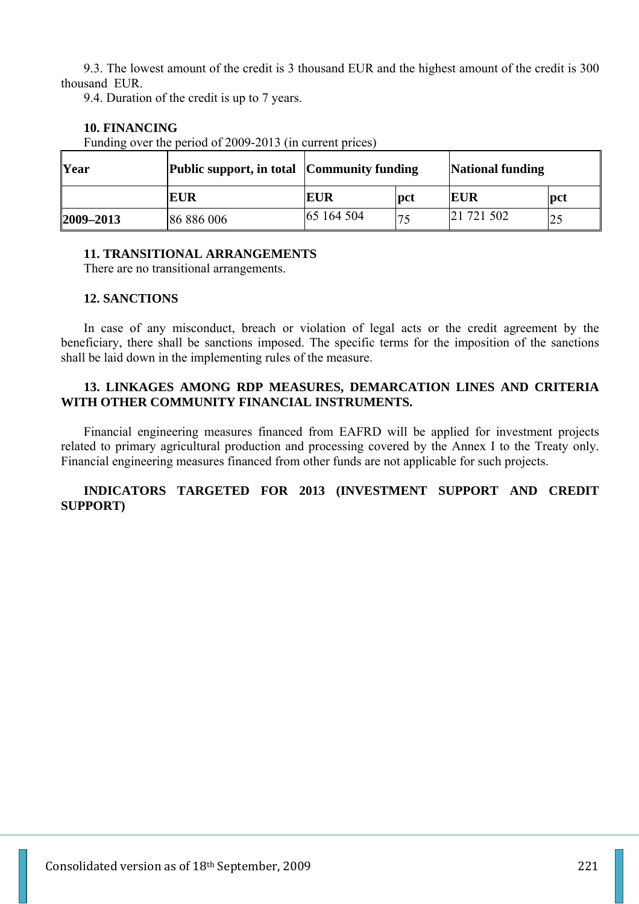9.3. The lowest amount of the credit is 3 thousand EUR and the highest amount of the credit is 300 thousand EUR.

9.4. Duration of the credit is up to 7 years.

# **10. FINANCING**

| <b>Year</b>     |            |            | T andling over the period of $2007-2013$ (in earlient prices)<br>Public support, in total Community funding |          | National funding |  |
|-----------------|------------|------------|-------------------------------------------------------------------------------------------------------------|----------|------------------|--|
|                 | EUR        | EUR        | pct                                                                                                         | EUR      | pct              |  |
| $ 2009 - 2013 $ | 86 886 006 | 65 164 504 |                                                                                                             | 21721502 |                  |  |

Funding over the period of 2009-2013 (in current prices)

# **11. TRANSITIONAL ARRANGEMENTS**

There are no transitional arrangements.

## **12. SANCTIONS**

In case of any misconduct, breach or violation of legal acts or the credit agreement by the beneficiary, there shall be sanctions imposed. The specific terms for the imposition of the sanctions shall be laid down in the implementing rules of the measure.

# **13. LINKAGES AMONG RDP MEASURES, DEMARCATION LINES AND CRITERIA WITH OTHER COMMUNITY FINANCIAL INSTRUMENTS.**

Financial engineering measures financed from EAFRD will be applied for investment projects related to primary agricultural production and processing covered by the Annex I to the Treaty only. Financial engineering measures financed from other funds are not applicable for such projects.

# **INDICATORS TARGETED FOR 2013 (INVESTMENT SUPPORT AND CREDIT SUPPORT)**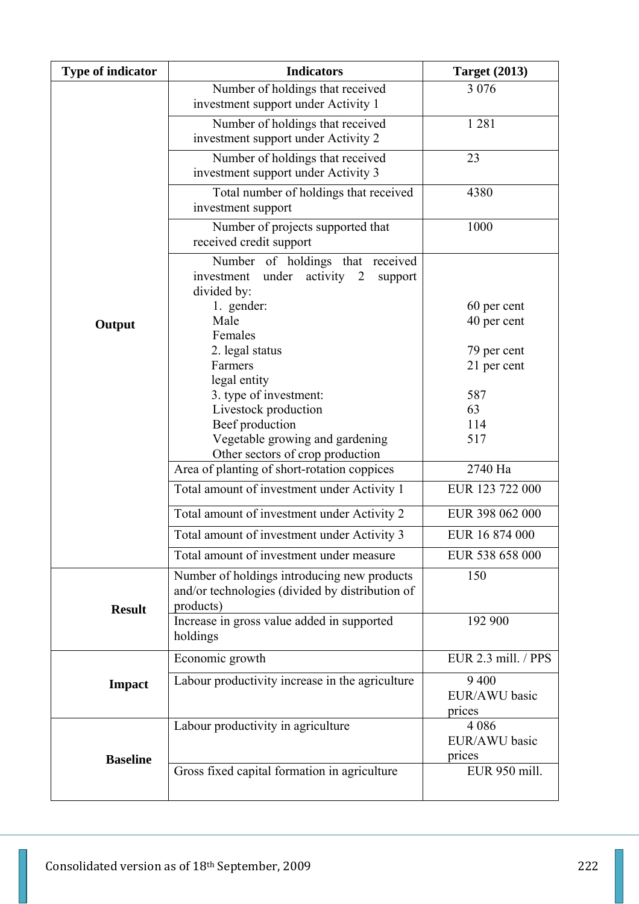| <b>Type of indicator</b> | <b>Indicators</b>                                                                                           | <b>Target (2013)</b>               |
|--------------------------|-------------------------------------------------------------------------------------------------------------|------------------------------------|
|                          | Number of holdings that received<br>investment support under Activity 1                                     | 3 0 7 6                            |
|                          | Number of holdings that received<br>investment support under Activity 2                                     | 1 2 8 1                            |
|                          | Number of holdings that received<br>investment support under Activity 3                                     | 23                                 |
|                          | Total number of holdings that received<br>investment support                                                | 4380                               |
|                          | Number of projects supported that<br>received credit support                                                | 1000                               |
|                          | Number of holdings that received<br>investment under activity 2<br>support<br>divided by:                   |                                    |
| Output                   | 1. gender:<br>Male<br>Females                                                                               | 60 per cent<br>40 per cent         |
|                          | 2. legal status<br>Farmers<br>legal entity                                                                  | 79 per cent<br>21 per cent         |
|                          | 3. type of investment:                                                                                      | 587                                |
|                          | Livestock production                                                                                        | 63                                 |
|                          | Beef production                                                                                             | 114                                |
|                          | Vegetable growing and gardening<br>Other sectors of crop production                                         | 517                                |
|                          | Area of planting of short-rotation coppices                                                                 | 2740 Ha                            |
|                          | Total amount of investment under Activity 1                                                                 | EUR 123 722 000                    |
|                          | Total amount of investment under Activity 2                                                                 | EUR 398 062 000                    |
|                          | Total amount of investment under Activity 3                                                                 | EUR 16 874 000                     |
|                          | Total amount of investment under measure                                                                    | EUR 538 658 000                    |
| <b>Result</b>            | Number of holdings introducing new products<br>and/or technologies (divided by distribution of<br>products) | 150                                |
|                          | Increase in gross value added in supported<br>holdings                                                      | 192 900                            |
|                          | Economic growth                                                                                             | EUR 2.3 mill. / PPS                |
| <b>Impact</b>            | Labour productivity increase in the agriculture                                                             | 9 4 0 0<br>EUR/AWU basic<br>prices |
|                          | Labour productivity in agriculture                                                                          | 4 0 8 6<br>EUR/AWU basic<br>prices |
| <b>Baseline</b>          | Gross fixed capital formation in agriculture                                                                | EUR 950 mill.                      |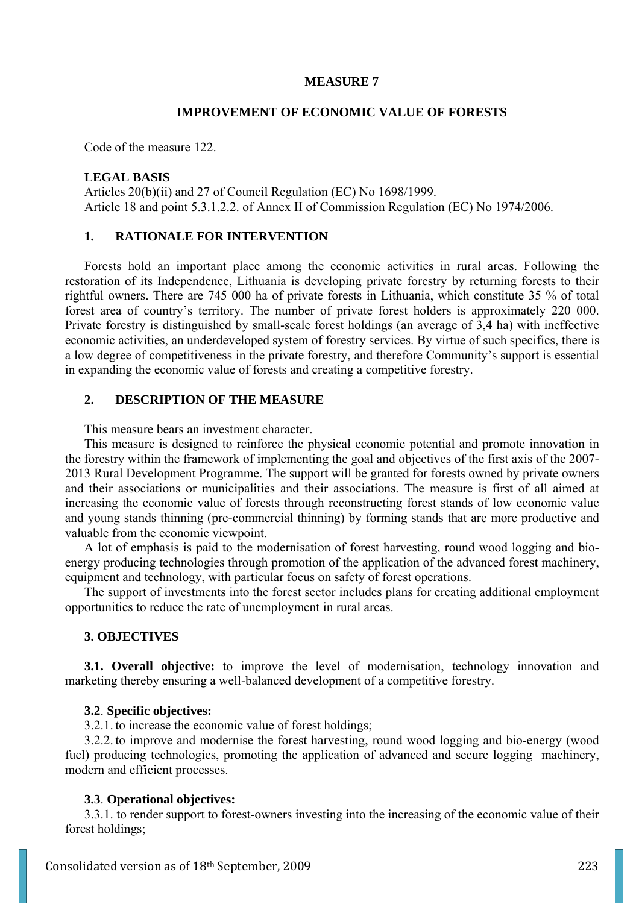#### **MEASURE 7**

### **IMPROVEMENT OF ECONOMIC VALUE OF FORESTS**

Code of the measure 122.

#### **LEGAL BASIS**

Articles 20(b)(ii) and 27 of Council Regulation (EC) No 1698/1999. Article 18 and point 5.3.1.2.2. of Annex II of Commission Regulation (EC) No 1974/2006.

### **1. RATIONALE FOR INTERVENTION**

Forests hold an important place among the economic activities in rural areas. Following the restoration of its Independence, Lithuania is developing private forestry by returning forests to their rightful owners. There are 745 000 ha of private forests in Lithuania, which constitute 35 % of total forest area of country's territory. The number of private forest holders is approximately 220 000. Private forestry is distinguished by small-scale forest holdings (an average of 3,4 ha) with ineffective economic activities, an underdeveloped system of forestry services. By virtue of such specifics, there is a low degree of competitiveness in the private forestry, and therefore Community's support is essential in expanding the economic value of forests and creating a competitive forestry.

### **2. DESCRIPTION OF THE MEASURE**

This measure bears an investment character.

This measure is designed to reinforce the physical economic potential and promote innovation in the forestry within the framework of implementing the goal and objectives of the first axis of the 2007- 2013 Rural Development Programme. The support will be granted for forests owned by private owners and their associations or municipalities and their associations. The measure is first of all aimed at increasing the economic value of forests through reconstructing forest stands of low economic value and young stands thinning (pre-commercial thinning) by forming stands that are more productive and valuable from the economic viewpoint.

A lot of emphasis is paid to the modernisation of forest harvesting, round wood logging and bioenergy producing technologies through promotion of the application of the advanced forest machinery, equipment and technology, with particular focus on safety of forest operations.

The support of investments into the forest sector includes plans for creating additional employment opportunities to reduce the rate of unemployment in rural areas.

#### **3. OBJECTIVES**

**3.1. Overall objective:** to improve the level of modernisation, technology innovation and marketing thereby ensuring a well-balanced development of a competitive forestry.

#### **3.2**. **Specific objectives:**

3.2.1. to increase the economic value of forest holdings;

3.2.2. to improve and modernise the forest harvesting, round wood logging and bio-energy (wood fuel) producing technologies, promoting the application of advanced and secure logging machinery, modern and efficient processes.

### **3.3**. **Operational objectives:**

3.3.1. to render support to forest-owners investing into the increasing of the economic value of their forest holdings;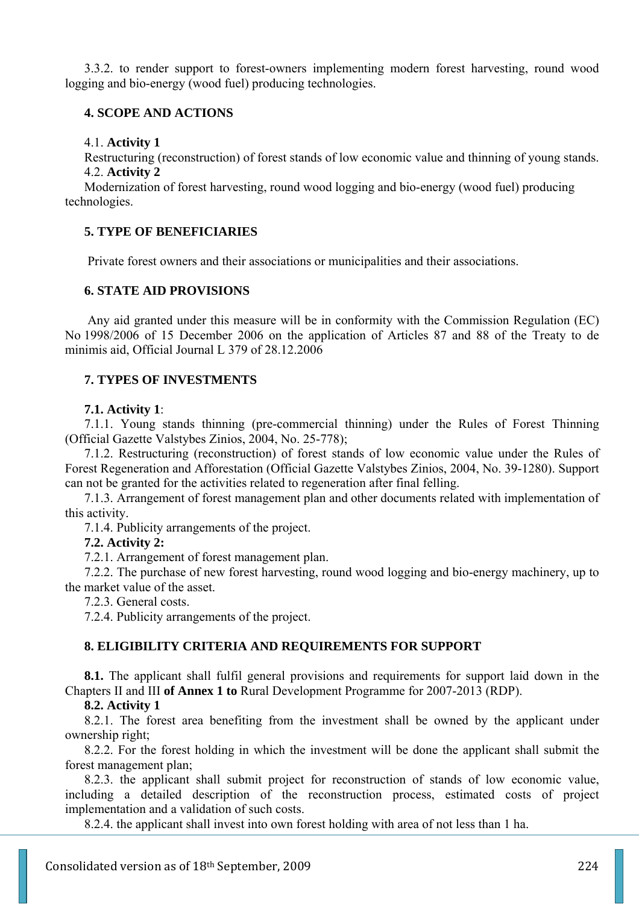3.3.2. to render support to forest-owners implementing modern forest harvesting, round wood logging and bio-energy (wood fuel) producing technologies.

## **4. SCOPE AND ACTIONS**

### 4.1. **Activity 1**

Restructuring (reconstruction) of forest stands of low economic value and thinning of young stands. 4.2. **Activity 2** 

Modernization of forest harvesting, round wood logging and bio-energy (wood fuel) producing technologies.

## **5. TYPE OF BENEFICIARIES**

Private forest owners and their associations or municipalities and their associations.

### **6. STATE AID PROVISIONS**

 Any aid granted under this measure will be in conformity with the Commission Regulation (EC) No 1998/2006 of 15 December 2006 on the application of Articles 87 and 88 of the Treaty to de minimis aid, Official Journal L 379 of 28.12.2006

### **7. TYPES OF INVESTMENTS**

### **7.1. Activity 1**:

7.1.1. Young stands thinning (pre-commercial thinning) under the Rules of Forest Thinning (Official Gazette Valstybes Zinios, 2004, No. 25-778);

7.1.2. Restructuring (reconstruction) of forest stands of low economic value under the Rules of Forest Regeneration and Afforestation (Official Gazette Valstybes Zinios, 2004, No. 39-1280). Support can not be granted for the activities related to regeneration after final felling.

7.1.3. Arrangement of forest management plan and other documents related with implementation of this activity.

7.1.4. Publicity arrangements of the project.

#### **7.2. Activity 2:**

7.2.1. Arrangement of forest management plan.

7.2.2. The purchase of new forest harvesting, round wood logging and bio-energy machinery, up to the market value of the asset.

7.2.3. General costs.

7.2.4. Publicity arrangements of the project.

### **8. ELIGIBILITY CRITERIA AND REQUIREMENTS FOR SUPPORT**

**8.1.** The applicant shall fulfil general provisions and requirements for support laid down in the Chapters II and III **of Annex 1 to** Rural Development Programme for 2007-2013 (RDP).

### **8.2. Activity 1**

8.2.1. The forest area benefiting from the investment shall be owned by the applicant under ownership right;

8.2.2. For the forest holding in which the investment will be done the applicant shall submit the forest management plan;

8.2.3. the applicant shall submit project for reconstruction of stands of low economic value, including a detailed description of the reconstruction process, estimated costs of project implementation and a validation of such costs.

8.2.4. the applicant shall invest into own forest holding with area of not less than 1 ha.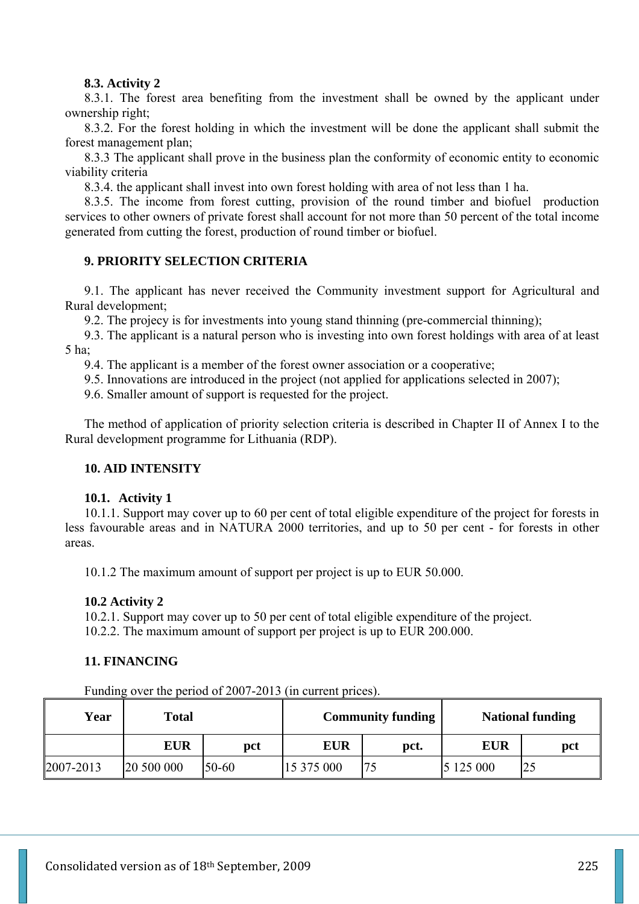# **8.3. Activity 2**

8.3.1. The forest area benefiting from the investment shall be owned by the applicant under ownership right;

8.3.2. For the forest holding in which the investment will be done the applicant shall submit the forest management plan;

8.3.3 The applicant shall prove in the business plan the conformity of economic entity to economic viability criteria

8.3.4. the applicant shall invest into own forest holding with area of not less than 1 ha.

8.3.5. The income from forest cutting, provision of the round timber and biofuel production services to other owners of private forest shall account for not more than 50 percent of the total income generated from cutting the forest, production of round timber or biofuel.

## **9. PRIORITY SELECTION CRITERIA**

9.1. The applicant has never received the Community investment support for Agricultural and Rural development;

9.2. The projecy is for investments into young stand thinning (pre-commercial thinning);

9.3. The applicant is a natural person who is investing into own forest holdings with area of at least 5 ha;

9.4. The applicant is a member of the forest owner association or a cooperative;

9.5. Innovations are introduced in the project (not applied for applications selected in 2007);

9.6. Smaller amount of support is requested for the project.

The method of application of priority selection criteria is described in Chapter II of Annex I to the Rural development programme for Lithuania (RDP).

### **10. AID INTENSITY**

#### **10.1. Activity 1**

10.1.1. Support may cover up to 60 per cent of total eligible expenditure of the project for forests in less favourable areas and in NATURA 2000 territories, and up to 50 per cent - for forests in other areas.

10.1.2 The maximum amount of support per project is up to EUR 50.000.

### **10.2 Activity 2**

10.2.1. Support may cover up to 50 per cent of total eligible expenditure of the project.

10.2.2. The maximum amount of support per project is up to EUR 200.000.

### **11. FINANCING**

Funding over the period of 2007-2013 (in current prices).

| Year      | Total      |           |            | <b>Community funding</b> | <b>National funding</b> |     |
|-----------|------------|-----------|------------|--------------------------|-------------------------|-----|
|           | <b>EUR</b> | pct       | <b>EUR</b> | pct.                     | <b>EUR</b>              | pct |
| 2007-2013 | 20 500 000 | $50 - 60$ | 15 375 000 | 75                       | 5 125 000               | 25  |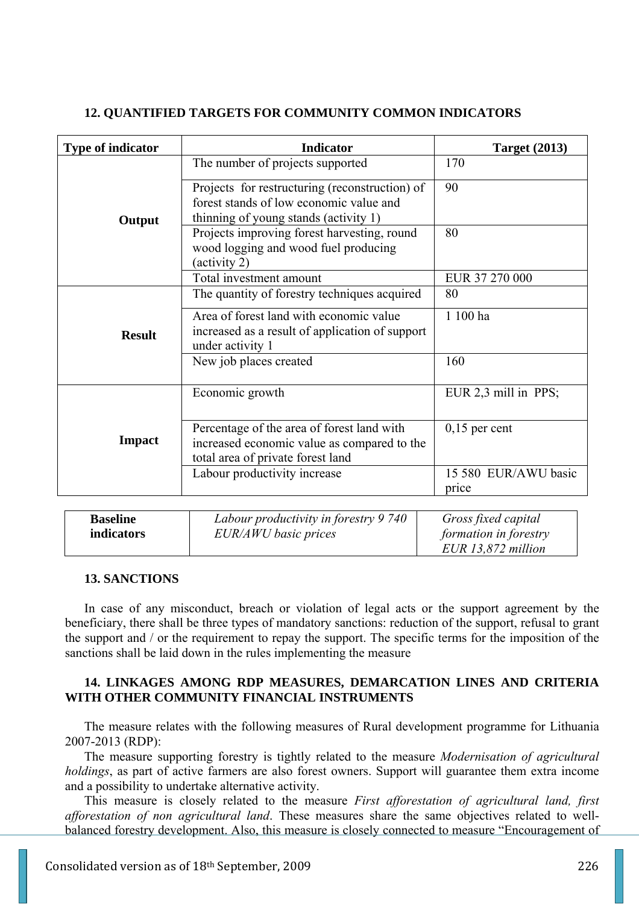| <b>Type of indicator</b> | <b>Indicator</b>                                                                                                                   | <b>Target (2013)</b>          |
|--------------------------|------------------------------------------------------------------------------------------------------------------------------------|-------------------------------|
|                          | The number of projects supported                                                                                                   | 170                           |
| Output                   | Projects for restructuring (reconstruction) of<br>forest stands of low economic value and<br>thinning of young stands (activity 1) | 90                            |
|                          | Projects improving forest harvesting, round<br>wood logging and wood fuel producing<br>(activity 2)                                | 80                            |
|                          | Total investment amount                                                                                                            | EUR 37 270 000                |
| <b>Result</b>            | The quantity of forestry techniques acquired                                                                                       | 80                            |
|                          | Area of forest land with economic value<br>increased as a result of application of support<br>under activity 1                     | 1 100 ha                      |
|                          | New job places created                                                                                                             | 160                           |
|                          | Economic growth                                                                                                                    | EUR 2,3 mill in PPS;          |
| <b>Impact</b>            | Percentage of the area of forest land with<br>increased economic value as compared to the<br>total area of private forest land     | $0,15$ per cent               |
|                          | Labour productivity increase                                                                                                       | 15 580 EUR/AWU basic<br>price |

## **12. QUANTIFIED TARGETS FOR COMMUNITY COMMON INDICATORS**

| <b>Baseline</b> | Labour productivity in forestry 9 740 | Gross fixed capital   |
|-----------------|---------------------------------------|-----------------------|
| indicators      | EUR/AWU basic prices                  | formation in forestry |
|                 |                                       | EUR 13,872 million    |

### **13. SANCTIONS**

In case of any misconduct, breach or violation of legal acts or the support agreement by the beneficiary, there shall be three types of mandatory sanctions: reduction of the support, refusal to grant the support and / or the requirement to repay the support. The specific terms for the imposition of the sanctions shall be laid down in the rules implementing the measure

## **14. LINKAGES AMONG RDP MEASURES, DEMARCATION LINES AND CRITERIA WITH OTHER COMMUNITY FINANCIAL INSTRUMENTS**

The measure relates with the following measures of Rural development programme for Lithuania 2007-2013 (RDP):

The measure supporting forestry is tightly related to the measure *Modernisation of agricultural holdings*, as part of active farmers are also forest owners. Support will guarantee them extra income and a possibility to undertake alternative activity.

This measure is closely related to the measure *First afforestation of agricultural land, first afforestation of non agricultural land*. These measures share the same objectives related to wellbalanced forestry development. Also, this measure is closely connected to measure "Encouragement of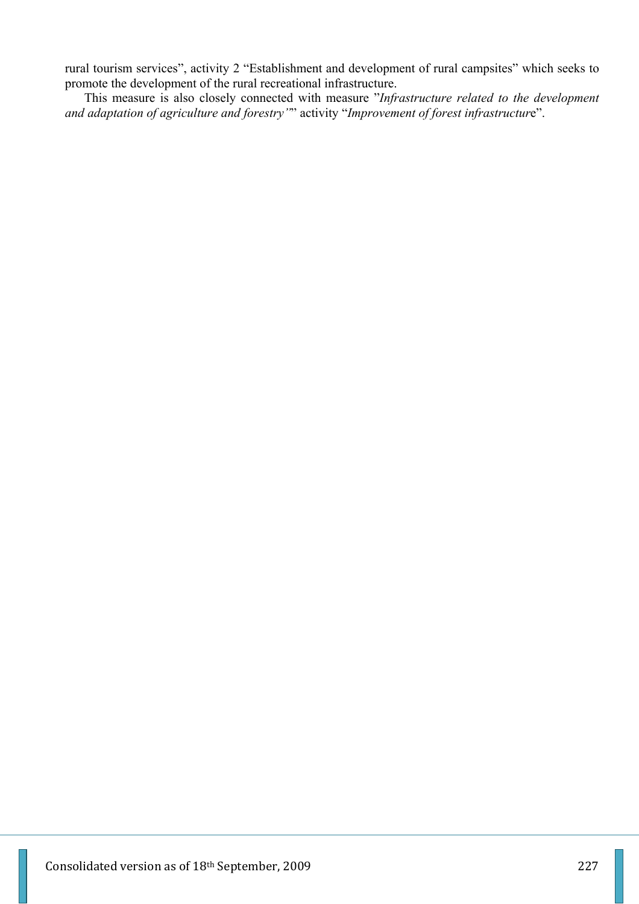rural tourism services", activity 2 "Establishment and development of rural campsites" which seeks to promote the development of the rural recreational infrastructure.

This measure is also closely connected with measure "*Infrastructure related to the development and adaptation of agriculture and forestry"*" activity "*Improvement of forest infrastructur*e".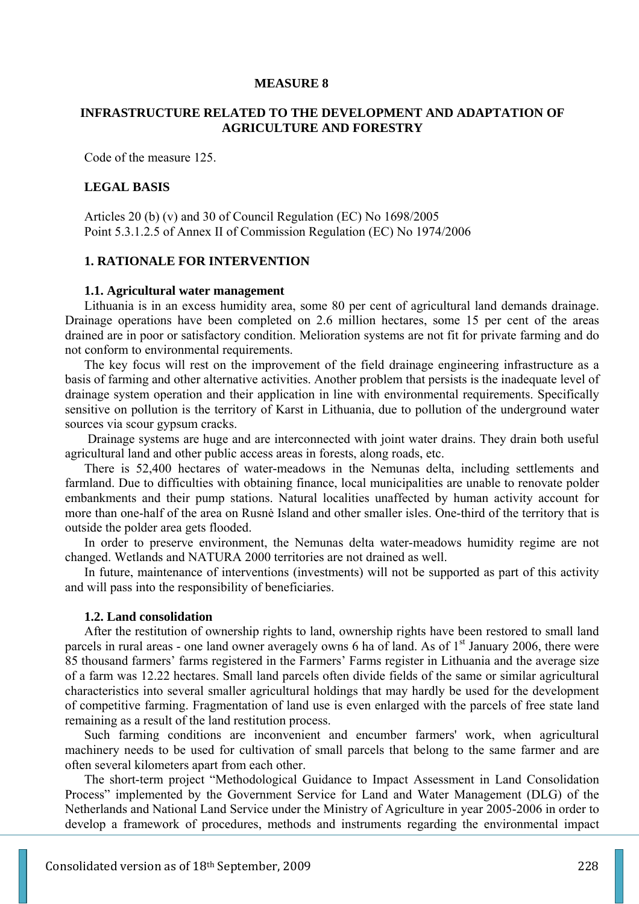#### **MEASURE 8**

## **INFRASTRUCTURE RELATED TO THE DEVELOPMENT AND ADAPTATION OF AGRICULTURE AND FORESTRY**

Code of the measure 125.

#### **LEGAL BASIS**

Articles 20 (b) (v) and 30 of Council Regulation (EC) No 1698/2005 Point 5.3.1.2.5 of Annex II of Commission Regulation (EC) No 1974/2006

#### **1. RATIONALE FOR INTERVENTION**

#### **1.1. Agricultural water management**

Lithuania is in an excess humidity area, some 80 per cent of agricultural land demands drainage. Drainage operations have been completed on 2.6 million hectares, some 15 per cent of the areas drained are in poor or satisfactory condition. Melioration systems are not fit for private farming and do not conform to environmental requirements.

The key focus will rest on the improvement of the field drainage engineering infrastructure as a basis of farming and other alternative activities. Another problem that persists is the inadequate level of drainage system operation and their application in line with environmental requirements. Specifically sensitive on pollution is the territory of Karst in Lithuania, due to pollution of the underground water sources via scour gypsum cracks.

 Drainage systems are huge and are interconnected with joint water drains. They drain both useful agricultural land and other public access areas in forests, along roads, etc.

There is 52,400 hectares of water-meadows in the Nemunas delta, including settlements and farmland. Due to difficulties with obtaining finance, local municipalities are unable to renovate polder embankments and their pump stations. Natural localities unaffected by human activity account for more than one-half of the area on Rusnė Island and other smaller isles. One-third of the territory that is outside the polder area gets flooded.

In order to preserve environment, the Nemunas delta water-meadows humidity regime are not changed. Wetlands and NATURA 2000 territories are not drained as well.

In future, maintenance of interventions (investments) will not be supported as part of this activity and will pass into the responsibility of beneficiaries.

#### **1.2. Land consolidation**

After the restitution of ownership rights to land, ownership rights have been restored to small land parcels in rural areas - one land owner averagely owns 6 ha of land. As of  $1<sup>st</sup>$  January 2006, there were 85 thousand farmers' farms registered in the Farmers' Farms register in Lithuania and the average size of a farm was 12.22 hectares. Small land parcels often divide fields of the same or similar agricultural characteristics into several smaller agricultural holdings that may hardly be used for the development of competitive farming. Fragmentation of land use is even enlarged with the parcels of free state land remaining as a result of the land restitution process.

Such farming conditions are inconvenient and encumber farmers' work, when agricultural machinery needs to be used for cultivation of small parcels that belong to the same farmer and are often several kilometers apart from each other.

The short-term project "Methodological Guidance to Impact Assessment in Land Consolidation Process" implemented by the Government Service for Land and Water Management (DLG) of the Netherlands and National Land Service under the Ministry of Agriculture in year 2005-2006 in order to develop a framework of procedures, methods and instruments regarding the environmental impact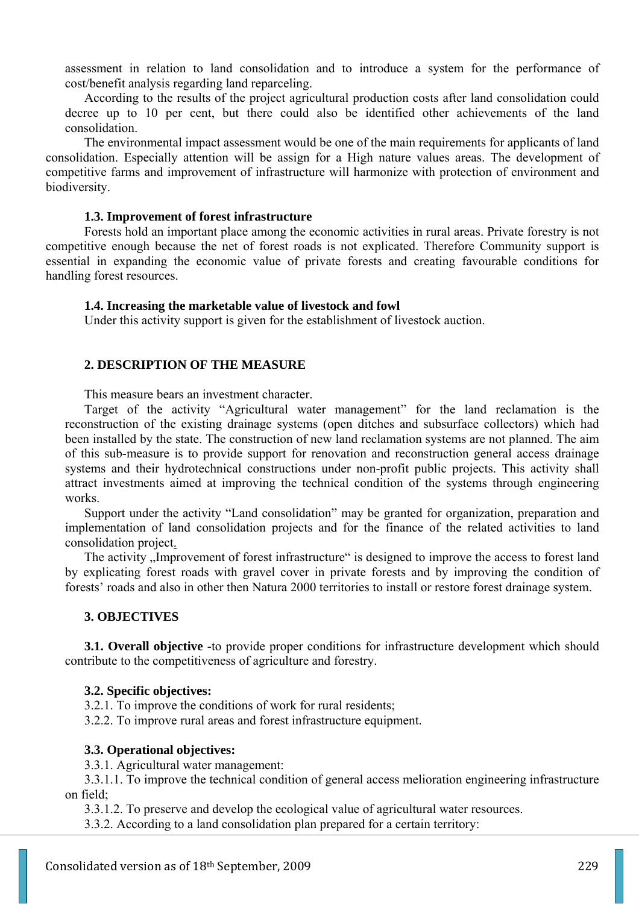assessment in relation to land consolidation and to introduce a system for the performance of cost/benefit analysis regarding land reparceling.

According to the results of the project agricultural production costs after land consolidation could decree up to 10 per cent, but there could also be identified other achievements of the land consolidation.

The environmental impact assessment would be one of the main requirements for applicants of land consolidation. Especially attention will be assign for a High nature values areas. The development of competitive farms and improvement of infrastructure will harmonize with protection of environment and biodiversity.

### **1.3. Improvement of forest infrastructure**

Forests hold an important place among the economic activities in rural areas. Private forestry is not competitive enough because the net of forest roads is not explicated. Therefore Community support is essential in expanding the economic value of private forests and creating favourable conditions for handling forest resources.

#### **1.4. Increasing the marketable value of livestock and fowl**

Under this activity support is given for the establishment of livestock auction.

### **2. DESCRIPTION OF THE MEASURE**

This measure bears an investment character.

Target of the activity "Agricultural water management" for the land reclamation is the reconstruction of the existing drainage systems (open ditches and subsurface collectors) which had been installed by the state. The construction of new land reclamation systems are not planned. The aim of this sub-measure is to provide support for renovation and reconstruction general access drainage systems and their hydrotechnical constructions under non-profit public projects. This activity shall attract investments aimed at improving the technical condition of the systems through engineering works.

Support under the activity "Land consolidation" may be granted for organization, preparation and implementation of land consolidation projects and for the finance of the related activities to land consolidation project.

The activity , Improvement of forest infrastructure" is designed to improve the access to forest land by explicating forest roads with gravel cover in private forests and by improving the condition of forests' roads and also in other then Natura 2000 territories to install or restore forest drainage system.

### **3. OBJECTIVES**

**3.1. Overall objective -**to provide proper conditions for infrastructure development which should contribute to the competitiveness of agriculture and forestry.

#### **3.2. Specific objectives:**

3.2.1. To improve the conditions of work for rural residents;

3.2.2. To improve rural areas and forest infrastructure equipment.

#### **3.3. Operational objectives:**

3.3.1. Agricultural water management:

3.3.1.1. To improve the technical condition of general access melioration engineering infrastructure on field;

3.3.1.2. To preserve and develop the ecological value of agricultural water resources.

3.3.2. According to a land consolidation plan prepared for a certain territory: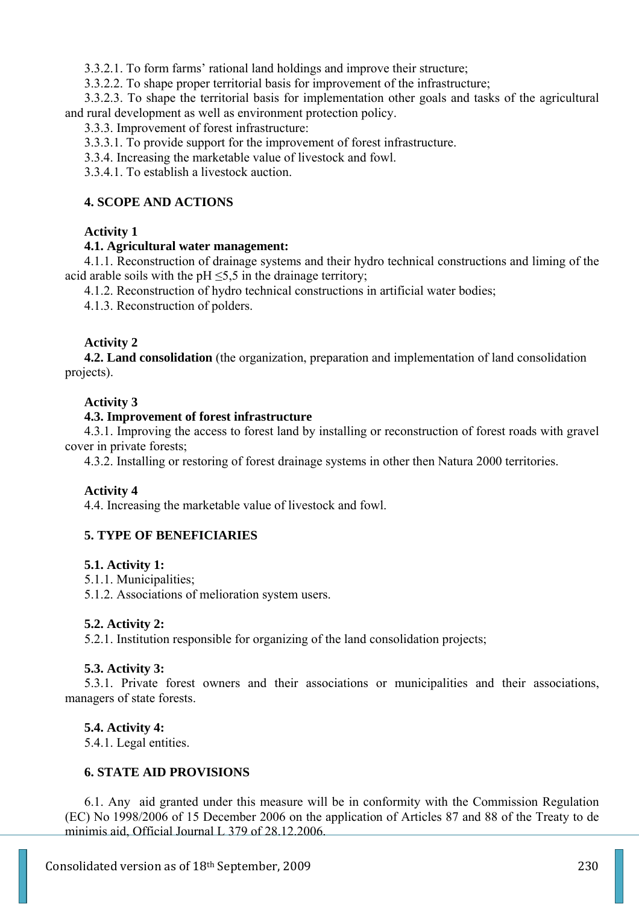3.3.2.1. To form farms' rational land holdings and improve their structure;

3.3.2.2. To shape proper territorial basis for improvement of the infrastructure;

3.3.2.3. To shape the territorial basis for implementation other goals and tasks of the agricultural and rural development as well as environment protection policy.

3.3.3. Improvement of forest infrastructure:

3.3.3.1. To provide support for the improvement of forest infrastructure.

3.3.4. Increasing the marketable value of livestock and fowl.

3.3.4.1. To establish a livestock auction.

# **4. SCOPE AND ACTIONS**

# **Activity 1**

# **4.1. Agricultural water management:**

4.1.1. Reconstruction of drainage systems and their hydro technical constructions and liming of the acid arable soils with the pH  $\leq$ 5,5 in the drainage territory;

4.1.2. Reconstruction of hydro technical constructions in artificial water bodies;

4.1.3. Reconstruction of polders.

# **Activity 2**

**4.2. Land consolidation** (the organization, preparation and implementation of land consolidation projects).

# **Activity 3**

## **4.3. Improvement of forest infrastructure**

4.3.1. Improving the access to forest land by installing or reconstruction of forest roads with gravel cover in private forests;

4.3.2. Installing or restoring of forest drainage systems in other then Natura 2000 territories.

# **Activity 4**

4.4. Increasing the marketable value of livestock and fowl.

# **5. TYPE OF BENEFICIARIES**

# **5.1. Activity 1:**

- 5.1.1. Municipalities;
- 5.1.2. Associations of melioration system users.

# **5.2. Activity 2:**

5.2.1. Institution responsible for organizing of the land consolidation projects;

# **5.3. Activity 3:**

5.3.1. Private forest owners and their associations or municipalities and their associations, managers of state forests.

# **5.4. Activity 4:**

5.4.1. Legal entities.

# **6. STATE AID PROVISIONS**

6.1. Any aid granted under this measure will be in conformity with the Commission Regulation (EC) No 1998/2006 of 15 December 2006 on the application of Articles 87 and 88 of the Treaty to de minimis aid, Official Journal L 379 of 28.12.2006.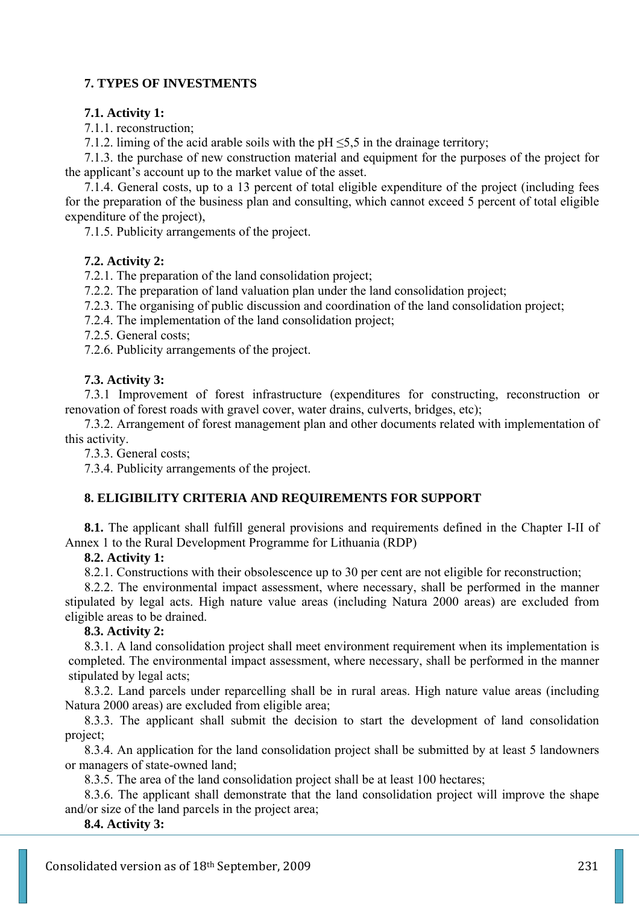# **7. TYPES OF INVESTMENTS**

## **7.1. Activity 1:**

7.1.1. reconstruction;

7.1.2. liming of the acid arable soils with the  $pH \le 5.5$  in the drainage territory;

7.1.3. the purchase of new construction material and equipment for the purposes of the project for the applicant's account up to the market value of the asset.

7.1.4. General costs, up to a 13 percent of total eligible expenditure of the project (including fees for the preparation of the business plan and consulting, which cannot exceed 5 percent of total eligible expenditure of the project),

7.1.5. Publicity arrangements of the project.

# **7.2. Activity 2:**

7.2.1. The preparation of the land consolidation project;

7.2.2. The preparation of land valuation plan under the land consolidation project;

7.2.3. The organising of public discussion and coordination of the land consolidation project;

7.2.4. The implementation of the land consolidation project;

7.2.5. General costs;

7.2.6. Publicity arrangements of the project.

## **7.3. Activity 3:**

7.3.1 Improvement of forest infrastructure (expenditures for constructing, reconstruction or renovation of forest roads with gravel cover, water drains, culverts, bridges, etc);

7.3.2. Arrangement of forest management plan and other documents related with implementation of this activity.

7.3.3. General costs;

7.3.4. Publicity arrangements of the project.

# **8. ELIGIBILITY CRITERIA AND REQUIREMENTS FOR SUPPORT**

**8.1.** The applicant shall fulfill general provisions and requirements defined in the Chapter I-II of Annex 1 to the Rural Development Programme for Lithuania (RDP)

## **8.2. Activity 1:**

8.2.1. Constructions with their obsolescence up to 30 per cent are not eligible for reconstruction;

8.2.2. The environmental impact assessment, where necessary, shall be performed in the manner stipulated by legal acts. High nature value areas (including Natura 2000 areas) are excluded from eligible areas to be drained.

# **8.3. Activity 2:**

8.3.1. A land consolidation project shall meet environment requirement when its implementation is completed. The environmental impact assessment, where necessary, shall be performed in the manner stipulated by legal acts;

8.3.2. Land parcels under reparcelling shall be in rural areas. High nature value areas (including Natura 2000 areas) are excluded from eligible area;

8.3.3. The applicant shall submit the decision to start the development of land consolidation project;

8.3.4. An application for the land consolidation project shall be submitted by at least 5 landowners or managers of state-owned land;

8.3.5. The area of the land consolidation project shall be at least 100 hectares;

8.3.6. The applicant shall demonstrate that the land consolidation project will improve the shape and/or size of the land parcels in the project area;

## **8.4. Activity 3:**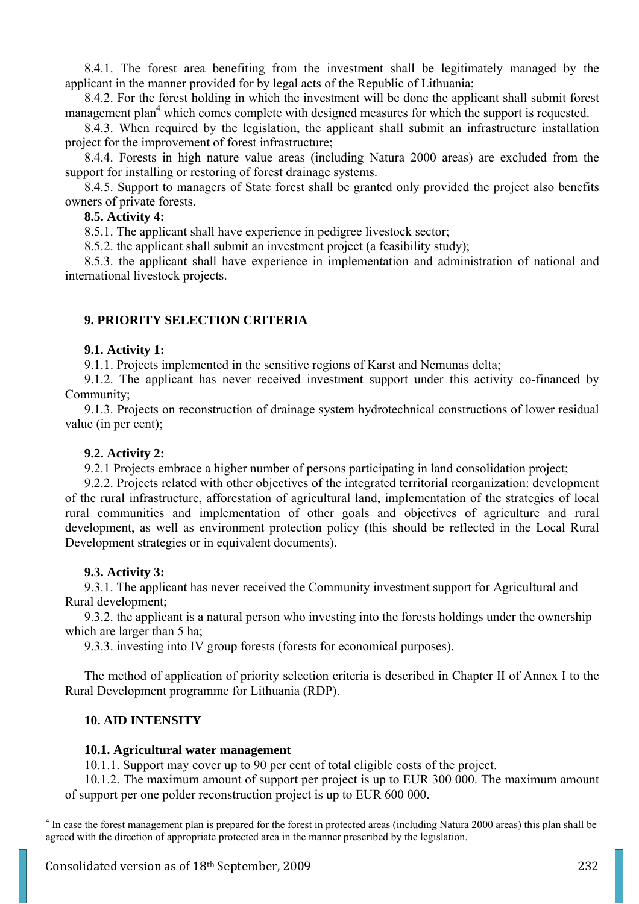8.4.1. The forest area benefiting from the investment shall be legitimately managed by the applicant in the manner provided for by legal acts of the Republic of Lithuania;

8.4.2. For the forest holding in which the investment will be done the applicant shall submit forest management plan<sup>4</sup> which comes complete with designed measures for which the support is requested.

8.4.3. When required by the legislation, the applicant shall submit an infrastructure installation project for the improvement of forest infrastructure;

8.4.4. Forests in high nature value areas (including Natura 2000 areas) are excluded from the support for installing or restoring of forest drainage systems.

8.4.5. Support to managers of State forest shall be granted only provided the project also benefits owners of private forests.

## **8.5. Activity 4:**

8.5.1. The applicant shall have experience in pedigree livestock sector;

8.5.2. the applicant shall submit an investment project (a feasibility study);

8.5.3. the applicant shall have experience in implementation and administration of national and international livestock projects.

# **9. PRIORITY SELECTION CRITERIA**

## **9.1. Activity 1:**

9.1.1. Projects implemented in the sensitive regions of Karst and Nemunas delta;

9.1.2. The applicant has never received investment support under this activity co-financed by Community;

9.1.3. Projects on reconstruction of drainage system hydrotechnical constructions of lower residual value (in per cent);

# **9.2. Activity 2:**

9.2.1 Projects embrace a higher number of persons participating in land consolidation project;

9.2.2. Projects related with other objectives of the integrated territorial reorganization: development of the rural infrastructure, afforestation of agricultural land, implementation of the strategies of local rural communities and implementation of other goals and objectives of agriculture and rural development, as well as environment protection policy (this should be reflected in the Local Rural Development strategies or in equivalent documents).

# **9.3. Activity 3:**

9.3.1. The applicant has never received the Community investment support for Agricultural and Rural development;

9.3.2. the applicant is a natural person who investing into the forests holdings under the ownership which are larger than 5 ha;

9.3.3. investing into IV group forests (forests for economical purposes).

The method of application of priority selection criteria is described in Chapter II of Annex I to the Rural Development programme for Lithuania (RDP).

# **10. AID INTENSITY**

 $\overline{a}$ 

# **10.1. Agricultural water management**

10.1.1. Support may cover up to 90 per cent of total eligible costs of the project.

10.1.2. The maximum amount of support per project is up to EUR 300 000. The maximum amount of support per one polder reconstruction project is up to EUR 600 000.

 $4 \text{ In case the forest management plan is prepared for the forest in protected areas (including Natura 2000 areas) this plan shall be.}$ agreed with the direction of appropriate protected area in the manner prescribed by the legislation.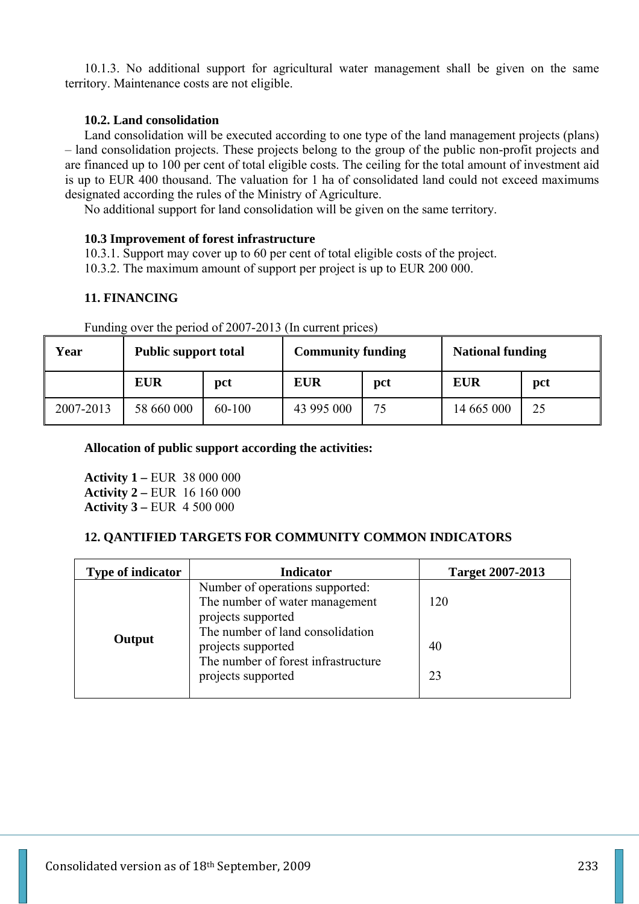10.1.3. No additional support for agricultural water management shall be given on the same territory. Maintenance costs are not eligible.

# **10.2. Land consolidation**

Land consolidation will be executed according to one type of the land management projects (plans) – land consolidation projects. These projects belong to the group of the public non-profit projects and are financed up to 100 per cent of total eligible costs. The ceiling for the total amount of investment aid is up to EUR 400 thousand. The valuation for 1 ha of consolidated land could not exceed maximums designated according the rules of the Ministry of Agriculture.

No additional support for land consolidation will be given on the same territory.

## **10.3 Improvement of forest infrastructure**

10.3.1. Support may cover up to 60 per cent of total eligible costs of the project.

10.3.2. The maximum amount of support per project is up to EUR 200 000.

# **11. FINANCING**

Funding over the period of 2007-2013 (In current prices)

| Year      | <b>Public support total</b> |        | <b>Community funding</b> |     | <b>National funding</b> |     |
|-----------|-----------------------------|--------|--------------------------|-----|-------------------------|-----|
|           | <b>EUR</b>                  | pct    | <b>EUR</b>               | pct | <b>EUR</b>              | pct |
| 2007-2013 | 58 660 000                  | 60-100 | 43 995 000               | 75  | 14 665 000              | 25  |

## **Allocation of public support according the activities:**

**Activity 1 –** EUR 38 000 000 **Activity 2 –** EUR 16 160 000 **Activity 3 –** EUR 4 500 000

# **12. QANTIFIED TARGETS FOR COMMUNITY COMMON INDICATORS**

| <b>Type of indicator</b> | <b>Indicator</b>                                                                                                                                                                                               | <b>Target 2007-2013</b> |
|--------------------------|----------------------------------------------------------------------------------------------------------------------------------------------------------------------------------------------------------------|-------------------------|
| Output                   | Number of operations supported:<br>The number of water management<br>projects supported<br>The number of land consolidation<br>projects supported<br>The number of forest infrastructure<br>projects supported | 120<br>40<br>23         |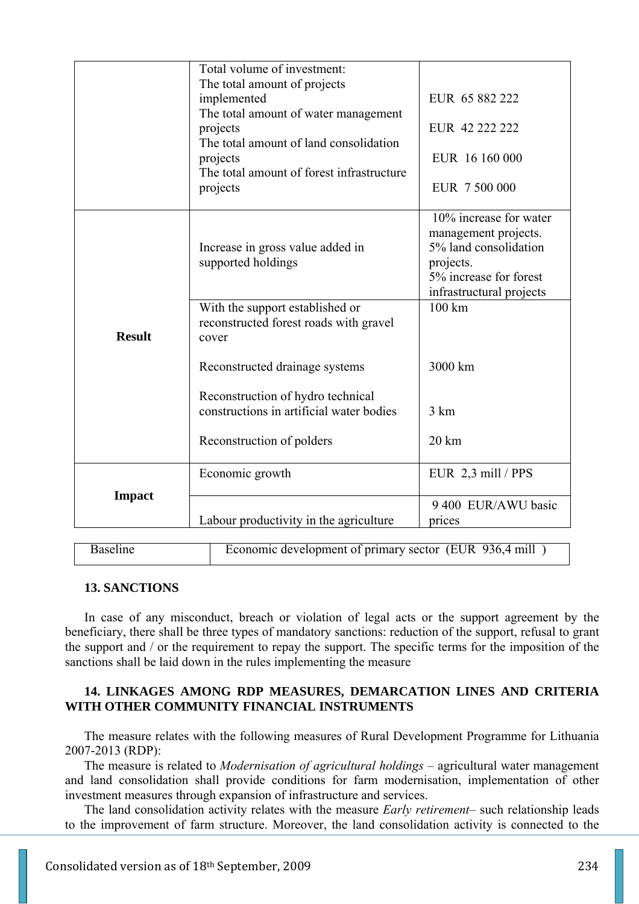|               | Total volume of investment:<br>The total amount of projects<br>implemented<br>The total amount of water management<br>projects<br>The total amount of land consolidation<br>projects<br>The total amount of forest infrastructure<br>projects | EUR 65 882 222<br>EUR 42 222 222<br>EUR 16 160 000<br>EUR 7 500 000                                                                                  |
|---------------|-----------------------------------------------------------------------------------------------------------------------------------------------------------------------------------------------------------------------------------------------|------------------------------------------------------------------------------------------------------------------------------------------------------|
|               | Increase in gross value added in<br>supported holdings<br>With the support established or                                                                                                                                                     | 10% increase for water<br>management projects.<br>5% land consolidation<br>projects.<br>5% increase for forest<br>infrastructural projects<br>100 km |
| <b>Result</b> | reconstructed forest roads with gravel<br>cover                                                                                                                                                                                               |                                                                                                                                                      |
|               | Reconstructed drainage systems                                                                                                                                                                                                                | 3000 km                                                                                                                                              |
|               | Reconstruction of hydro technical<br>constructions in artificial water bodies                                                                                                                                                                 | 3 km                                                                                                                                                 |
|               | Reconstruction of polders                                                                                                                                                                                                                     | $20 \mathrm{km}$                                                                                                                                     |
|               | Economic growth                                                                                                                                                                                                                               | EUR 2,3 mill / PPS                                                                                                                                   |
| <b>Impact</b> | Labour productivity in the agriculture                                                                                                                                                                                                        | 9 400 EUR/AWU basic<br>prices                                                                                                                        |

Baseline Economic development of primary sector (EUR 936,4 mill)

### **13. SANCTIONS**

In case of any misconduct, breach or violation of legal acts or the support agreement by the beneficiary, there shall be three types of mandatory sanctions: reduction of the support, refusal to grant the support and / or the requirement to repay the support. The specific terms for the imposition of the sanctions shall be laid down in the rules implementing the measure

# **14. LINKAGES AMONG RDP MEASURES, DEMARCATION LINES AND CRITERIA WITH OTHER COMMUNITY FINANCIAL INSTRUMENTS**

The measure relates with the following measures of Rural Development Programme for Lithuania 2007-2013 (RDP):

The measure is related to *Modernisation of agricultural holdings* – agricultural water management and land consolidation shall provide conditions for farm modernisation, implementation of other investment measures through expansion of infrastructure and services.

The land consolidation activity relates with the measure *Early retirement*– such relationship leads to the improvement of farm structure. Moreover, the land consolidation activity is connected to the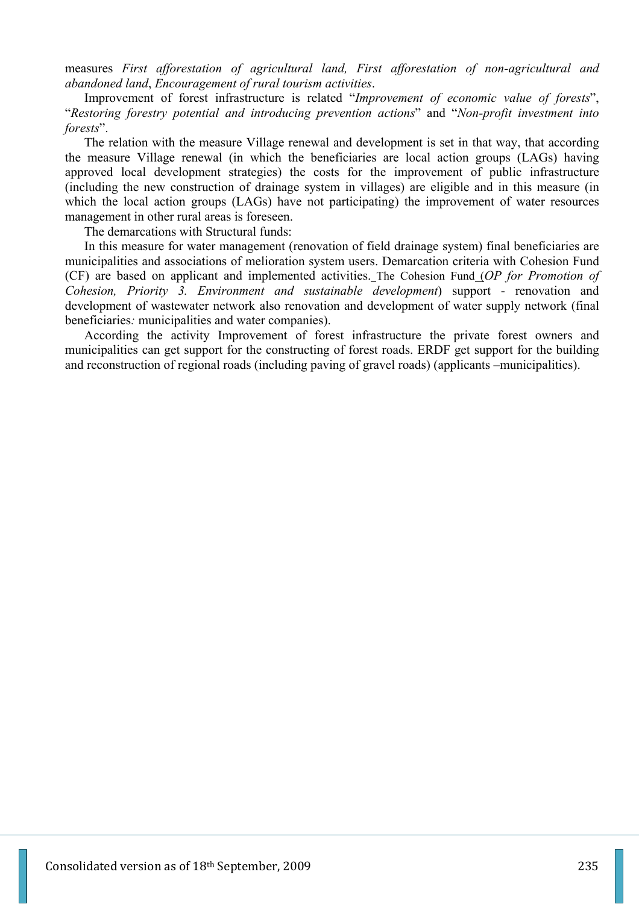measures *First afforestation of agricultural land, First afforestation of non-agricultural and abandoned land*, *Encouragement of rural tourism activities*.

Improvement of forest infrastructure is related "*Improvement of economic value of forests*", "*Restoring forestry potential and introducing prevention actions*" and "*Non-profit investment into forests*".

The relation with the measure Village renewal and development is set in that way, that according the measure Village renewal (in which the beneficiaries are local action groups (LAGs) having approved local development strategies) the costs for the improvement of public infrastructure (including the new construction of drainage system in villages) are eligible and in this measure (in which the local action groups (LAGs) have not participating) the improvement of water resources management in other rural areas is foreseen.

The demarcations with Structural funds:

In this measure for water management (renovation of field drainage system) final beneficiaries are municipalities and associations of melioration system users. Demarcation criteria with Cohesion Fund (CF) are based on applicant and implemented activities. The Cohesion Fund (*OP for Promotion of Cohesion, Priority 3. Environment and sustainable development*) support - renovation and development of wastewater network also renovation and development of water supply network (final beneficiaries*:* municipalities and water companies).

According the activity Improvement of forest infrastructure the private forest owners and municipalities can get support for the constructing of forest roads. ERDF get support for the building and reconstruction of regional roads (including paving of gravel roads) (applicants –municipalities).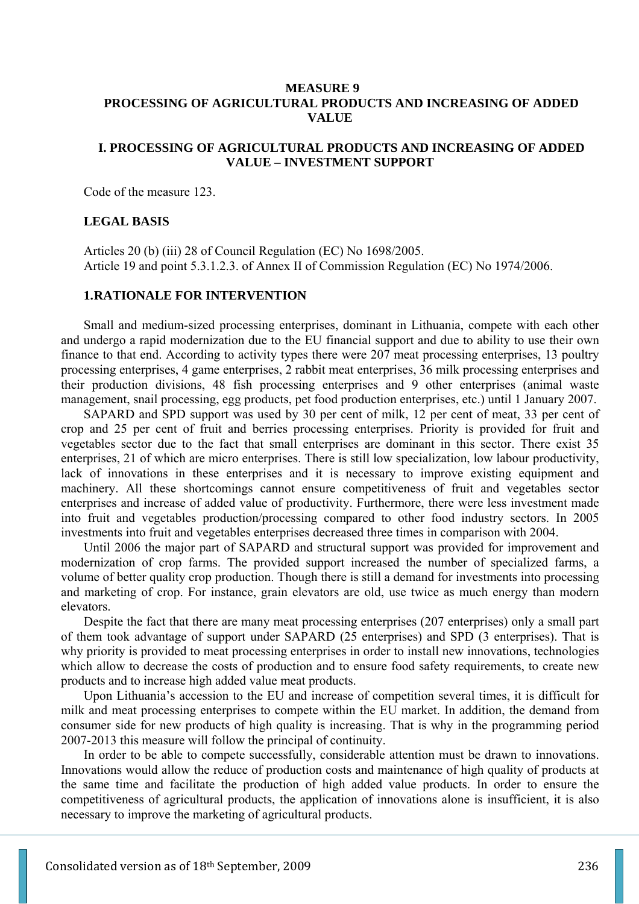## **MEASURE 9 PROCESSING OF AGRICULTURAL PRODUCTS AND INCREASING OF ADDED VALUE**

## **I. PROCESSING OF AGRICULTURAL PRODUCTS AND INCREASING OF ADDED VALUE – INVESTMENT SUPPORT**

Code of the measure 123.

### **LEGAL BASIS**

Articles 20 (b) (iii) 28 of Council Regulation (EC) No 1698/2005. Article 19 and point 5.3.1.2.3. of Annex II of Commission Regulation (EC) No 1974/2006.

#### **1.RATIONALE FOR INTERVENTION**

Small and medium-sized processing enterprises, dominant in Lithuania, compete with each other and undergo a rapid modernization due to the EU financial support and due to ability to use their own finance to that end. According to activity types there were 207 meat processing enterprises, 13 poultry processing enterprises, 4 game enterprises, 2 rabbit meat enterprises, 36 milk processing enterprises and their production divisions, 48 fish processing enterprises and 9 other enterprises (animal waste management, snail processing, egg products, pet food production enterprises, etc.) until 1 January 2007.

SAPARD and SPD support was used by 30 per cent of milk, 12 per cent of meat, 33 per cent of crop and 25 per cent of fruit and berries processing enterprises. Priority is provided for fruit and vegetables sector due to the fact that small enterprises are dominant in this sector. There exist 35 enterprises, 21 of which are micro enterprises. There is still low specialization, low labour productivity, lack of innovations in these enterprises and it is necessary to improve existing equipment and machinery. All these shortcomings cannot ensure competitiveness of fruit and vegetables sector enterprises and increase of added value of productivity. Furthermore, there were less investment made into fruit and vegetables production/processing compared to other food industry sectors. In 2005 investments into fruit and vegetables enterprises decreased three times in comparison with 2004.

Until 2006 the major part of SAPARD and structural support was provided for improvement and modernization of crop farms. The provided support increased the number of specialized farms, a volume of better quality crop production. Though there is still a demand for investments into processing and marketing of crop. For instance, grain elevators are old, use twice as much energy than modern elevators.

Despite the fact that there are many meat processing enterprises (207 enterprises) only a small part of them took advantage of support under SAPARD (25 enterprises) and SPD (3 enterprises). That is why priority is provided to meat processing enterprises in order to install new innovations, technologies which allow to decrease the costs of production and to ensure food safety requirements, to create new products and to increase high added value meat products.

Upon Lithuania's accession to the EU and increase of competition several times, it is difficult for milk and meat processing enterprises to compete within the EU market. In addition, the demand from consumer side for new products of high quality is increasing. That is why in the programming period 2007-2013 this measure will follow the principal of continuity.

In order to be able to compete successfully, considerable attention must be drawn to innovations. Innovations would allow the reduce of production costs and maintenance of high quality of products at the same time and facilitate the production of high added value products. In order to ensure the competitiveness of agricultural products, the application of innovations alone is insufficient, it is also necessary to improve the marketing of agricultural products.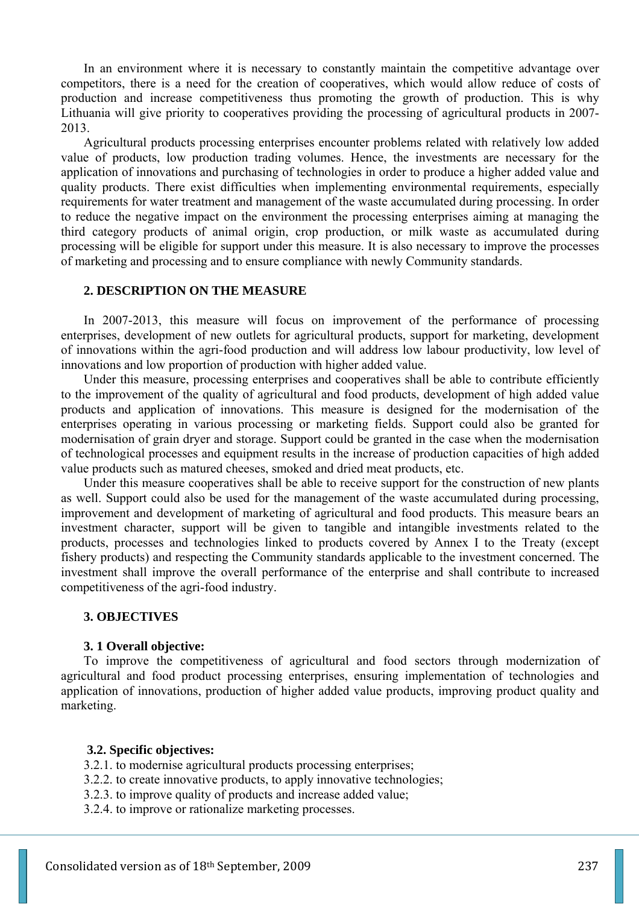In an environment where it is necessary to constantly maintain the competitive advantage over competitors, there is a need for the creation of cooperatives, which would allow reduce of costs of production and increase competitiveness thus promoting the growth of production. This is why Lithuania will give priority to cooperatives providing the processing of agricultural products in 2007- 2013.

Agricultural products processing enterprises encounter problems related with relatively low added value of products, low production trading volumes. Hence, the investments are necessary for the application of innovations and purchasing of technologies in order to produce a higher added value and quality products. There exist difficulties when implementing environmental requirements, especially requirements for water treatment and management of the waste accumulated during processing. In order to reduce the negative impact on the environment the processing enterprises aiming at managing the third category products of animal origin, crop production, or milk waste as accumulated during processing will be eligible for support under this measure. It is also necessary to improve the processes of marketing and processing and to ensure compliance with newly Community standards.

## **2. DESCRIPTION ON THE MEASURE**

In 2007-2013, this measure will focus on improvement of the performance of processing enterprises, development of new outlets for agricultural products, support for marketing, development of innovations within the agri-food production and will address low labour productivity, low level of innovations and low proportion of production with higher added value.

Under this measure, processing enterprises and cooperatives shall be able to contribute efficiently to the improvement of the quality of agricultural and food products, development of high added value products and application of innovations. This measure is designed for the modernisation of the enterprises operating in various processing or marketing fields. Support could also be granted for modernisation of grain dryer and storage. Support could be granted in the case when the modernisation of technological processes and equipment results in the increase of production capacities of high added value products such as matured cheeses, smoked and dried meat products, etc.

Under this measure cooperatives shall be able to receive support for the construction of new plants as well. Support could also be used for the management of the waste accumulated during processing, improvement and development of marketing of agricultural and food products. This measure bears an investment character, support will be given to tangible and intangible investments related to the products, processes and technologies linked to products covered by Annex I to the Treaty (except fishery products) and respecting the Community standards applicable to the investment concerned. The investment shall improve the overall performance of the enterprise and shall contribute to increased competitiveness of the agri-food industry.

## **3. OBJECTIVES**

#### **3. 1 Overall objective:**

To improve the competitiveness of agricultural and food sectors through modernization of agricultural and food product processing enterprises, ensuring implementation of technologies and application of innovations, production of higher added value products, improving product quality and marketing.

#### **3.2. Specific objectives:**

- 3.2.1. to modernise agricultural products processing enterprises;
- 3.2.2. to create innovative products, to apply innovative technologies;
- 3.2.3. to improve quality of products and increase added value;
- 3.2.4. to improve or rationalize marketing processes.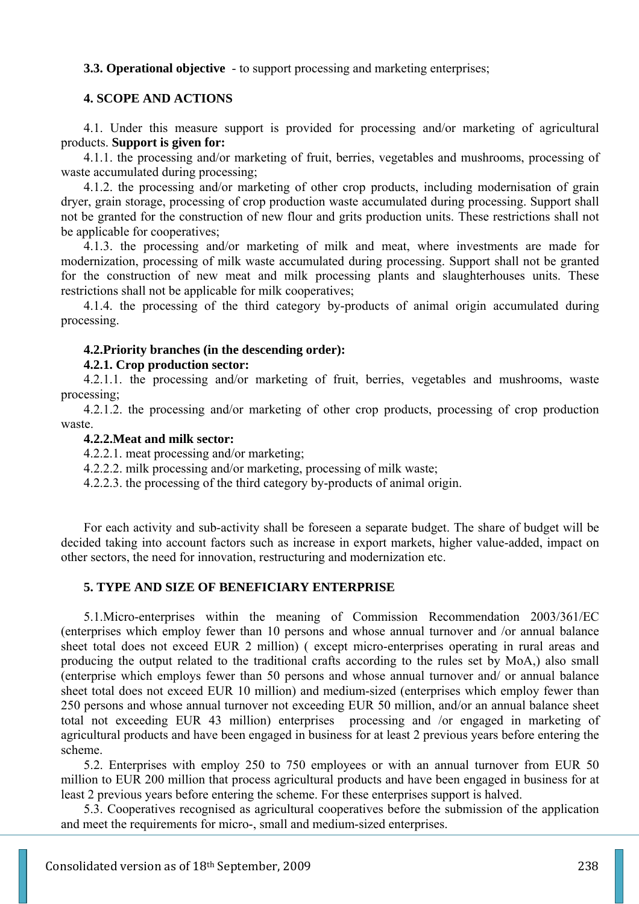**3.3. Operational objective** - to support processing and marketing enterprises;

## **4. SCOPE AND ACTIONS**

4.1. Under this measure support is provided for processing and/or marketing of agricultural products. **Support is given for:** 

4.1.1. the processing and/or marketing of fruit, berries, vegetables and mushrooms, processing of waste accumulated during processing;

4.1.2. the processing and/or marketing of other crop products, including modernisation of grain dryer, grain storage, processing of crop production waste accumulated during processing. Support shall not be granted for the construction of new flour and grits production units. These restrictions shall not be applicable for cooperatives:

4.1.3. the processing and/or marketing of milk and meat, where investments are made for modernization, processing of milk waste accumulated during processing. Support shall not be granted for the construction of new meat and milk processing plants and slaughterhouses units. These restrictions shall not be applicable for milk cooperatives;

4.1.4. the processing of the third category by-products of animal origin accumulated during processing.

## **4.2.Priority branches (in the descending order):**

### **4.2.1. Crop production sector:**

4.2.1.1. the processing and/or marketing of fruit, berries, vegetables and mushrooms, waste processing;

4.2.1.2. the processing and/or marketing of other crop products, processing of crop production waste.

### **4.2.2.Meat and milk sector:**

4.2.2.1. meat processing and/or marketing;

4.2.2.2. milk processing and/or marketing, processing of milk waste;

4.2.2.3. the processing of the third category by-products of animal origin.

For each activity and sub-activity shall be foreseen a separate budget. The share of budget will be decided taking into account factors such as increase in export markets, higher value-added, impact on other sectors, the need for innovation, restructuring and modernization etc.

# **5. TYPE AND SIZE OF BENEFICIARY ENTERPRISE**

5.1.Micro-enterprises within the meaning of Commission Recommendation 2003/361/EC (enterprises which employ fewer than 10 persons and whose annual turnover and /or annual balance sheet total does not exceed EUR 2 million) ( except micro-enterprises operating in rural areas and producing the output related to the traditional crafts according to the rules set by MoA,) also small (enterprise which employs fewer than 50 persons and whose annual turnover and/ or annual balance sheet total does not exceed EUR 10 million) and medium-sized (enterprises which employ fewer than 250 persons and whose annual turnover not exceeding EUR 50 million, and/or an annual balance sheet total not exceeding EUR 43 million) enterprises processing and /or engaged in marketing of agricultural products and have been engaged in business for at least 2 previous years before entering the scheme.

5.2. Enterprises with employ 250 to 750 employees or with an annual turnover from EUR 50 million to EUR 200 million that process agricultural products and have been engaged in business for at least 2 previous years before entering the scheme. For these enterprises support is halved.

5.3. Cooperatives recognised as agricultural cooperatives before the submission of the application and meet the requirements for micro-, small and medium-sized enterprises.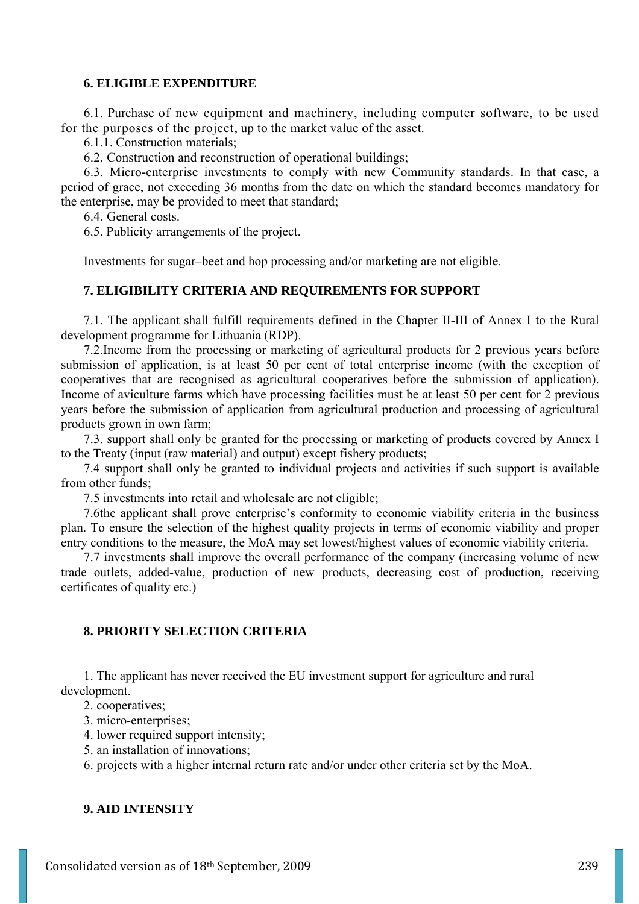## **6. ELIGIBLE EXPENDITURE**

6.1. Purchase of new equipment and machinery, including computer software, to be used for the purposes of the project, up to the market value of the asset.

6.1.1. Construction materials;

6.2. Construction and reconstruction of operational buildings;

6.3. Micro-enterprise investments to comply with new Community standards. In that case, a period of grace, not exceeding 36 months from the date on which the standard becomes mandatory for the enterprise, may be provided to meet that standard;

6.4. General costs.

6.5. Publicity arrangements of the project.

Investments for sugar–beet and hop processing and/or marketing are not eligible.

# **7. ELIGIBILITY CRITERIA AND REQUIREMENTS FOR SUPPORT**

7.1. The applicant shall fulfill requirements defined in the Chapter II-III of Annex I to the Rural development programme for Lithuania (RDP).

7.2.Income from the processing or marketing of agricultural products for 2 previous years before submission of application, is at least 50 per cent of total enterprise income (with the exception of cooperatives that are recognised as agricultural cooperatives before the submission of application). Income of aviculture farms which have processing facilities must be at least 50 per cent for 2 previous years before the submission of application from agricultural production and processing of agricultural products grown in own farm;

7.3. support shall only be granted for the processing or marketing of products covered by Annex I to the Treaty (input (raw material) and output) except fishery products;

7.4 support shall only be granted to individual projects and activities if such support is available from other funds;

7.5 investments into retail and wholesale are not eligible;

7.6the applicant shall prove enterprise's conformity to economic viability criteria in the business plan. To ensure the selection of the highest quality projects in terms of economic viability and proper entry conditions to the measure, the MoA may set lowest/highest values of economic viability criteria.

7.7 investments shall improve the overall performance of the company (increasing volume of new trade outlets, added-value, production of new products, decreasing cost of production, receiving certificates of quality etc.)

# **8. PRIORITY SELECTION CRITERIA**

1. The applicant has never received the EU investment support for agriculture and rural development.

2. cooperatives;

- 3. micro-enterprises;
- 4. lower required support intensity;
- 5. an installation of innovations;

6. projects with a higher internal return rate and/or under other criteria set by the MoA.

# **9. AID INTENSITY**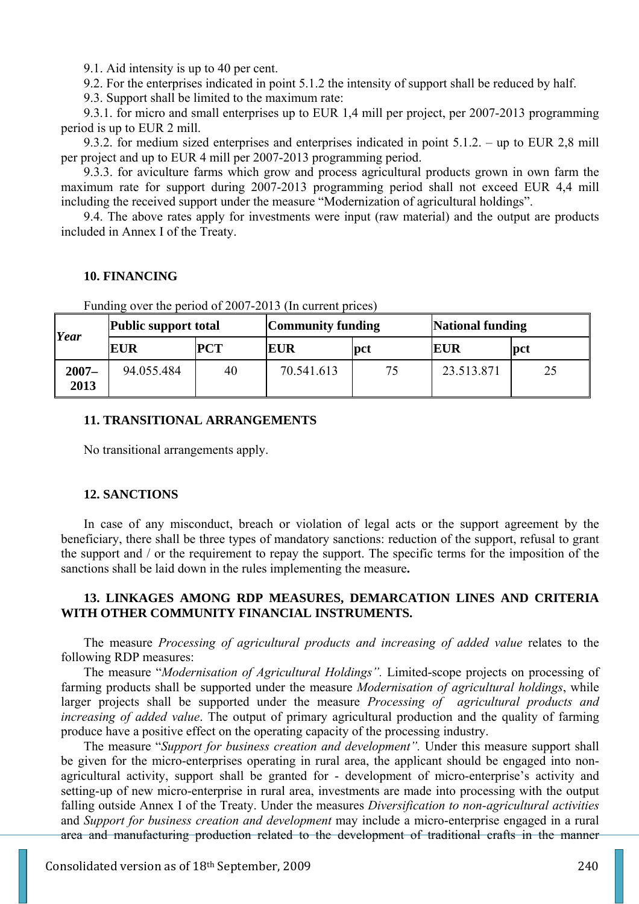9.1. Aid intensity is up to 40 per cent.

9.2. For the enterprises indicated in point 5.1.2 the intensity of support shall be reduced by half.

9.3. Support shall be limited to the maximum rate:

9.3.1. for micro and small enterprises up to EUR 1,4 mill per project, per 2007-2013 programming period is up to EUR 2 mill.

9.3.2. for medium sized enterprises and enterprises indicated in point 5.1.2. – up to EUR 2,8 mill per project and up to EUR 4 mill per 2007-2013 programming period.

9.3.3. for aviculture farms which grow and process agricultural products grown in own farm the maximum rate for support during 2007-2013 programming period shall not exceed EUR 4,4 mill including the received support under the measure "Modernization of agricultural holdings".

9.4. The above rates apply for investments were input (raw material) and the output are products included in Annex I of the Treaty.

### **10. FINANCING**

| Year             | <b>Public support total</b> |            | Community funding | National funding |            |            |
|------------------|-----------------------------|------------|-------------------|------------------|------------|------------|
|                  | <b>EUR</b>                  | <b>PCT</b> | <b>EUR</b>        | pct              | <b>EUR</b> | <b>pct</b> |
| $2007 -$<br>2013 | 94.055.484                  | 40         | 70.541.613        | 75               | 23.513.871 | າ ເ        |

Funding over the period of 2007-2013 (In current prices)

### **11. TRANSITIONAL ARRANGEMENTS**

No transitional arrangements apply.

### **12. SANCTIONS**

In case of any misconduct, breach or violation of legal acts or the support agreement by the beneficiary, there shall be three types of mandatory sanctions: reduction of the support, refusal to grant the support and / or the requirement to repay the support. The specific terms for the imposition of the sanctions shall be laid down in the rules implementing the measure**.** 

# **13. LINKAGES AMONG RDP MEASURES, DEMARCATION LINES AND CRITERIA WITH OTHER COMMUNITY FINANCIAL INSTRUMENTS.**

The measure *Processing of agricultural products and increasing of added value* relates to the following RDP measures:

The measure "*Modernisation of Agricultural Holdings".* Limited-scope projects on processing of farming products shall be supported under the measure *Modernisation of agricultural holdings*, while larger projects shall be supported under the measure *Processing of agricultural products and increasing of added value*. The output of primary agricultural production and the quality of farming produce have a positive effect on the operating capacity of the processing industry.

The measure "*Support for business creation and development".* Under this measure support shall be given for the micro-enterprises operating in rural area, the applicant should be engaged into nonagricultural activity, support shall be granted for - development of micro-enterprise's activity and setting-up of new micro-enterprise in rural area, investments are made into processing with the output falling outside Annex I of the Treaty. Under the measures *Diversification to non-agricultural activities*  and *Support for business creation and development* may include a micro-enterprise engaged in a rural area and manufacturing production related to the development of traditional crafts in the manner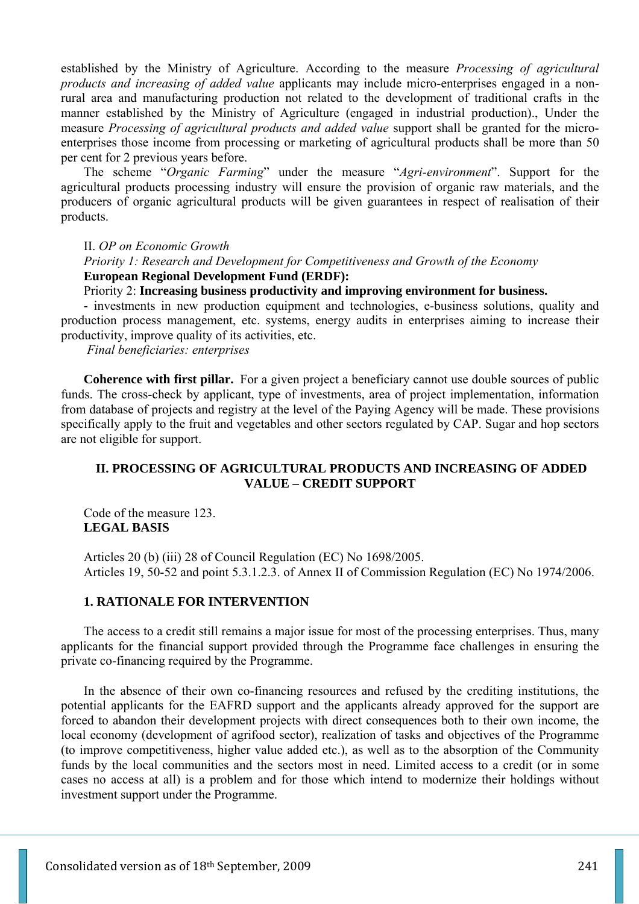established by the Ministry of Agriculture. According to the measure *Processing of agricultural products and increasing of added value* applicants may include micro-enterprises engaged in a nonrural area and manufacturing production not related to the development of traditional crafts in the manner established by the Ministry of Agriculture (engaged in industrial production)., Under the measure *Processing of agricultural products and added value* support shall be granted for the microenterprises those income from processing or marketing of agricultural products shall be more than 50 per cent for 2 previous years before.

The scheme "*Organic Farming*" under the measure "*Agri-environment*". Support for the agricultural products processing industry will ensure the provision of organic raw materials, and the producers of organic agricultural products will be given guarantees in respect of realisation of their products.

#### II. *OP on Economic Growth*

*Priority 1: Research and Development for Competitiveness and Growth of the Economy*  **European Regional Development Fund (ERDF):** 

Priority 2: **Increasing business productivity and improving environment for business.** 

**-** investments in new production equipment and technologies, e-business solutions, quality and production process management, etc. systems, energy audits in enterprises aiming to increase their productivity, improve quality of its activities, etc.

*Final beneficiaries: enterprises*

**Coherence with first pillar.** For a given project a beneficiary cannot use double sources of public funds. The cross-check by applicant, type of investments, area of project implementation, information from database of projects and registry at the level of the Paying Agency will be made. These provisions specifically apply to the fruit and vegetables and other sectors regulated by CAP. Sugar and hop sectors are not eligible for support.

## **II. PROCESSING OF AGRICULTURAL PRODUCTS AND INCREASING OF ADDED VALUE – CREDIT SUPPORT**

Code of the measure 123. **LEGAL BASIS**

Articles 20 (b) (iii) 28 of Council Regulation (EC) No 1698/2005. Articles 19, 50-52 and point 5.3.1.2.3. of Annex II of Commission Regulation (EC) No 1974/2006.

## **1. RATIONALE FOR INTERVENTION**

The access to a credit still remains a major issue for most of the processing enterprises. Thus, many applicants for the financial support provided through the Programme face challenges in ensuring the private co-financing required by the Programme.

In the absence of their own co-financing resources and refused by the crediting institutions, the potential applicants for the EAFRD support and the applicants already approved for the support are forced to abandon their development projects with direct consequences both to their own income, the local economy (development of agrifood sector), realization of tasks and objectives of the Programme (to improve competitiveness, higher value added etc.), as well as to the absorption of the Community funds by the local communities and the sectors most in need. Limited access to a credit (or in some cases no access at all) is a problem and for those which intend to modernize their holdings without investment support under the Programme.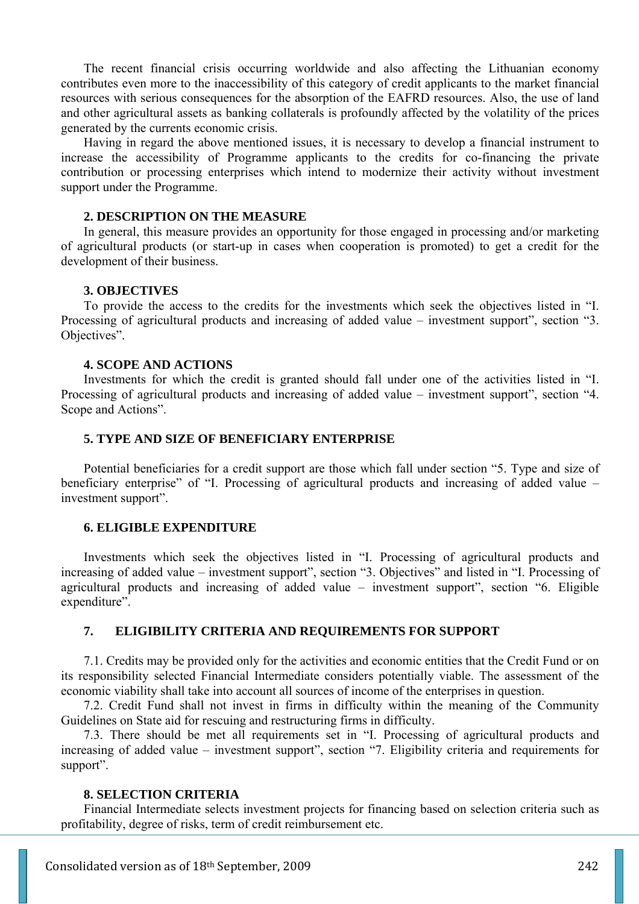The recent financial crisis occurring worldwide and also affecting the Lithuanian economy contributes even more to the inaccessibility of this category of credit applicants to the market financial resources with serious consequences for the absorption of the EAFRD resources. Also, the use of land and other agricultural assets as banking collaterals is profoundly affected by the volatility of the prices generated by the currents economic crisis.

Having in regard the above mentioned issues, it is necessary to develop a financial instrument to increase the accessibility of Programme applicants to the credits for co-financing the private contribution or processing enterprises which intend to modernize their activity without investment support under the Programme.

### **2. DESCRIPTION ON THE MEASURE**

In general, this measure provides an opportunity for those engaged in processing and/or marketing of agricultural products (or start-up in cases when cooperation is promoted) to get a credit for the development of their business.

### **3. OBJECTIVES**

To provide the access to the credits for the investments which seek the objectives listed in "I. Processing of agricultural products and increasing of added value – investment support", section "3. Objectives".

#### **4. SCOPE AND ACTIONS**

Investments for which the credit is granted should fall under one of the activities listed in "I. Processing of agricultural products and increasing of added value – investment support", section "4. Scope and Actions".

#### **5. TYPE AND SIZE OF BENEFICIARY ENTERPRISE**

Potential beneficiaries for a credit support are those which fall under section "5. Type and size of beneficiary enterprise" of "I. Processing of agricultural products and increasing of added value – investment support".

### **6. ELIGIBLE EXPENDITURE**

Investments which seek the objectives listed in "I. Processing of agricultural products and increasing of added value – investment support", section "3. Objectives" and listed in "I. Processing of agricultural products and increasing of added value – investment support", section "6. Eligible expenditure".

### **7. ELIGIBILITY CRITERIA AND REQUIREMENTS FOR SUPPORT**

7.1. Credits may be provided only for the activities and economic entities that the Credit Fund or on its responsibility selected Financial Intermediate considers potentially viable. The assessment of the economic viability shall take into account all sources of income of the enterprises in question.

7.2. Credit Fund shall not invest in firms in difficulty within the meaning of the Community Guidelines on State aid for rescuing and restructuring firms in difficulty.

7.3. There should be met all requirements set in "I. Processing of agricultural products and increasing of added value – investment support", section "7. Eligibility criteria and requirements for support".

## **8. SELECTION CRITERIA**

Financial Intermediate selects investment projects for financing based on selection criteria such as profitability, degree of risks, term of credit reimbursement etc.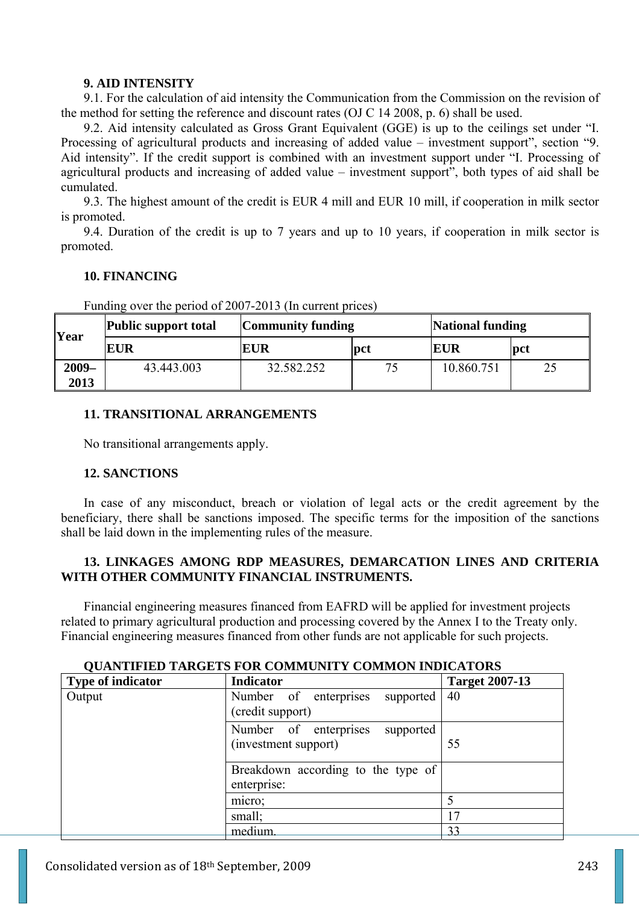## **9. AID INTENSITY**

9.1. For the calculation of aid intensity the Communication from the Commission on the revision of the method for setting the reference and discount rates (OJ C 14 2008, p. 6) shall be used.

9.2. Aid intensity calculated as Gross Grant Equivalent (GGE) is up to the ceilings set under "I. Processing of agricultural products and increasing of added value – investment support", section "9. Aid intensity". If the credit support is combined with an investment support under "I. Processing of agricultural products and increasing of added value – investment support", both types of aid shall be cumulated.

9.3. The highest amount of the credit is EUR 4 mill and EUR 10 mill, if cooperation in milk sector is promoted.

9.4. Duration of the credit is up to 7 years and up to 10 years, if cooperation in milk sector is promoted.

## **10. FINANCING**

Funding over the period of 2007-2013 (In current prices)

| Year    | <b>Public support total</b> | <b>Community funding</b> |     | National funding |     |
|---------|-----------------------------|--------------------------|-----|------------------|-----|
|         | <b>EUR</b>                  | <b>EUR</b>               | pct | <b>EUR</b>       | pct |
| $2009-$ | 43.443.003                  | 32.582.252               | 74  | 10.860.751       |     |
| 2013    |                             |                          |     |                  |     |

# **11. TRANSITIONAL ARRANGEMENTS**

No transitional arrangements apply.

# **12. SANCTIONS**

In case of any misconduct, breach or violation of legal acts or the credit agreement by the beneficiary, there shall be sanctions imposed. The specific terms for the imposition of the sanctions shall be laid down in the implementing rules of the measure.

# **13. LINKAGES AMONG RDP MEASURES, DEMARCATION LINES AND CRITERIA WITH OTHER COMMUNITY FINANCIAL INSTRUMENTS.**

Financial engineering measures financed from EAFRD will be applied for investment projects related to primary agricultural production and processing covered by the Annex I to the Treaty only. Financial engineering measures financed from other funds are not applicable for such projects.

## **QUANTIFIED TARGETS FOR COMMUNITY COMMON INDICATORS**

| <b>Type of indicator</b>           | <b>Indicator</b>                   | <b>Target 2007-13</b> |
|------------------------------------|------------------------------------|-----------------------|
| Output                             | Number of enterprises<br>supported | 40                    |
|                                    | (credit support)                   |                       |
|                                    | Number of enterprises<br>supported |                       |
|                                    | (investment support)               | 55                    |
|                                    |                                    |                       |
| Breakdown according to the type of |                                    |                       |
|                                    | enterprise:                        |                       |
|                                    | micro;                             |                       |
|                                    | small;                             | 17                    |
|                                    | medium                             | 33                    |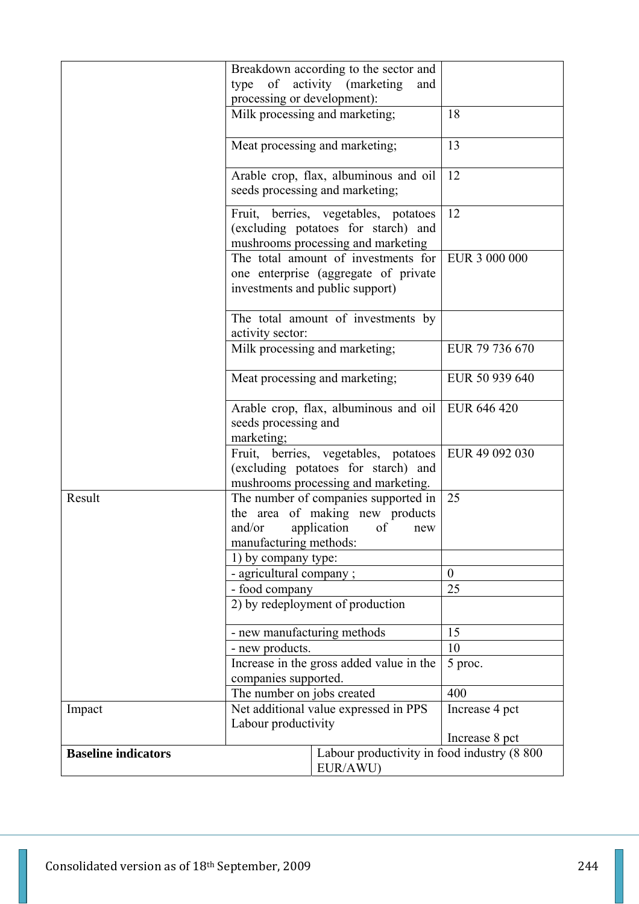|                            |                                                                                                                                         | Breakdown according to the sector and                   |                |  |
|----------------------------|-----------------------------------------------------------------------------------------------------------------------------------------|---------------------------------------------------------|----------------|--|
|                            | of activity (marketing)<br>type<br>and                                                                                                  |                                                         |                |  |
|                            | processing or development):                                                                                                             |                                                         |                |  |
|                            | Milk processing and marketing;                                                                                                          |                                                         | 18             |  |
|                            |                                                                                                                                         |                                                         |                |  |
|                            | Meat processing and marketing;                                                                                                          |                                                         | 13             |  |
|                            | Arable crop, flax, albuminous and oil<br>seeds processing and marketing;                                                                |                                                         | 12             |  |
|                            | Fruit,<br>berries, vegetables, potatoes<br>(excluding potatoes for starch) and<br>mushrooms processing and marketing                    |                                                         | 12             |  |
|                            | The total amount of investments for<br>one enterprise (aggregate of private<br>investments and public support)                          |                                                         | EUR 3 000 000  |  |
|                            | The total amount of investments by<br>activity sector:                                                                                  |                                                         |                |  |
|                            | Milk processing and marketing;                                                                                                          |                                                         | EUR 79 736 670 |  |
|                            | Meat processing and marketing;                                                                                                          |                                                         | EUR 50 939 640 |  |
|                            | Arable crop, flax, albuminous and oil<br>seeds processing and<br>marketing;                                                             |                                                         | EUR 646 420    |  |
|                            | Fruit, berries, vegetables, potatoes<br>(excluding potatoes for starch) and<br>mushrooms processing and marketing.                      |                                                         | EUR 49 092 030 |  |
| Result                     | The number of companies supported in<br>the area of making new products<br>and/or<br>application<br>of<br>new<br>manufacturing methods: |                                                         | 25             |  |
|                            | 1) by company type:                                                                                                                     |                                                         |                |  |
|                            | - agricultural company;                                                                                                                 |                                                         | $\mathbf{0}$   |  |
|                            | - food company                                                                                                                          |                                                         | 25             |  |
|                            | 2) by redeployment of production                                                                                                        |                                                         |                |  |
|                            | - new manufacturing methods                                                                                                             |                                                         | 15             |  |
|                            | - new products.                                                                                                                         |                                                         | 10             |  |
|                            | Increase in the gross added value in the<br>companies supported.                                                                        |                                                         | 5 proc.        |  |
|                            |                                                                                                                                         |                                                         |                |  |
|                            | The number on jobs created                                                                                                              |                                                         | 400            |  |
| Impact                     | Net additional value expressed in PPS<br>Labour productivity                                                                            |                                                         | Increase 4 pct |  |
|                            |                                                                                                                                         |                                                         | Increase 8 pct |  |
| <b>Baseline indicators</b> |                                                                                                                                         | Labour productivity in food industry (8 800<br>EUR/AWU) |                |  |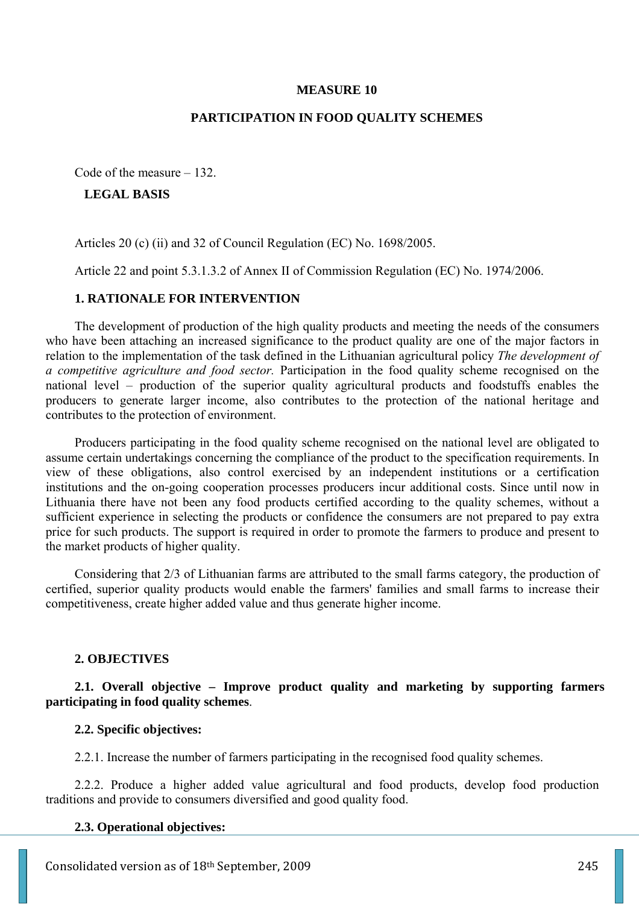#### **MEASURE 10**

#### **PARTICIPATION IN FOOD QUALITY SCHEMES**

Code of the measure – 132.

### **LEGAL BASIS**

Articles 20 (c) (ii) and 32 of Council Regulation (EC) No. 1698/2005.

Article 22 and point 5.3.1.3.2 of Annex II of Commission Regulation (EC) No. 1974/2006.

#### **1. RATIONALE FOR INTERVENTION**

The development of production of the high quality products and meeting the needs of the consumers who have been attaching an increased significance to the product quality are one of the major factors in relation to the implementation of the task defined in the Lithuanian agricultural policy *The development of a competitive agriculture and food sector.* Participation in the food quality scheme recognised on the national level – production of the superior quality agricultural products and foodstuffs enables the producers to generate larger income, also contributes to the protection of the national heritage and contributes to the protection of environment.

Producers participating in the food quality scheme recognised on the national level are obligated to assume certain undertakings concerning the compliance of the product to the specification requirements. In view of these obligations, also control exercised by an independent institutions or a certification institutions and the on-going cooperation processes producers incur additional costs. Since until now in Lithuania there have not been any food products certified according to the quality schemes, without a sufficient experience in selecting the products or confidence the consumers are not prepared to pay extra price for such products. The support is required in order to promote the farmers to produce and present to the market products of higher quality.

Considering that 2/3 of Lithuanian farms are attributed to the small farms category, the production of certified, superior quality products would enable the farmers' families and small farms to increase their competitiveness, create higher added value and thus generate higher income.

### **2. OBJECTIVES**

**2.1. Overall objective – Improve product quality and marketing by supporting farmers participating in food quality schemes**.

#### **2.2. Specific objectives:**

2.2.1. Increase the number of farmers participating in the recognised food quality schemes.

2.2.2. Produce a higher added value agricultural and food products, develop food production traditions and provide to consumers diversified and good quality food.

#### **2.3. Operational objectives:**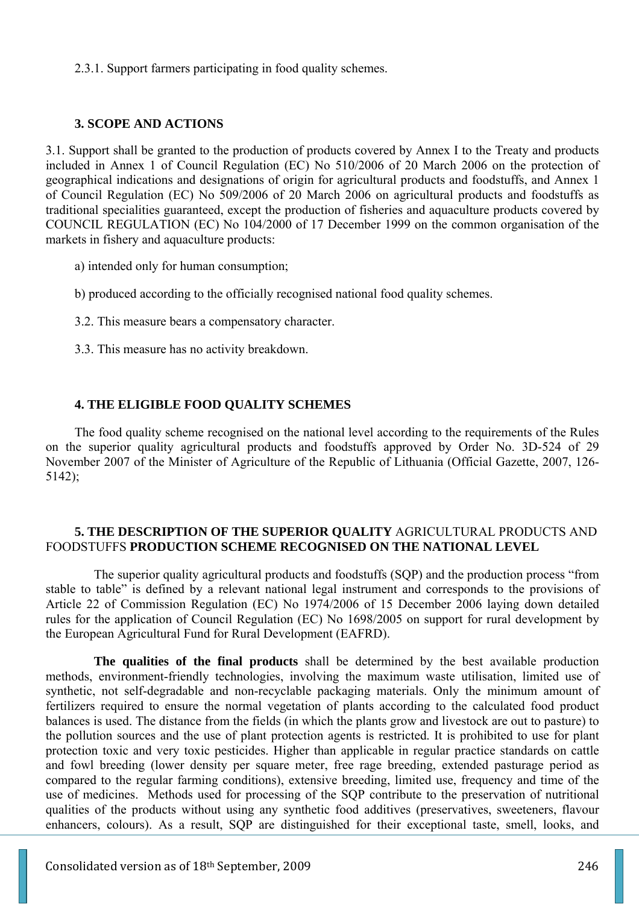2.3.1. Support farmers participating in food quality schemes.

## **3. SCOPE AND ACTIONS**

3.1. Support shall be granted to the production of products covered by Annex I to the Treaty and products included in Annex 1 of Council Regulation (EC) No 510/2006 of 20 March 2006 on the protection of geographical indications and designations of origin for agricultural products and foodstuffs, and Annex 1 of Council Regulation (EC) No 509/2006 of 20 March 2006 on agricultural products and foodstuffs as traditional specialities guaranteed, except the production of fisheries and aquaculture products covered by COUNCIL REGULATION (EC) No 104/2000 of 17 December 1999 on the common organisation of the markets in fishery and aquaculture products:

a) intended only for human consumption;

b) produced according to the officially recognised national food quality schemes.

3.2. This measure bears a compensatory character.

3.3. This measure has no activity breakdown.

## **4. THE ELIGIBLE FOOD QUALITY SCHEMES**

The food quality scheme recognised on the national level according to the requirements of the Rules on the superior quality agricultural products and foodstuffs approved by Order No. 3D-524 of 29 November 2007 of the Minister of Agriculture of the Republic of Lithuania (Official Gazette, 2007, 126- 5142);

## **5. THE DESCRIPTION OF THE SUPERIOR QUALITY** AGRICULTURAL PRODUCTS AND FOODSTUFFS **PRODUCTION SCHEME RECOGNISED ON THE NATIONAL LEVEL**

The superior quality agricultural products and foodstuffs (SQP) and the production process "from stable to table" is defined by a relevant national legal instrument and corresponds to the provisions of Article 22 of Commission Regulation (EC) No 1974/2006 of 15 December 2006 laying down detailed rules for the application of Council Regulation (EC) No 1698/2005 on support for rural development by the European Agricultural Fund for Rural Development (EAFRD).

**The qualities of the final products** shall be determined by the best available production methods, environment-friendly technologies, involving the maximum waste utilisation, limited use of synthetic, not self-degradable and non-recyclable packaging materials. Only the minimum amount of fertilizers required to ensure the normal vegetation of plants according to the calculated food product balances is used. The distance from the fields (in which the plants grow and livestock are out to pasture) to the pollution sources and the use of plant protection agents is restricted. It is prohibited to use for plant protection toxic and very toxic pesticides. Higher than applicable in regular practice standards on cattle and fowl breeding (lower density per square meter, free rage breeding, extended pasturage period as compared to the regular farming conditions), extensive breeding, limited use, frequency and time of the use of medicines. Methods used for processing of the SQP contribute to the preservation of nutritional qualities of the products without using any synthetic food additives (preservatives, sweeteners, flavour enhancers, colours). As a result, SQP are distinguished for their exceptional taste, smell, looks, and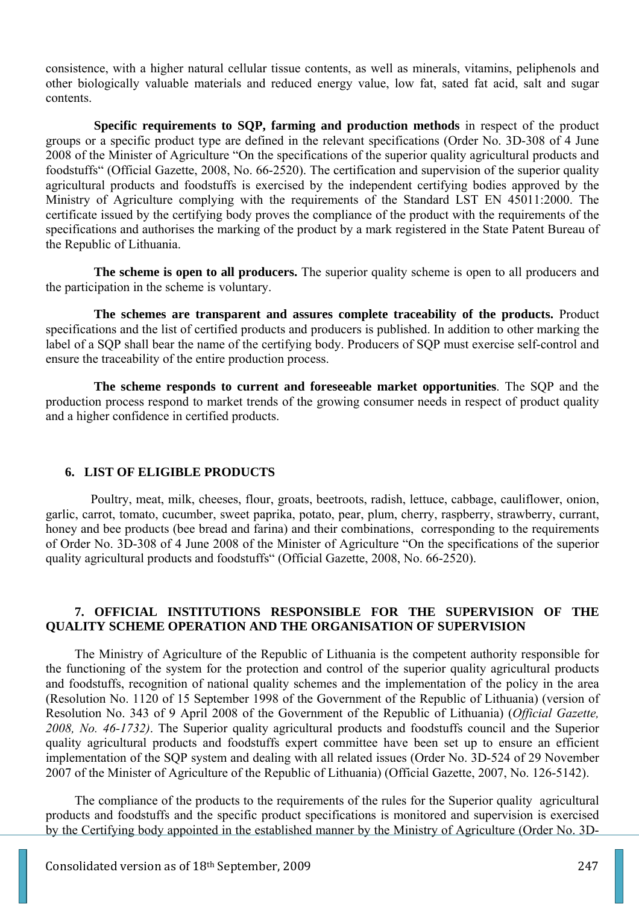consistence, with a higher natural cellular tissue contents, as well as minerals, vitamins, peliphenols and other biologically valuable materials and reduced energy value, low fat, sated fat acid, salt and sugar contents.

**Specific requirements to SQP, farming and production methods** in respect of the product groups or a specific product type are defined in the relevant specifications (Order No. 3D-308 of 4 June 2008 of the Minister of Agriculture "On the specifications of the superior quality agricultural products and foodstuffs" (Official Gazette, 2008, No. 66-2520). The certification and supervision of the superior quality agricultural products and foodstuffs is exercised by the independent certifying bodies approved by the Ministry of Agriculture complying with the requirements of the Standard LST EN 45011:2000. The certificate issued by the certifying body proves the compliance of the product with the requirements of the specifications and authorises the marking of the product by a mark registered in the State Patent Bureau of the Republic of Lithuania.

**The scheme is open to all producers.** The superior quality scheme is open to all producers and the participation in the scheme is voluntary.

**The schemes are transparent and assures complete traceability of the products.** Product specifications and the list of certified products and producers is published. In addition to other marking the label of a SQP shall bear the name of the certifying body. Producers of SQP must exercise self-control and ensure the traceability of the entire production process.

**The scheme responds to current and foreseeable market opportunities**. The SQP and the production process respond to market trends of the growing consumer needs in respect of product quality and a higher confidence in certified products.

### **6. LIST OF ELIGIBLE PRODUCTS**

 Poultry, meat, milk, cheeses, flour, groats, beetroots, radish, lettuce, cabbage, cauliflower, onion, garlic, carrot, tomato, cucumber, sweet paprika, potato, pear, plum, cherry, raspberry, strawberry, currant, honey and bee products (bee bread and farina) and their combinations, corresponding to the requirements of Order No. 3D-308 of 4 June 2008 of the Minister of Agriculture "On the specifications of the superior quality agricultural products and foodstuffs" (Official Gazette, 2008, No. 66-2520).

## **7. OFFICIAL INSTITUTIONS RESPONSIBLE FOR THE SUPERVISION OF THE QUALITY SCHEME OPERATION AND THE ORGANISATION OF SUPERVISION**

The Ministry of Agriculture of the Republic of Lithuania is the competent authority responsible for the functioning of the system for the protection and control of the superior quality agricultural products and foodstuffs, recognition of national quality schemes and the implementation of the policy in the area (Resolution No. 1120 of 15 September 1998 of the Government of the Republic of Lithuania) (version of Resolution No. 343 of 9 April 2008 of the Government of the Republic of Lithuania) (*Official Gazette, 2008, No. 46-1732)*. The Superior quality agricultural products and foodstuffs council and the Superior quality agricultural products and foodstuffs expert committee have been set up to ensure an efficient implementation of the SQP system and dealing with all related issues (Order No. 3D-524 of 29 November 2007 of the Minister of Agriculture of the Republic of Lithuania) (Official Gazette, 2007, No. 126-5142).

The compliance of the products to the requirements of the rules for the Superior quality agricultural products and foodstuffs and the specific product specifications is monitored and supervision is exercised by the Certifying body appointed in the established manner by the Ministry of Agriculture (Order No. 3D-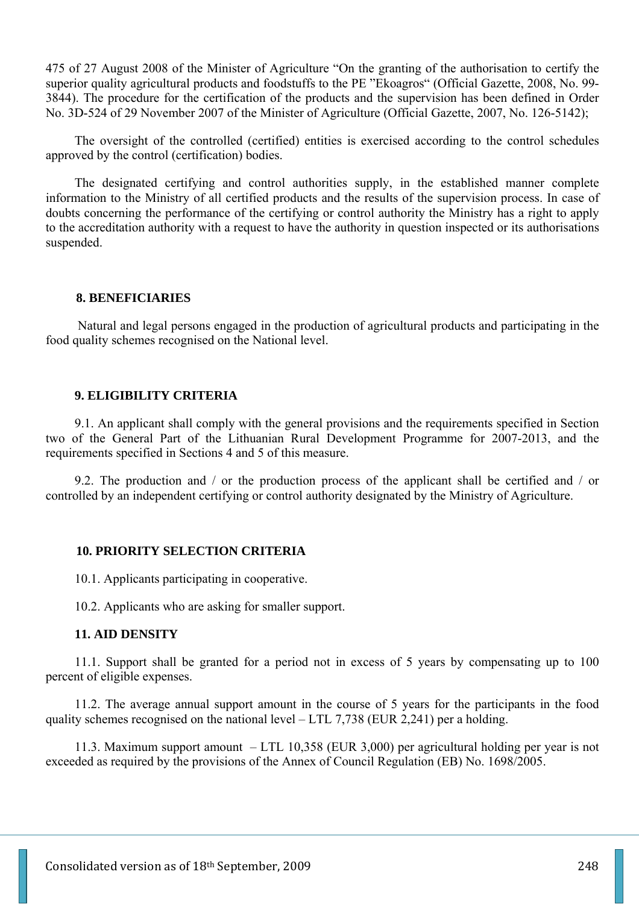475 of 27 August 2008 of the Minister of Agriculture "On the granting of the authorisation to certify the superior quality agricultural products and foodstuffs to the PE "Ekoagros" (Official Gazette, 2008, No. 99- 3844). The procedure for the certification of the products and the supervision has been defined in Order No. 3D-524 of 29 November 2007 of the Minister of Agriculture (Official Gazette, 2007, No. 126-5142);

The oversight of the controlled (certified) entities is exercised according to the control schedules approved by the control (certification) bodies.

The designated certifying and control authorities supply, in the established manner complete information to the Ministry of all certified products and the results of the supervision process. In case of doubts concerning the performance of the certifying or control authority the Ministry has a right to apply to the accreditation authority with a request to have the authority in question inspected or its authorisations suspended.

### **8. BENEFICIARIES**

Natural and legal persons engaged in the production of agricultural products and participating in the food quality schemes recognised on the National level.

#### **9. ELIGIBILITY CRITERIA**

9.1. An applicant shall comply with the general provisions and the requirements specified in Section two of the General Part of the Lithuanian Rural Development Programme for 2007-2013, and the requirements specified in Sections 4 and 5 of this measure.

9.2. The production and / or the production process of the applicant shall be certified and / or controlled by an independent certifying or control authority designated by the Ministry of Agriculture.

#### **10. PRIORITY SELECTION CRITERIA**

10.1. Applicants participating in cooperative.

10.2. Applicants who are asking for smaller support.

#### **11. AID DENSITY**

11.1. Support shall be granted for a period not in excess of 5 years by compensating up to 100 percent of eligible expenses.

11.2. The average annual support amount in the course of 5 years for the participants in the food quality schemes recognised on the national level – LTL 7,738 (EUR 2,241) per a holding.

11.3. Maximum support amount – LTL 10,358 (EUR 3,000) per agricultural holding per year is not exceeded as required by the provisions of the Annex of Council Regulation (EB) No. 1698/2005.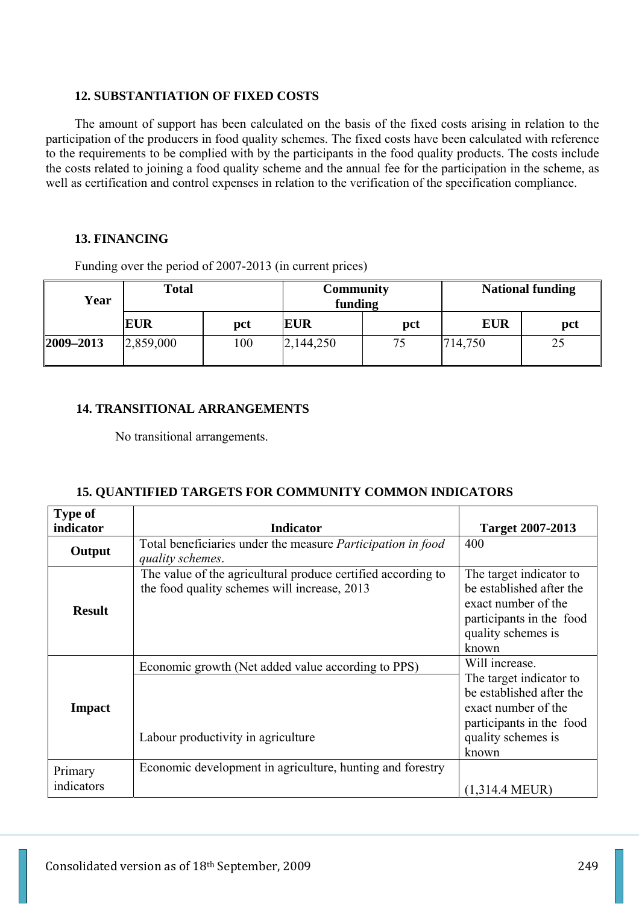## **12. SUBSTANTIATION OF FIXED COSTS**

The amount of support has been calculated on the basis of the fixed costs arising in relation to the participation of the producers in food quality schemes. The fixed costs have been calculated with reference to the requirements to be complied with by the participants in the food quality products. The costs include the costs related to joining a food quality scheme and the annual fee for the participation in the scheme, as well as certification and control expenses in relation to the verification of the specification compliance.

## **13. FINANCING**

| Year      | <b>Total</b> |     | <b>Community</b><br>funding |     | <b>National funding</b> |     |
|-----------|--------------|-----|-----------------------------|-----|-------------------------|-----|
|           | <b>EUR</b>   | pct | <b>EUR</b>                  | pct | <b>EUR</b>              | pct |
| 2009-2013 | 2,859,000    | 100 | 2,144,250                   | 75  | 714,750                 | ر ب |

Funding over the period of 2007-2013 (in current prices)

## **14. TRANSITIONAL ARRANGEMENTS**

No transitional arrangements.

### **15. QUANTIFIED TARGETS FOR COMMUNITY COMMON INDICATORS**

| <b>Type of</b>        |                                                                                                              |                                                                                                                                                         |
|-----------------------|--------------------------------------------------------------------------------------------------------------|---------------------------------------------------------------------------------------------------------------------------------------------------------|
| indicator             | <b>Indicator</b>                                                                                             | <b>Target 2007-2013</b>                                                                                                                                 |
| Output                | Total beneficiaries under the measure <i>Participation in food</i><br>quality schemes.                       | 400                                                                                                                                                     |
| <b>Result</b>         | The value of the agricultural produce certified according to<br>the food quality schemes will increase, 2013 | The target indicator to<br>be established after the<br>exact number of the<br>participants in the food<br>quality schemes is<br>known                   |
| <b>Impact</b>         | Economic growth (Net added value according to PPS)<br>Labour productivity in agriculture                     | Will increase.<br>The target indicator to<br>be established after the<br>exact number of the<br>participants in the food<br>quality schemes is<br>known |
| Primary<br>indicators | Economic development in agriculture, hunting and forestry                                                    | $(1,314.4 \text{ MEUR})$                                                                                                                                |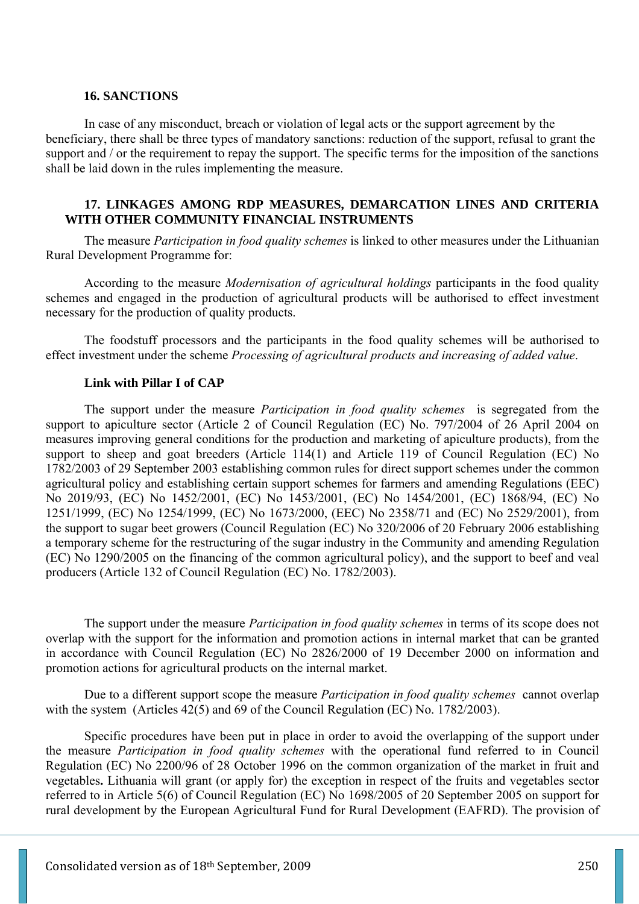### **16. SANCTIONS**

In case of any misconduct, breach or violation of legal acts or the support agreement by the beneficiary, there shall be three types of mandatory sanctions: reduction of the support, refusal to grant the support and / or the requirement to repay the support. The specific terms for the imposition of the sanctions shall be laid down in the rules implementing the measure.

## **17. LINKAGES AMONG RDP MEASURES, DEMARCATION LINES AND CRITERIA WITH OTHER COMMUNITY FINANCIAL INSTRUMENTS**

The measure *Participation in food quality schemes* is linked to other measures under the Lithuanian Rural Development Programme for:

According to the measure *Modernisation of agricultural holdings* participants in the food quality schemes and engaged in the production of agricultural products will be authorised to effect investment necessary for the production of quality products.

The foodstuff processors and the participants in the food quality schemes will be authorised to effect investment under the scheme *Processing of agricultural products and increasing of added value*.

### **Link with Pillar I of CAP**

 The support under the measure *Participation in food quality schemes* is segregated from the support to apiculture sector (Article 2 of Council Regulation (EC) No. 797/2004 of 26 April 2004 on measures improving general conditions for the production and marketing of apiculture products), from the support to sheep and goat breeders (Article 114(1) and Article 119 of Council Regulation (EC) No 1782/2003 of 29 September 2003 establishing common rules for direct support schemes under the common agricultural policy and establishing certain support schemes for farmers and amending Regulations (EEC) No 2019/93, (EC) No 1452/2001, (EC) No 1453/2001, (EC) No 1454/2001, (EC) 1868/94, (EC) No 1251/1999, (EC) No 1254/1999, (EC) No 1673/2000, (EEC) No 2358/71 and (EC) No 2529/2001), from the support to sugar beet growers (Council Regulation (EC) No 320/2006 of 20 February 2006 establishing a temporary scheme for the restructuring of the sugar industry in the Community and amending Regulation (EC) No 1290/2005 on the financing of the common agricultural policy), and the support to beef and veal producers (Article 132 of Council Regulation (EC) No. 1782/2003).

 The support under the measure *Participation in food quality schemes* in terms of its scope does not overlap with the support for the information and promotion actions in internal market that can be granted in accordance with Council Regulation (EC) No 2826/2000 of 19 December 2000 on information and promotion actions for agricultural products on the internal market.

Due to a different support scope the measure *Participation in food quality schemes* cannot overlap with the system (Articles 42(5) and 69 of the Council Regulation (EC) No. 1782/2003).

Specific procedures have been put in place in order to avoid the overlapping of the support under the measure *Participation in food quality schemes* with the operational fund referred to in Council Regulation (EC) No 2200/96 of 28 October 1996 on the common organization of the market in fruit and vegetables**.** Lithuania will grant (or apply for) the exception in respect of the fruits and vegetables sector referred to in Article 5(6) of Council Regulation (EC) No 1698/2005 of 20 September 2005 on support for rural development by the European Agricultural Fund for Rural Development (EAFRD). The provision of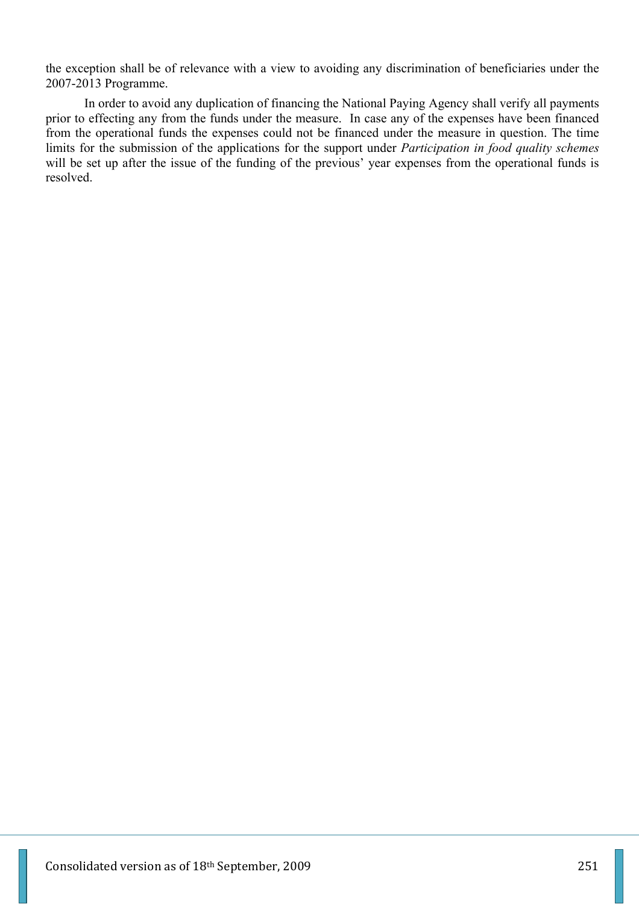the exception shall be of relevance with a view to avoiding any discrimination of beneficiaries under the 2007-2013 Programme.

In order to avoid any duplication of financing the National Paying Agency shall verify all payments prior to effecting any from the funds under the measure. In case any of the expenses have been financed from the operational funds the expenses could not be financed under the measure in question. The time limits for the submission of the applications for the support under *Participation in food quality schemes*  will be set up after the issue of the funding of the previous' year expenses from the operational funds is resolved.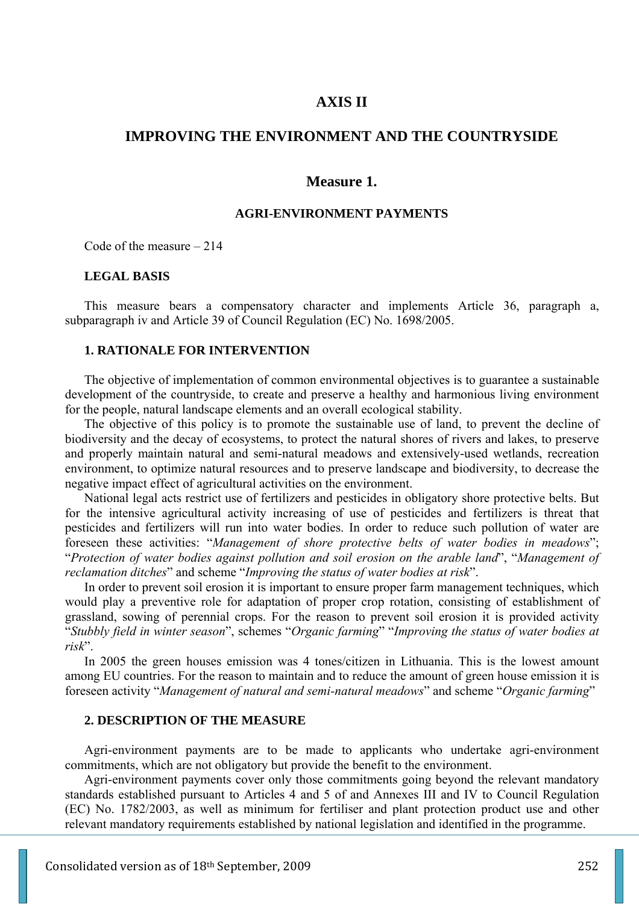# **AXIS II**

## **IMPROVING THE ENVIRONMENT AND THE COUNTRYSIDE**

### **Measure 1.**

#### **AGRI-ENVIRONMENT PAYMENTS**

Code of the measure – 214

### **LEGAL BASIS**

This measure bears a compensatory character and implements Article 36, paragraph a, subparagraph iv and Article 39 of Council Regulation (EC) No. 1698/2005.

#### **1. RATIONALE FOR INTERVENTION**

The objective of implementation of common environmental objectives is to guarantee a sustainable development of the countryside, to create and preserve a healthy and harmonious living environment for the people, natural landscape elements and an overall ecological stability.

The objective of this policy is to promote the sustainable use of land, to prevent the decline of biodiversity and the decay of ecosystems, to protect the natural shores of rivers and lakes, to preserve and properly maintain natural and semi-natural meadows and extensively-used wetlands, recreation environment, to optimize natural resources and to preserve landscape and biodiversity, to decrease the negative impact effect of agricultural activities on the environment.

National legal acts restrict use of fertilizers and pesticides in obligatory shore protective belts. But for the intensive agricultural activity increasing of use of pesticides and fertilizers is threat that pesticides and fertilizers will run into water bodies. In order to reduce such pollution of water are foreseen these activities: "*Management of shore protective belts of water bodies in meadows*"; "*Protection of water bodies against pollution and soil erosion on the arable land*", "*Management of reclamation ditches*" and scheme "*Improving the status of water bodies at risk*".

In order to prevent soil erosion it is important to ensure proper farm management techniques, which would play a preventive role for adaptation of proper crop rotation, consisting of establishment of grassland, sowing of perennial crops. For the reason to prevent soil erosion it is provided activity "*Stubbly field in winter season*", schemes "*Organic farming*" "*Improving the status of water bodies at risk*".

In 2005 the green houses emission was 4 tones/citizen in Lithuania. This is the lowest amount among EU countries. For the reason to maintain and to reduce the amount of green house emission it is foreseen activity "*Management of natural and semi-natural meadows*" and scheme "*Organic farming*"

#### **2. DESCRIPTION OF THE MEASURE**

Agri-environment payments are to be made to applicants who undertake agri-environment commitments, which are not obligatory but provide the benefit to the environment.

Agri-environment payments cover only those commitments going beyond the relevant mandatory standards established pursuant to Articles 4 and 5 of and Annexes III and IV to Council Regulation (EC) No. 1782/2003, as well as minimum for fertiliser and plant protection product use and other relevant mandatory requirements established by national legislation and identified in the programme.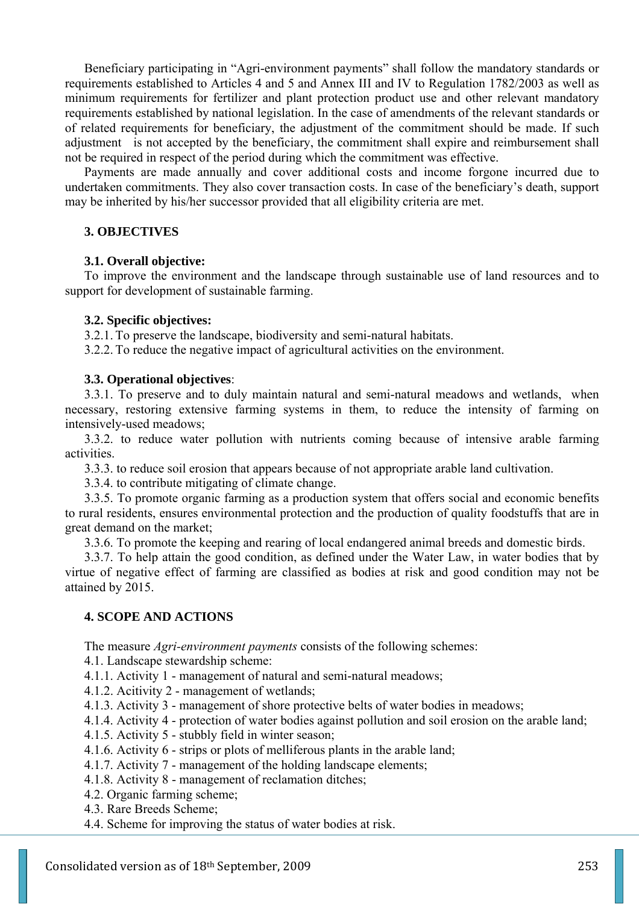Beneficiary participating in "Agri-environment payments" shall follow the mandatory standards or requirements established to Articles 4 and 5 and Annex III and IV to Regulation 1782/2003 as well as minimum requirements for fertilizer and plant protection product use and other relevant mandatory requirements established by national legislation. In the case of amendments of the relevant standards or of related requirements for beneficiary, the adjustment of the commitment should be made. If such adjustment is not accepted by the beneficiary, the commitment shall expire and reimbursement shall not be required in respect of the period during which the commitment was effective.

Payments are made annually and cover additional costs and income forgone incurred due to undertaken commitments. They also cover transaction costs. In case of the beneficiary's death, support may be inherited by his/her successor provided that all eligibility criteria are met.

### **3. OBJECTIVES**

### **3.1. Overall objective:**

To improve the environment and the landscape through sustainable use of land resources and to support for development of sustainable farming.

## **3.2. Specific objectives:**

3.2.1. To preserve the landscape, biodiversity and semi-natural habitats.

3.2.2. To reduce the negative impact of agricultural activities on the environment.

### **3.3. Operational objectives**:

3.3.1. To preserve and to duly maintain natural and semi-natural meadows and wetlands, when necessary, restoring extensive farming systems in them, to reduce the intensity of farming on intensively-used meadows;

3.3.2. to reduce water pollution with nutrients coming because of intensive arable farming activities.

3.3.3. to reduce soil erosion that appears because of not appropriate arable land cultivation.

3.3.4. to contribute mitigating of climate change.

3.3.5. To promote organic farming as a production system that offers social and economic benefits to rural residents, ensures environmental protection and the production of quality foodstuffs that are in great demand on the market;

3.3.6. To promote the keeping and rearing of local endangered animal breeds and domestic birds.

3.3.7. To help attain the good condition, as defined under the Water Law, in water bodies that by virtue of negative effect of farming are classified as bodies at risk and good condition may not be attained by 2015.

### **4. SCOPE AND ACTIONS**

The measure *Agri-environment payments* consists of the following schemes:

4.1. Landscape stewardship scheme:

4.1.1. Activity 1 - management of natural and semi-natural meadows;

4.1.2. Acitivity 2 - management of wetlands;

- 4.1.3. Activity 3 management of shore protective belts of water bodies in meadows;
- 4.1.4. Activity 4 protection of water bodies against pollution and soil erosion on the arable land;

4.1.5. Activity 5 - stubbly field in winter season;

- 4.1.6. Activity 6 strips or plots of melliferous plants in the arable land;
- 4.1.7. Activity 7 management of the holding landscape elements;
- 4.1.8. Activity 8 management of reclamation ditches;
- 4.2. Organic farming scheme;
- 4.3. Rare Breeds Scheme;

4.4. Scheme for improving the status of water bodies at risk.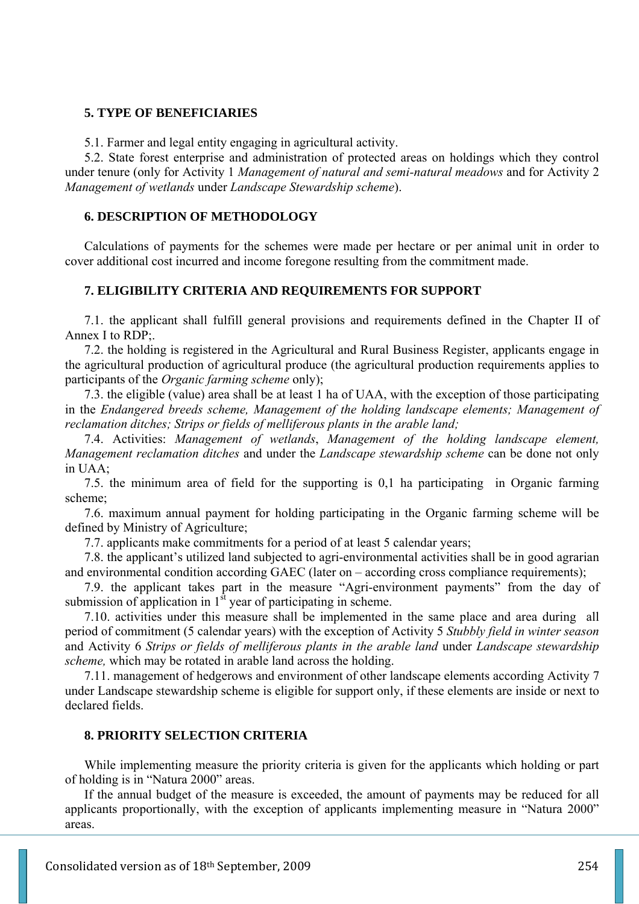### **5. TYPE OF BENEFICIARIES**

5.1. Farmer and legal entity engaging in agricultural activity.

5.2. State forest enterprise and administration of protected areas on holdings which they control under tenure (only for Activity 1 *Management of natural and semi-natural meadows* and for Activity 2 *Management of wetlands* under *Landscape Stewardship scheme*).

### **6. DESCRIPTION OF METHODOLOGY**

Calculations of payments for the schemes were made per hectare or per animal unit in order to cover additional cost incurred and income foregone resulting from the commitment made.

## **7. ELIGIBILITY CRITERIA AND REQUIREMENTS FOR SUPPORT**

7.1. the applicant shall fulfill general provisions and requirements defined in the Chapter II of Annex I to RDP;.

7.2. the holding is registered in the Agricultural and Rural Business Register, applicants engage in the agricultural production of agricultural produce (the agricultural production requirements applies to participants of the *Organic farming scheme* only);

7.3. the eligible (value) area shall be at least 1 ha of UAA, with the exception of those participating in the *Endangered breeds scheme, Management of the holding landscape elements; Management of reclamation ditches; Strips or fields of melliferous plants in the arable land;*

7.4. Activities: *Management of wetlands*, *Management of the holding landscape element, Management reclamation ditches* and under the *Landscape stewardship scheme* can be done not only in UAA;

7.5. the minimum area of field for the supporting is 0,1 ha participating in Organic farming scheme;

7.6. maximum annual payment for holding participating in the Organic farming scheme will be defined by Ministry of Agriculture;

7.7. applicants make commitments for a period of at least 5 calendar years;

7.8. the applicant's utilized land subjected to agri-environmental activities shall be in good agrarian and environmental condition according GAEC (later on – according cross compliance requirements);

7.9. the applicant takes part in the measure "Agri-environment payments" from the day of submission of application in 1<sup>st</sup> year of participating in scheme.

7.10. activities under this measure shall be implemented in the same place and area during all period of commitment (5 calendar years) with the exception of Activity 5 *Stubbly field in winter season*  and Activity 6 *Strips or fields of melliferous plants in the arable land* under *Landscape stewardship scheme,* which may be rotated in arable land across the holding.

7.11. management of hedgerows and environment of other landscape elements according Activity 7 under Landscape stewardship scheme is eligible for support only, if these elements are inside or next to declared fields.

### **8. PRIORITY SELECTION CRITERIA**

While implementing measure the priority criteria is given for the applicants which holding or part of holding is in "Natura 2000" areas.

If the annual budget of the measure is exceeded, the amount of payments may be reduced for all applicants proportionally, with the exception of applicants implementing measure in "Natura 2000" areas.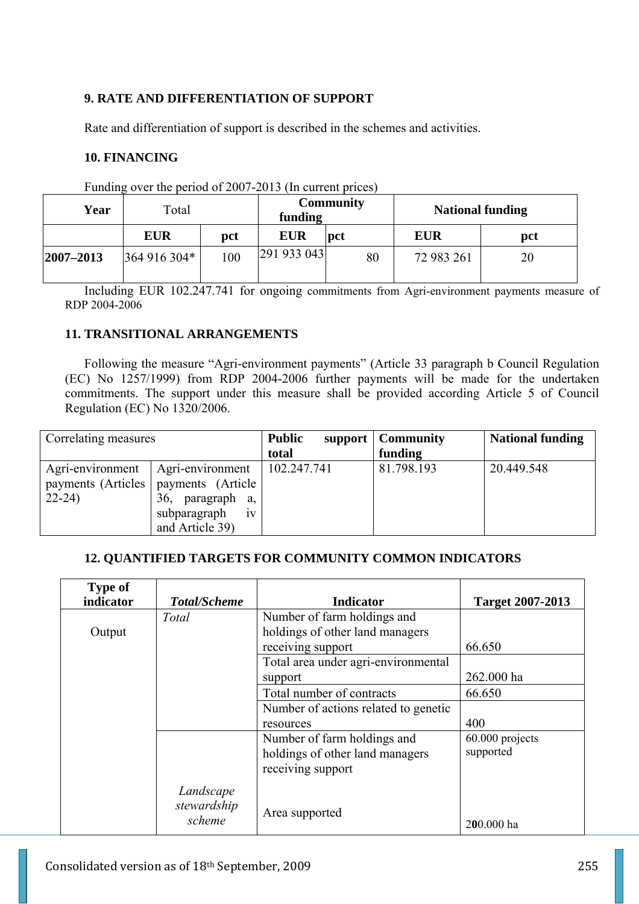# **9. RATE AND DIFFERENTIATION OF SUPPORT**

Rate and differentiation of support is described in the schemes and activities.

## **10. FINANCING**

| Year      | Total        |     | <b>Community</b><br>funding |     | <b>National funding</b> |     |
|-----------|--------------|-----|-----------------------------|-----|-------------------------|-----|
|           | <b>EUR</b>   | pct | <b>EUR</b>                  | pct | <b>EUR</b>              | pct |
| 2007-2013 | 364 916 304* | 100 | 291 933 043                 | 80  | 72 983 261              | 20  |

Funding over the period of 2007-2013 (In current prices)

Including EUR 102.247.741 for ongoing commitments from Agri-environment payments measure of RDP 2004-2006

## **11. TRANSITIONAL ARRANGEMENTS**

Following the measure "Agri-environment payments" (Article 33 paragraph b Council Regulation (EC) No 1257/1999) from RDP 2004-2006 further payments will be made for the undertaken commitments. The support under this measure shall be provided according Article 5 of Council Regulation (EC) No 1320/2006.

| Correlating measures                               |                                                                                                          | <b>Public</b><br>support<br>total | <b>Community</b><br>funding | <b>National funding</b> |
|----------------------------------------------------|----------------------------------------------------------------------------------------------------------|-----------------------------------|-----------------------------|-------------------------|
| Agri-environment<br>payments (Articles)<br>$22-24$ | Agri-environment<br>payments (Article<br>paragraph<br>36,<br>a,<br>subparagraph<br>1V<br>and Article 39) | 102.247.741                       | 81.798.193                  | 20.449.548              |

## **12. QUANTIFIED TARGETS FOR COMMUNITY COMMON INDICATORS**

| <b>Type of</b> |                                    |                                      |                         |
|----------------|------------------------------------|--------------------------------------|-------------------------|
| indicator      | <b>Total/Scheme</b>                | <b>Indicator</b>                     | <b>Target 2007-2013</b> |
|                | Total                              | Number of farm holdings and          |                         |
| Output         |                                    | holdings of other land managers      |                         |
|                |                                    | receiving support                    | 66.650                  |
|                |                                    | Total area under agri-environmental  |                         |
|                |                                    | support                              | 262,000 ha              |
|                |                                    | Total number of contracts            | 66.650                  |
|                |                                    | Number of actions related to genetic |                         |
|                |                                    | resources                            | 400                     |
|                |                                    | Number of farm holdings and          | 60.000 projects         |
|                |                                    | holdings of other land managers      | supported               |
|                |                                    | receiving support                    |                         |
|                | Landscape<br>stewardship<br>scheme | Area supported                       | 200.000 ha              |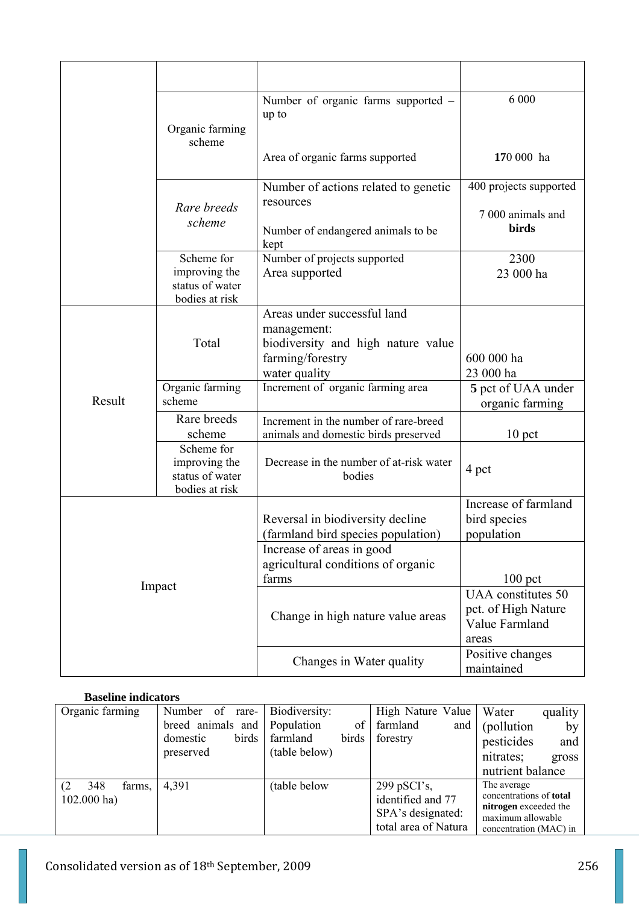|        | Organic farming<br>scheme                                        | Number of organic farms supported -<br>up to                                                         | 6 0 0 0                                              |
|--------|------------------------------------------------------------------|------------------------------------------------------------------------------------------------------|------------------------------------------------------|
|        |                                                                  | Area of organic farms supported                                                                      | 170 000 ha                                           |
|        | Rare breeds<br>scheme                                            | Number of actions related to genetic<br>resources<br>Number of endangered animals to be              | 400 projects supported<br>7 000 animals and<br>birds |
|        |                                                                  | kept                                                                                                 |                                                      |
|        | Scheme for<br>improving the<br>status of water<br>bodies at risk | Number of projects supported<br>Area supported                                                       | 2300<br>23 000 ha                                    |
|        | Total                                                            | Areas under successful land<br>management:<br>biodiversity and high nature value<br>farming/forestry | 600 000 ha<br>23 000 ha                              |
|        | Organic farming                                                  | water quality<br>Increment of organic farming area                                                   | 5 pct of UAA under                                   |
| Result | scheme                                                           |                                                                                                      | organic farming                                      |
|        | Rare breeds<br>scheme                                            | Increment in the number of rare-breed<br>animals and domestic birds preserved                        | $10$ pct                                             |
|        | Scheme for<br>improving the<br>status of water<br>bodies at risk | Decrease in the number of at-risk water<br>bodies                                                    | 4 pct                                                |
|        |                                                                  | Reversal in biodiversity decline<br>(farmland bird species population)                               | Increase of farmland<br>bird species<br>population   |
| Impact |                                                                  | Increase of areas in good<br>agricultural conditions of organic<br>farms                             | $100$ pct                                            |
|        |                                                                  | Change in high nature value areas                                                                    |                                                      |
|        |                                                                  | Changes in Water quality                                                                             | Positive changes<br>maintained                       |

### **Baseline indicators**

| Organic farming      | of<br>Number<br>rare-        | Biodiversity: |       | High Nature Value    |     | Water                          | quality |
|----------------------|------------------------------|---------------|-------|----------------------|-----|--------------------------------|---------|
|                      | breed animals and Population |               | of    | farmland             | and | (pollution)                    | by      |
|                      | birds<br>domestic            | farmland      | birds | forestry             |     | pesticides                     | and     |
|                      | preserved                    | (table below) |       |                      |     | nitrates;                      | gross   |
|                      |                              |               |       |                      |     | nutrient balance               |         |
| 348<br>farms,<br>(2) | 4,391                        | (table below  |       | $299$ pSCI's,        |     | The average                    |         |
| $102.000$ ha)        |                              |               |       | identified and 77    |     | concentrations of <b>total</b> |         |
|                      |                              |               |       | SPA's designated:    |     | nitrogen exceeded the          |         |
|                      |                              |               |       |                      |     | maximum allowable              |         |
|                      |                              |               |       | total area of Natura |     | concentration (MAC) in         |         |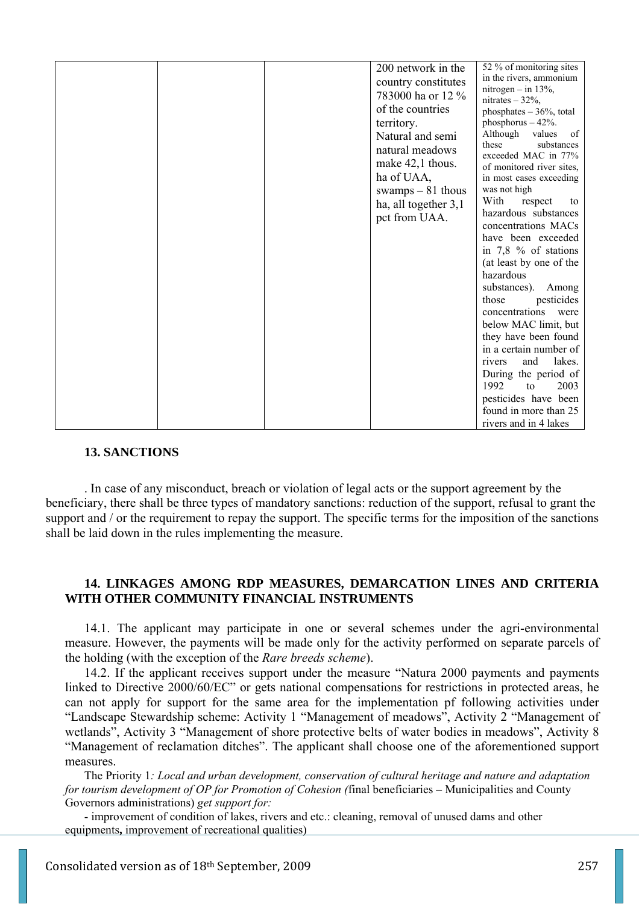|  | 200 network in the<br>country constitutes<br>783000 ha or 12 %<br>of the countries<br>territory.<br>Natural and semi<br>natural meadows<br>make 42,1 thous.<br>ha of UAA,<br>swamps $-81$ thous<br>ha, all together 3,1<br>pct from UAA. | 52 % of monitoring sites<br>in the rivers, ammonium<br>nitrogen – in $13\%$ ,<br>nitrates $-32\%$ ,<br>phosphates $-36%$ , total<br>phosphorus $-42%$ .<br>Although<br>values<br>of<br>these<br>substances<br>exceeded MAC in 77%<br>of monitored river sites,<br>in most cases exceeding<br>was not high<br>With<br>respect<br>to<br>hazardous substances<br>concentrations MACs<br>have been exceeded |
|--|------------------------------------------------------------------------------------------------------------------------------------------------------------------------------------------------------------------------------------------|---------------------------------------------------------------------------------------------------------------------------------------------------------------------------------------------------------------------------------------------------------------------------------------------------------------------------------------------------------------------------------------------------------|
|  |                                                                                                                                                                                                                                          | in $7,8\%$ of stations<br>(at least by one of the<br>hazardous                                                                                                                                                                                                                                                                                                                                          |
|  |                                                                                                                                                                                                                                          | substances).<br>Among<br>pesticides<br>those<br>concentrations<br>were<br>below MAC limit, but<br>they have been found<br>in a certain number of<br>lakes.<br>and<br>rivers<br>During the period of<br>1992<br>2003<br>to<br>pesticides have been<br>found in more than 25<br>rivers and in 4 lakes                                                                                                     |

### **13. SANCTIONS**

. In case of any misconduct, breach or violation of legal acts or the support agreement by the beneficiary, there shall be three types of mandatory sanctions: reduction of the support, refusal to grant the support and / or the requirement to repay the support. The specific terms for the imposition of the sanctions shall be laid down in the rules implementing the measure.

### **14. LINKAGES AMONG RDP MEASURES, DEMARCATION LINES AND CRITERIA WITH OTHER COMMUNITY FINANCIAL INSTRUMENTS**

14.1. The applicant may participate in one or several schemes under the agri-environmental measure. However, the payments will be made only for the activity performed on separate parcels of the holding (with the exception of the *Rare breeds scheme*).

14.2. If the applicant receives support under the measure "Natura 2000 payments and payments linked to Directive 2000/60/EC" or gets national compensations for restrictions in protected areas, he can not apply for support for the same area for the implementation pf following activities under "Landscape Stewardship scheme: Activity 1 "Management of meadows", Activity 2 "Management of wetlands", Activity 3 "Management of shore protective belts of water bodies in meadows", Activity 8 "Management of reclamation ditches". The applicant shall choose one of the aforementioned support measures.

The Priority 1*: Local and urban development, conservation of cultural heritage and nature and adaptation for tourism development of OP for Promotion of Cohesion (*final beneficiaries – Municipalities and County Governors administrations) *get support for:* 

- improvement of condition of lakes, rivers and etc.: cleaning, removal of unused dams and other equipments**,** improvement of recreational qualities)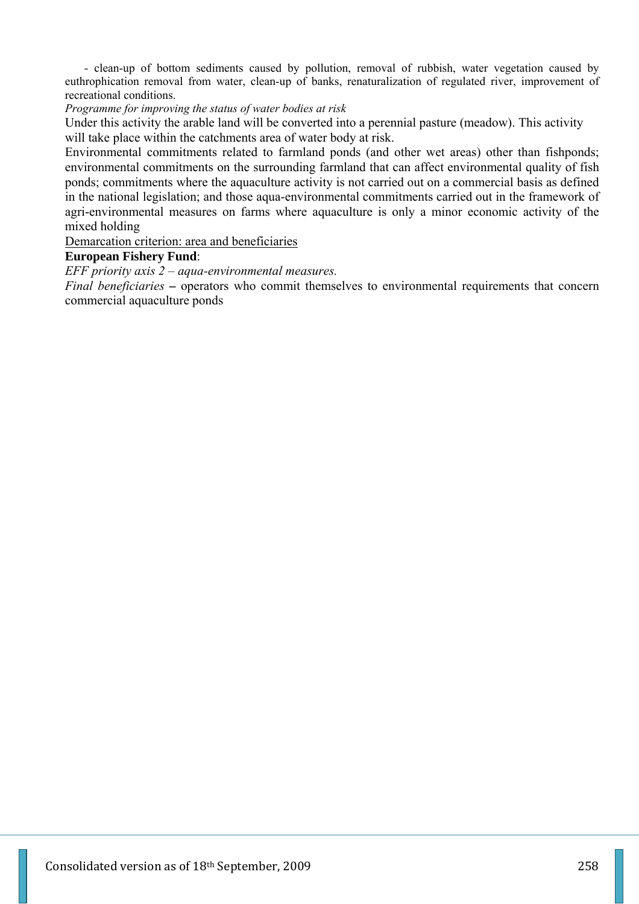- clean-up of bottom sediments caused by pollution, removal of rubbish, water vegetation caused by euthrophication removal from water, clean-up of banks, renaturalization of regulated river, improvement of recreational conditions.

*Programme for improving the status of water bodies at risk* 

Under this activity the arable land will be converted into a perennial pasture (meadow). This activity will take place within the catchments area of water body at risk.

Environmental commitments related to farmland ponds (and other wet areas) other than fishponds; environmental commitments on the surrounding farmland that can affect environmental quality of fish ponds; commitments where the aquaculture activity is not carried out on a commercial basis as defined in the national legislation; and those aqua-environmental commitments carried out in the framework of agri-environmental measures on farms where aquaculture is only a minor economic activity of the mixed holding

Demarcation criterion: area and beneficiaries

## **European Fishery Fund**:

*EFF priority axis 2 – aqua-environmental measures.* 

*Final beneficiaries –* operators who commit themselves to environmental requirements that concern commercial aquaculture ponds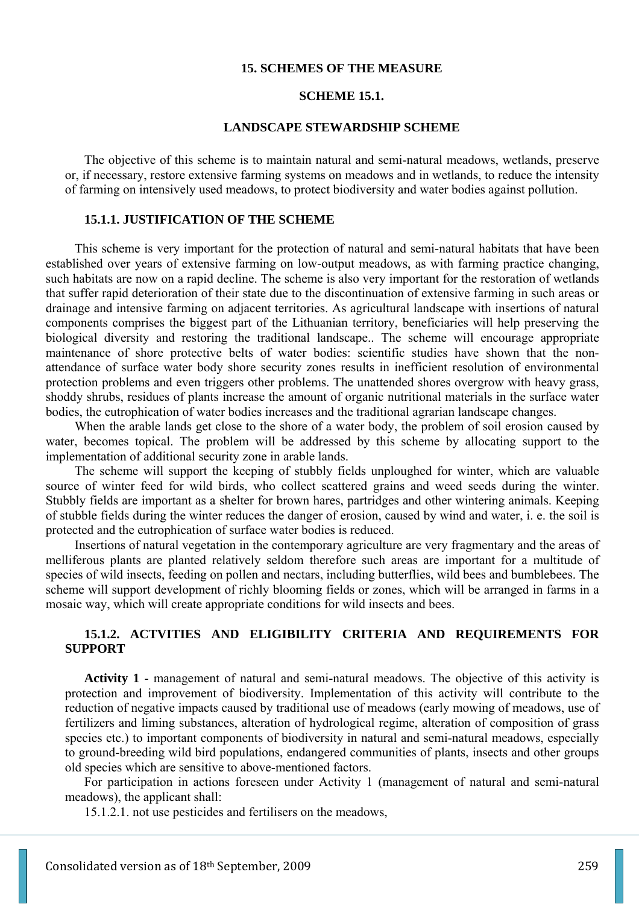#### **15. SCHEMES OF THE MEASURE**

#### **SCHEME 15.1.**

#### **LANDSCAPE STEWARDSHIP SCHEME**

The objective of this scheme is to maintain natural and semi-natural meadows, wetlands, preserve or, if necessary, restore extensive farming systems on meadows and in wetlands, to reduce the intensity of farming on intensively used meadows, to protect biodiversity and water bodies against pollution.

### **15.1.1. JUSTIFICATION OF THE SCHEME**

This scheme is very important for the protection of natural and semi-natural habitats that have been established over years of extensive farming on low-output meadows, as with farming practice changing, such habitats are now on a rapid decline. The scheme is also very important for the restoration of wetlands that suffer rapid deterioration of their state due to the discontinuation of extensive farming in such areas or drainage and intensive farming on adjacent territories. As agricultural landscape with insertions of natural components comprises the biggest part of the Lithuanian territory, beneficiaries will help preserving the biological diversity and restoring the traditional landscape.. The scheme will encourage appropriate maintenance of shore protective belts of water bodies: scientific studies have shown that the nonattendance of surface water body shore security zones results in inefficient resolution of environmental protection problems and even triggers other problems. The unattended shores overgrow with heavy grass, shoddy shrubs, residues of plants increase the amount of organic nutritional materials in the surface water bodies, the eutrophication of water bodies increases and the traditional agrarian landscape changes.

When the arable lands get close to the shore of a water body, the problem of soil erosion caused by water, becomes topical. The problem will be addressed by this scheme by allocating support to the implementation of additional security zone in arable lands.

The scheme will support the keeping of stubbly fields unploughed for winter, which are valuable source of winter feed for wild birds, who collect scattered grains and weed seeds during the winter. Stubbly fields are important as a shelter for brown hares, partridges and other wintering animals. Keeping of stubble fields during the winter reduces the danger of erosion, caused by wind and water, i. e. the soil is protected and the eutrophication of surface water bodies is reduced.

Insertions of natural vegetation in the contemporary agriculture are very fragmentary and the areas of melliferous plants are planted relatively seldom therefore such areas are important for a multitude of species of wild insects, feeding on pollen and nectars, including butterflies, wild bees and bumblebees. The scheme will support development of richly blooming fields or zones, which will be arranged in farms in a mosaic way, which will create appropriate conditions for wild insects and bees.

## **15.1.2. ACTVITIES AND ELIGIBILITY CRITERIA AND REQUIREMENTS FOR SUPPORT**

**Activity 1** - management of natural and semi-natural meadows. The objective of this activity is protection and improvement of biodiversity. Implementation of this activity will contribute to the reduction of negative impacts caused by traditional use of meadows (early mowing of meadows, use of fertilizers and liming substances, alteration of hydrological regime, alteration of composition of grass species etc.) to important components of biodiversity in natural and semi-natural meadows, especially to ground-breeding wild bird populations, endangered communities of plants, insects and other groups old species which are sensitive to above-mentioned factors.

For participation in actions foreseen under Activity 1 (management of natural and semi-natural meadows), the applicant shall:

15.1.2.1. not use pesticides and fertilisers on the meadows,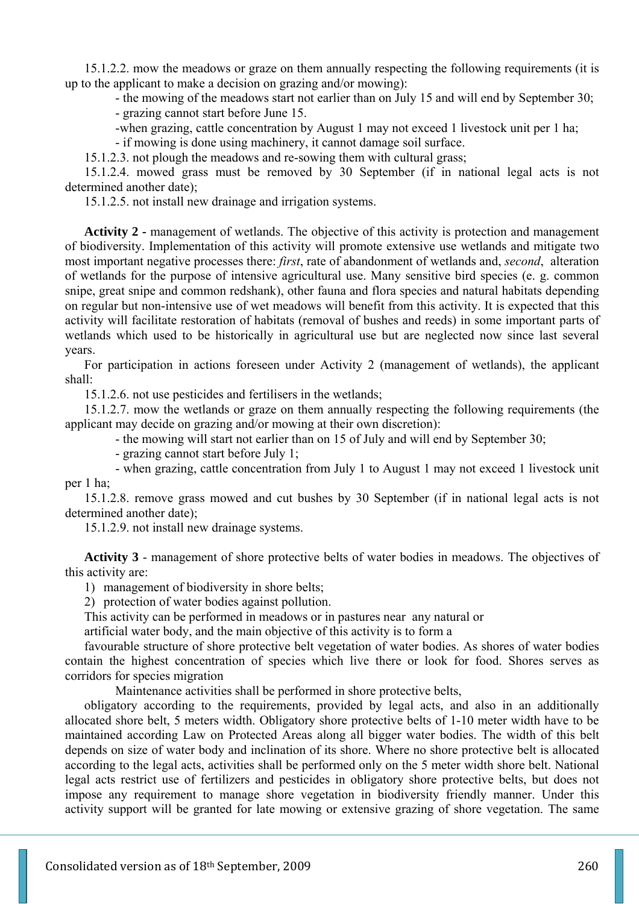15.1.2.2. mow the meadows or graze on them annually respecting the following requirements (it is up to the applicant to make a decision on grazing and/or mowing):

- the mowing of the meadows start not earlier than on July 15 and will end by September 30;

- grazing cannot start before June 15.

-when grazing, cattle concentration by August 1 may not exceed 1 livestock unit per 1 ha;

- if mowing is done using machinery, it cannot damage soil surface.

15.1.2.3. not plough the meadows and re-sowing them with cultural grass;

15.1.2.4. mowed grass must be removed by 30 September (if in national legal acts is not determined another date);

15.1.2.5. not install new drainage and irrigation systems.

**Activity 2 -** management of wetlands. The objective of this activity is protection and management of biodiversity. Implementation of this activity will promote extensive use wetlands and mitigate two most important negative processes there: *first*, rate of abandonment of wetlands and, *second*, alteration of wetlands for the purpose of intensive agricultural use. Many sensitive bird species (e. g. common snipe, great snipe and common redshank), other fauna and flora species and natural habitats depending on regular but non-intensive use of wet meadows will benefit from this activity. It is expected that this activity will facilitate restoration of habitats (removal of bushes and reeds) in some important parts of wetlands which used to be historically in agricultural use but are neglected now since last several years.

For participation in actions foreseen under Activity 2 (management of wetlands), the applicant shall:

15.1.2.6. not use pesticides and fertilisers in the wetlands;

15.1.2.7. mow the wetlands or graze on them annually respecting the following requirements (the applicant may decide on grazing and/or mowing at their own discretion):

- the mowing will start not earlier than on 15 of July and will end by September 30;

- grazing cannot start before July 1;

 - when grazing, cattle concentration from July 1 to August 1 may not exceed 1 livestock unit per 1 ha;

15.1.2.8. remove grass mowed and cut bushes by 30 September (if in national legal acts is not determined another date);

15.1.2.9. not install new drainage systems.

**Activity 3** - management of shore protective belts of water bodies in meadows. The objectives of this activity are:

1) management of biodiversity in shore belts;

2) protection of water bodies against pollution.

This activity can be performed in meadows or in pastures near any natural or

artificial water body, and the main objective of this activity is to form a

favourable structure of shore protective belt vegetation of water bodies. As shores of water bodies contain the highest concentration of species which live there or look for food. Shores serves as corridors for species migration

Maintenance activities shall be performed in shore protective belts,

obligatory according to the requirements, provided by legal acts, and also in an additionally allocated shore belt, 5 meters width. Obligatory shore protective belts of 1-10 meter width have to be maintained according Law on Protected Areas along all bigger water bodies. The width of this belt depends on size of water body and inclination of its shore. Where no shore protective belt is allocated according to the legal acts, activities shall be performed only on the 5 meter width shore belt. National legal acts restrict use of fertilizers and pesticides in obligatory shore protective belts, but does not impose any requirement to manage shore vegetation in biodiversity friendly manner. Under this activity support will be granted for late mowing or extensive grazing of shore vegetation. The same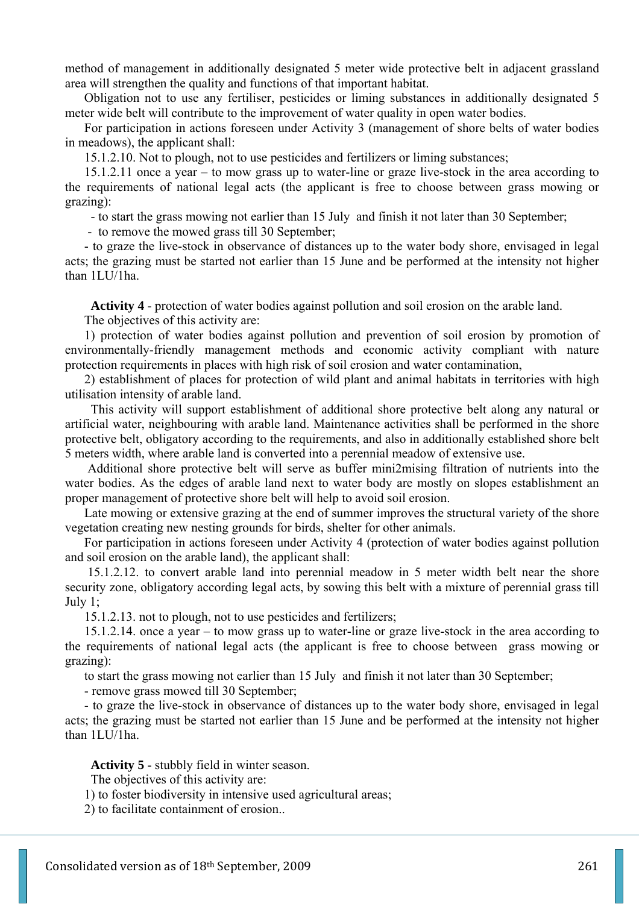method of management in additionally designated 5 meter wide protective belt in adjacent grassland area will strengthen the quality and functions of that important habitat.

Obligation not to use any fertiliser, pesticides or liming substances in additionally designated 5 meter wide belt will contribute to the improvement of water quality in open water bodies.

For participation in actions foreseen under Activity 3 (management of shore belts of water bodies in meadows), the applicant shall:

15.1.2.10. Not to plough, not to use pesticides and fertilizers or liming substances;

15.1.2.11 once a year – to mow grass up to water-line or graze live-stock in the area according to the requirements of national legal acts (the applicant is free to choose between grass mowing or grazing):

- to start the grass mowing not earlier than 15 July and finish it not later than 30 September;

- to remove the mowed grass till 30 September;

- to graze the live-stock in observance of distances up to the water body shore, envisaged in legal acts; the grazing must be started not earlier than 15 June and be performed at the intensity not higher than 1LU/1ha.

**Activity 4** - protection of water bodies against pollution and soil erosion on the arable land.

The objectives of this activity are:

1) protection of water bodies against pollution and prevention of soil erosion by promotion of environmentally-friendly management methods and economic activity compliant with nature protection requirements in places with high risk of soil erosion and water contamination,

2) establishment of places for protection of wild plant and animal habitats in territories with high utilisation intensity of arable land.

 This activity will support establishment of additional shore protective belt along any natural or artificial water, neighbouring with arable land. Maintenance activities shall be performed in the shore protective belt, obligatory according to the requirements, and also in additionally established shore belt 5 meters width, where arable land is converted into a perennial meadow of extensive use.

 Additional shore protective belt will serve as buffer mini2mising filtration of nutrients into the water bodies. As the edges of arable land next to water body are mostly on slopes establishment an proper management of protective shore belt will help to avoid soil erosion.

Late mowing or extensive grazing at the end of summer improves the structural variety of the shore vegetation creating new nesting grounds for birds, shelter for other animals.

For participation in actions foreseen under Activity 4 (protection of water bodies against pollution and soil erosion on the arable land), the applicant shall:

 15.1.2.12. to convert arable land into perennial meadow in 5 meter width belt near the shore security zone, obligatory according legal acts, by sowing this belt with a mixture of perennial grass till July 1;

15.1.2.13. not to plough, not to use pesticides and fertilizers;

15.1.2.14. once a year – to mow grass up to water-line or graze live-stock in the area according to the requirements of national legal acts (the applicant is free to choose between grass mowing or grazing):

to start the grass mowing not earlier than 15 July and finish it not later than 30 September;

- remove grass mowed till 30 September;

- to graze the live-stock in observance of distances up to the water body shore, envisaged in legal acts; the grazing must be started not earlier than 15 June and be performed at the intensity not higher than 1LU/1ha.

**Activity 5** - stubbly field in winter season.

The objectives of this activity are:

1) to foster biodiversity in intensive used agricultural areas;

2) to facilitate containment of erosion..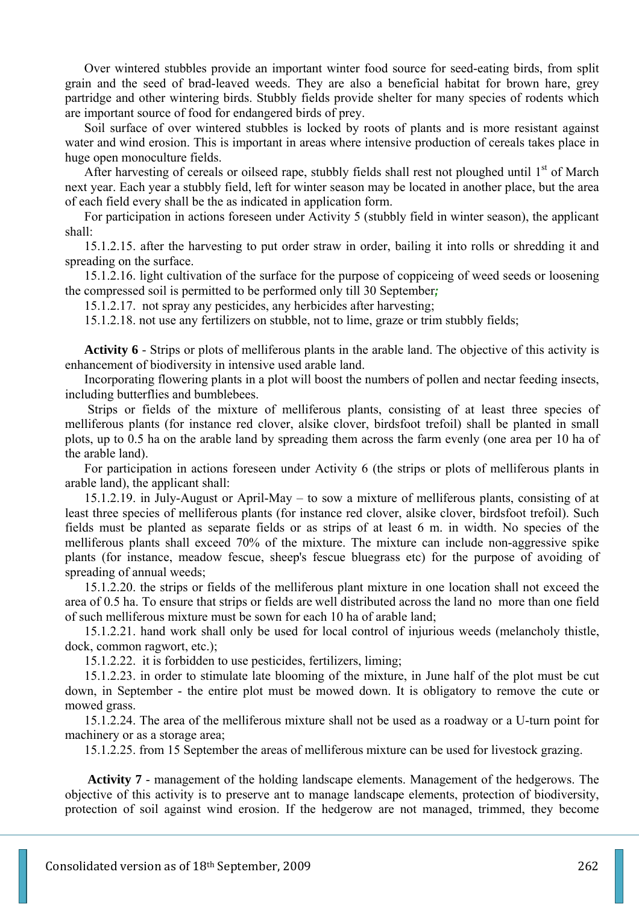Over wintered stubbles provide an important winter food source for seed-eating birds, from split grain and the seed of brad-leaved weeds. They are also a beneficial habitat for brown hare, grey partridge and other wintering birds. Stubbly fields provide shelter for many species of rodents which are important source of food for endangered birds of prey.

Soil surface of over wintered stubbles is locked by roots of plants and is more resistant against water and wind erosion. This is important in areas where intensive production of cereals takes place in huge open monoculture fields.

After harvesting of cereals or oilseed rape, stubbly fields shall rest not ploughed until  $1<sup>st</sup>$  of March next year. Each year a stubbly field, left for winter season may be located in another place, but the area of each field every shall be the as indicated in application form.

For participation in actions foreseen under Activity 5 (stubbly field in winter season), the applicant shall:

15.1.2.15. after the harvesting to put order straw in order, bailing it into rolls or shredding it and spreading on the surface.

15.1.2.16. light cultivation of the surface for the purpose of coppiceing of weed seeds or loosening the compressed soil is permitted to be performed only till 30 September*;* 

15.1.2.17. not spray any pesticides, any herbicides after harvesting;

15.1.2.18. not use any fertilizers on stubble, not to lime, graze or trim stubbly fields;

**Activity 6** - Strips or plots of melliferous plants in the arable land. The objective of this activity is enhancement of biodiversity in intensive used arable land.

Incorporating flowering plants in a plot will boost the numbers of pollen and nectar feeding insects, including butterflies and bumblebees.

 Strips or fields of the mixture of melliferous plants, consisting of at least three species of melliferous plants (for instance red clover, alsike clover, birdsfoot trefoil) shall be planted in small plots, up to 0.5 ha on the arable land by spreading them across the farm evenly (one area per 10 ha of the arable land).

For participation in actions foreseen under Activity 6 (the strips or plots of melliferous plants in arable land), the applicant shall:

15.1.2.19. in July-August or April-May – to sow a mixture of melliferous plants, consisting of at least three species of melliferous plants (for instance red clover, alsike clover, birdsfoot trefoil). Such fields must be planted as separate fields or as strips of at least 6 m. in width. No species of the melliferous plants shall exceed 70% of the mixture. The mixture can include non-aggressive spike plants (for instance, meadow fescue, sheep's fescue bluegrass etc) for the purpose of avoiding of spreading of annual weeds;

15.1.2.20. the strips or fields of the melliferous plant mixture in one location shall not exceed the area of 0.5 ha. To ensure that strips or fields are well distributed across the land no more than one field of such melliferous mixture must be sown for each 10 ha of arable land;

15.1.2.21. hand work shall only be used for local control of injurious weeds (melancholy thistle, dock, common ragwort, etc.);

15.1.2.22. it is forbidden to use pesticides, fertilizers, liming;

15.1.2.23. in order to stimulate late blooming of the mixture, in June half of the plot must be cut down, in September - the entire plot must be mowed down. It is obligatory to remove the cute or mowed grass.

15.1.2.24. The area of the melliferous mixture shall not be used as a roadway or a U-turn point for machinery or as a storage area;

15.1.2.25. from 15 September the areas of melliferous mixture can be used for livestock grazing.

**Activity 7** - management of the holding landscape elements. Management of the hedgerows. The objective of this activity is to preserve ant to manage landscape elements, protection of biodiversity, protection of soil against wind erosion. If the hedgerow are not managed, trimmed, they become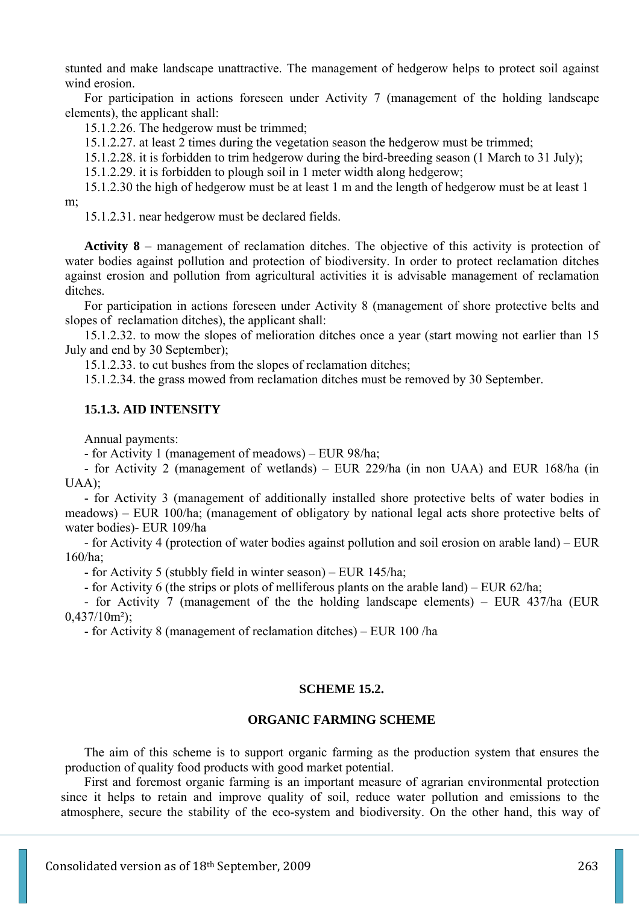stunted and make landscape unattractive. The management of hedgerow helps to protect soil against wind erosion.

For participation in actions foreseen under Activity 7 (management of the holding landscape elements), the applicant shall:

15.1.2.26. The hedgerow must be trimmed;

15.1.2.27. at least 2 times during the vegetation season the hedgerow must be trimmed;

15.1.2.28. it is forbidden to trim hedgerow during the bird-breeding season (1 March to 31 July);

15.1.2.29. it is forbidden to plough soil in 1 meter width along hedgerow;

15.1.2.30 the high of hedgerow must be at least 1 m and the length of hedgerow must be at least 1 m;

15.1.2.31. near hedgerow must be declared fields.

**Activity 8** – management of reclamation ditches. The objective of this activity is protection of water bodies against pollution and protection of biodiversity. In order to protect reclamation ditches against erosion and pollution from agricultural activities it is advisable management of reclamation ditches.

For participation in actions foreseen under Activity 8 (management of shore protective belts and slopes of reclamation ditches), the applicant shall:

15.1.2.32. to mow the slopes of melioration ditches once a year (start mowing not earlier than 15 July and end by 30 September);

15.1.2.33. to cut bushes from the slopes of reclamation ditches;

15.1.2.34. the grass mowed from reclamation ditches must be removed by 30 September.

### **15.1.3. AID INTENSITY**

Annual payments:

- for Activity 1 (management of meadows) – EUR 98/ha;

- for Activity 2 (management of wetlands) – EUR 229/ha (in non UAA) and EUR 168/ha (in UAA);

- for Activity 3 (management of additionally installed shore protective belts of water bodies in meadows) – EUR 100/ha; (management of obligatory by national legal acts shore protective belts of water bodies)- EUR 109/ha

- for Activity 4 (protection of water bodies against pollution and soil erosion on arable land) – EUR 160/ha;

- for Activity 5 (stubbly field in winter season) – EUR 145/ha;

- for Activity 6 (the strips or plots of melliferous plants on the arable land) – EUR 62/ha;

- for Activity 7 (management of the the holding landscape elements) – EUR 437/ha (EUR  $0,437/10m^2$ ;

- for Activity 8 (management of reclamation ditches) – EUR 100 /ha

### **SCHEME 15.2.**

### **ORGANIC FARMING SCHEME**

The aim of this scheme is to support organic farming as the production system that ensures the production of quality food products with good market potential.

First and foremost organic farming is an important measure of agrarian environmental protection since it helps to retain and improve quality of soil, reduce water pollution and emissions to the atmosphere, secure the stability of the eco-system and biodiversity. On the other hand, this way of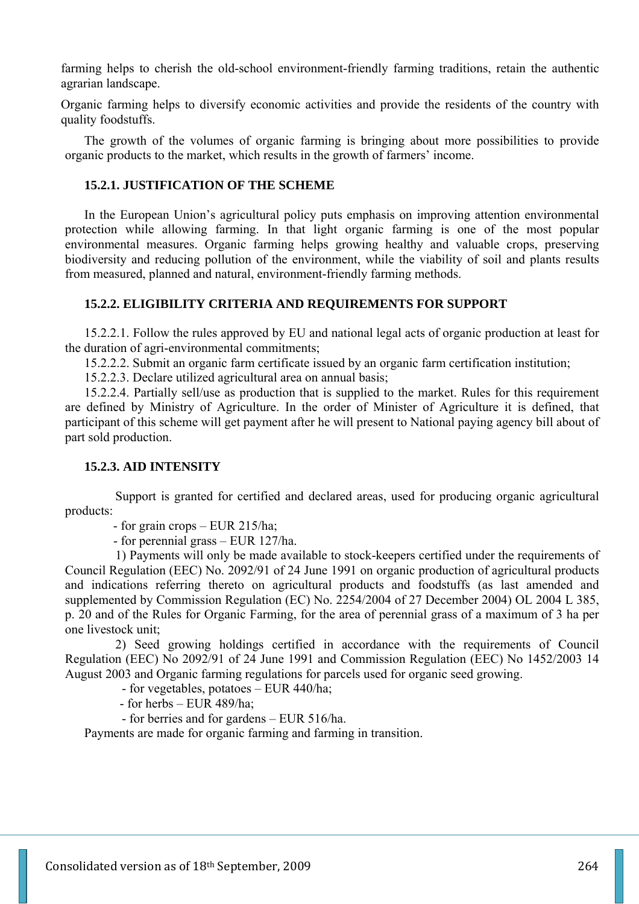farming helps to cherish the old-school environment-friendly farming traditions, retain the authentic agrarian landscape.

Organic farming helps to diversify economic activities and provide the residents of the country with quality foodstuffs.

The growth of the volumes of organic farming is bringing about more possibilities to provide organic products to the market, which results in the growth of farmers' income.

## **15.2.1. JUSTIFICATION OF THE SCHEME**

In the European Union's agricultural policy puts emphasis on improving attention environmental protection while allowing farming. In that light organic farming is one of the most popular environmental measures. Organic farming helps growing healthy and valuable crops, preserving biodiversity and reducing pollution of the environment, while the viability of soil and plants results from measured, planned and natural, environment-friendly farming methods.

## **15.2.2. ELIGIBILITY CRITERIA AND REQUIREMENTS FOR SUPPORT**

15.2.2.1. Follow the rules approved by EU and national legal acts of organic production at least for the duration of agri-environmental commitments;

15.2.2.2. Submit an organic farm certificate issued by an organic farm certification institution;

15.2.2.3. Declare utilized agricultural area on annual basis;

15.2.2.4. Partially sell/use as production that is supplied to the market. Rules for this requirement are defined by Ministry of Agriculture. In the order of Minister of Agriculture it is defined, that participant of this scheme will get payment after he will present to National paying agency bill about of part sold production.

### **15.2.3. AID INTENSITY**

 Support is granted for certified and declared areas, used for producing organic agricultural products:

- for grain crops – EUR 215/ha;

- for perennial grass – EUR 127/ha.

 1) Payments will only be made available to stock-keepers certified under the requirements of Council Regulation (EEC) No. 2092/91 of 24 June 1991 on organic production of agricultural products and indications referring thereto on agricultural products and foodstuffs (as last amended and supplemented by Commission Regulation (EC) No. 2254/2004 of 27 December 2004) OL 2004 L 385, p. 20 and of the Rules for Organic Farming, for the area of perennial grass of a maximum of 3 ha per one livestock unit;

 2) Seed growing holdings certified in accordance with the requirements of Council Regulation (EEC) No 2092/91 of 24 June 1991 and Commission Regulation (EEC) No 1452/2003 14 August 2003 and Organic farming regulations for parcels used for organic seed growing.

- for vegetables, potatoes – EUR 440/ha;

- for herbs  $EUR 489/ha$ ;
- for berries and for gardens EUR 516/ha.

Payments are made for organic farming and farming in transition.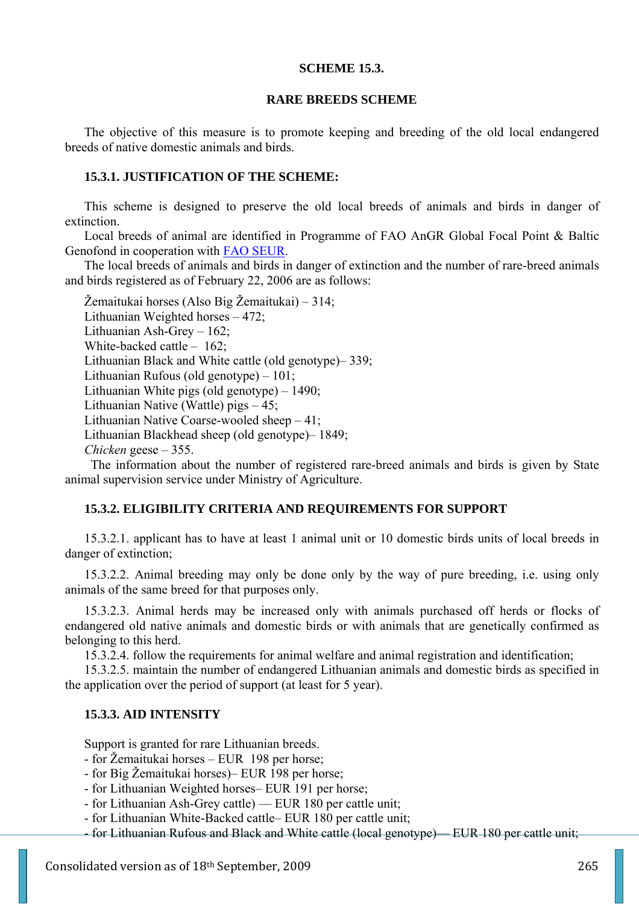#### **SCHEME 15.3.**

#### **RARE BREEDS SCHEME**

The objective of this measure is to promote keeping and breeding of the old local endangered breeds of native domestic animals and birds.

### **15.3.1. JUSTIFICATION OF THE SCHEME:**

This scheme is designed to preserve the old local breeds of animals and birds in danger of extinction.

Local breeds of animal are identified in Programme of FAO AnGR Global Focal Point & Baltic Genofond in cooperation with FAO SEUR.

The local breeds of animals and birds in danger of extinction and the number of rare-breed animals and birds registered as of February 22, 2006 are as follows:

Žemaitukai horses (Also Big Žemaitukai) – 314; Lithuanian Weighted horses – 472; Lithuanian Ash-Grey – 162; White-backed cattle - 162; Lithuanian Black and White cattle (old genotype)– 339; Lithuanian Rufous (old genotype) – 101; Lithuanian White pigs (old genotype) – 1490; Lithuanian Native (Wattle) pigs – 45; Lithuanian Native Coarse-wooled sheep – 41; Lithuanian Blackhead sheep (old genotype)– 1849; *Chicken* geese – 355.

The information about the number of registered rare-breed animals and birds is given by State animal supervision service under Ministry of Agriculture.

#### **15.3.2. ELIGIBILITY CRITERIA AND REQUIREMENTS FOR SUPPORT**

15.3.2.1. applicant has to have at least 1 animal unit or 10 domestic birds units of local breeds in danger of extinction;

15.3.2.2. Animal breeding may only be done only by the way of pure breeding, i.e. using only animals of the same breed for that purposes only.

15.3.2.3. Animal herds may be increased only with animals purchased off herds or flocks of endangered old native animals and domestic birds or with animals that are genetically confirmed as belonging to this herd.

15.3.2.4. follow the requirements for animal welfare and animal registration and identification;

15.3.2.5. maintain the number of endangered Lithuanian animals and domestic birds as specified in the application over the period of support (at least for 5 year).

### **15.3.3. AID INTENSITY**

Support is granted for rare Lithuanian breeds.

- for Žemaitukai horses EUR 198 per horse;
- for Big Žemaitukai horses)– EUR 198 per horse;
- for Lithuanian Weighted horses– EUR 191 per horse;
- for Lithuanian Ash-Grey cattle) –– EUR 180 per cattle unit;
- for Lithuanian White-Backed cattle– EUR 180 per cattle unit;
- for Lithuanian Rufous and Black and White cattle (local genotype)–– EUR 180 per cattle unit;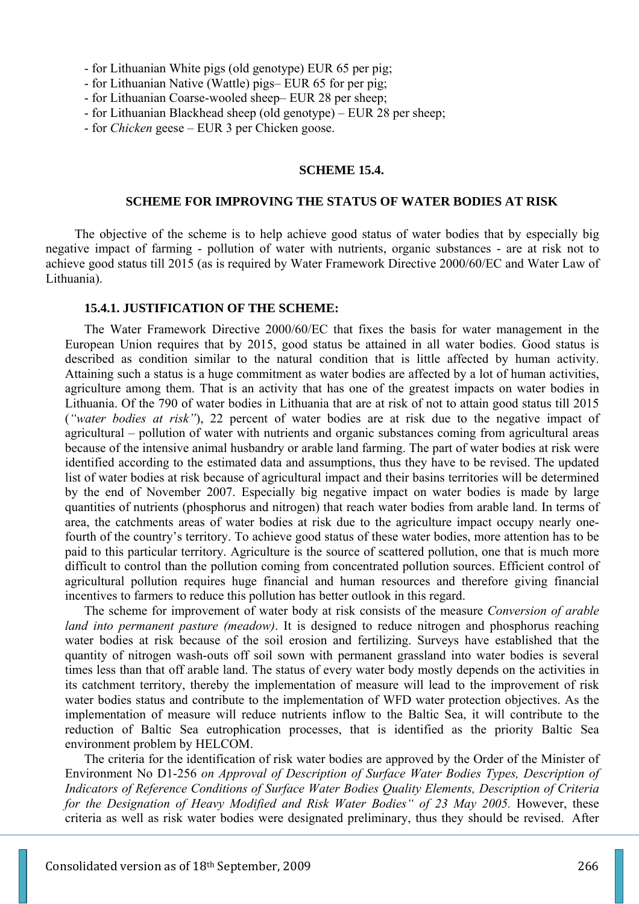- for Lithuanian White pigs (old genotype) EUR 65 per pig;
- for Lithuanian Native (Wattle) pigs– EUR 65 for per pig;
- for Lithuanian Coarse-wooled sheep– EUR 28 per sheep;
- for Lithuanian Blackhead sheep (old genotype) EUR 28 per sheep;
- for *Chicken* geese EUR 3 per Chicken goose.

#### **SCHEME 15.4.**

#### **SCHEME FOR IMPROVING THE STATUS OF WATER BODIES AT RISK**

The objective of the scheme is to help achieve good status of water bodies that by especially big negative impact of farming - pollution of water with nutrients, organic substances - are at risk not to achieve good status till 2015 (as is required by Water Framework Directive 2000/60/EC and Water Law of Lithuania).

#### **15.4.1. JUSTIFICATION OF THE SCHEME:**

The Water Framework Directive 2000/60/EC that fixes the basis for water management in the European Union requires that by 2015, good status be attained in all water bodies. Good status is described as condition similar to the natural condition that is little affected by human activity. Attaining such a status is a huge commitment as water bodies are affected by a lot of human activities, agriculture among them. That is an activity that has one of the greatest impacts on water bodies in Lithuania. Of the 790 of water bodies in Lithuania that are at risk of not to attain good status till 2015 (*"water bodies at risk"*), 22 percent of water bodies are at risk due to the negative impact of agricultural – pollution of water with nutrients and organic substances coming from agricultural areas because of the intensive animal husbandry or arable land farming. The part of water bodies at risk were identified according to the estimated data and assumptions, thus they have to be revised. The updated list of water bodies at risk because of agricultural impact and their basins territories will be determined by the end of November 2007. Especially big negative impact on water bodies is made by large quantities of nutrients (phosphorus and nitrogen) that reach water bodies from arable land. In terms of area, the catchments areas of water bodies at risk due to the agriculture impact occupy nearly onefourth of the country's territory. To achieve good status of these water bodies, more attention has to be paid to this particular territory. Agriculture is the source of scattered pollution, one that is much more difficult to control than the pollution coming from concentrated pollution sources. Efficient control of agricultural pollution requires huge financial and human resources and therefore giving financial incentives to farmers to reduce this pollution has better outlook in this regard.

The scheme for improvement of water body at risk consists of the measure *Conversion of arable land into permanent pasture (meadow)*. It is designed to reduce nitrogen and phosphorus reaching water bodies at risk because of the soil erosion and fertilizing. Surveys have established that the quantity of nitrogen wash-outs off soil sown with permanent grassland into water bodies is several times less than that off arable land. The status of every water body mostly depends on the activities in its catchment territory, thereby the implementation of measure will lead to the improvement of risk water bodies status and contribute to the implementation of WFD water protection objectives. As the implementation of measure will reduce nutrients inflow to the Baltic Sea, it will contribute to the reduction of Baltic Sea eutrophication processes, that is identified as the priority Baltic Sea environment problem by HELCOM.

The criteria for the identification of risk water bodies are approved by the Order of the Minister of Environment No D1-256 *on Approval of Description of Surface Water Bodies Types, Description of Indicators of Reference Conditions of Surface Water Bodies Quality Elements, Description of Criteria*  for the Designation of Heavy Modified and Risk Water Bodies" of 23 May 2005. However, these criteria as well as risk water bodies were designated preliminary, thus they should be revised. After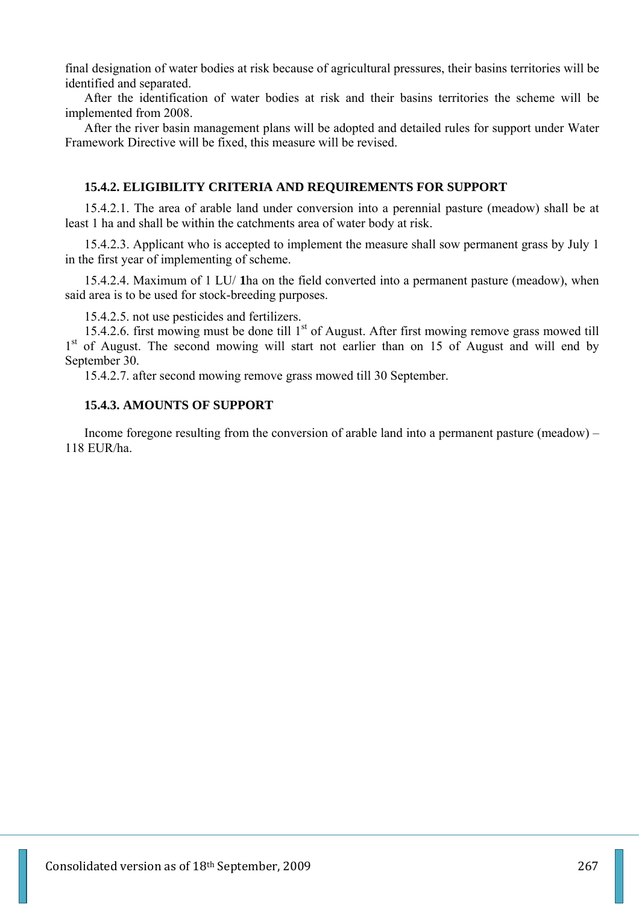final designation of water bodies at risk because of agricultural pressures, their basins territories will be identified and separated.

After the identification of water bodies at risk and their basins territories the scheme will be implemented from 2008.

After the river basin management plans will be adopted and detailed rules for support under Water Framework Directive will be fixed, this measure will be revised.

## **15.4.2. ELIGIBILITY CRITERIA AND REQUIREMENTS FOR SUPPORT**

15.4.2.1. The area of arable land under conversion into a perennial pasture (meadow) shall be at least 1 ha and shall be within the catchments area of water body at risk.

15.4.2.3. Applicant who is accepted to implement the measure shall sow permanent grass by July 1 in the first year of implementing of scheme.

15.4.2.4. Maximum of 1 LU/ **1**ha on the field converted into a permanent pasture (meadow), when said area is to be used for stock-breeding purposes.

15.4.2.5. not use pesticides and fertilizers.

15.4.2.6. first mowing must be done till  $1<sup>st</sup>$  of August. After first mowing remove grass mowed till  $1<sup>st</sup>$  of August. The second mowing will start not earlier than on 15 of August and will end by September 30.

15.4.2.7. after second mowing remove grass mowed till 30 September.

### **15.4.3. AMOUNTS OF SUPPORT**

Income foregone resulting from the conversion of arable land into a permanent pasture (meadow) – 118 EUR/ha.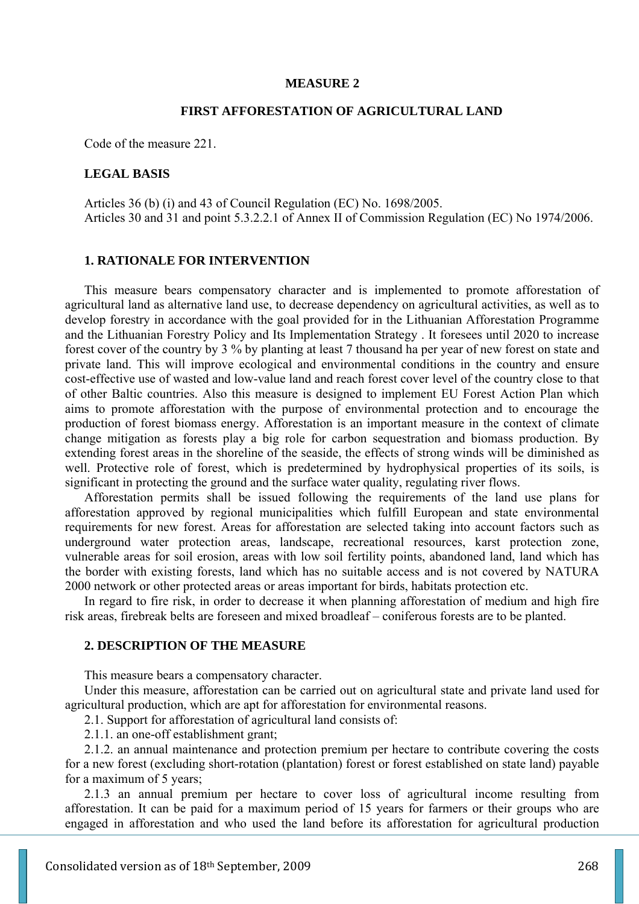#### **MEASURE 2**

#### **FIRST AFFORESTATION OF AGRICULTURAL LAND**

Code of the measure 221.

#### **LEGAL BASIS**

Articles 36 (b) (i) and 43 of Council Regulation (EC) No. 1698/2005. Articles 30 and 31 and point 5.3.2.2.1 of Annex II of Commission Regulation (EC) No 1974/2006.

#### **1. RATIONALE FOR INTERVENTION**

This measure bears compensatory character and is implemented to promote afforestation of agricultural land as alternative land use, to decrease dependency on agricultural activities, as well as to develop forestry in accordance with the goal provided for in the Lithuanian Afforestation Programme and the Lithuanian Forestry Policy and Its Implementation Strategy . It foresees until 2020 to increase forest cover of the country by 3 % by planting at least 7 thousand ha per year of new forest on state and private land. This will improve ecological and environmental conditions in the country and ensure cost-effective use of wasted and low-value land and reach forest cover level of the country close to that of other Baltic countries. Also this measure is designed to implement EU Forest Action Plan which aims to promote afforestation with the purpose of environmental protection and to encourage the production of forest biomass energy. Afforestation is an important measure in the context of climate change mitigation as forests play a big role for carbon sequestration and biomass production. By extending forest areas in the shoreline of the seaside, the effects of strong winds will be diminished as well. Protective role of forest, which is predetermined by hydrophysical properties of its soils, is significant in protecting the ground and the surface water quality, regulating river flows.

Afforestation permits shall be issued following the requirements of the land use plans for afforestation approved by regional municipalities which fulfill European and state environmental requirements for new forest. Areas for afforestation are selected taking into account factors such as underground water protection areas, landscape, recreational resources, karst protection zone, vulnerable areas for soil erosion, areas with low soil fertility points, abandoned land, land which has the border with existing forests, land which has no suitable access and is not covered by NATURA 2000 network or other protected areas or areas important for birds, habitats protection etc.

In regard to fire risk, in order to decrease it when planning afforestation of medium and high fire risk areas, firebreak belts are foreseen and mixed broadleaf – coniferous forests are to be planted.

#### **2. DESCRIPTION OF THE MEASURE**

This measure bears a compensatory character.

Under this measure, afforestation can be carried out on agricultural state and private land used for agricultural production, which are apt for afforestation for environmental reasons.

2.1. Support for afforestation of agricultural land consists of:

2.1.1. an one-off establishment grant;

2.1.2. an annual maintenance and protection premium per hectare to contribute covering the costs for a new forest (excluding short-rotation (plantation) forest or forest established on state land) payable for a maximum of 5 years;

2.1.3 an annual premium per hectare to cover loss of agricultural income resulting from afforestation. It can be paid for a maximum period of 15 years for farmers or their groups who are engaged in afforestation and who used the land before its afforestation for agricultural production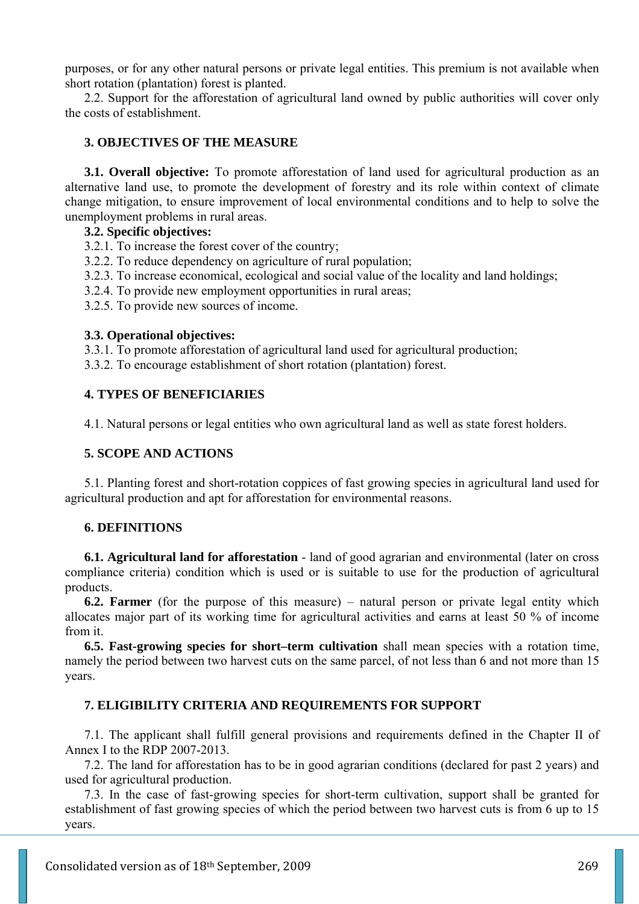purposes, or for any other natural persons or private legal entities. This premium is not available when short rotation (plantation) forest is planted.

2.2. Support for the afforestation of agricultural land owned by public authorities will cover only the costs of establishment.

#### **3. OBJECTIVES OF THE MEASURE**

**3.1. Overall objective:** To promote afforestation of land used for agricultural production as an alternative land use, to promote the development of forestry and its role within context of climate change mitigation, to ensure improvement of local environmental conditions and to help to solve the unemployment problems in rural areas.

#### **3.2. Specific objectives:**

- 3.2.1. To increase the forest cover of the country;
- 3.2.2. To reduce dependency on agriculture of rural population;
- 3.2.3. To increase economical, ecological and social value of the locality and land holdings;
- 3.2.4. To provide new employment opportunities in rural areas;
- 3.2.5. To provide new sources of income.

#### **3.3. Operational objectives:**

3.3.1. To promote afforestation of agricultural land used for agricultural production;

3.3.2. To encourage establishment of short rotation (plantation) forest.

### **4. TYPES OF BENEFICIARIES**

4.1. Natural persons or legal entities who own agricultural land as well as state forest holders.

### **5. SCOPE AND ACTIONS**

5.1. Planting forest and short-rotation coppices of fast growing species in agricultural land used for agricultural production and apt for afforestation for environmental reasons.

#### **6. DEFINITIONS**

**6.1. Agricultural land for afforestation** - land of good agrarian and environmental (later on cross compliance criteria) condition which is used or is suitable to use for the production of agricultural products.

**6.2. Farmer** (for the purpose of this measure) – natural person or private legal entity which allocates major part of its working time for agricultural activities and earns at least 50 % of income from it.

**6.5. Fast-growing species for short–term cultivation** shall mean species with a rotation time, namely the period between two harvest cuts on the same parcel, of not less than 6 and not more than 15 years.

### **7. ELIGIBILITY CRITERIA AND REQUIREMENTS FOR SUPPORT**

7.1. The applicant shall fulfill general provisions and requirements defined in the Chapter II of Annex I to the RDP 2007-2013.

7.2. The land for afforestation has to be in good agrarian conditions (declared for past 2 years) and used for agricultural production.

7.3. In the case of fast-growing species for short-term cultivation, support shall be granted for establishment of fast growing species of which the period between two harvest cuts is from 6 up to 15 years.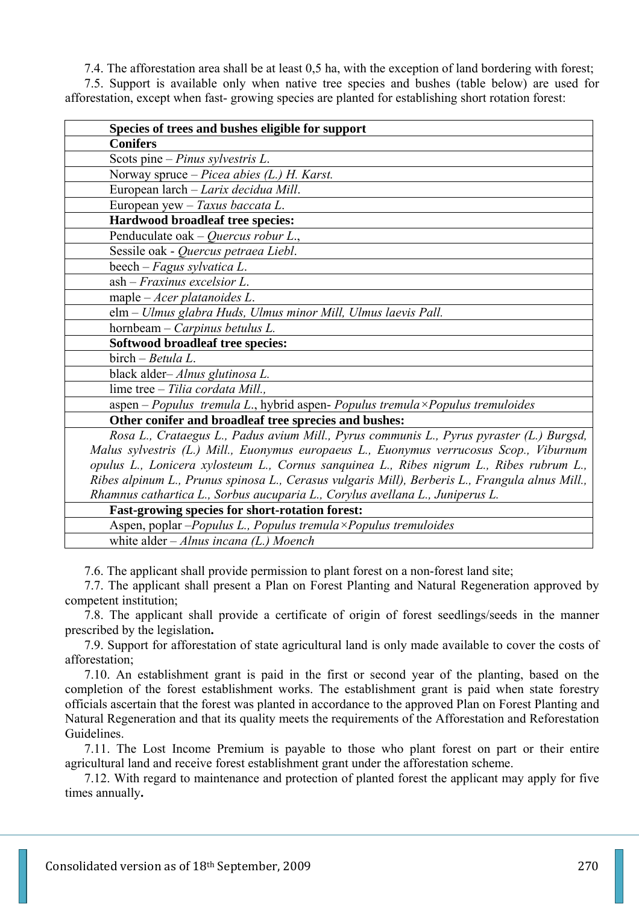7.4. The afforestation area shall be at least 0,5 ha, with the exception of land bordering with forest; 7.5. Support is available only when native tree species and bushes (table below) are used for afforestation, except when fast- growing species are planted for establishing short rotation forest:

| Species of trees and bushes eligible for support                                                |
|-------------------------------------------------------------------------------------------------|
| <b>Conifers</b>                                                                                 |
| Scots pine – <i>Pinus sylvestris L.</i>                                                         |
| Norway spruce – Picea abies $(L)$ H. Karst.                                                     |
| European larch - Larix decidua Mill.                                                            |
| European yew - Taxus baccata L.                                                                 |
| Hardwood broadleaf tree species:                                                                |
| Penduculate oak – Quercus robur L.,                                                             |
| Sessile oak - Quercus petraea Liebl.                                                            |
| beech – Fagus sylvatica L.                                                                      |
| $ash-Fraxinus$ excelsior $L$ .                                                                  |
| maple – Acer platanoides $L$ .                                                                  |
| elm - Ulmus glabra Huds, Ulmus minor Mill, Ulmus laevis Pall.                                   |
| hornbeam – Carpinus betulus L.                                                                  |
| Softwood broadleaf tree species:                                                                |
| birch - Betula L.                                                                               |
| black alder-Alnus glutinosa L.                                                                  |
| lime tree - Tilia cordata Mill.,                                                                |
| $aspen-Populus$ tremula L., hybrid aspen-Populus tremula $\times Populus$ tremuloides           |
| Other conifer and broadleaf tree sprecies and bushes:                                           |
| Rosa L., Crataegus L., Padus avium Mill., Pyrus communis L., Pyrus pyraster (L.) Burgsd,        |
| Malus sylvestris (L.) Mill., Euonymus europaeus L., Euonymus verrucosus Scop., Viburnum         |
| opulus L., Lonicera xylosteum L., Cornus sanquinea L., Ribes nigrum L., Ribes rubrum L.,        |
| Ribes alpinum L., Prunus spinosa L., Cerasus vulgaris Mill), Berberis L., Frangula alnus Mill., |
| Rhamnus cathartica L., Sorbus aucuparia L., Corylus avellana L., Juniperus L.                   |
| Fost quarriage appearance for short restation founds                                            |

**Fast-growing species for short-rotation forest:** 

Aspen, poplar –*Populus L., Populus tremula×Populus tremuloides*

white alder – *Alnus incana (L.) Moench*

7.6. The applicant shall provide permission to plant forest on a non-forest land site;

7.7. The applicant shall present a Plan on Forest Planting and Natural Regeneration approved by competent institution;

7.8. The applicant shall provide a certificate of origin of forest seedlings/seeds in the manner prescribed by the legislation**.** 

7.9. Support for afforestation of state agricultural land is only made available to cover the costs of afforestation;

7.10. An establishment grant is paid in the first or second year of the planting, based on the completion of the forest establishment works. The establishment grant is paid when state forestry officials ascertain that the forest was planted in accordance to the approved Plan on Forest Planting and Natural Regeneration and that its quality meets the requirements of the Afforestation and Reforestation Guidelines.

7.11. The Lost Income Premium is payable to those who plant forest on part or their entire agricultural land and receive forest establishment grant under the afforestation scheme.

7.12. With regard to maintenance and protection of planted forest the applicant may apply for five times annually**.**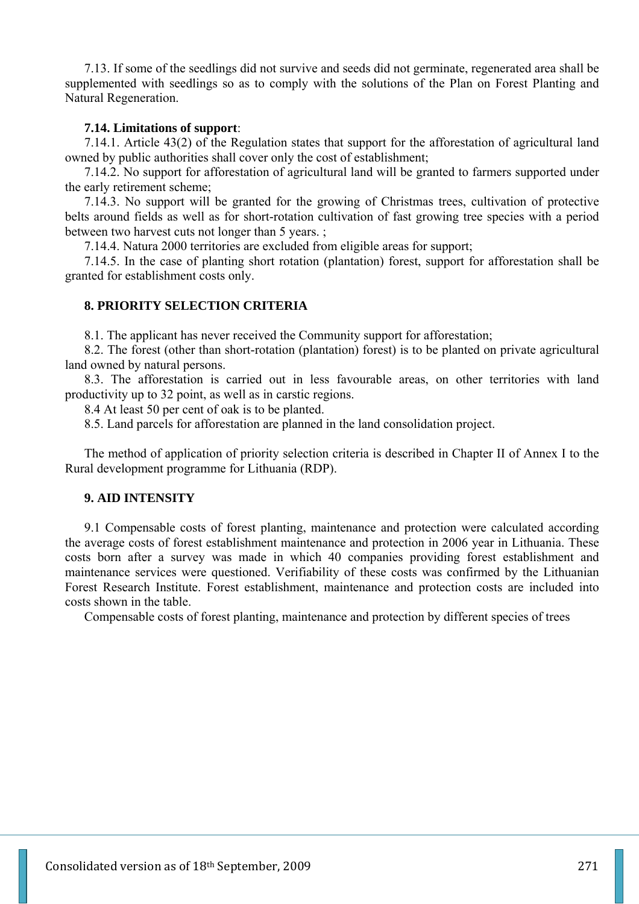7.13. If some of the seedlings did not survive and seeds did not germinate, regenerated area shall be supplemented with seedlings so as to comply with the solutions of the Plan on Forest Planting and Natural Regeneration.

#### **7.14. Limitations of support**:

7.14.1. Article 43(2) of the Regulation states that support for the afforestation of agricultural land owned by public authorities shall cover only the cost of establishment;

7.14.2. No support for afforestation of agricultural land will be granted to farmers supported under the early retirement scheme;

7.14.3. No support will be granted for the growing of Christmas trees, cultivation of protective belts around fields as well as for short-rotation cultivation of fast growing tree species with a period between two harvest cuts not longer than 5 years. ;

7.14.4. Natura 2000 territories are excluded from eligible areas for support;

7.14.5. In the case of planting short rotation (plantation) forest, support for afforestation shall be granted for establishment costs only.

### **8. PRIORITY SELECTION CRITERIA**

8.1. The applicant has never received the Community support for afforestation;

8.2. The forest (other than short-rotation (plantation) forest) is to be planted on private agricultural land owned by natural persons.

8.3. The afforestation is carried out in less favourable areas, on other territories with land productivity up to 32 point, as well as in carstic regions.

8.4 At least 50 per cent of oak is to be planted.

8.5. Land parcels for afforestation are planned in the land consolidation project.

The method of application of priority selection criteria is described in Chapter II of Annex I to the Rural development programme for Lithuania (RDP).

#### **9. AID INTENSITY**

9.1 Compensable costs of forest planting, maintenance and protection were calculated according the average costs of forest establishment maintenance and protection in 2006 year in Lithuania. These costs born after a survey was made in which 40 companies providing forest establishment and maintenance services were questioned. Verifiability of these costs was confirmed by the Lithuanian Forest Research Institute. Forest establishment, maintenance and protection costs are included into costs shown in the table.

Compensable costs of forest planting, maintenance and protection by different species of trees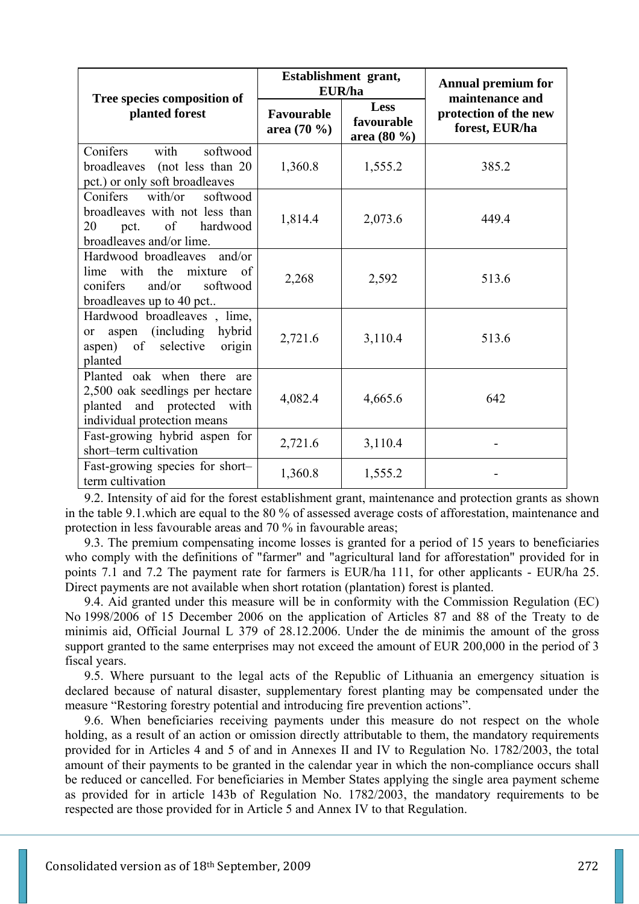|                                                                                                                                           | EUR/ha                            | Establishment grant,              | <b>Annual premium for</b><br>maintenance and |  |
|-------------------------------------------------------------------------------------------------------------------------------------------|-----------------------------------|-----------------------------------|----------------------------------------------|--|
| Tree species composition of<br>planted forest                                                                                             | <b>Favourable</b><br>area $(70\%$ | Less<br>favourable<br>area (80 %) | protection of the new<br>forest, EUR/ha      |  |
| with<br>Conifers<br>softwood<br>broadleaves (not less than 20<br>pct.) or only soft broadleaves                                           | 1,360.8                           | 1,555.2                           | 385.2                                        |  |
| with/or<br>Conifers<br>softwood<br>broadleaves with not less than<br>of<br>20<br>hardwood<br>pct.<br>broadleaves and/or lime.             | 1,814.4                           | 2,073.6                           | 449.4                                        |  |
| Hardwood broadleaves<br>and/or<br>lime with the<br><sub>of</sub><br>mixture<br>conifers<br>and/or<br>softwood<br>broadleaves up to 40 pct | 2,268                             | 2,592                             | 513.6                                        |  |
| Hardwood broadleaves, lime,<br>aspen (including hybrid<br><sub>or</sub><br>aspen) of selective<br>origin<br>planted                       | 2,721.6                           | 3,110.4                           | 513.6                                        |  |
| Planted oak when there are<br>2,500 oak seedlings per hectare<br>and protected with<br>planted<br>individual protection means             | 4,082.4                           | 4,665.6                           | 642                                          |  |
| Fast-growing hybrid aspen for<br>short-term cultivation                                                                                   | 2,721.6                           | 3,110.4                           |                                              |  |
| Fast-growing species for short-<br>term cultivation                                                                                       | 1,360.8                           | 1,555.2                           |                                              |  |

9.2. Intensity of aid for the forest establishment grant, maintenance and protection grants as shown in the table 9.1.which are equal to the 80 % of assessed average costs of afforestation, maintenance and protection in less favourable areas and 70 % in favourable areas;

9.3. The premium compensating income losses is granted for a period of 15 years to beneficiaries who comply with the definitions of "farmer" and "agricultural land for afforestation" provided for in points 7.1 and 7.2 The payment rate for farmers is EUR/ha 111, for other applicants - EUR/ha 25. Direct payments are not available when short rotation (plantation) forest is planted.

9.4. Aid granted under this measure will be in conformity with the Commission Regulation (EC) No 1998/2006 of 15 December 2006 on the application of Articles 87 and 88 of the Treaty to de minimis aid, Official Journal L 379 of 28.12.2006. Under the de minimis the amount of the gross support granted to the same enterprises may not exceed the amount of EUR 200,000 in the period of 3 fiscal years.

9.5. Where pursuant to the legal acts of the Republic of Lithuania an emergency situation is declared because of natural disaster, supplementary forest planting may be compensated under the measure "Restoring forestry potential and introducing fire prevention actions".

9.6. When beneficiaries receiving payments under this measure do not respect on the whole holding, as a result of an action or omission directly attributable to them, the mandatory requirements provided for in Articles 4 and 5 of and in Annexes II and IV to Regulation No. 1782/2003, the total amount of their payments to be granted in the calendar year in which the non-compliance occurs shall be reduced or cancelled. For beneficiaries in Member States applying the single area payment scheme as provided for in article 143b of Regulation No. 1782/2003, the mandatory requirements to be respected are those provided for in Article 5 and Annex IV to that Regulation.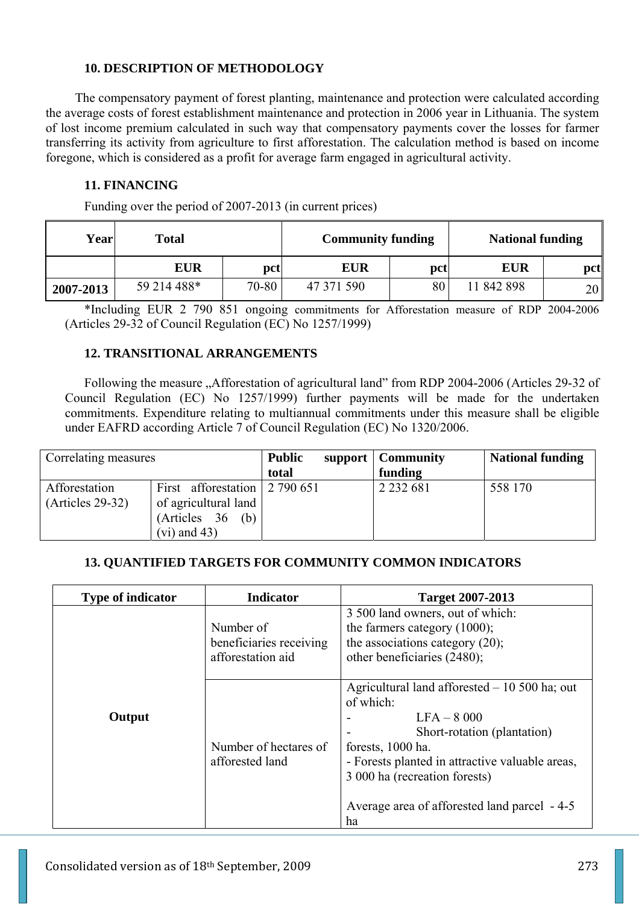## **10. DESCRIPTION OF METHODOLOGY**

The compensatory payment of forest planting, maintenance and protection were calculated according the average costs of forest establishment maintenance and protection in 2006 year in Lithuania. The system of lost income premium calculated in such way that compensatory payments cover the losses for farmer transferring its activity from agriculture to first afforestation. The calculation method is based on income foregone, which is considered as a profit for average farm engaged in agricultural activity.

# **11. FINANCING**

Funding over the period of 2007-2013 (in current prices)

| Year      | <b>Total</b> |           | <b>Community funding</b> |     | <b>National funding</b> |     |
|-----------|--------------|-----------|--------------------------|-----|-------------------------|-----|
|           | <b>EUR</b>   | pct       | <b>EUR</b>               | pct | <b>EUR</b>              | pct |
| 2007-2013 | 59 214 488*  | $70 - 80$ | 47 371 590               | 80  | 11 842 898              | 20  |

\*Including EUR 2 790 851 ongoing commitments for Afforestation measure of RDP 2004-2006 (Articles 29-32 of Council Regulation (EC) No 1257/1999)

## **12. TRANSITIONAL ARRANGEMENTS**

Following the measure "Afforestation of agricultural land" from RDP 2004-2006 (Articles 29-32 of Council Regulation (EC) No 1257/1999) further payments will be made for the undertaken commitments. Expenditure relating to multiannual commitments under this measure shall be eligible under EAFRD according Article 7 of Council Regulation (EC) No 1320/2006.

| Correlating measures                | <b>Public</b><br>total                                                                         | support   Community<br>funding | <b>National funding</b> |         |
|-------------------------------------|------------------------------------------------------------------------------------------------|--------------------------------|-------------------------|---------|
| Afforestation<br>$(Articles 29-32)$ | First afforestation 2 790 651<br>of agricultural land<br>(Articles 36<br>(b)<br>$(vi)$ and 43) |                                | 2 2 3 2 6 8 1           | 558 170 |

## **13. QUANTIFIED TARGETS FOR COMMUNITY COMMON INDICATORS**

| <b>Type of indicator</b> | <b>Indicator</b>                                          | <b>Target 2007-2013</b>                                                                                                                                                                                                                                                   |  |  |
|--------------------------|-----------------------------------------------------------|---------------------------------------------------------------------------------------------------------------------------------------------------------------------------------------------------------------------------------------------------------------------------|--|--|
|                          | Number of<br>beneficiaries receiving<br>afforestation aid | 3 500 land owners, out of which:<br>the farmers category $(1000)$ ;<br>the associations category $(20)$ ;<br>other beneficiaries (2480);                                                                                                                                  |  |  |
| Output                   | Number of hectares of<br>afforested land                  | Agricultural land afforested $-10$ 500 ha; out<br>of which:<br>$LFA - 8000$<br>Short-rotation (plantation)<br>forests, 1000 ha.<br>- Forests planted in attractive valuable areas,<br>3 000 ha (recreation forests)<br>Average area of afforested land parcel - 4-5<br>ha |  |  |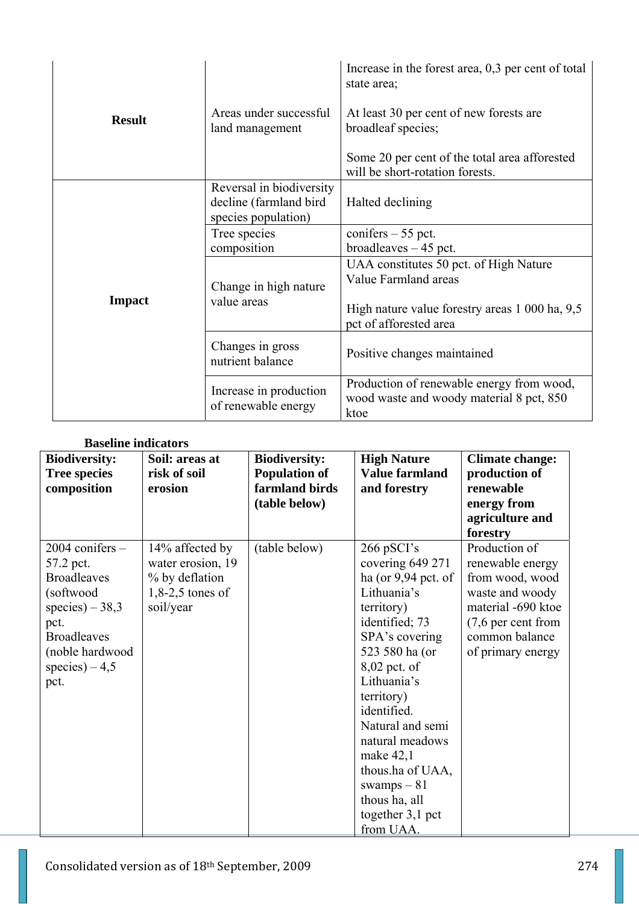| <b>Result</b> | Areas under successful<br>land management                                 | Increase in the forest area, $0,3$ per cent of total<br>state area;<br>At least 30 per cent of new forests are<br>broadleaf species;<br>Some 20 per cent of the total area afforested<br>will be short-rotation forests. |  |
|---------------|---------------------------------------------------------------------------|--------------------------------------------------------------------------------------------------------------------------------------------------------------------------------------------------------------------------|--|
| <b>Impact</b> | Reversal in biodiversity<br>decline (farmland bird<br>species population) | Halted declining                                                                                                                                                                                                         |  |
|               | Tree species<br>composition                                               | conifers $-55$ pct.<br>$broadleaves - 45$ pct.                                                                                                                                                                           |  |
|               | Change in high nature<br>value areas                                      | UAA constitutes 50 pct. of High Nature<br>Value Farmland areas<br>High nature value forestry areas 1 000 ha, 9,5<br>pct of afforested area                                                                               |  |
|               | Changes in gross<br>nutrient balance                                      | Positive changes maintained                                                                                                                                                                                              |  |
|               | Increase in production<br>of renewable energy                             | Production of renewable energy from wood,<br>wood waste and woody material 8 pct, 850<br>ktoe                                                                                                                            |  |

# **Baseline indicators**

| <b>Biodiversity:</b> | Soil: areas at     | <b>Biodiversity:</b> | <b>High Nature</b>    | <b>Climate change:</b> |
|----------------------|--------------------|----------------------|-----------------------|------------------------|
| <b>Tree species</b>  | risk of soil       | <b>Population of</b> | <b>Value farmland</b> | production of          |
| composition          | erosion            | farmland birds       | and forestry          | renewable              |
|                      |                    | (table below)        |                       | energy from            |
|                      |                    |                      |                       | agriculture and        |
|                      |                    |                      |                       | forestry               |
| $2004$ conifers $-$  | 14% affected by    | (table below)        | 266 pSCI's            | Production of          |
| 57.2 pct.            | water erosion, 19  |                      | covering 649 271      | renewable energy       |
| <b>Broadleaves</b>   | % by deflation     |                      | ha (or $9,94$ pct. of | from wood, wood        |
| (softwood            | $1,8-2,5$ tones of |                      | Lithuania's           | waste and woody        |
| species) $-38,3$     | soil/year          |                      | territory)            | material -690 ktoe     |
| pct.                 |                    |                      | identified; 73        | $(7,6$ per cent from   |
| <b>Broadleaves</b>   |                    |                      | SPA's covering        | common balance         |
| (noble hardwood      |                    |                      | 523 580 ha (or        | of primary energy      |
| species) $-4,5$      |                    |                      | $8,02$ pct. of        |                        |
| pct.                 |                    |                      | Lithuania's           |                        |
|                      |                    |                      | territory)            |                        |
|                      |                    |                      | identified.           |                        |
|                      |                    |                      | Natural and semi      |                        |
|                      |                    |                      | natural meadows       |                        |
|                      |                    |                      | make $42,1$           |                        |
|                      |                    |                      | thous.ha of UAA,      |                        |
|                      |                    |                      | swamps $-81$          |                        |
|                      |                    |                      | thous ha, all         |                        |
|                      |                    |                      | together 3,1 pct      |                        |
|                      |                    |                      | from UAA.             |                        |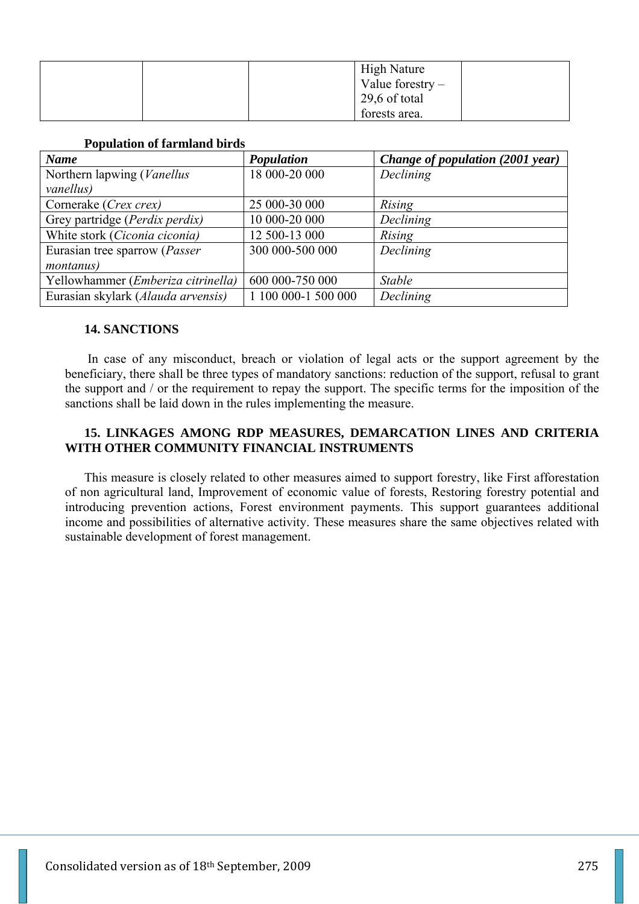|  | <b>High Nature</b><br>Value forestry $-$ |  |
|--|------------------------------------------|--|
|  | 29,6 of total                            |  |
|  | forests area.                            |  |

| <b>Name</b>                        | Population          | Change of population (2001 year) |
|------------------------------------|---------------------|----------------------------------|
| Northern lapwing ( <i>Vanellus</i> | 18 000-20 000       | Declining                        |
| vanellus)                          |                     |                                  |
| Cornerake (Crex crex)              | 25 000-30 000       | Rising                           |
| Grey partridge (Perdix perdix)     | 10 000-20 000       | Declining                        |
| White stork (Ciconia ciconia)      | 12 500-13 000       | Rising                           |
| Eurasian tree sparrow (Passer      | 300 000-500 000     | Declining                        |
| <i>montanus</i> )                  |                     |                                  |
| Yellowhammer (Emberiza citrinella) | 600 000-750 000     | <b>Stable</b>                    |
| Eurasian skylark (Alauda arvensis) | 1 100 000-1 500 000 | Declining                        |

### **14. SANCTIONS**

 In case of any misconduct, breach or violation of legal acts or the support agreement by the beneficiary, there shall be three types of mandatory sanctions: reduction of the support, refusal to grant the support and / or the requirement to repay the support. The specific terms for the imposition of the sanctions shall be laid down in the rules implementing the measure.

## **15. LINKAGES AMONG RDP MEASURES, DEMARCATION LINES AND CRITERIA WITH OTHER COMMUNITY FINANCIAL INSTRUMENTS**

This measure is closely related to other measures aimed to support forestry, like First afforestation of non agricultural land, Improvement of economic value of forests, Restoring forestry potential and introducing prevention actions, Forest environment payments. This support guarantees additional income and possibilities of alternative activity. These measures share the same objectives related with sustainable development of forest management.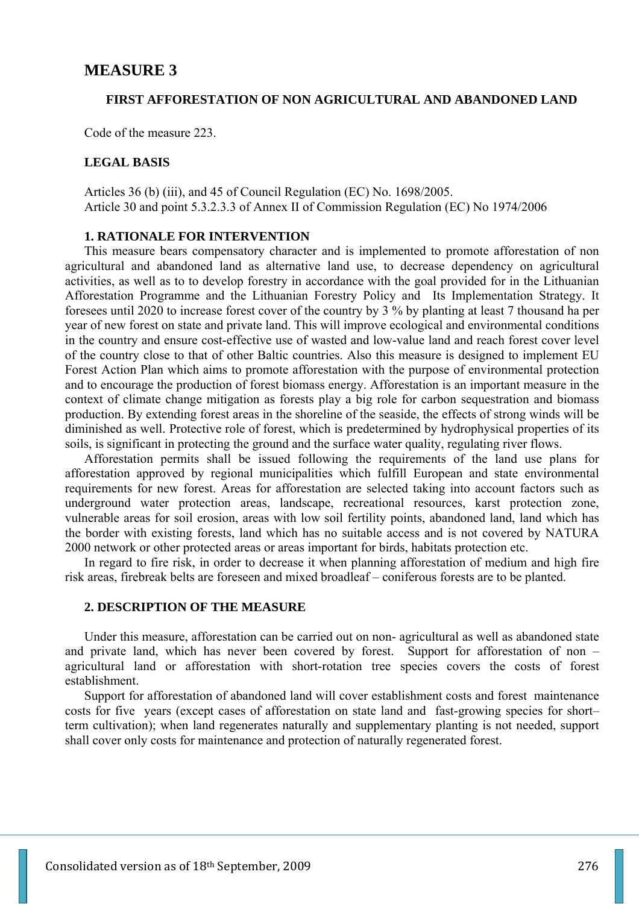#### **FIRST AFFORESTATION OF NON AGRICULTURAL AND ABANDONED LAND**

Code of the measure 223.

## **LEGAL BASIS**

Articles 36 (b) (iii), and 45 of Council Regulation (EC) No. 1698/2005. Article 30 and point 5.3.2.3.3 of Annex II of Commission Regulation (EC) No 1974/2006

### **1. RATIONALE FOR INTERVENTION**

This measure bears compensatory character and is implemented to promote afforestation of non agricultural and abandoned land as alternative land use, to decrease dependency on agricultural activities, as well as to to develop forestry in accordance with the goal provided for in the Lithuanian Afforestation Programme and the Lithuanian Forestry Policy and Its Implementation Strategy. It foresees until 2020 to increase forest cover of the country by 3 % by planting at least 7 thousand ha per year of new forest on state and private land. This will improve ecological and environmental conditions in the country and ensure cost-effective use of wasted and low-value land and reach forest cover level of the country close to that of other Baltic countries. Also this measure is designed to implement EU Forest Action Plan which aims to promote afforestation with the purpose of environmental protection and to encourage the production of forest biomass energy. Afforestation is an important measure in the context of climate change mitigation as forests play a big role for carbon sequestration and biomass production. By extending forest areas in the shoreline of the seaside, the effects of strong winds will be diminished as well. Protective role of forest, which is predetermined by hydrophysical properties of its soils, is significant in protecting the ground and the surface water quality, regulating river flows.

Afforestation permits shall be issued following the requirements of the land use plans for afforestation approved by regional municipalities which fulfill European and state environmental requirements for new forest. Areas for afforestation are selected taking into account factors such as underground water protection areas, landscape, recreational resources, karst protection zone, vulnerable areas for soil erosion, areas with low soil fertility points, abandoned land, land which has the border with existing forests, land which has no suitable access and is not covered by NATURA 2000 network or other protected areas or areas important for birds, habitats protection etc.

In regard to fire risk, in order to decrease it when planning afforestation of medium and high fire risk areas, firebreak belts are foreseen and mixed broadleaf – coniferous forests are to be planted.

#### **2. DESCRIPTION OF THE MEASURE**

Under this measure, afforestation can be carried out on non- agricultural as well as abandoned state and private land, which has never been covered by forest. Support for afforestation of non – agricultural land or afforestation with short-rotation tree species covers the costs of forest establishment.

Support for afforestation of abandoned land will cover establishment costs and forest maintenance costs for five years (except cases of afforestation on state land and fast-growing species for short– term cultivation); when land regenerates naturally and supplementary planting is not needed, support shall cover only costs for maintenance and protection of naturally regenerated forest.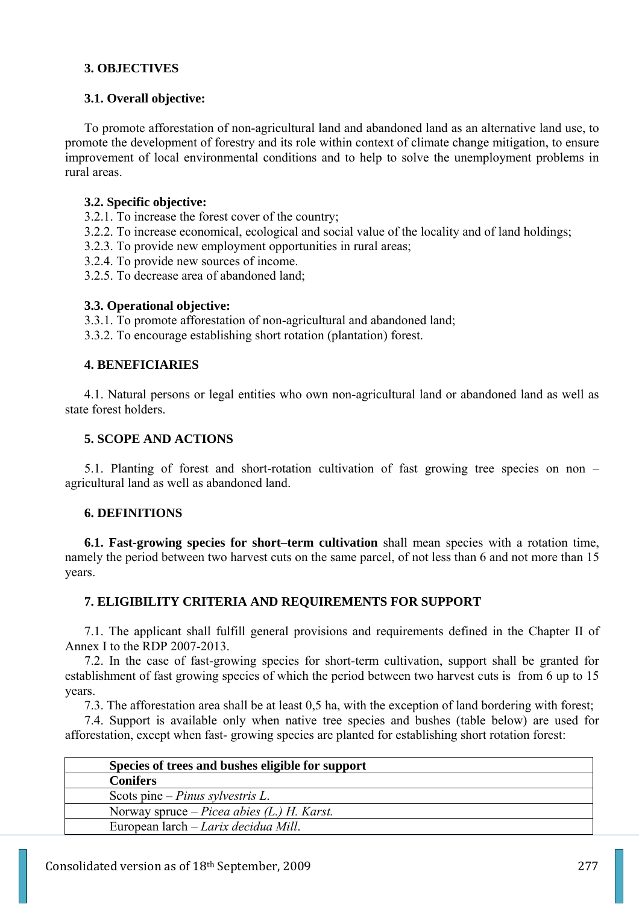## **3. OBJECTIVES**

## **3.1. Overall objective:**

To promote afforestation of non-agricultural land and abandoned land as an alternative land use, to promote the development of forestry and its role within context of climate change mitigation, to ensure improvement of local environmental conditions and to help to solve the unemployment problems in rural areas.

## **3.2. Specific objective:**

- 3.2.1. To increase the forest cover of the country;
- 3.2.2. To increase economical, ecological and social value of the locality and of land holdings;
- 3.2.3. To provide new employment opportunities in rural areas;
- 3.2.4. To provide new sources of income.
- 3.2.5. To decrease area of abandoned land;

## **3.3. Operational objective:**

3.3.1. To promote afforestation of non-agricultural and abandoned land;

3.3.2. To encourage establishing short rotation (plantation) forest.

## **4. BENEFICIARIES**

4.1. Natural persons or legal entities who own non-agricultural land or abandoned land as well as state forest holders.

## **5. SCOPE AND ACTIONS**

5.1. Planting of forest and short-rotation cultivation of fast growing tree species on non – agricultural land as well as abandoned land.

### **6. DEFINITIONS**

**6.1. Fast-growing species for short–term cultivation** shall mean species with a rotation time, namely the period between two harvest cuts on the same parcel, of not less than 6 and not more than 15 years.

## **7. ELIGIBILITY CRITERIA AND REQUIREMENTS FOR SUPPORT**

7.1. The applicant shall fulfill general provisions and requirements defined in the Chapter II of Annex I to the RDP 2007-2013.

7.2. In the case of fast-growing species for short-term cultivation, support shall be granted for establishment of fast growing species of which the period between two harvest cuts is from 6 up to 15 years.

7.3. The afforestation area shall be at least 0,5 ha, with the exception of land bordering with forest;

7.4. Support is available only when native tree species and bushes (table below) are used for afforestation, except when fast- growing species are planted for establishing short rotation forest:

| Species of trees and bushes eligible for support  |
|---------------------------------------------------|
| <b>Conifers</b>                                   |
| Scots pine – <i>Pinus sylvestris L.</i>           |
| Norway spruce – <i>Picea abies (L.) H. Karst.</i> |
| European larch – Larix decidua Mill.              |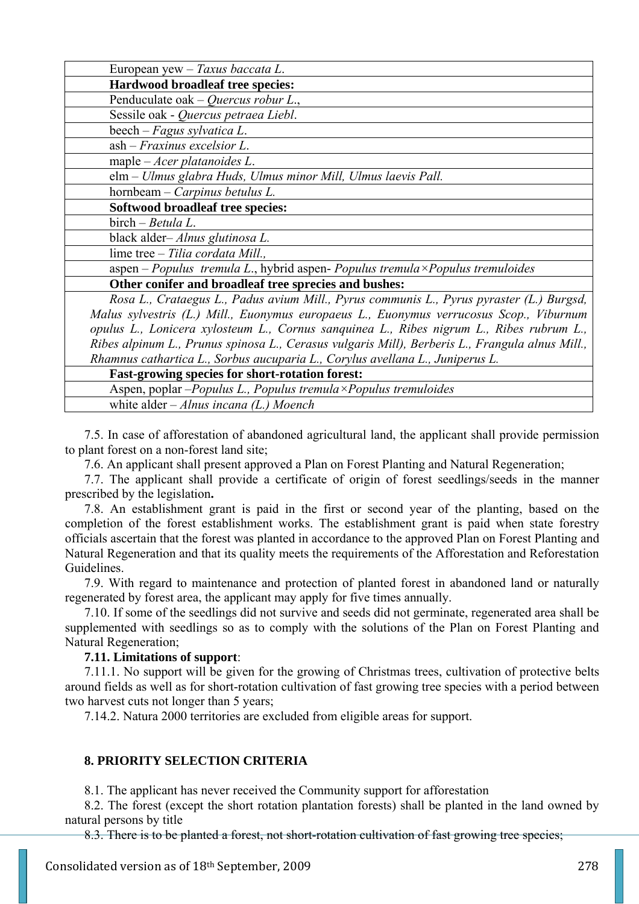| European yew – Taxus baccata L.                                                                 |
|-------------------------------------------------------------------------------------------------|
| <b>Hardwood broadleaf tree species:</b>                                                         |
| Penduculate oak – Quercus robur L.,                                                             |
| Sessile oak - Quercus petraea Liebl.                                                            |
| beech – Fagus sylvatica L.                                                                      |
| $ash-Fraxinus$ excelsior $L$ .                                                                  |
| maple – Acer platanoides $L$ .                                                                  |
| elm - Ulmus glabra Huds, Ulmus minor Mill, Ulmus laevis Pall.                                   |
| hornbeam – Carpinus betulus L.                                                                  |
| <b>Softwood broadleaf tree species:</b>                                                         |
| birch - Betula L.                                                                               |
| black alder-Alnus glutinosa L.                                                                  |
| lime tree - Tilia cordata Mill.,                                                                |
| aspen - Populus tremula L., hybrid aspen- Populus tremula × Populus tremuloides                 |
| Other conifer and broadleaf tree sprecies and bushes:                                           |
| Rosa L., Crataegus L., Padus avium Mill., Pyrus communis L., Pyrus pyraster (L.) Burgsd,        |
| Malus sylvestris (L.) Mill., Euonymus europaeus L., Euonymus verrucosus Scop., Viburnum         |
| opulus L., Lonicera xylosteum L., Cornus sanquinea L., Ribes nigrum L., Ribes rubrum L.,        |
| Ribes alpinum L., Prunus spinosa L., Cerasus vulgaris Mill), Berberis L., Frangula alnus Mill., |
| Rhamnus cathartica L., Sorbus aucuparia L., Corylus avellana L., Juniperus L.                   |
| <b>Fast-growing species for short-rotation forest:</b>                                          |
| Aspen, poplar $-Populus L$ , Populus tremula $\times Populus$ tremuloides                       |

white alder – *Alnus incana (L.) Moench*

7.5. In case of afforestation of abandoned agricultural land, the applicant shall provide permission to plant forest on a non-forest land site;

7.6. An applicant shall present approved a Plan on Forest Planting and Natural Regeneration;

7.7. The applicant shall provide a certificate of origin of forest seedlings/seeds in the manner prescribed by the legislation**.** 

7.8. An establishment grant is paid in the first or second year of the planting, based on the completion of the forest establishment works. The establishment grant is paid when state forestry officials ascertain that the forest was planted in accordance to the approved Plan on Forest Planting and Natural Regeneration and that its quality meets the requirements of the Afforestation and Reforestation Guidelines.

7.9. With regard to maintenance and protection of planted forest in abandoned land or naturally regenerated by forest area, the applicant may apply for five times annually.

7.10. If some of the seedlings did not survive and seeds did not germinate, regenerated area shall be supplemented with seedlings so as to comply with the solutions of the Plan on Forest Planting and Natural Regeneration;

# **7.11. Limitations of support**:

7.11.1. No support will be given for the growing of Christmas trees, cultivation of protective belts around fields as well as for short-rotation cultivation of fast growing tree species with a period between two harvest cuts not longer than 5 years;

7.14.2. Natura 2000 territories are excluded from eligible areas for support.

### **8. PRIORITY SELECTION CRITERIA**

8.1. The applicant has never received the Community support for afforestation

8.2. The forest (except the short rotation plantation forests) shall be planted in the land owned by natural persons by title

8.3. There is to be planted a forest, not short-rotation cultivation of fast growing tree species;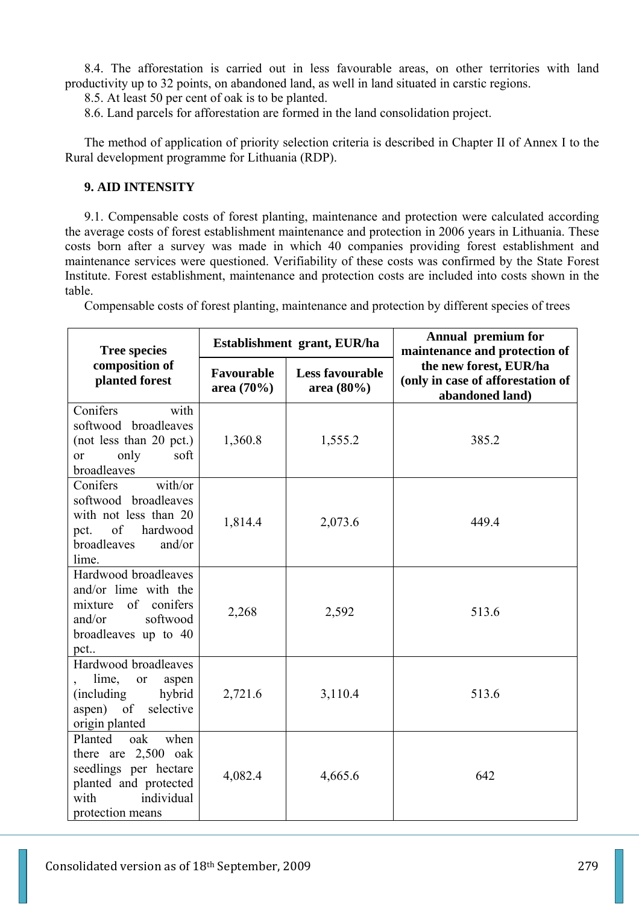8.4. The afforestation is carried out in less favourable areas, on other territories with land productivity up to 32 points, on abandoned land, as well in land situated in carstic regions.

8.5. At least 50 per cent of oak is to be planted.

8.6. Land parcels for afforestation are formed in the land consolidation project.

The method of application of priority selection criteria is described in Chapter II of Annex I to the Rural development programme for Lithuania (RDP).

# **9. AID INTENSITY**

9.1. Compensable costs of forest planting, maintenance and protection were calculated according the average costs of forest establishment maintenance and protection in 2006 years in Lithuania. These costs born after a survey was made in which 40 companies providing forest establishment and maintenance services were questioned. Verifiability of these costs was confirmed by the State Forest Institute. Forest establishment, maintenance and protection costs are included into costs shown in the table.

Compensable costs of forest planting, maintenance and protection by different species of trees

| <b>Tree species</b>                                                                                                                         | Establishment grant, EUR/ha |                                      | <b>Annual premium for</b><br>maintenance and protection of                     |  |
|---------------------------------------------------------------------------------------------------------------------------------------------|-----------------------------|--------------------------------------|--------------------------------------------------------------------------------|--|
| composition of<br>planted forest                                                                                                            | Favourable<br>area (70%)    | <b>Less favourable</b><br>area (80%) | the new forest, EUR/ha<br>(only in case of afforestation of<br>abandoned land) |  |
| Conifers<br>with<br>softwood broadleaves<br>(not less than 20 pct.)<br>only<br>soft<br><sub>or</sub><br>broadleaves                         | 1,360.8                     | 1,555.2                              | 385.2                                                                          |  |
| with/or<br>Conifers<br>softwood broadleaves<br>with not less than 20<br>of<br>pct.<br>hardwood<br>broadleaves<br>and/or<br>lime.            | 1,814.4                     | 2,073.6                              | 449.4                                                                          |  |
| Hardwood broadleaves<br>and/or lime with the<br>of conifers<br>mixture<br>softwood<br>and/or<br>broadleaves up to 40<br>pct                 | 2,268                       | 2,592                                | 513.6                                                                          |  |
| Hardwood broadleaves<br>lime,<br>aspen<br><b>or</b><br>hybrid<br>(including)<br>selective<br>aspen) of<br>origin planted                    | 2,721.6                     | 3,110.4                              | 513.6                                                                          |  |
| Planted<br>when<br>oak<br>there are $2,500$ oak<br>seedlings per hectare<br>planted and protected<br>individual<br>with<br>protection means | 4,082.4                     | 4,665.6                              | 642                                                                            |  |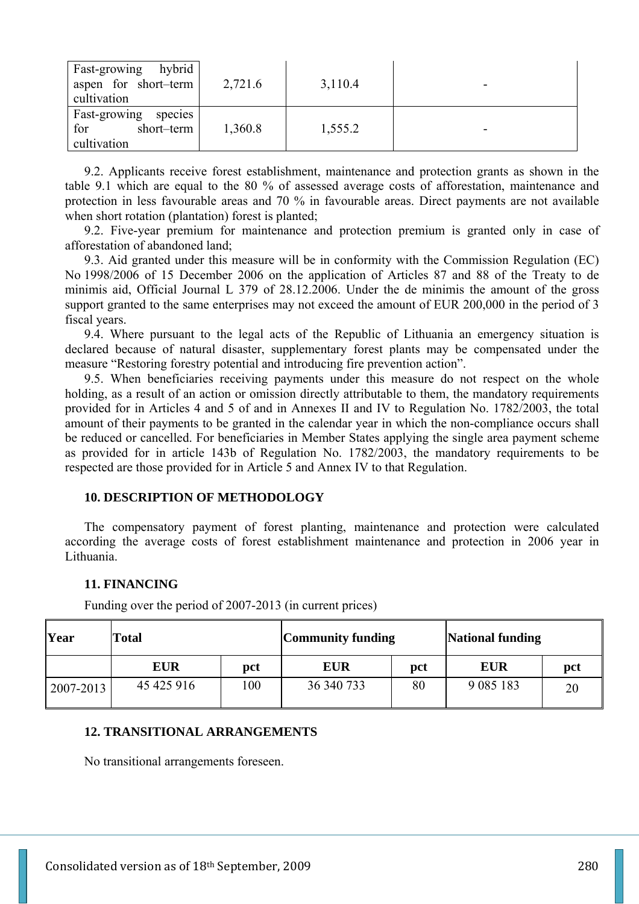| hybrid<br><b>Fast-growing</b><br>aspen for short-term<br>cultivation | 2,721.6 | 3,110.4 |   |
|----------------------------------------------------------------------|---------|---------|---|
| <b>Fast-growing</b><br>species<br>for<br>short–term<br>cultivation   | 1,360.8 | 1,555.2 | - |

9.2. Applicants receive forest establishment, maintenance and protection grants as shown in the table 9.1 which are equal to the 80 % of assessed average costs of afforestation, maintenance and protection in less favourable areas and 70 % in favourable areas. Direct payments are not available when short rotation (plantation) forest is planted;

9.2. Five-year premium for maintenance and protection premium is granted only in case of afforestation of abandoned land;

9.3. Aid granted under this measure will be in conformity with the Commission Regulation (EC) No 1998/2006 of 15 December 2006 on the application of Articles 87 and 88 of the Treaty to de minimis aid, Official Journal L 379 of 28.12.2006. Under the de minimis the amount of the gross support granted to the same enterprises may not exceed the amount of EUR 200,000 in the period of 3 fiscal years.

9.4. Where pursuant to the legal acts of the Republic of Lithuania an emergency situation is declared because of natural disaster, supplementary forest plants may be compensated under the measure "Restoring forestry potential and introducing fire prevention action".

9.5. When beneficiaries receiving payments under this measure do not respect on the whole holding, as a result of an action or omission directly attributable to them, the mandatory requirements provided for in Articles 4 and 5 of and in Annexes II and IV to Regulation No. 1782/2003, the total amount of their payments to be granted in the calendar year in which the non-compliance occurs shall be reduced or cancelled. For beneficiaries in Member States applying the single area payment scheme as provided for in article 143b of Regulation No. 1782/2003, the mandatory requirements to be respected are those provided for in Article 5 and Annex IV to that Regulation.

### **10. DESCRIPTION OF METHODOLOGY**

The compensatory payment of forest planting, maintenance and protection were calculated according the average costs of forest establishment maintenance and protection in 2006 year in Lithuania.

## **11. FINANCING**

Funding over the period of 2007-2013 (in current prices)

| Year      | Total      |     | <b>Community funding</b> |     | <b>National funding</b> |     |
|-----------|------------|-----|--------------------------|-----|-------------------------|-----|
|           | <b>EUR</b> | pct | <b>EUR</b>               | pct | <b>EUR</b>              | pct |
| 2007-2013 | 45 425 916 | 100 | 36 340 733               | 80  | 9 0 8 5 1 8 3           | 20  |

### **12. TRANSITIONAL ARRANGEMENTS**

No transitional arrangements foreseen.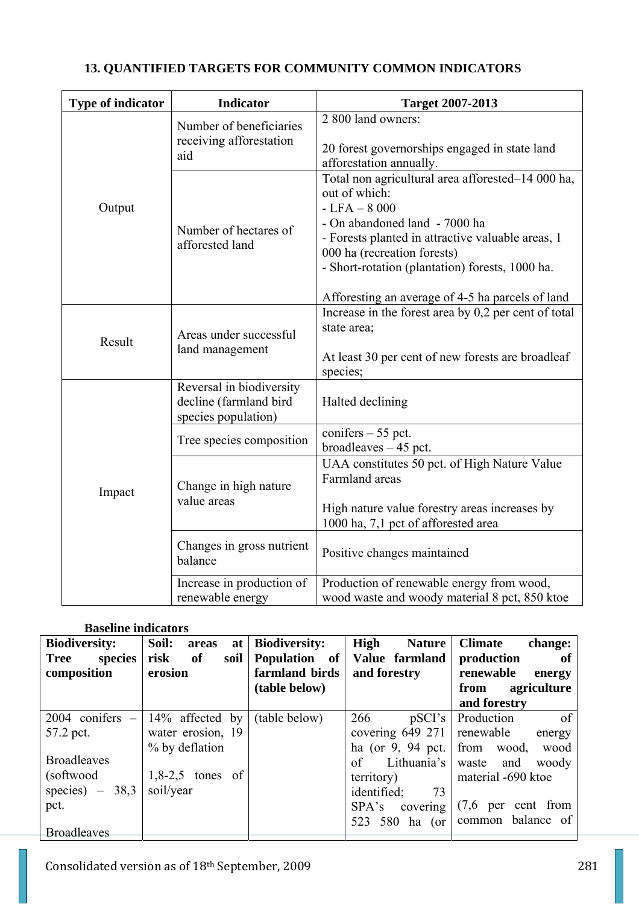# **13. QUANTIFIED TARGETS FOR COMMUNITY COMMON INDICATORS**

| <b>Type of indicator</b> | <b>Indicator</b>                                                          | <b>Target 2007-2013</b>                                                                                                                                                                                                                                                                                             |  |  |
|--------------------------|---------------------------------------------------------------------------|---------------------------------------------------------------------------------------------------------------------------------------------------------------------------------------------------------------------------------------------------------------------------------------------------------------------|--|--|
|                          | Number of beneficiaries<br>receiving afforestation<br>aid                 | 2 800 land owners:<br>20 forest governorships engaged in state land<br>afforestation annually.                                                                                                                                                                                                                      |  |  |
| Output                   | Number of hectares of<br>afforested land                                  | Total non agricultural area afforested-14 000 ha,<br>out of which:<br>$-$ LFA $-$ 8 000<br>- On abandoned land - 7000 ha<br>- Forests planted in attractive valuable areas, 1<br>000 ha (recreation forests)<br>- Short-rotation (plantation) forests, 1000 ha.<br>Afforesting an average of 4-5 ha parcels of land |  |  |
| Result                   | Areas under successful<br>land management                                 | Increase in the forest area by $0,2$ per cent of total<br>state area;<br>At least 30 per cent of new forests are broadleaf<br>species;                                                                                                                                                                              |  |  |
|                          | Reversal in biodiversity<br>decline (farmland bird<br>species population) | Halted declining                                                                                                                                                                                                                                                                                                    |  |  |
|                          | Tree species composition                                                  | conifers $-55$ pct.<br>$broadleaves - 45$ pct.                                                                                                                                                                                                                                                                      |  |  |
| Impact                   | Change in high nature<br>value areas                                      | UAA constitutes 50 pct. of High Nature Value<br><b>Farmland</b> areas<br>High nature value forestry areas increases by<br>1000 ha, 7,1 pct of afforested area                                                                                                                                                       |  |  |
|                          | Changes in gross nutrient<br>balance                                      | Positive changes maintained                                                                                                                                                                                                                                                                                         |  |  |
|                          | Increase in production of<br>renewable energy                             | Production of renewable energy from wood,<br>wood waste and woody material 8 pct, 850 ktoe                                                                                                                                                                                                                          |  |  |

# **Baseline indicators**

| <b>Biodiversity:</b>   | Soil:<br>at<br>areas | <b>Biodiversity:</b> | High<br><b>Nature</b>     | <b>Climate</b><br>change: |
|------------------------|----------------------|----------------------|---------------------------|---------------------------|
| <b>Tree</b><br>species | risk<br>of<br>soil   | Population of        | Value farmland            | production<br>-of         |
| composition            | erosion              | farmland birds       | and forestry              | renewable<br>energy       |
|                        |                      | (table below)        |                           | agriculture<br>from       |
|                        |                      |                      |                           | and forestry              |
| $2004$ conifers $-$    | 14% affected by      | (table below)        | 266<br>pSCI's             | Production<br>of          |
| 57.2 pct.              | water erosion, 19    |                      | covering 649 271          | renewable<br>energy       |
|                        | % by deflation       |                      | ha (or $9, 94$ pct.       | from<br>wood,<br>wood     |
| <b>Broadleaves</b>     |                      |                      | Lithuania's   waste<br>of | and<br>woody              |
| (softwood)             | $1,8-2,5$ tones of   |                      | territory)                | material -690 ktoe        |
| species) $-38,3$       | soil/year            |                      | identified;<br>73         |                           |
| pct.                   |                      |                      | covering<br>SPA's         | $(7,6)$ per cent from     |
|                        |                      |                      | 580<br>ha (or<br>523      | common balance of         |
| <b>Broadleaves</b>     |                      |                      |                           |                           |

Consolidated version as of  $18<sup>th</sup>$  September, 2009 281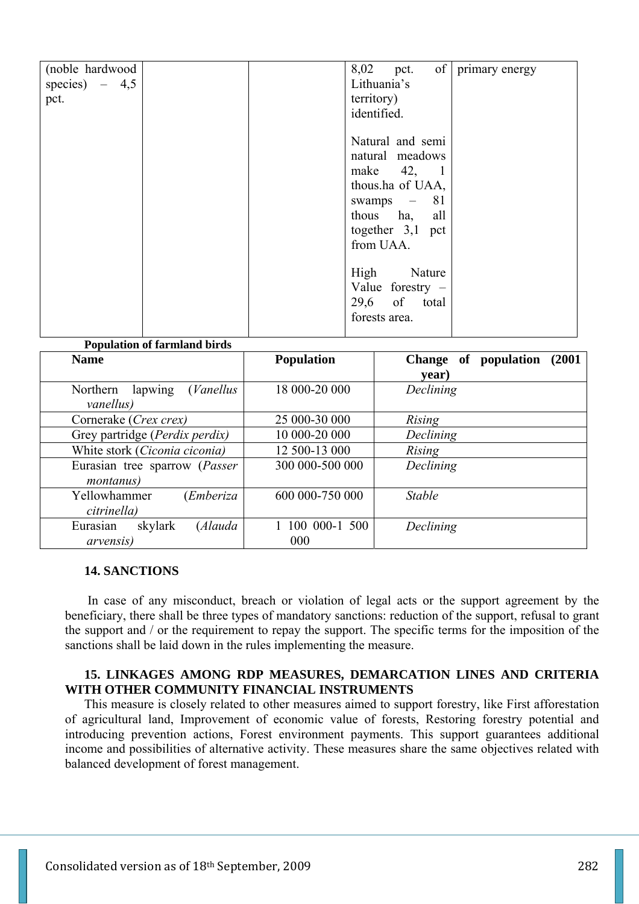| (noble hardwood | of   primary energy<br>8,02 pct. |  |
|-----------------|----------------------------------|--|
| species) $-4,5$ | Lithuania's                      |  |
| pct.            | territory)                       |  |
|                 | identified.                      |  |
|                 |                                  |  |
|                 | Natural and semi                 |  |
|                 | natural meadows                  |  |
|                 | make 42, 1                       |  |
|                 | thous.ha of UAA,                 |  |
|                 | swamps $-81$                     |  |
|                 | thous ha, all                    |  |
|                 | together $3,1$ pct               |  |
|                 | from UAA.                        |  |
|                 |                                  |  |
|                 | High Nature                      |  |
|                 | Value forestry $-$               |  |
|                 | 29,6 of total                    |  |
|                 | forests area.                    |  |
|                 |                                  |  |

| <b>Population of farmland birds</b>                   |                      |                                         |
|-------------------------------------------------------|----------------------|-----------------------------------------|
| <b>Name</b>                                           | <b>Population</b>    | Change of population<br>(2001)<br>year) |
| <i>(Vanellus)</i><br>Northern<br>lapwing<br>vanellus) | 18 000-20 000        | Declining                               |
| Cornerake (Crex crex)                                 | 25 000-30 000        | Rising                                  |
| Grey partridge ( <i>Perdix perdix</i> )               | 10 000-20 000        | Declining                               |
| White stork (Ciconia ciconia)                         | 12 500-13 000        | Rising                                  |
| Eurasian tree sparrow (Passer<br><i>montanus</i> )    | 300 000-500 000      | Declining                               |
| Yellowhammer<br>(Emberiza<br>citrinella)              | 600 000-750 000      | <b>Stable</b>                           |
| skylark<br>(Alauda<br>Eurasian<br><i>arvensis</i> )   | 100 000-1 500<br>000 | Declining                               |

## **14. SANCTIONS**

 In case of any misconduct, breach or violation of legal acts or the support agreement by the beneficiary, there shall be three types of mandatory sanctions: reduction of the support, refusal to grant the support and / or the requirement to repay the support. The specific terms for the imposition of the sanctions shall be laid down in the rules implementing the measure.

## **15. LINKAGES AMONG RDP MEASURES, DEMARCATION LINES AND CRITERIA WITH OTHER COMMUNITY FINANCIAL INSTRUMENTS**

This measure is closely related to other measures aimed to support forestry, like First afforestation of agricultural land, Improvement of economic value of forests, Restoring forestry potential and introducing prevention actions, Forest environment payments. This support guarantees additional income and possibilities of alternative activity. These measures share the same objectives related with balanced development of forest management.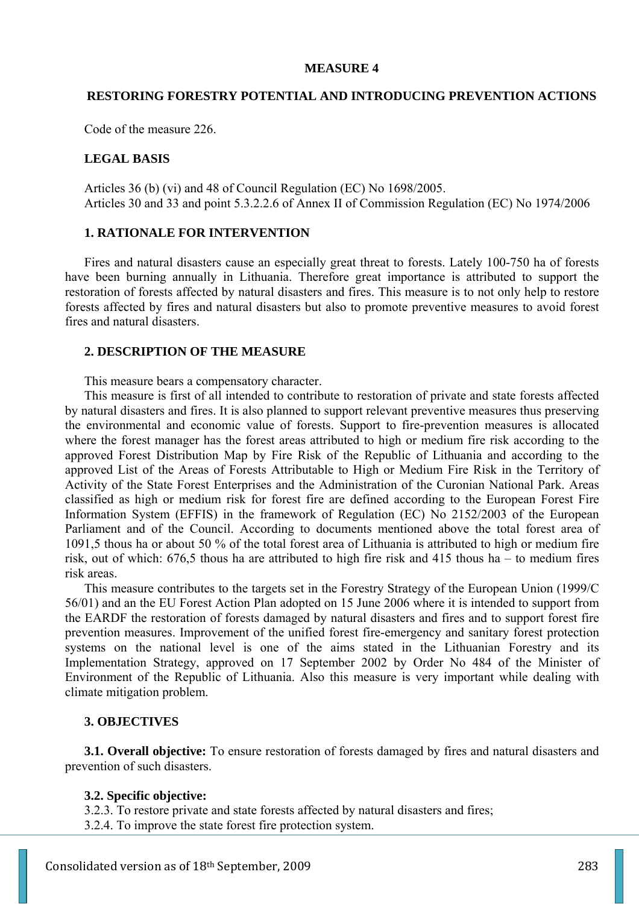#### **MEASURE 4**

#### **RESTORING FORESTRY POTENTIAL AND INTRODUCING PREVENTION ACTIONS**

Code of the measure 226.

## **LEGAL BASIS**

Articles 36 (b) (vi) and 48 of Council Regulation (EC) No 1698/2005. Articles 30 and 33 and point 5.3.2.2.6 of Annex II of Commission Regulation (EC) No 1974/2006

## **1. RATIONALE FOR INTERVENTION**

Fires and natural disasters cause an especially great threat to forests. Lately 100-750 ha of forests have been burning annually in Lithuania. Therefore great importance is attributed to support the restoration of forests affected by natural disasters and fires. This measure is to not only help to restore forests affected by fires and natural disasters but also to promote preventive measures to avoid forest fires and natural disasters.

#### **2. DESCRIPTION OF THE MEASURE**

This measure bears a compensatory character.

This measure is first of all intended to contribute to restoration of private and state forests affected by natural disasters and fires. It is also planned to support relevant preventive measures thus preserving the environmental and economic value of forests. Support to fire-prevention measures is allocated where the forest manager has the forest areas attributed to high or medium fire risk according to the approved Forest Distribution Map by Fire Risk of the Republic of Lithuania and according to the approved List of the Areas of Forests Attributable to High or Medium Fire Risk in the Territory of Activity of the State Forest Enterprises and the Administration of the Curonian National Park. Areas classified as high or medium risk for forest fire are defined according to the European Forest Fire Information System (EFFIS) in the framework of Regulation (EC) No 2152/2003 of the European Parliament and of the Council. According to documents mentioned above the total forest area of 1091,5 thous ha or about 50 % of the total forest area of Lithuania is attributed to high or medium fire risk, out of which: 676,5 thous ha are attributed to high fire risk and 415 thous ha – to medium fires risk areas.

This measure contributes to the targets set in the Forestry Strategy of the European Union (1999/C 56/01) and an the EU Forest Action Plan adopted on 15 June 2006 where it is intended to support from the EARDF the restoration of forests damaged by natural disasters and fires and to support forest fire prevention measures. Improvement of the unified forest fire-emergency and sanitary forest protection systems on the national level is one of the aims stated in the Lithuanian Forestry and its Implementation Strategy, approved on 17 September 2002 by Order No 484 of the Minister of Environment of the Republic of Lithuania. Also this measure is very important while dealing with climate mitigation problem.

## **3. OBJECTIVES**

**3.1. Overall objective:** To ensure restoration of forests damaged by fires and natural disasters and prevention of such disasters.

## **3.2. Specific objective:**

3.2.3. To restore private and state forests affected by natural disasters and fires;

3.2.4. To improve the state forest fire protection system.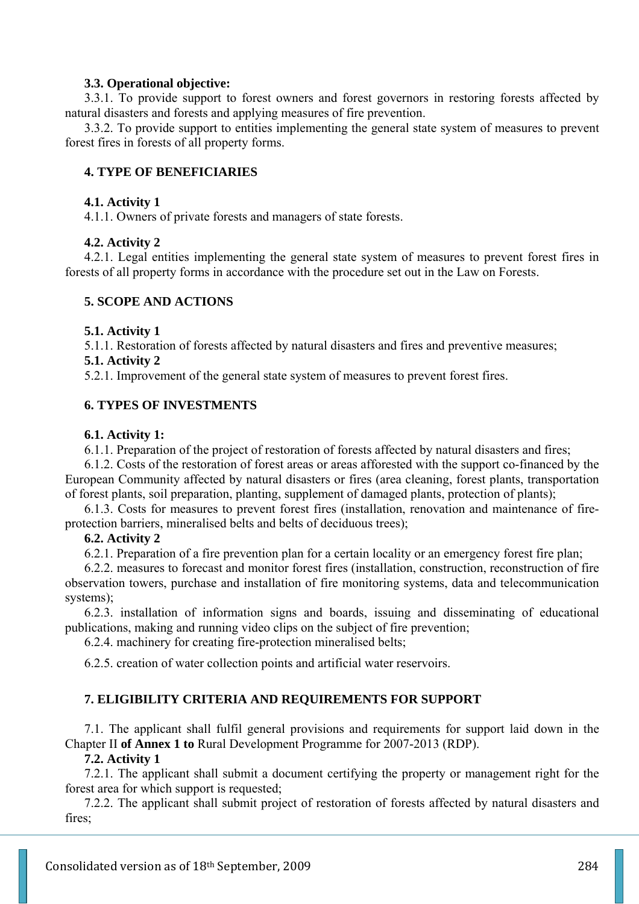# **3.3. Operational objective:**

3.3.1. To provide support to forest owners and forest governors in restoring forests affected by natural disasters and forests and applying measures of fire prevention.

3.3.2. To provide support to entities implementing the general state system of measures to prevent forest fires in forests of all property forms.

# **4. TYPE OF BENEFICIARIES**

# **4.1. Activity 1**

4.1.1. Owners of private forests and managers of state forests.

# **4.2. Activity 2**

4.2.1. Legal entities implementing the general state system of measures to prevent forest fires in forests of all property forms in accordance with the procedure set out in the Law on Forests.

# **5. SCOPE AND ACTIONS**

# **5.1. Activity 1**

5.1.1. Restoration of forests affected by natural disasters and fires and preventive measures;

# **5.1. Activity 2**

5.2.1. Improvement of the general state system of measures to prevent forest fires.

# **6. TYPES OF INVESTMENTS**

# **6.1. Activity 1:**

6.1.1. Preparation of the project of restoration of forests affected by natural disasters and fires;

6.1.2. Costs of the restoration of forest areas or areas afforested with the support co-financed by the European Community affected by natural disasters or fires (area cleaning, forest plants, transportation of forest plants, soil preparation, planting, supplement of damaged plants, protection of plants);

6.1.3. Costs for measures to prevent forest fires (installation, renovation and maintenance of fireprotection barriers, mineralised belts and belts of deciduous trees);

# **6.2. Activity 2**

6.2.1. Preparation of a fire prevention plan for a certain locality or an emergency forest fire plan;

6.2.2. measures to forecast and monitor forest fires (installation, construction, reconstruction of fire observation towers, purchase and installation of fire monitoring systems, data and telecommunication systems);

6.2.3. installation of information signs and boards, issuing and disseminating of educational publications, making and running video clips on the subject of fire prevention;

6.2.4. machinery for creating fire-protection mineralised belts;

6.2.5. creation of water collection points and artificial water reservoirs.

# **7. ELIGIBILITY CRITERIA AND REQUIREMENTS FOR SUPPORT**

7.1. The applicant shall fulfil general provisions and requirements for support laid down in the Chapter II **of Annex 1 to** Rural Development Programme for 2007-2013 (RDP).

# **7.2. Activity 1**

7.2.1. The applicant shall submit a document certifying the property or management right for the forest area for which support is requested;

7.2.2. The applicant shall submit project of restoration of forests affected by natural disasters and fires;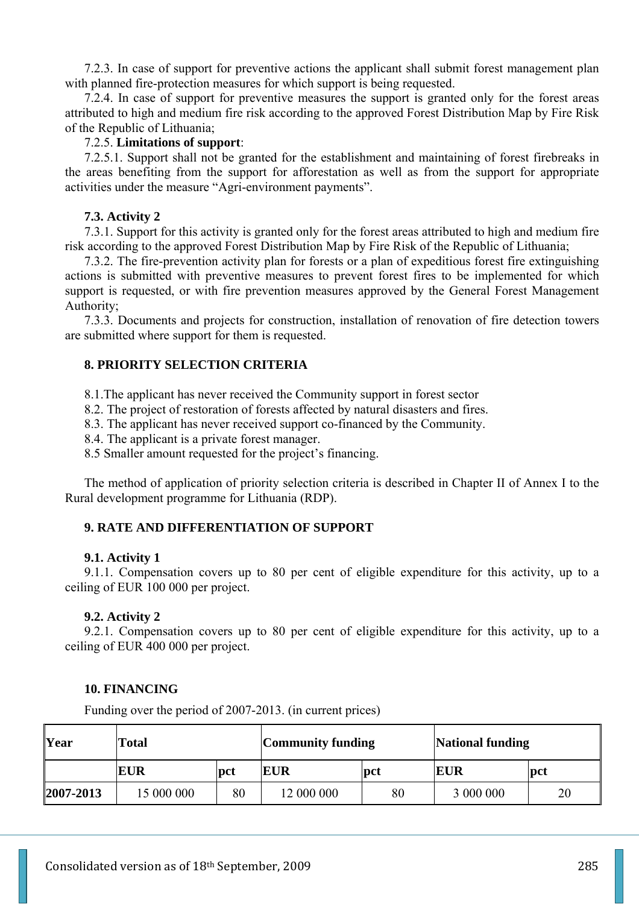7.2.3. In case of support for preventive actions the applicant shall submit forest management plan with planned fire-protection measures for which support is being requested.

7.2.4. In case of support for preventive measures the support is granted only for the forest areas attributed to high and medium fire risk according to the approved Forest Distribution Map by Fire Risk of the Republic of Lithuania;

#### 7.2.5. **Limitations of support**:

7.2.5.1. Support shall not be granted for the establishment and maintaining of forest firebreaks in the areas benefiting from the support for afforestation as well as from the support for appropriate activities under the measure "Agri-environment payments".

## **7.3. Activity 2**

7.3.1. Support for this activity is granted only for the forest areas attributed to high and medium fire risk according to the approved Forest Distribution Map by Fire Risk of the Republic of Lithuania;

7.3.2. The fire-prevention activity plan for forests or a plan of expeditious forest fire extinguishing actions is submitted with preventive measures to prevent forest fires to be implemented for which support is requested, or with fire prevention measures approved by the General Forest Management Authority;

7.3.3. Documents and projects for construction, installation of renovation of fire detection towers are submitted where support for them is requested.

## **8. PRIORITY SELECTION CRITERIA**

8.1.The applicant has never received the Community support in forest sector

8.2. The project of restoration of forests affected by natural disasters and fires.

8.3. The applicant has never received support co-financed by the Community.

8.4. The applicant is a private forest manager.

8.5 Smaller amount requested for the project's financing.

The method of application of priority selection criteria is described in Chapter II of Annex I to the Rural development programme for Lithuania (RDP).

## **9. RATE AND DIFFERENTIATION OF SUPPORT**

## **9.1. Activity 1**

9.1.1. Compensation covers up to 80 per cent of eligible expenditure for this activity, up to a ceiling of EUR 100 000 per project.

## **9.2. Activity 2**

9.2.1. Compensation covers up to 80 per cent of eligible expenditure for this activity, up to a ceiling of EUR 400 000 per project.

## **10. FINANCING**

Funding over the period of 2007-2013. (in current prices)

| Year      | Total      |     | <b>Community funding</b> |     | <b>National funding</b> |     |
|-----------|------------|-----|--------------------------|-----|-------------------------|-----|
|           | <b>EUR</b> | pct | EUR                      | pct | <b>EUR</b>              | pct |
| 2007-2013 | 15 000 000 | 80  | 12 000 000               | 80  | 3 000 000               | 20  |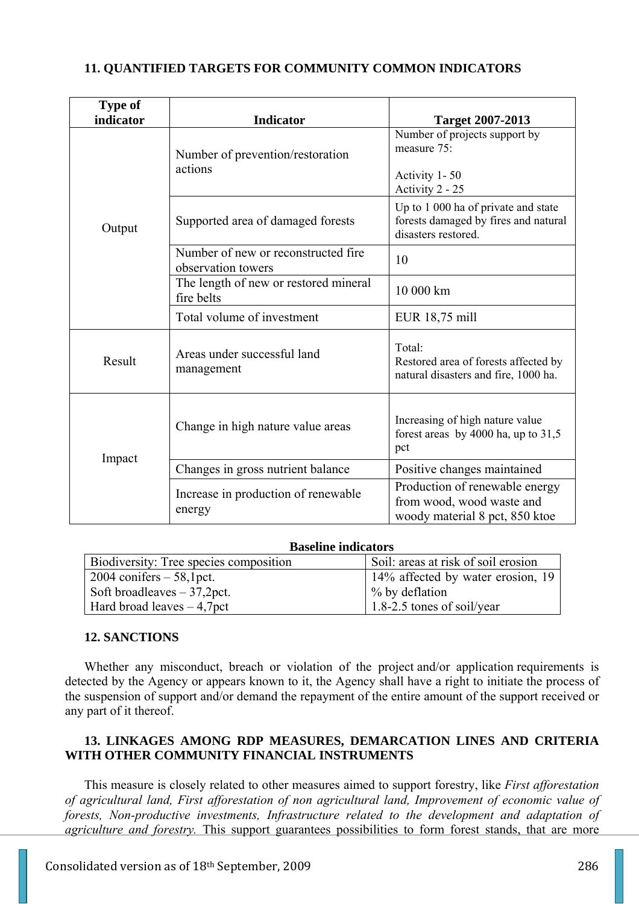# **11. QUANTIFIED TARGETS FOR COMMUNITY COMMON INDICATORS**

| <b>Type of</b><br>indicator | <b>Indicator</b>                                          | <b>Target 2007-2013</b>                                                                            |  |
|-----------------------------|-----------------------------------------------------------|----------------------------------------------------------------------------------------------------|--|
|                             | Number of prevention/restoration<br>actions               | Number of projects support by<br>measure 75:<br>Activity 1-50<br>Activity 2 - 25                   |  |
| Output                      | Supported area of damaged forests                         | Up to 1 000 ha of private and state<br>forests damaged by fires and natural<br>disasters restored. |  |
|                             | Number of new or reconstructed fire<br>observation towers | 10                                                                                                 |  |
|                             | The length of new or restored mineral<br>fire belts       | 10 000 km                                                                                          |  |
|                             | Total volume of investment                                | EUR 18,75 mill                                                                                     |  |
| Result                      | Areas under successful land<br>management                 | Total:<br>Restored area of forests affected by<br>natural disasters and fire, 1000 ha.             |  |
|                             | Change in high nature value areas                         | Increasing of high nature value<br>forest areas by 4000 ha, up to $31,5$<br>pct                    |  |
| Impact                      | Changes in gross nutrient balance                         | Positive changes maintained                                                                        |  |
|                             | Increase in production of renewable<br>energy             | Production of renewable energy<br>from wood, wood waste and<br>woody material 8 pct, 850 ktoe      |  |

## **Baseline indicators**

| Biodiversity: Tree species composition | Soil: areas at risk of soil erosion |
|----------------------------------------|-------------------------------------|
| $2004$ conifers $-58$ , 1 pct.         | 14% affected by water erosion, 19   |
| Soft broadleaves $-37,2$ pct.          | $\frac{1}{2}$ % by deflation        |
| Hard broad leaves $-4,7$ pct           | 1.8-2.5 tones of soil/year          |

# **12. SANCTIONS**

Whether any misconduct, breach or violation of the project and/or application requirements is detected by the Agency or appears known to it, the Agency shall have a right to initiate the process of the suspension of support and/or demand the repayment of the entire amount of the support received or any part of it thereof.

# **13. LINKAGES AMONG RDP MEASURES, DEMARCATION LINES AND CRITERIA WITH OTHER COMMUNITY FINANCIAL INSTRUMENTS**

This measure is closely related to other measures aimed to support forestry, like *First afforestation of agricultural land, First afforestation of non agricultural land, Improvement of economic value of forests, Non-productive investments, Infrastructure related to the development and adaptation of agriculture and forestry.* This support guarantees possibilities to form forest stands, that are more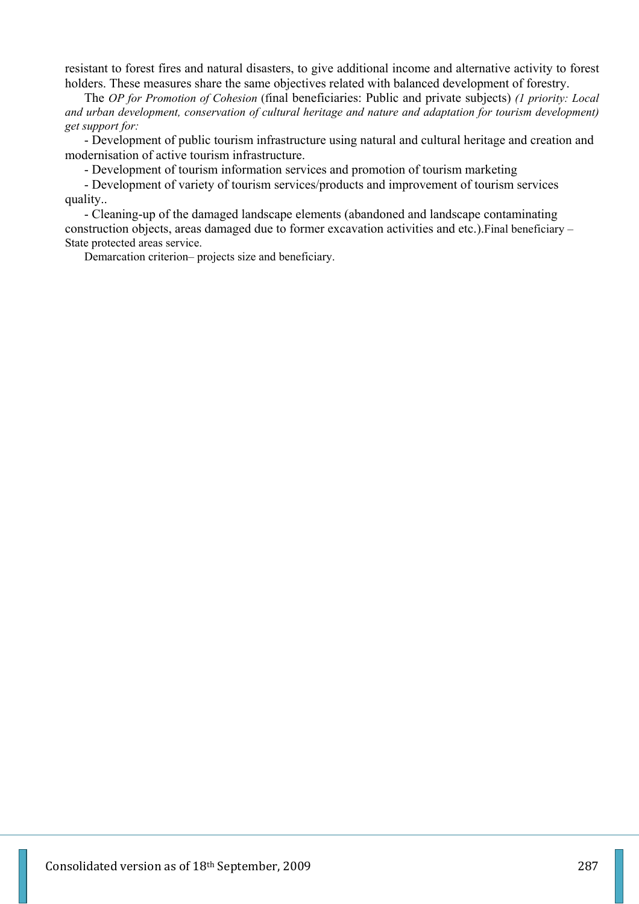resistant to forest fires and natural disasters, to give additional income and alternative activity to forest holders. These measures share the same objectives related with balanced development of forestry.

The *OP for Promotion of Cohesion* (final beneficiaries: Public and private subjects) *(1 priority: Local and urban development, conservation of cultural heritage and nature and adaptation for tourism development) get support for:* 

- Development of public tourism infrastructure using natural and cultural heritage and creation and modernisation of active tourism infrastructure.

- Development of tourism information services and promotion of tourism marketing

- Development of variety of tourism services/products and improvement of tourism services quality..

- Cleaning-up of the damaged landscape elements (abandoned and landscape contaminating construction objects, areas damaged due to former excavation activities and etc.).Final beneficiary – State protected areas service.

Demarcation criterion– projects size and beneficiary.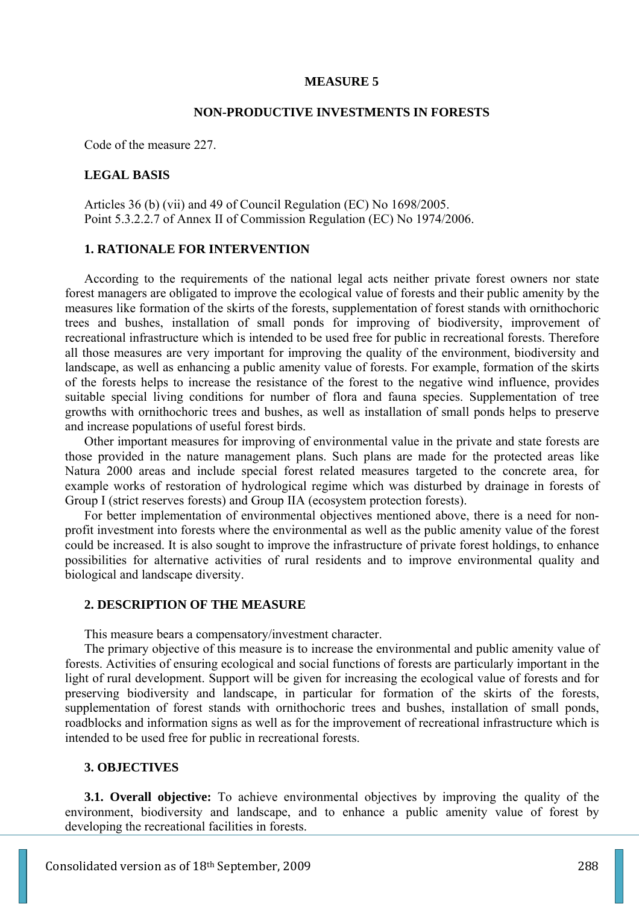#### **MEASURE 5**

#### **NON-PRODUCTIVE INVESTMENTS IN FORESTS**

Code of the measure 227.

#### **LEGAL BASIS**

Articles 36 (b) (vii) and 49 of Council Regulation (EC) No 1698/2005. Point 5.3.2.2.7 of Annex II of Commission Regulation (EC) No 1974/2006.

#### **1. RATIONALE FOR INTERVENTION**

According to the requirements of the national legal acts neither private forest owners nor state forest managers are obligated to improve the ecological value of forests and their public amenity by the measures like formation of the skirts of the forests, supplementation of forest stands with ornithochoric trees and bushes, installation of small ponds for improving of biodiversity, improvement of recreational infrastructure which is intended to be used free for public in recreational forests. Therefore all those measures are very important for improving the quality of the environment, biodiversity and landscape, as well as enhancing a public amenity value of forests. For example, formation of the skirts of the forests helps to increase the resistance of the forest to the negative wind influence, provides suitable special living conditions for number of flora and fauna species. Supplementation of tree growths with ornithochoric trees and bushes, as well as installation of small ponds helps to preserve and increase populations of useful forest birds.

Other important measures for improving of environmental value in the private and state forests are those provided in the nature management plans. Such plans are made for the protected areas like Natura 2000 areas and include special forest related measures targeted to the concrete area, for example works of restoration of hydrological regime which was disturbed by drainage in forests of Group I (strict reserves forests) and Group IIA (ecosystem protection forests).

For better implementation of environmental objectives mentioned above, there is a need for nonprofit investment into forests where the environmental as well as the public amenity value of the forest could be increased. It is also sought to improve the infrastructure of private forest holdings, to enhance possibilities for alternative activities of rural residents and to improve environmental quality and biological and landscape diversity.

#### **2. DESCRIPTION OF THE MEASURE**

This measure bears a compensatory/investment character.

The primary objective of this measure is to increase the environmental and public amenity value of forests. Activities of ensuring ecological and social functions of forests are particularly important in the light of rural development. Support will be given for increasing the ecological value of forests and for preserving biodiversity and landscape, in particular for formation of the skirts of the forests, supplementation of forest stands with ornithochoric trees and bushes, installation of small ponds, roadblocks and information signs as well as for the improvement of recreational infrastructure which is intended to be used free for public in recreational forests.

#### **3. OBJECTIVES**

**3.1. Overall objective:** To achieve environmental objectives by improving the quality of the environment, biodiversity and landscape, and to enhance a public amenity value of forest by developing the recreational facilities in forests.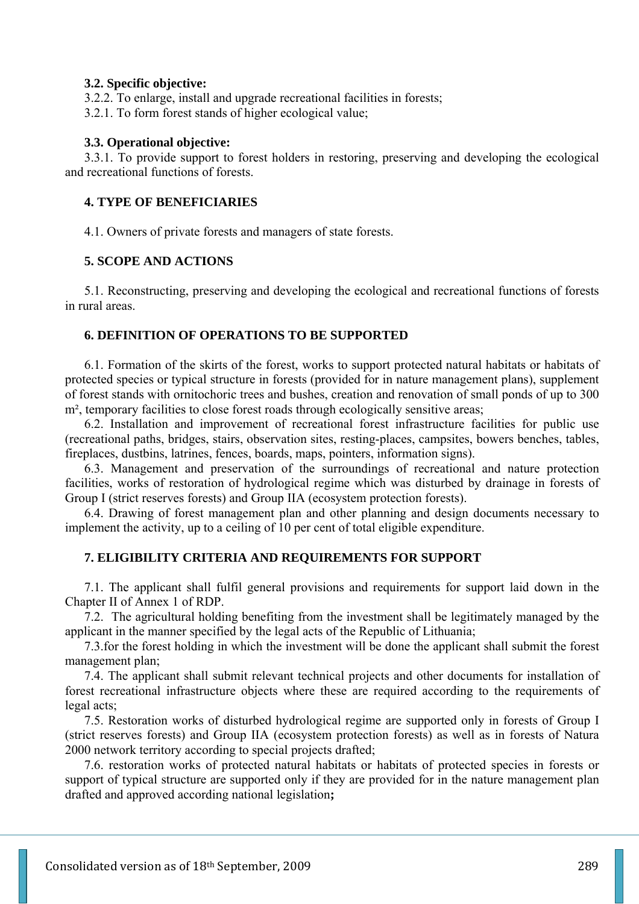## **3.2. Specific objective:**

3.2.2. To enlarge, install and upgrade recreational facilities in forests;

3.2.1. To form forest stands of higher ecological value;

## **3.3. Operational objective:**

3.3.1. To provide support to forest holders in restoring, preserving and developing the ecological and recreational functions of forests.

# **4. TYPE OF BENEFICIARIES**

4.1. Owners of private forests and managers of state forests.

# **5. SCOPE AND ACTIONS**

5.1. Reconstructing, preserving and developing the ecological and recreational functions of forests in rural areas.

## **6. DEFINITION OF OPERATIONS TO BE SUPPORTED**

6.1. Formation of the skirts of the forest, works to support protected natural habitats or habitats of protected species or typical structure in forests (provided for in nature management plans), supplement of forest stands with ornitochoric trees and bushes, creation and renovation of small ponds of up to 300 m<sup>2</sup>, temporary facilities to close forest roads through ecologically sensitive areas;

6.2. Installation and improvement of recreational forest infrastructure facilities for public use (recreational paths, bridges, stairs, observation sites, resting-places, campsites, bowers benches, tables, fireplaces, dustbins, latrines, fences, boards, maps, pointers, information signs).

6.3. Management and preservation of the surroundings of recreational and nature protection facilities, works of restoration of hydrological regime which was disturbed by drainage in forests of Group I (strict reserves forests) and Group IIA (ecosystem protection forests).

6.4. Drawing of forest management plan and other planning and design documents necessary to implement the activity, up to a ceiling of 10 per cent of total eligible expenditure.

# **7. ELIGIBILITY CRITERIA AND REQUIREMENTS FOR SUPPORT**

7.1. The applicant shall fulfil general provisions and requirements for support laid down in the Chapter II of Annex 1 of RDP.

7.2. The agricultural holding benefiting from the investment shall be legitimately managed by the applicant in the manner specified by the legal acts of the Republic of Lithuania;

7.3.for the forest holding in which the investment will be done the applicant shall submit the forest management plan;

7.4. The applicant shall submit relevant technical projects and other documents for installation of forest recreational infrastructure objects where these are required according to the requirements of legal acts;

7.5. Restoration works of disturbed hydrological regime are supported only in forests of Group I (strict reserves forests) and Group IIA (ecosystem protection forests) as well as in forests of Natura 2000 network territory according to special projects drafted;

7.6. restoration works of protected natural habitats or habitats of protected species in forests or support of typical structure are supported only if they are provided for in the nature management plan drafted and approved according national legislation**;**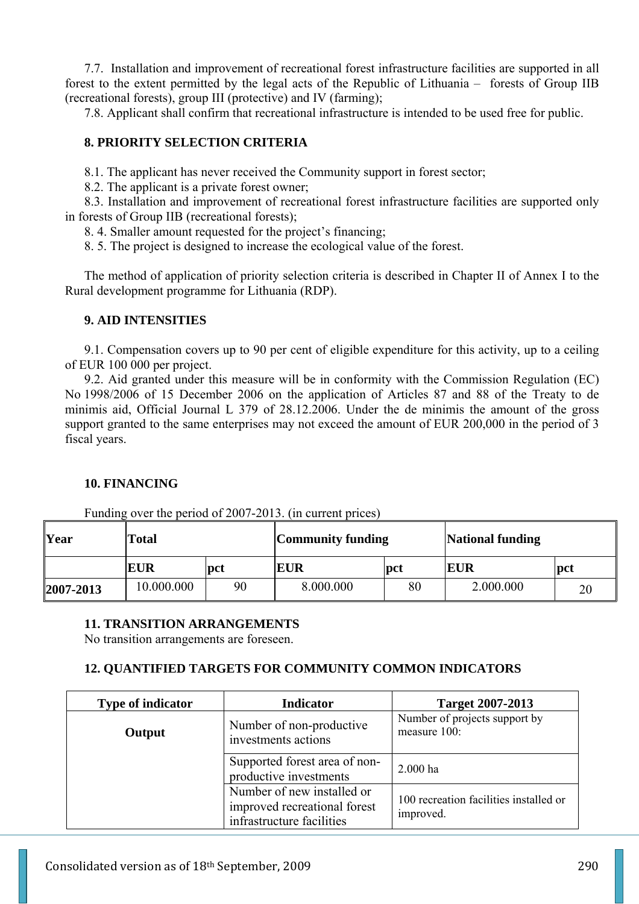7.7. Installation and improvement of recreational forest infrastructure facilities are supported in all forest to the extent permitted by the legal acts of the Republic of Lithuania – forests of Group IIB (recreational forests), group III (protective) and IV (farming);

7.8. Applicant shall confirm that recreational infrastructure is intended to be used free for public.

# **8. PRIORITY SELECTION CRITERIA**

8.1. The applicant has never received the Community support in forest sector;

8.2. The applicant is a private forest owner;

8.3. Installation and improvement of recreational forest infrastructure facilities are supported only in forests of Group IIB (recreational forests);

8. 4. Smaller amount requested for the project's financing;

8. 5. The project is designed to increase the ecological value of the forest.

The method of application of priority selection criteria is described in Chapter II of Annex I to the Rural development programme for Lithuania (RDP).

## **9. AID INTENSITIES**

9.1. Compensation covers up to 90 per cent of eligible expenditure for this activity, up to a ceiling of EUR 100 000 per project.

9.2. Aid granted under this measure will be in conformity with the Commission Regulation (EC) No 1998/2006 of 15 December 2006 on the application of Articles 87 and 88 of the Treaty to de minimis aid, Official Journal L 379 of 28.12.2006. Under the de minimis the amount of the gross support granted to the same enterprises may not exceed the amount of EUR 200,000 in the period of 3 fiscal years.

## **10. FINANCING**

Funding over the period of 2007-2013. (in current prices)

| Year            | <b>Total</b> |            | <b>Community funding</b> |     | <b>National funding</b> |     |
|-----------------|--------------|------------|--------------------------|-----|-------------------------|-----|
|                 | <b>EUR</b>   | <b>pct</b> | <b>EUR</b>               | pct | EUR                     | pct |
| $ 2007 - 2013 $ | 10.000.000   | 90         | 8.000.000                | 80  | 2.000.000               | 20  |

## **11. TRANSITION ARRANGEMENTS**

No transition arrangements are foreseen.

# **12. QUANTIFIED TARGETS FOR COMMUNITY COMMON INDICATORS**

| <b>Type of indicator</b> | <b>Indicator</b>                                                                        | <b>Target 2007-2013</b>                             |
|--------------------------|-----------------------------------------------------------------------------------------|-----------------------------------------------------|
| Output                   | Number of non-productive<br>investments actions                                         | Number of projects support by<br>measure 100:       |
|                          | Supported forest area of non-<br>productive investments                                 | $2.000$ ha                                          |
|                          | Number of new installed or<br>improved recreational forest<br>infrastructure facilities | 100 recreation facilities installed or<br>improved. |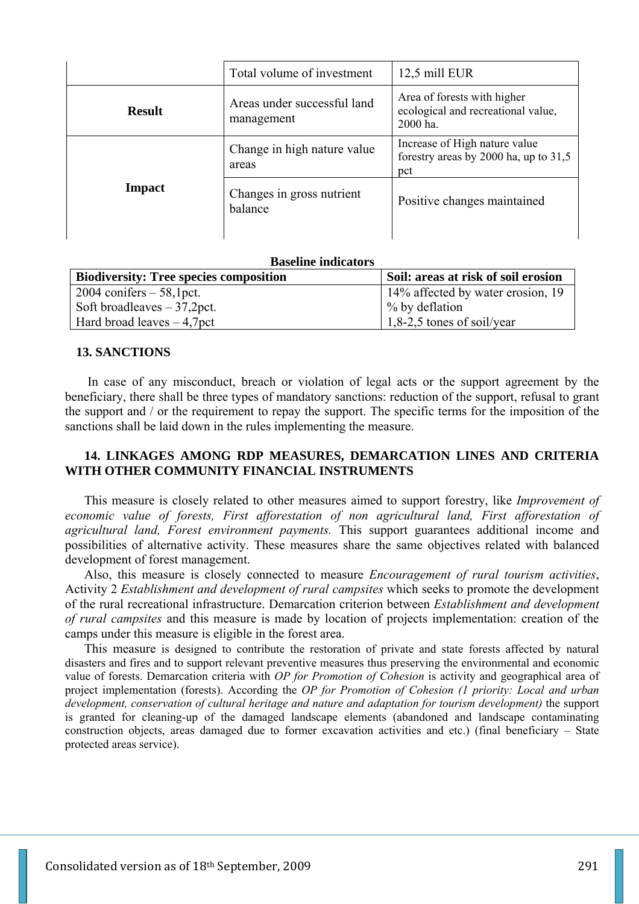|               | Total volume of investment                                          | 12,5 mill EUR                                                                   |
|---------------|---------------------------------------------------------------------|---------------------------------------------------------------------------------|
| <b>Result</b> | Areas under successful land<br>management                           | Area of forests with higher<br>ecological and recreational value,<br>2000 ha.   |
|               | Change in high nature value<br>areas                                | Increase of High nature value<br>forestry areas by 2000 ha, up to $31,5$<br>pct |
| <b>Impact</b> | Changes in gross nutrient<br>Positive changes maintained<br>balance |                                                                                 |
|               |                                                                     |                                                                                 |

#### **Baseline indicators**

| <b>Biodiversity: Tree species composition</b> | Soil: areas at risk of soil erosion |
|-----------------------------------------------|-------------------------------------|
| $\vert$ 2004 conifers $-$ 58,1 pct.           | 14% affected by water erosion, 19   |
| Soft broadleaves $-37,2$ pct.                 | % by deflation                      |
| $\vert$ Hard broad leaves $-4,7$ pct          | $1,8-2,5$ tones of soil/year        |

#### **13. SANCTIONS**

 In case of any misconduct, breach or violation of legal acts or the support agreement by the beneficiary, there shall be three types of mandatory sanctions: reduction of the support, refusal to grant the support and / or the requirement to repay the support. The specific terms for the imposition of the sanctions shall be laid down in the rules implementing the measure.

## **14. LINKAGES AMONG RDP MEASURES, DEMARCATION LINES AND CRITERIA WITH OTHER COMMUNITY FINANCIAL INSTRUMENTS**

This measure is closely related to other measures aimed to support forestry, like *Improvement of economic value of forests, First afforestation of non agricultural land, First afforestation of agricultural land, Forest environment payments.* This support guarantees additional income and possibilities of alternative activity. These measures share the same objectives related with balanced development of forest management.

Also, this measure is closely connected to measure *Encouragement of rural tourism activities*, Activity 2 *Establishment and development of rural campsites* which seeks to promote the development of the rural recreational infrastructure. Demarcation criterion between *Establishment and development of rural campsites* and this measure is made by location of projects implementation: creation of the camps under this measure is eligible in the forest area.

This measure is designed to contribute the restoration of private and state forests affected by natural disasters and fires and to support relevant preventive measures thus preserving the environmental and economic value of forests. Demarcation criteria with *OP for Promotion of Cohesion* is activity and geographical area of project implementation (forests). According the *OP for Promotion of Cohesion (1 priority: Local and urban development, conservation of cultural heritage and nature and adaptation for tourism development)* the support is granted for cleaning-up of the damaged landscape elements (abandoned and landscape contaminating construction objects, areas damaged due to former excavation activities and etc.) (final beneficiary – State protected areas service).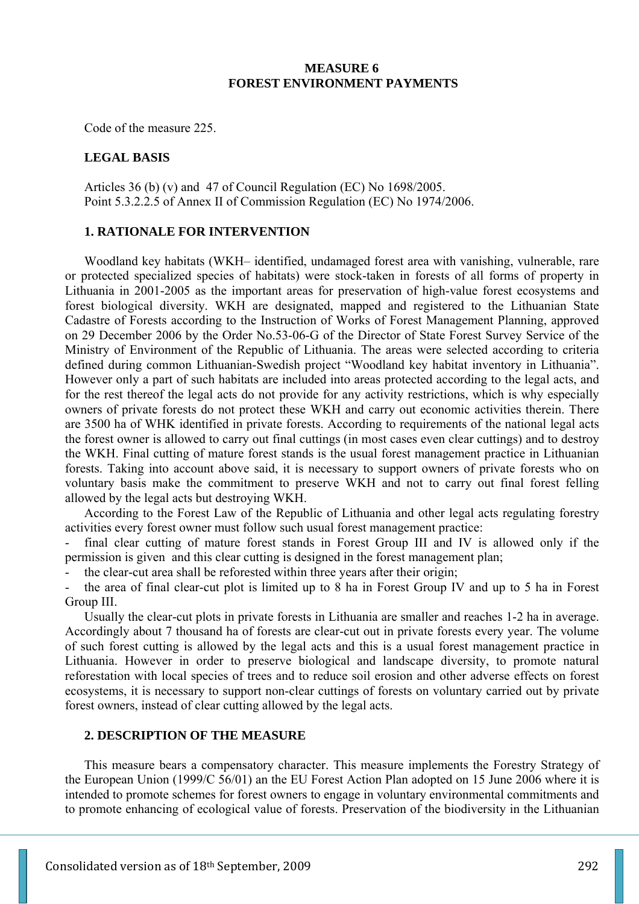## **MEASURE 6 FOREST ENVIRONMENT PAYMENTS**

Code of the measure 225.

#### **LEGAL BASIS**

Articles 36 (b) (v) and 47 of Council Regulation (EC) No 1698/2005. Point 5.3.2.2.5 of Annex II of Commission Regulation (EC) No 1974/2006.

## **1. RATIONALE FOR INTERVENTION**

Woodland key habitats (WKH– identified, undamaged forest area with vanishing, vulnerable, rare or protected specialized species of habitats) were stock-taken in forests of all forms of property in Lithuania in 2001-2005 as the important areas for preservation of high-value forest ecosystems and forest biological diversity. WKH are designated, mapped and registered to the Lithuanian State Cadastre of Forests according to the Instruction of Works of Forest Management Planning, approved on 29 December 2006 by the Order No.53-06-G of the Director of State Forest Survey Service of the Ministry of Environment of the Republic of Lithuania. The areas were selected according to criteria defined during common Lithuanian-Swedish project "Woodland key habitat inventory in Lithuania". However only a part of such habitats are included into areas protected according to the legal acts, and for the rest thereof the legal acts do not provide for any activity restrictions, which is why especially owners of private forests do not protect these WKH and carry out economic activities therein. There are 3500 ha of WHK identified in private forests. According to requirements of the national legal acts the forest owner is allowed to carry out final cuttings (in most cases even clear cuttings) and to destroy the WKH. Final cutting of mature forest stands is the usual forest management practice in Lithuanian forests. Taking into account above said, it is necessary to support owners of private forests who on voluntary basis make the commitment to preserve WKH and not to carry out final forest felling allowed by the legal acts but destroying WKH.

According to the Forest Law of the Republic of Lithuania and other legal acts regulating forestry activities every forest owner must follow such usual forest management practice:

final clear cutting of mature forest stands in Forest Group III and IV is allowed only if the permission is given and this clear cutting is designed in the forest management plan;

the clear-cut area shall be reforested within three years after their origin;

- the area of final clear-cut plot is limited up to 8 ha in Forest Group IV and up to 5 ha in Forest Group III.

Usually the clear-cut plots in private forests in Lithuania are smaller and reaches 1-2 ha in average. Accordingly about 7 thousand ha of forests are clear-cut out in private forests every year. The volume of such forest cutting is allowed by the legal acts and this is a usual forest management practice in Lithuania. However in order to preserve biological and landscape diversity, to promote natural reforestation with local species of trees and to reduce soil erosion and other adverse effects on forest ecosystems, it is necessary to support non-clear cuttings of forests on voluntary carried out by private forest owners, instead of clear cutting allowed by the legal acts.

# **2. DESCRIPTION OF THE MEASURE**

This measure bears a compensatory character. This measure implements the Forestry Strategy of the European Union (1999/C 56/01) an the EU Forest Action Plan adopted on 15 June 2006 where it is intended to promote schemes for forest owners to engage in voluntary environmental commitments and to promote enhancing of ecological value of forests. Preservation of the biodiversity in the Lithuanian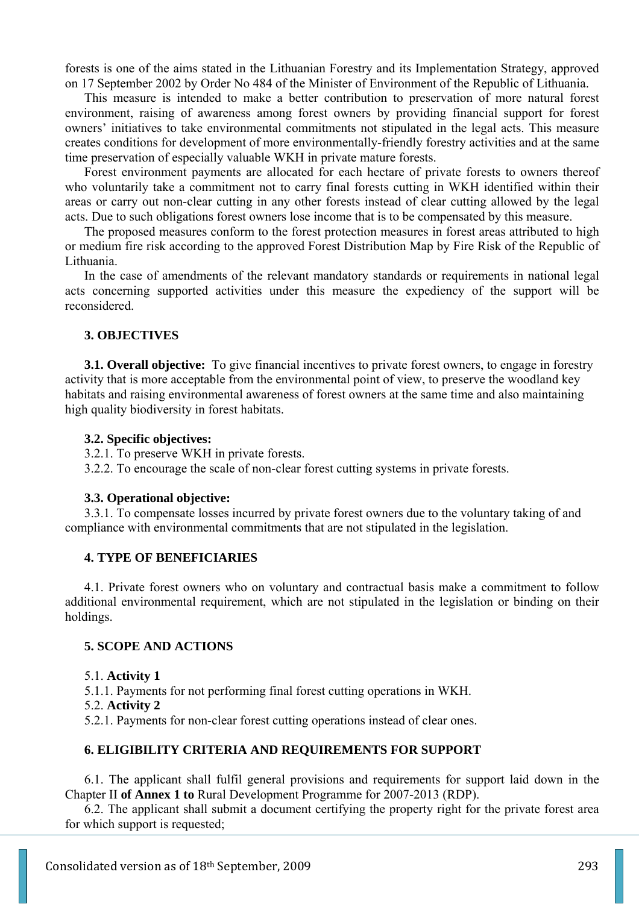forests is one of the aims stated in the Lithuanian Forestry and its Implementation Strategy, approved on 17 September 2002 by Order No 484 of the Minister of Environment of the Republic of Lithuania.

This measure is intended to make a better contribution to preservation of more natural forest environment, raising of awareness among forest owners by providing financial support for forest owners' initiatives to take environmental commitments not stipulated in the legal acts. This measure creates conditions for development of more environmentally-friendly forestry activities and at the same time preservation of especially valuable WKH in private mature forests.

Forest environment payments are allocated for each hectare of private forests to owners thereof who voluntarily take a commitment not to carry final forests cutting in WKH identified within their areas or carry out non-clear cutting in any other forests instead of clear cutting allowed by the legal acts. Due to such obligations forest owners lose income that is to be compensated by this measure.

The proposed measures conform to the forest protection measures in forest areas attributed to high or medium fire risk according to the approved Forest Distribution Map by Fire Risk of the Republic of Lithuania.

In the case of amendments of the relevant mandatory standards or requirements in national legal acts concerning supported activities under this measure the expediency of the support will be reconsidered.

## **3. OBJECTIVES**

**3.1. Overall objective:** To give financial incentives to private forest owners, to engage in forestry activity that is more acceptable from the environmental point of view, to preserve the woodland key habitats and raising environmental awareness of forest owners at the same time and also maintaining high quality biodiversity in forest habitats.

#### **3.2. Specific objectives:**

3.2.1. To preserve WKH in private forests.

3.2.2. To encourage the scale of non-clear forest cutting systems in private forests.

#### **3.3. Operational objective:**

3.3.1. To compensate losses incurred by private forest owners due to the voluntary taking of and compliance with environmental commitments that are not stipulated in the legislation.

#### **4. TYPE OF BENEFICIARIES**

4.1. Private forest owners who on voluntary and contractual basis make a commitment to follow additional environmental requirement, which are not stipulated in the legislation or binding on their holdings.

## **5. SCOPE AND ACTIONS**

#### 5.1. **Activity 1**

- 5.1.1. Payments for not performing final forest cutting operations in WKH.
- 5.2. **Activity 2**

5.2.1. Payments for non-clear forest cutting operations instead of clear ones.

#### **6. ELIGIBILITY CRITERIA AND REQUIREMENTS FOR SUPPORT**

6.1. The applicant shall fulfil general provisions and requirements for support laid down in the Chapter II **of Annex 1 to** Rural Development Programme for 2007-2013 (RDP).

6.2. The applicant shall submit a document certifying the property right for the private forest area for which support is requested;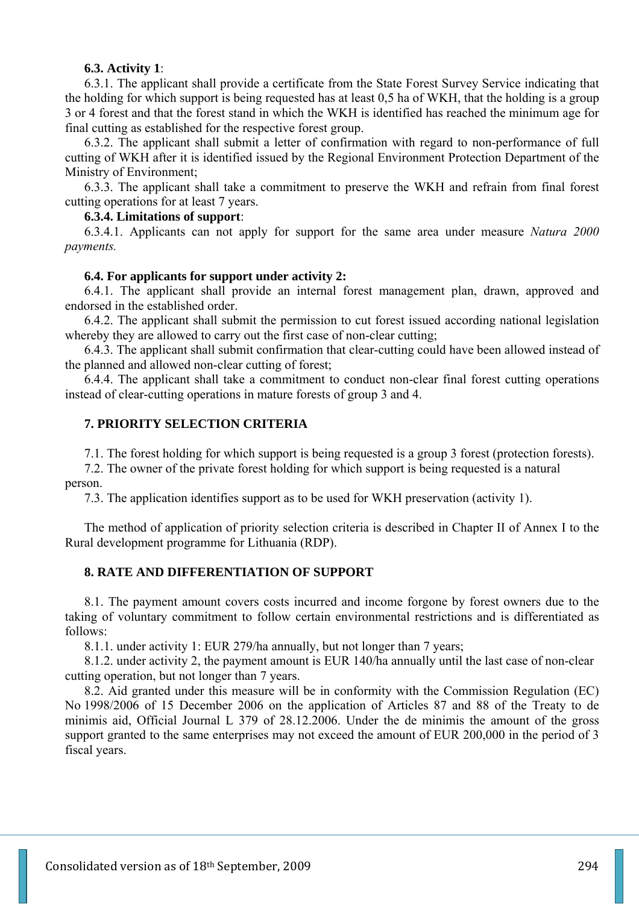#### **6.3. Activity 1**:

6.3.1. The applicant shall provide a certificate from the State Forest Survey Service indicating that the holding for which support is being requested has at least 0,5 ha of WKH, that the holding is a group 3 or 4 forest and that the forest stand in which the WKH is identified has reached the minimum age for final cutting as established for the respective forest group.

6.3.2. The applicant shall submit a letter of confirmation with regard to non-performance of full cutting of WKH after it is identified issued by the Regional Environment Protection Department of the Ministry of Environment;

6.3.3. The applicant shall take a commitment to preserve the WKH and refrain from final forest cutting operations for at least 7 years.

#### **6.3.4. Limitations of support**:

6.3.4.1. Applicants can not apply for support for the same area under measure *Natura 2000 payments.*

#### **6.4. For applicants for support under activity 2:**

6.4.1. The applicant shall provide an internal forest management plan, drawn, approved and endorsed in the established order.

6.4.2. The applicant shall submit the permission to cut forest issued according national legislation whereby they are allowed to carry out the first case of non-clear cutting;

6.4.3. The applicant shall submit confirmation that clear-cutting could have been allowed instead of the planned and allowed non-clear cutting of forest;

6.4.4. The applicant shall take a commitment to conduct non-clear final forest cutting operations instead of clear-cutting operations in mature forests of group 3 and 4.

## **7. PRIORITY SELECTION CRITERIA**

7.1. The forest holding for which support is being requested is a group 3 forest (protection forests).

7.2. The owner of the private forest holding for which support is being requested is a natural person.

7.3. The application identifies support as to be used for WKH preservation (activity 1).

The method of application of priority selection criteria is described in Chapter II of Annex I to the Rural development programme for Lithuania (RDP).

# **8. RATE AND DIFFERENTIATION OF SUPPORT**

8.1. The payment amount covers costs incurred and income forgone by forest owners due to the taking of voluntary commitment to follow certain environmental restrictions and is differentiated as follows:

8.1.1. under activity 1: EUR 279/ha annually, but not longer than 7 years;

8.1.2. under activity 2, the payment amount is EUR 140/ha annually until the last case of non-clear cutting operation, but not longer than 7 years.

8.2. Aid granted under this measure will be in conformity with the Commission Regulation (EC) No 1998/2006 of 15 December 2006 on the application of Articles 87 and 88 of the Treaty to de minimis aid, Official Journal L 379 of 28.12.2006. Under the de minimis the amount of the gross support granted to the same enterprises may not exceed the amount of EUR 200,000 in the period of 3 fiscal years.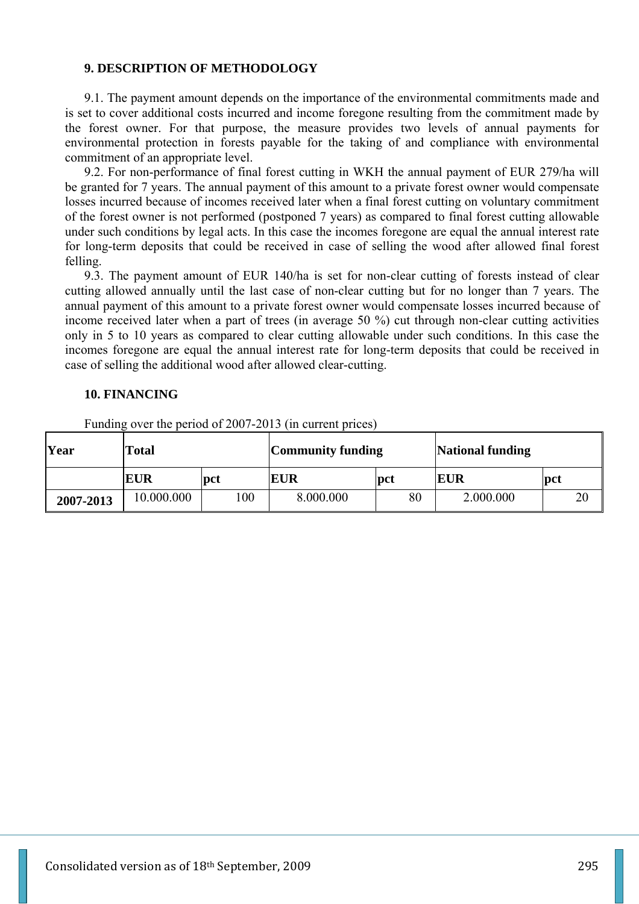## **9. DESCRIPTION OF METHODOLOGY**

9.1. The payment amount depends on the importance of the environmental commitments made and is set to cover additional costs incurred and income foregone resulting from the commitment made by the forest owner. For that purpose, the measure provides two levels of annual payments for environmental protection in forests payable for the taking of and compliance with environmental commitment of an appropriate level.

9.2. For non-performance of final forest cutting in WKH the annual payment of EUR 279/ha will be granted for 7 years. The annual payment of this amount to a private forest owner would compensate losses incurred because of incomes received later when a final forest cutting on voluntary commitment of the forest owner is not performed (postponed 7 years) as compared to final forest cutting allowable under such conditions by legal acts. In this case the incomes foregone are equal the annual interest rate for long-term deposits that could be received in case of selling the wood after allowed final forest felling.

9.3. The payment amount of EUR 140/ha is set for non-clear cutting of forests instead of clear cutting allowed annually until the last case of non-clear cutting but for no longer than 7 years. The annual payment of this amount to a private forest owner would compensate losses incurred because of income received later when a part of trees (in average 50 %) cut through non-clear cutting activities only in 5 to 10 years as compared to clear cutting allowable under such conditions. In this case the incomes foregone are equal the annual interest rate for long-term deposits that could be received in case of selling the additional wood after allowed clear-cutting.

#### **10. FINANCING**

| Year      | Total      |     | Community funding |     | <b>National funding</b> |     |
|-----------|------------|-----|-------------------|-----|-------------------------|-----|
|           | <b>EUR</b> | pct | <b>EUR</b>        | pct | <b>EUR</b>              | pct |
| 2007-2013 | 10.000.000 | 100 | 8.000.000         | 80  | 2.000.000               | 20  |

Funding over the period of 2007-2013 (in current prices)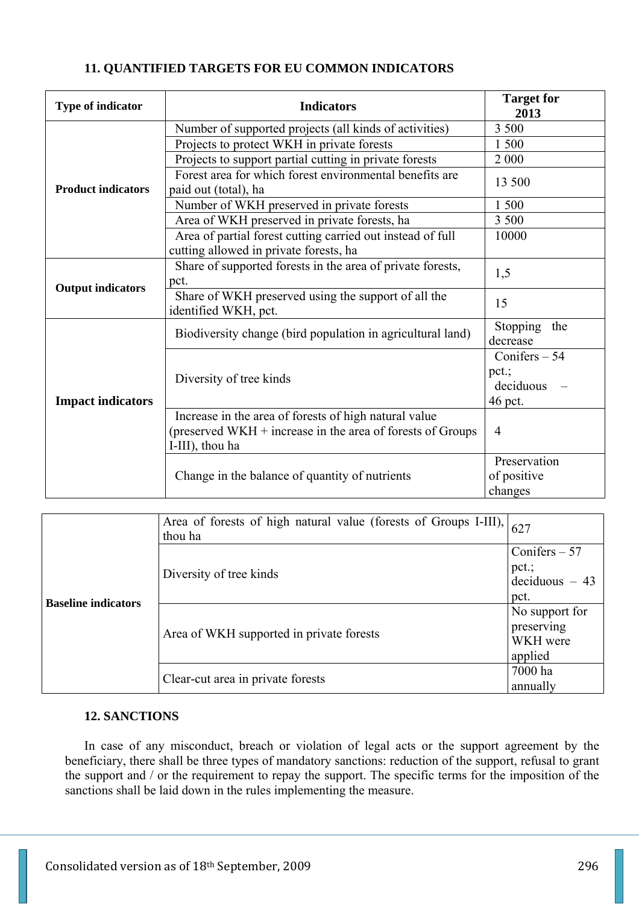# **11. QUANTIFIED TARGETS FOR EU COMMON INDICATORS**

| Type of indicator         | <b>Indicators</b>                                                             | <b>Target for</b><br>2013 |
|---------------------------|-------------------------------------------------------------------------------|---------------------------|
|                           | Number of supported projects (all kinds of activities)                        | 3 500                     |
|                           | Projects to protect WKH in private forests                                    | 1 500                     |
|                           | Projects to support partial cutting in private forests                        | 2 0 0 0                   |
| <b>Product indicators</b> | Forest area for which forest environmental benefits are                       | 13 500                    |
|                           | paid out (total), ha<br>Number of WKH preserved in private forests            | 1 500                     |
|                           | Area of WKH preserved in private forests, ha                                  | 3 500                     |
|                           | Area of partial forest cutting carried out instead of full                    | 10000                     |
|                           | cutting allowed in private forests, ha                                        |                           |
|                           | Share of supported forests in the area of private forests,                    | 1,5                       |
| <b>Output indicators</b>  | pct.                                                                          |                           |
|                           | Share of WKH preserved using the support of all the<br>identified WKH, pct.   | 15                        |
|                           |                                                                               | Stopping<br>the           |
|                           | Biodiversity change (bird population in agricultural land)                    | decrease                  |
|                           |                                                                               | Conifers $-54$            |
|                           | Diversity of tree kinds                                                       | $pct.$ ;                  |
|                           |                                                                               | deciduous                 |
| <b>Impact indicators</b>  |                                                                               | 46 pct.                   |
|                           | Increase in the area of forests of high natural value                         |                           |
|                           | (preserved WKH + increase in the area of forests of Groups<br>I-III), thou ha | 4                         |
|                           |                                                                               | Preservation              |
|                           | Change in the balance of quantity of nutrients                                | of positive               |
|                           |                                                                               | changes                   |

| <b>Baseline indicators</b> | Area of forests of high natural value (forests of Groups I-III),<br>thou ha | 627                                                    |
|----------------------------|-----------------------------------------------------------------------------|--------------------------------------------------------|
|                            | Diversity of tree kinds                                                     | Conifers $-57$<br>$pct.$ ;<br>$deciduous - 43$<br>pct. |
|                            | Area of WKH supported in private forests                                    | No support for<br>preserving<br>WKH were<br>applied    |
|                            | Clear-cut area in private forests                                           | 7000 ha<br>annually                                    |

# **12. SANCTIONS**

In case of any misconduct, breach or violation of legal acts or the support agreement by the beneficiary, there shall be three types of mandatory sanctions: reduction of the support, refusal to grant the support and / or the requirement to repay the support. The specific terms for the imposition of the sanctions shall be laid down in the rules implementing the measure.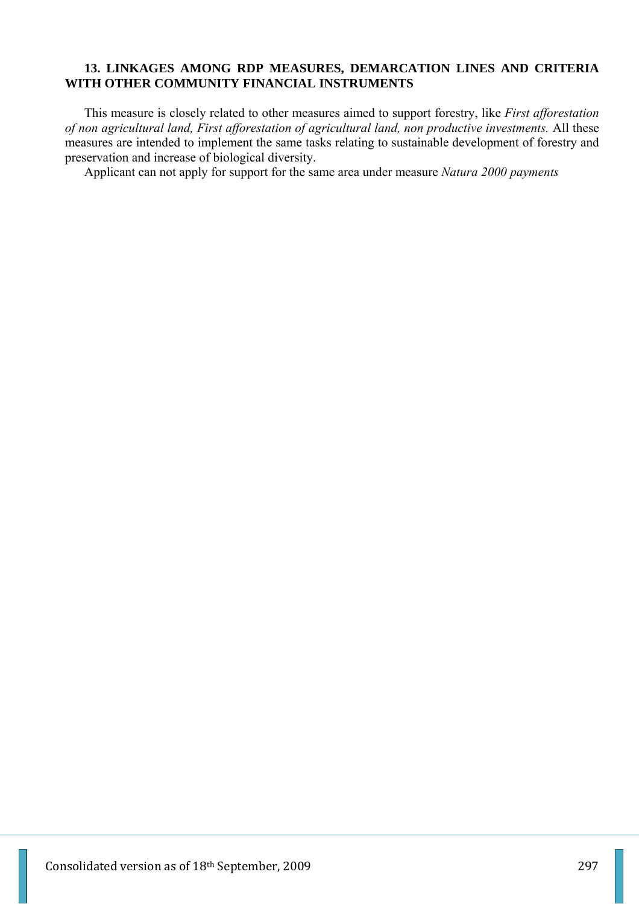## **13. LINKAGES AMONG RDP MEASURES, DEMARCATION LINES AND CRITERIA WITH OTHER COMMUNITY FINANCIAL INSTRUMENTS**

This measure is closely related to other measures aimed to support forestry, like *First afforestation of non agricultural land, First afforestation of agricultural land, non productive investments.* All these measures are intended to implement the same tasks relating to sustainable development of forestry and preservation and increase of biological diversity.

Applicant can not apply for support for the same area under measure *Natura 2000 payments*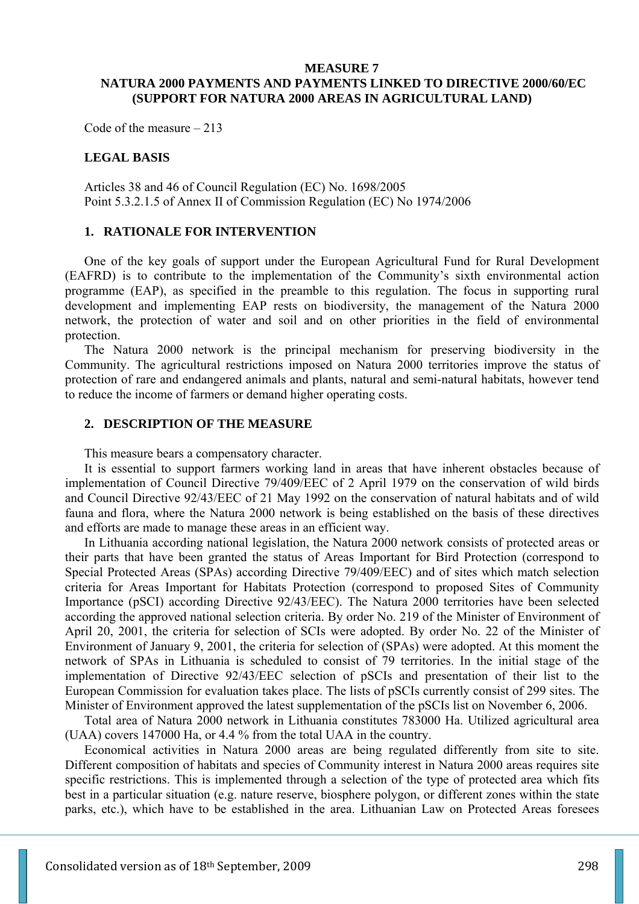#### **MEASURE 7 NATURA 2000 PAYMENTS AND PAYMENTS LINKED TO DIRECTIVE 2000/60/EC (SUPPORT FOR NATURA 2000 AREAS IN AGRICULTURAL LAND)**

Code of the measure – 213

#### **LEGAL BASIS**

Articles 38 and 46 of Council Regulation (EC) No. 1698/2005 Point 5.3.2.1.5 of Annex II of Commission Regulation (EC) No 1974/2006

#### **1. RATIONALE FOR INTERVENTION**

One of the key goals of support under the European Agricultural Fund for Rural Development (EAFRD) is to contribute to the implementation of the Community's sixth environmental action programme (EAP), as specified in the preamble to this regulation. The focus in supporting rural development and implementing EAP rests on biodiversity, the management of the Natura 2000 network, the protection of water and soil and on other priorities in the field of environmental protection.

The Natura 2000 network is the principal mechanism for preserving biodiversity in the Community. The agricultural restrictions imposed on Natura 2000 territories improve the status of protection of rare and endangered animals and plants, natural and semi-natural habitats, however tend to reduce the income of farmers or demand higher operating costs.

## **2. DESCRIPTION OF THE MEASURE**

This measure bears a compensatory character.

It is essential to support farmers working land in areas that have inherent obstacles because of implementation of Council Directive 79/409/EEC of 2 April 1979 on the conservation of wild birds and Council Directive 92/43/EEC of 21 May 1992 on the conservation of natural habitats and of wild fauna and flora, where the Natura 2000 network is being established on the basis of these directives and efforts are made to manage these areas in an efficient way.

In Lithuania according national legislation, the Natura 2000 network consists of protected areas or their parts that have been granted the status of Areas Important for Bird Protection (correspond to Special Protected Areas (SPAs) according Directive 79/409/EEC) and of sites which match selection criteria for Areas Important for Habitats Protection (correspond to proposed Sites of Community Importance (pSCI) according Directive 92/43/EEC). The Natura 2000 territories have been selected according the approved national selection criteria. By order No. 219 of the Minister of Environment of April 20, 2001, the criteria for selection of SCIs were adopted. By order No. 22 of the Minister of Environment of January 9, 2001, the criteria for selection of (SPAs) were adopted. At this moment the network of SPAs in Lithuania is scheduled to consist of 79 territories. In the initial stage of the implementation of Directive 92/43/EEC selection of pSCIs and presentation of their list to the European Commission for evaluation takes place. The lists of pSCIs currently consist of 299 sites. The Minister of Environment approved the latest supplementation of the pSCIs list on November 6, 2006.

Total area of Natura 2000 network in Lithuania constitutes 783000 Ha. Utilized agricultural area (UAA) covers 147000 Ha, or 4.4 % from the total UAA in the country.

Economical activities in Natura 2000 areas are being regulated differently from site to site. Different composition of habitats and species of Community interest in Natura 2000 areas requires site specific restrictions. This is implemented through a selection of the type of protected area which fits best in a particular situation (e.g. nature reserve, biosphere polygon, or different zones within the state parks, etc.), which have to be established in the area. Lithuanian Law on Protected Areas foresees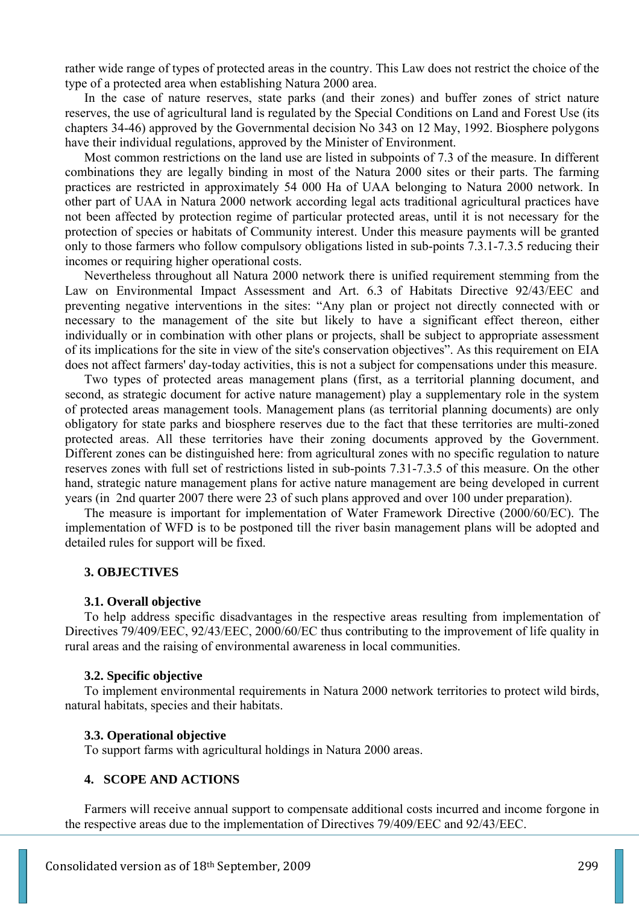rather wide range of types of protected areas in the country. This Law does not restrict the choice of the type of a protected area when establishing Natura 2000 area.

In the case of nature reserves, state parks (and their zones) and buffer zones of strict nature reserves, the use of agricultural land is regulated by the Special Conditions on Land and Forest Use (its chapters 34-46) approved by the Governmental decision No 343 on 12 May, 1992. Biosphere polygons have their individual regulations, approved by the Minister of Environment.

Most common restrictions on the land use are listed in subpoints of 7.3 of the measure. In different combinations they are legally binding in most of the Natura 2000 sites or their parts. The farming practices are restricted in approximately 54 000 Ha of UAA belonging to Natura 2000 network. In other part of UAA in Natura 2000 network according legal acts traditional agricultural practices have not been affected by protection regime of particular protected areas, until it is not necessary for the protection of species or habitats of Community interest. Under this measure payments will be granted only to those farmers who follow compulsory obligations listed in sub-points 7.3.1-7.3.5 reducing their incomes or requiring higher operational costs.

Nevertheless throughout all Natura 2000 network there is unified requirement stemming from the Law on Environmental Impact Assessment and Art. 6.3 of Habitats Directive 92/43/EEC and preventing negative interventions in the sites: "Any plan or project not directly connected with or necessary to the management of the site but likely to have a significant effect thereon, either individually or in combination with other plans or projects, shall be subject to appropriate assessment of its implications for the site in view of the site's conservation objectives". As this requirement on EIA does not affect farmers' day-today activities, this is not a subject for compensations under this measure.

Two types of protected areas management plans (first, as a territorial planning document, and second, as strategic document for active nature management) play a supplementary role in the system of protected areas management tools. Management plans (as territorial planning documents) are only obligatory for state parks and biosphere reserves due to the fact that these territories are multi-zoned protected areas. All these territories have their zoning documents approved by the Government. Different zones can be distinguished here: from agricultural zones with no specific regulation to nature reserves zones with full set of restrictions listed in sub-points 7.31-7.3.5 of this measure. On the other hand, strategic nature management plans for active nature management are being developed in current years (in 2nd quarter 2007 there were 23 of such plans approved and over 100 under preparation).

The measure is important for implementation of Water Framework Directive (2000/60/EC). The implementation of WFD is to be postponed till the river basin management plans will be adopted and detailed rules for support will be fixed.

#### **3. OBJECTIVES**

#### **3.1. Overall objective**

To help address specific disadvantages in the respective areas resulting from implementation of Directives 79/409/EEC, 92/43/EEC, 2000/60/EC thus contributing to the improvement of life quality in rural areas and the raising of environmental awareness in local communities.

#### **3.2. Specific objective**

To implement environmental requirements in Natura 2000 network territories to protect wild birds, natural habitats, species and their habitats.

#### **3.3. Operational objective**

To support farms with agricultural holdings in Natura 2000 areas.

# **4. SCOPE AND ACTIONS**

Farmers will receive annual support to compensate additional costs incurred and income forgone in the respective areas due to the implementation of Directives 79/409/EEC and 92/43/EEC.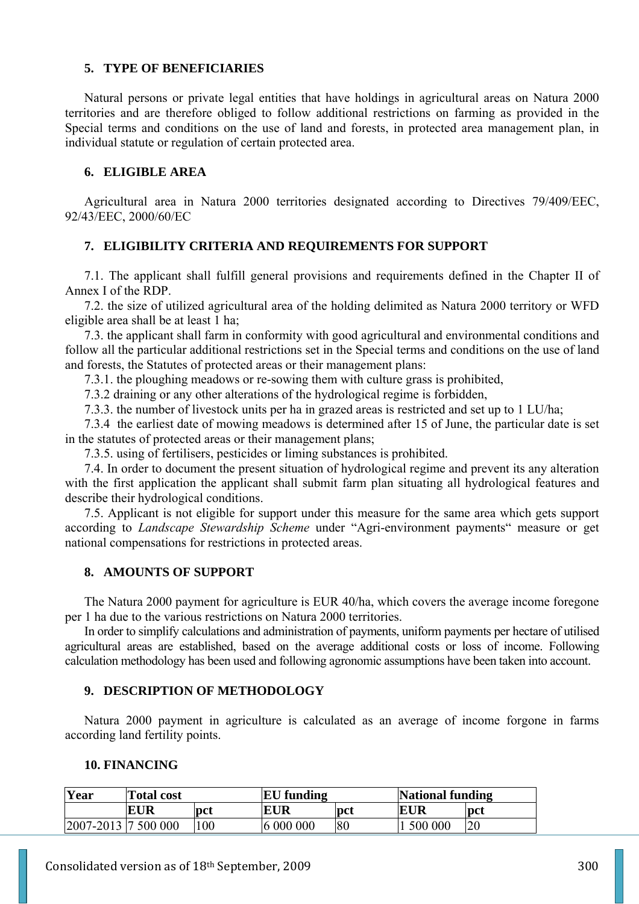## **5. TYPE OF BENEFICIARIES**

Natural persons or private legal entities that have holdings in agricultural areas on Natura 2000 territories and are therefore obliged to follow additional restrictions on farming as provided in the Special terms and conditions on the use of land and forests, in protected area management plan, in individual statute or regulation of certain protected area.

## **6. ELIGIBLE AREA**

Agricultural area in Natura 2000 territories designated according to Directives 79/409/EEC, 92/43/EEC, 2000/60/EC

## **7. ELIGIBILITY CRITERIA AND REQUIREMENTS FOR SUPPORT**

7.1. The applicant shall fulfill general provisions and requirements defined in the Chapter II of Annex I of the RDP.

7.2. the size of utilized agricultural area of the holding delimited as Natura 2000 territory or WFD eligible area shall be at least 1 ha;

7.3. the applicant shall farm in conformity with good agricultural and environmental conditions and follow all the particular additional restrictions set in the Special terms and conditions on the use of land and forests, the Statutes of protected areas or their management plans:

7.3.1. the ploughing meadows or re-sowing them with culture grass is prohibited,

7.3.2 draining or any other alterations of the hydrological regime is forbidden,

7.3.3. the number of livestock units per ha in grazed areas is restricted and set up to 1 LU/ha;

7.3.4 the earliest date of mowing meadows is determined after 15 of June, the particular date is set in the statutes of protected areas or their management plans;

7.3.5. using of fertilisers, pesticides or liming substances is prohibited.

7.4. In order to document the present situation of hydrological regime and prevent its any alteration with the first application the applicant shall submit farm plan situating all hydrological features and describe their hydrological conditions.

7.5. Applicant is not eligible for support under this measure for the same area which gets support according to *Landscape Stewardship Scheme* under "Agri-environment payments" measure or get national compensations for restrictions in protected areas.

## **8. AMOUNTS OF SUPPORT**

The Natura 2000 payment for agriculture is EUR 40/ha, which covers the average income foregone per 1 ha due to the various restrictions on Natura 2000 territories.

In order to simplify calculations and administration of payments, uniform payments per hectare of utilised agricultural areas are established, based on the average additional costs or loss of income. Following calculation methodology has been used and following agronomic assumptions have been taken into account.

#### **9. DESCRIPTION OF METHODOLOGY**

Natura 2000 payment in agriculture is calculated as an average of income forgone in farms according land fertility points.

## **10. FINANCING**

| Year                   | <b>Total cost</b> |     | <b>EU</b> funding |     | <b>National funding</b> |            |
|------------------------|-------------------|-----|-------------------|-----|-------------------------|------------|
|                        | <b>EUR</b>        | pct | <b>EUR</b>        | pct | <b>EUR</b>              | <b>pct</b> |
| $ 2007 - 2013 7500000$ |                   | 100 | 6 000 000         | 80  | 500 000                 | 20         |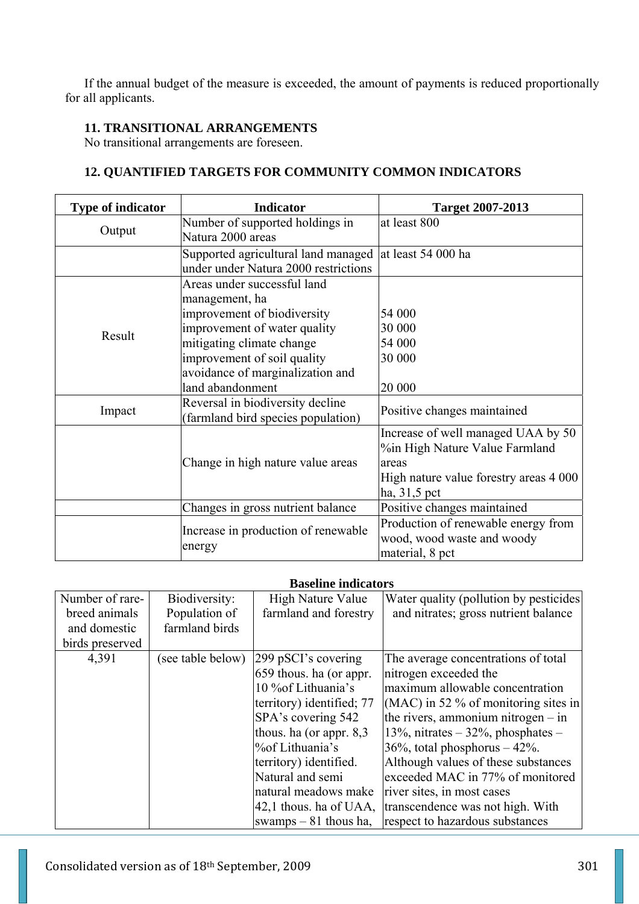If the annual budget of the measure is exceeded, the amount of payments is reduced proportionally for all applicants.

# **11. TRANSITIONAL ARRANGEMENTS**

No transitional arrangements are foreseen.

# **12. QUANTIFIED TARGETS FOR COMMUNITY COMMON INDICATORS**

| <b>Type of indicator</b> | <b>Indicator</b>                                         | <b>Target 2007-2013</b>                |  |
|--------------------------|----------------------------------------------------------|----------------------------------------|--|
| Output                   | Number of supported holdings in                          | at least 800                           |  |
|                          | Natura 2000 areas                                        |                                        |  |
|                          | Supported agricultural land managed   at least 54 000 ha |                                        |  |
|                          | under under Natura 2000 restrictions                     |                                        |  |
|                          | Areas under successful land                              |                                        |  |
|                          | management, ha                                           |                                        |  |
|                          | improvement of biodiversity                              | 54 000                                 |  |
| Result                   | improvement of water quality                             | 30 000                                 |  |
|                          | mitigating climate change                                | 54 000                                 |  |
|                          | improvement of soil quality                              | 30 000                                 |  |
|                          | avoidance of marginalization and                         |                                        |  |
|                          | land abandonment                                         | 20 000                                 |  |
|                          | Reversal in biodiversity decline                         | Positive changes maintained            |  |
| Impact                   | (farmland bird species population)                       |                                        |  |
|                          |                                                          | Increase of well managed UAA by 50     |  |
|                          |                                                          | %in High Nature Value Farmland         |  |
|                          | Change in high nature value areas                        | areas                                  |  |
|                          |                                                          | High nature value forestry areas 4 000 |  |
|                          |                                                          | ha, $31,5$ pct                         |  |
|                          | Changes in gross nutrient balance                        | Positive changes maintained            |  |
|                          |                                                          | Production of renewable energy from    |  |
|                          | Increase in production of renewable                      | wood, wood waste and woody             |  |
|                          | energy                                                   | material, 8 pct                        |  |

# **Baseline indicators**

|                 |                   | разсние пинсают з           |                                         |
|-----------------|-------------------|-----------------------------|-----------------------------------------|
| Number of rare- | Biodiversity:     | High Nature Value           | Water quality (pollution by pesticides) |
| breed animals   | Population of     | farmland and forestry       | and nitrates; gross nutrient balance    |
| and domestic    | farmland birds    |                             |                                         |
| birds preserved |                   |                             |                                         |
| 4,391           | (see table below) | 299 pSCI's covering         | The average concentrations of total     |
|                 |                   | 659 thous. ha (or appr.)    | nitrogen exceeded the                   |
|                 |                   | 10 % of Lithuania's         | maximum allowable concentration         |
|                 |                   | territory) identified; 77   | (MAC) in 52 % of monitoring sites in    |
|                 |                   | SPA's covering 542          | the rivers, ammonium nitrogen $-$ in    |
|                 |                   | thous. ha (or appr. $8,3$ ) | 13%, nitrates $-32%$ , phosphates $-$   |
|                 |                   | %of Lithuania's             | $36\%$ , total phosphorus $-42\%$ .     |
|                 |                   | territory) identified.      | Although values of these substances     |
|                 |                   | Natural and semi            | exceeded MAC in 77% of monitored        |
|                 |                   | natural meadows make        | river sites, in most cases              |
|                 |                   | 42,1 thous. ha of $UAA$ ,   | transcendence was not high. With        |
|                 |                   | swamps $-81$ thous ha,      | respect to hazardous substances         |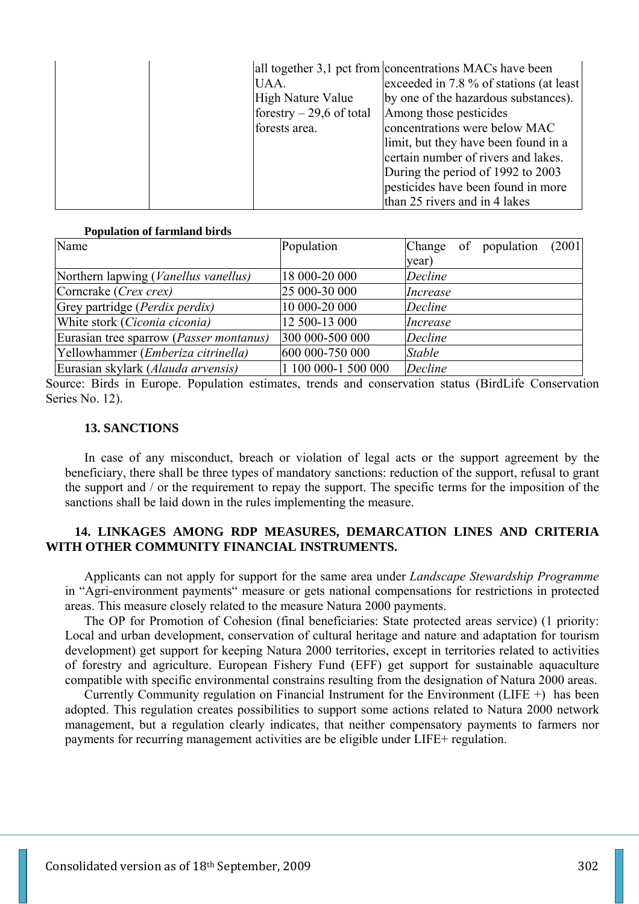|                           | all together 3,1 pct from concentrations MACs have been |
|---------------------------|---------------------------------------------------------|
| UAA.                      | exceeded in 7.8 % of stations (at least)                |
| High Nature Value         | by one of the hazardous substances).                    |
| forestry $-29,6$ of total | Among those pesticides                                  |
| forests area.             | concentrations were below MAC                           |
|                           | limit, but they have been found in a                    |
|                           | certain number of rivers and lakes.                     |
|                           | During the period of 1992 to 2003                       |
|                           | pesticides have been found in more                      |
|                           | than 25 rivers and in 4 lakes                           |

#### **Population of farmland birds**

| Name                                          | Population          |               | Change of population | (2001) |
|-----------------------------------------------|---------------------|---------------|----------------------|--------|
|                                               |                     | year)         |                      |        |
| Northern lapwing ( <i>Vanellus vanellus</i> ) | 18 000-20 000       | Decline       |                      |        |
| Corncrake (Crex crex)                         | 25 000-30 000       | Increase      |                      |        |
| Grey partridge (Perdix perdix)                | 10 000-20 000       | Decline       |                      |        |
| White stork (Ciconia ciconia)                 | 12 500-13 000       | Increase      |                      |        |
| Eurasian tree sparrow (Passer montanus)       | 300 000-500 000     | Decline       |                      |        |
| Yellowhammer ( <i>Emberiza citrinella</i> )   | 600 000-750 000     | <b>Stable</b> |                      |        |
| Eurasian skylark (Alauda arvensis)            | 1 100 000-1 500 000 | Decline       |                      |        |

Source: Birds in Europe. Population estimates, trends and conservation status (BirdLife Conservation Series No. 12).

#### **13. SANCTIONS**

In case of any misconduct, breach or violation of legal acts or the support agreement by the beneficiary, there shall be three types of mandatory sanctions: reduction of the support, refusal to grant the support and / or the requirement to repay the support. The specific terms for the imposition of the sanctions shall be laid down in the rules implementing the measure.

## **14. LINKAGES AMONG RDP MEASURES, DEMARCATION LINES AND CRITERIA WITH OTHER COMMUNITY FINANCIAL INSTRUMENTS.**

Applicants can not apply for support for the same area under *Landscape Stewardship Programme*  in "Agri-environment payments" measure or gets national compensations for restrictions in protected areas. This measure closely related to the measure Natura 2000 payments.

The OP for Promotion of Cohesion (final beneficiaries: State protected areas service) (1 priority: Local and urban development, conservation of cultural heritage and nature and adaptation for tourism development) get support for keeping Natura 2000 territories, except in territories related to activities of forestry and agriculture. European Fishery Fund (EFF) get support for sustainable aquaculture compatible with specific environmental constrains resulting from the designation of Natura 2000 areas.

Currently Community regulation on Financial Instrument for the Environment (LIFE +) has been adopted. This regulation creates possibilities to support some actions related to Natura 2000 network management, but a regulation clearly indicates, that neither compensatory payments to farmers nor payments for recurring management activities are be eligible under LIFE+ regulation.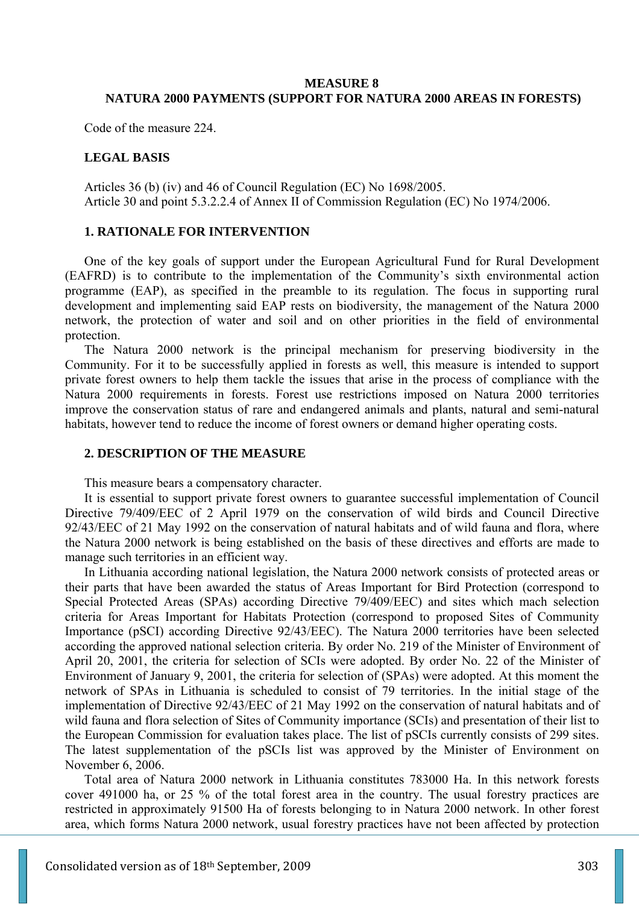#### **MEASURE 8 NATURA 2000 PAYMENTS (SUPPORT FOR NATURA 2000 AREAS IN FORESTS)**

Code of the measure 224.

#### **LEGAL BASIS**

Articles 36 (b) (iv) and 46 of Council Regulation (EC) No 1698/2005. Article 30 and point 5.3.2.2.4 of Annex II of Commission Regulation (EC) No 1974/2006.

#### **1. RATIONALE FOR INTERVENTION**

One of the key goals of support under the European Agricultural Fund for Rural Development (EAFRD) is to contribute to the implementation of the Community's sixth environmental action programme (EAP), as specified in the preamble to its regulation. The focus in supporting rural development and implementing said EAP rests on biodiversity, the management of the Natura 2000 network, the protection of water and soil and on other priorities in the field of environmental protection.

The Natura 2000 network is the principal mechanism for preserving biodiversity in the Community. For it to be successfully applied in forests as well, this measure is intended to support private forest owners to help them tackle the issues that arise in the process of compliance with the Natura 2000 requirements in forests. Forest use restrictions imposed on Natura 2000 territories improve the conservation status of rare and endangered animals and plants, natural and semi-natural habitats, however tend to reduce the income of forest owners or demand higher operating costs.

#### **2. DESCRIPTION OF THE MEASURE**

This measure bears a compensatory character.

It is essential to support private forest owners to guarantee successful implementation of Council Directive 79/409/EEC of 2 April 1979 on the conservation of wild birds and Council Directive 92/43/EEC of 21 May 1992 on the conservation of natural habitats and of wild fauna and flora, where the Natura 2000 network is being established on the basis of these directives and efforts are made to manage such territories in an efficient way.

In Lithuania according national legislation, the Natura 2000 network consists of protected areas or their parts that have been awarded the status of Areas Important for Bird Protection (correspond to Special Protected Areas (SPAs) according Directive 79/409/EEC) and sites which mach selection criteria for Areas Important for Habitats Protection (correspond to proposed Sites of Community Importance (pSCI) according Directive 92/43/EEC). The Natura 2000 territories have been selected according the approved national selection criteria. By order No. 219 of the Minister of Environment of April 20, 2001, the criteria for selection of SCIs were adopted. By order No. 22 of the Minister of Environment of January 9, 2001, the criteria for selection of (SPAs) were adopted. At this moment the network of SPAs in Lithuania is scheduled to consist of 79 territories. In the initial stage of the implementation of Directive 92/43/EEC of 21 May 1992 on the conservation of natural habitats and of wild fauna and flora selection of Sites of Community importance (SCIs) and presentation of their list to the European Commission for evaluation takes place. The list of pSCIs currently consists of 299 sites. The latest supplementation of the pSCIs list was approved by the Minister of Environment on November 6, 2006.

Total area of Natura 2000 network in Lithuania constitutes 783000 Ha. In this network forests cover 491000 ha, or 25 % of the total forest area in the country. The usual forestry practices are restricted in approximately 91500 Ha of forests belonging to in Natura 2000 network. In other forest area, which forms Natura 2000 network, usual forestry practices have not been affected by protection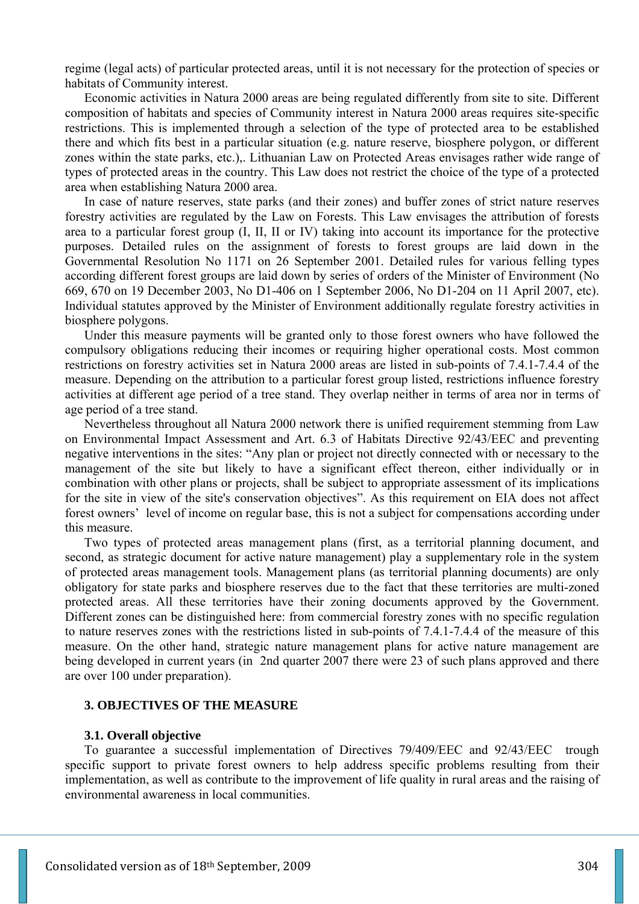regime (legal acts) of particular protected areas, until it is not necessary for the protection of species or habitats of Community interest.

Economic activities in Natura 2000 areas are being regulated differently from site to site. Different composition of habitats and species of Community interest in Natura 2000 areas requires site-specific restrictions. This is implemented through a selection of the type of protected area to be established there and which fits best in a particular situation (e.g. nature reserve, biosphere polygon, or different zones within the state parks, etc.),. Lithuanian Law on Protected Areas envisages rather wide range of types of protected areas in the country. This Law does not restrict the choice of the type of a protected area when establishing Natura 2000 area.

In case of nature reserves, state parks (and their zones) and buffer zones of strict nature reserves forestry activities are regulated by the Law on Forests. This Law envisages the attribution of forests area to a particular forest group (I, II, II or IV) taking into account its importance for the protective purposes. Detailed rules on the assignment of forests to forest groups are laid down in the Governmental Resolution No 1171 on 26 September 2001. Detailed rules for various felling types according different forest groups are laid down by series of orders of the Minister of Environment (No 669, 670 on 19 December 2003, No D1-406 on 1 September 2006, No D1-204 on 11 April 2007, etc). Individual statutes approved by the Minister of Environment additionally regulate forestry activities in biosphere polygons.

Under this measure payments will be granted only to those forest owners who have followed the compulsory obligations reducing their incomes or requiring higher operational costs. Most common restrictions on forestry activities set in Natura 2000 areas are listed in sub-points of 7.4.1-7.4.4 of the measure. Depending on the attribution to a particular forest group listed, restrictions influence forestry activities at different age period of a tree stand. They overlap neither in terms of area nor in terms of age period of a tree stand.

Nevertheless throughout all Natura 2000 network there is unified requirement stemming from Law on Environmental Impact Assessment and Art. 6.3 of Habitats Directive 92/43/EEC and preventing negative interventions in the sites: "Any plan or project not directly connected with or necessary to the management of the site but likely to have a significant effect thereon, either individually or in combination with other plans or projects, shall be subject to appropriate assessment of its implications for the site in view of the site's conservation objectives". As this requirement on EIA does not affect forest owners' level of income on regular base, this is not a subject for compensations according under this measure.

Two types of protected areas management plans (first, as a territorial planning document, and second, as strategic document for active nature management) play a supplementary role in the system of protected areas management tools. Management plans (as territorial planning documents) are only obligatory for state parks and biosphere reserves due to the fact that these territories are multi-zoned protected areas. All these territories have their zoning documents approved by the Government. Different zones can be distinguished here: from commercial forestry zones with no specific regulation to nature reserves zones with the restrictions listed in sub-points of 7.4.1-7.4.4 of the measure of this measure. On the other hand, strategic nature management plans for active nature management are being developed in current years (in 2nd quarter 2007 there were 23 of such plans approved and there are over 100 under preparation).

#### **3. OBJECTIVES OF THE MEASURE**

#### **3.1. Overall objective**

To guarantee a successful implementation of Directives 79/409/EEC and 92/43/EEC trough specific support to private forest owners to help address specific problems resulting from their implementation, as well as contribute to the improvement of life quality in rural areas and the raising of environmental awareness in local communities.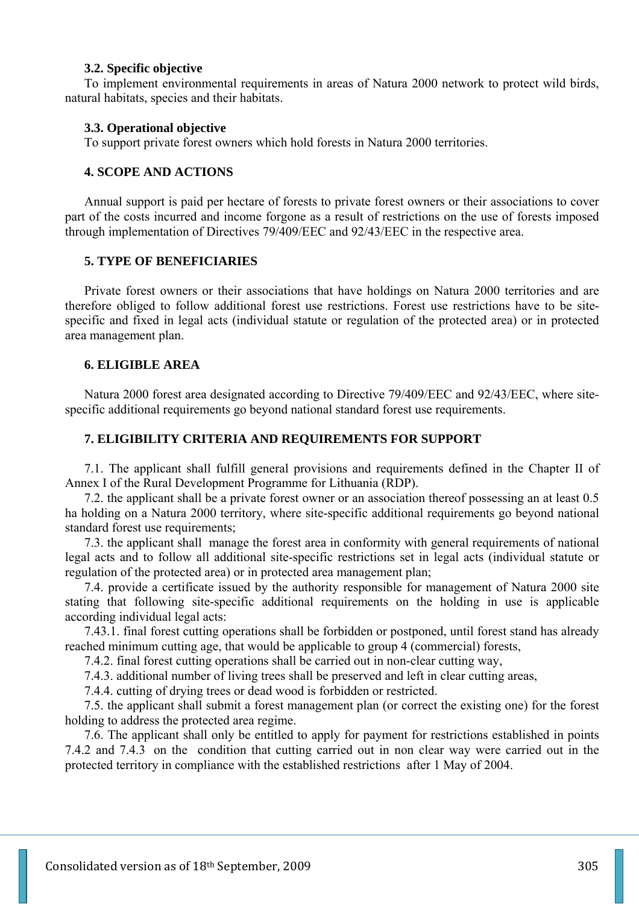#### **3.2. Specific objective**

To implement environmental requirements in areas of Natura 2000 network to protect wild birds, natural habitats, species and their habitats.

#### **3.3. Operational objective**

To support private forest owners which hold forests in Natura 2000 territories.

## **4. SCOPE AND ACTIONS**

Annual support is paid per hectare of forests to private forest owners or their associations to cover part of the costs incurred and income forgone as a result of restrictions on the use of forests imposed through implementation of Directives 79/409/EEC and 92/43/EEC in the respective area.

## **5. TYPE OF BENEFICIARIES**

Private forest owners or their associations that have holdings on Natura 2000 territories and are therefore obliged to follow additional forest use restrictions. Forest use restrictions have to be sitespecific and fixed in legal acts (individual statute or regulation of the protected area) or in protected area management plan.

#### **6. ELIGIBLE AREA**

Natura 2000 forest area designated according to Directive 79/409/EEC and 92/43/EEC, where sitespecific additional requirements go beyond national standard forest use requirements.

## **7. ELIGIBILITY CRITERIA AND REQUIREMENTS FOR SUPPORT**

7.1. The applicant shall fulfill general provisions and requirements defined in the Chapter II of Annex I of the Rural Development Programme for Lithuania (RDP).

7.2. the applicant shall be a private forest owner or an association thereof possessing an at least 0.5 ha holding on a Natura 2000 territory, where site-specific additional requirements go beyond national standard forest use requirements;

7.3. the applicant shall manage the forest area in conformity with general requirements of national legal acts and to follow all additional site-specific restrictions set in legal acts (individual statute or regulation of the protected area) or in protected area management plan;

7.4. provide a certificate issued by the authority responsible for management of Natura 2000 site stating that following site-specific additional requirements on the holding in use is applicable according individual legal acts:

7.43.1. final forest cutting operations shall be forbidden or postponed, until forest stand has already reached minimum cutting age, that would be applicable to group 4 (commercial) forests,

7.4.2. final forest cutting operations shall be carried out in non-clear cutting way,

7.4.3. additional number of living trees shall be preserved and left in clear cutting areas,

7.4.4. cutting of drying trees or dead wood is forbidden or restricted.

7.5. the applicant shall submit a forest management plan (or correct the existing one) for the forest holding to address the protected area regime.

7.6. The applicant shall only be entitled to apply for payment for restrictions established in points 7.4.2 and 7.4.3 on the condition that cutting carried out in non clear way were carried out in the protected territory in compliance with the established restrictions after 1 May of 2004.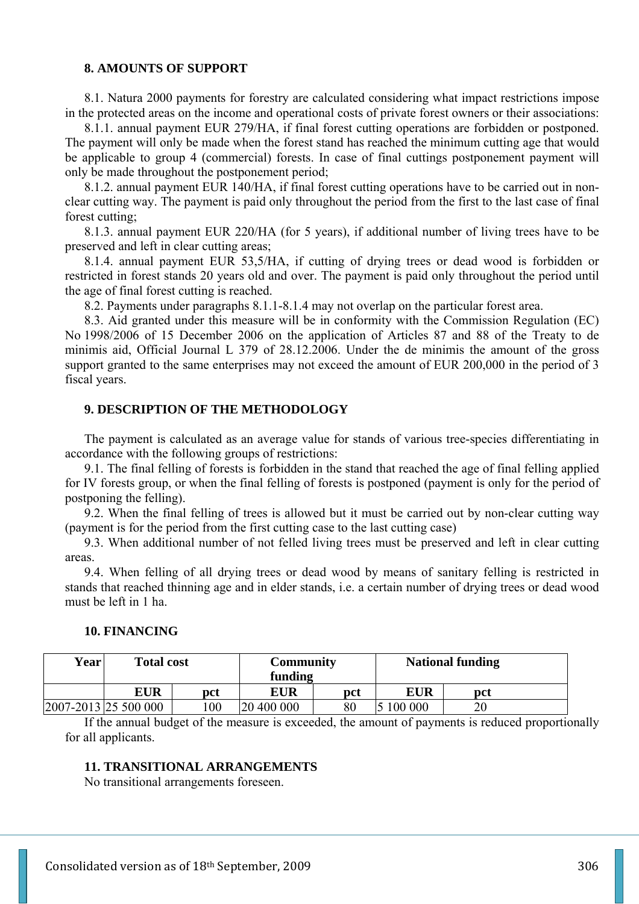## **8. AMOUNTS OF SUPPORT**

8.1. Natura 2000 payments for forestry are calculated considering what impact restrictions impose in the protected areas on the income and operational costs of private forest owners or their associations:

8.1.1. annual payment EUR 279/HA, if final forest cutting operations are forbidden or postponed. The payment will only be made when the forest stand has reached the minimum cutting age that would be applicable to group 4 (commercial) forests. In case of final cuttings postponement payment will only be made throughout the postponement period;

8.1.2. annual payment EUR 140/HA, if final forest cutting operations have to be carried out in nonclear cutting way. The payment is paid only throughout the period from the first to the last case of final forest cutting;

8.1.3. annual payment EUR 220/HA (for 5 years), if additional number of living trees have to be preserved and left in clear cutting areas;

8.1.4. annual payment EUR 53,5/HA, if cutting of drying trees or dead wood is forbidden or restricted in forest stands 20 years old and over. The payment is paid only throughout the period until the age of final forest cutting is reached.

8.2. Payments under paragraphs 8.1.1-8.1.4 may not overlap on the particular forest area.

8.3. Aid granted under this measure will be in conformity with the Commission Regulation (EC) No 1998/2006 of 15 December 2006 on the application of Articles 87 and 88 of the Treaty to de minimis aid, Official Journal L 379 of 28.12.2006. Under the de minimis the amount of the gross support granted to the same enterprises may not exceed the amount of EUR 200,000 in the period of 3 fiscal years.

## **9. DESCRIPTION OF THE METHODOLOGY**

The payment is calculated as an average value for stands of various tree-species differentiating in accordance with the following groups of restrictions:

9.1. The final felling of forests is forbidden in the stand that reached the age of final felling applied for IV forests group, or when the final felling of forests is postponed (payment is only for the period of postponing the felling).

9.2. When the final felling of trees is allowed but it must be carried out by non-clear cutting way (payment is for the period from the first cutting case to the last cutting case)

9.3. When additional number of not felled living trees must be preserved and left in clear cutting areas.

9.4. When felling of all drying trees or dead wood by means of sanitary felling is restricted in stands that reached thinning age and in elder stands, i.e. a certain number of drying trees or dead wood must be left in 1 ha.

#### **10. FINANCING**

| Year | <b>Total cost</b>    |     | Community<br>funding |    | <b>National funding</b> |     |
|------|----------------------|-----|----------------------|----|-------------------------|-----|
|      | <b>EUR</b>           | pct | <b>EUR</b><br>pct    |    | <b>EUR</b>              | pct |
|      | 2007-2013 25 500 000 | 100 | 20 400 000           | 80 | 100 000                 | 20  |

If the annual budget of the measure is exceeded, the amount of payments is reduced proportionally for all applicants.

#### **11. TRANSITIONAL ARRANGEMENTS**

No transitional arrangements foreseen.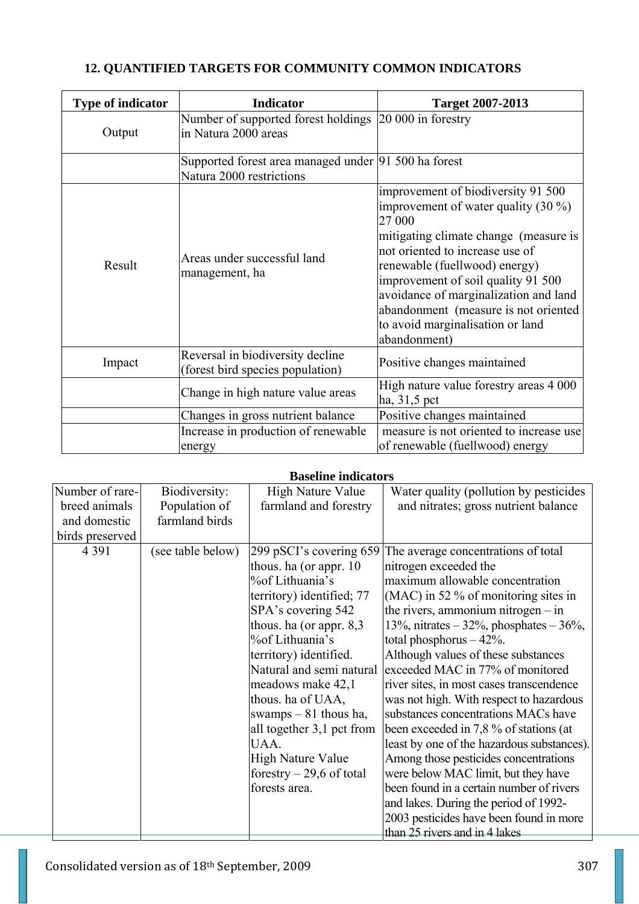# **12. QUANTIFIED TARGETS FOR COMMUNITY COMMON INDICATORS**

| <b>Type of indicator</b> | <b>Indicator</b>                                                                 | <b>Target 2007-2013</b>                                                                                                                                                                                                                                                                                                                                                       |
|--------------------------|----------------------------------------------------------------------------------|-------------------------------------------------------------------------------------------------------------------------------------------------------------------------------------------------------------------------------------------------------------------------------------------------------------------------------------------------------------------------------|
| Output                   | Number of supported forest holdings<br>in Natura 2000 areas                      | 20 000 in forestry                                                                                                                                                                                                                                                                                                                                                            |
|                          | Supported forest area managed under 91 500 ha forest<br>Natura 2000 restrictions |                                                                                                                                                                                                                                                                                                                                                                               |
| Result                   | Areas under successful land<br>management, ha                                    | improvement of biodiversity 91 500<br>improvement of water quality $(30\%)$<br>27 000<br>mitigating climate change (measure is<br>not oriented to increase use of<br>renewable (fuellwood) energy)<br>improvement of soil quality 91 500<br>avoidance of marginalization and land<br>abandonment (measure is not oriented<br>to avoid marginalisation or land<br>abandonment) |
| Impact                   | Reversal in biodiversity decline<br>(forest bird species population)             | Positive changes maintained                                                                                                                                                                                                                                                                                                                                                   |
|                          | Change in high nature value areas                                                | High nature value forestry areas 4 000<br>ha, 31,5 pct                                                                                                                                                                                                                                                                                                                        |
|                          | Changes in gross nutrient balance                                                | Positive changes maintained                                                                                                                                                                                                                                                                                                                                                   |
|                          | Increase in production of renewable<br>energy                                    | measure is not oriented to increase use<br>of renewable (fuellwood) energy                                                                                                                                                                                                                                                                                                    |

#### **Baseline indicators**

| Number of rare- | Biodiversity:     | <b>High Nature Value</b>    | Water quality (pollution by pesticides     |
|-----------------|-------------------|-----------------------------|--------------------------------------------|
| breed animals   | Population of     | farmland and forestry       | and nitrates; gross nutrient balance       |
| and domestic    | farmland birds    |                             |                                            |
| birds preserved |                   |                             |                                            |
| 4 3 9 1         | (see table below) | 299 pSCI's covering 659     | The average concentrations of total        |
|                 |                   | thous. ha (or appr. $10$    | nitrogen exceeded the                      |
|                 |                   | %of Lithuania's             | maximum allowable concentration            |
|                 |                   | territory) identified; 77   | (MAC) in 52 % of monitoring sites in       |
|                 |                   | SPA's covering 542          | the rivers, ammonium nitrogen $-$ in       |
|                 |                   | thous. ha (or appr. $8,3$ ) | 13%, nitrates $-32%$ , phosphates $-36%$ , |
|                 |                   | %of Lithuania's             | total phosphorus $-42\%$ .                 |
|                 |                   | territory) identified.      | Although values of these substances        |
|                 |                   | Natural and semi natural    | exceeded MAC in 77% of monitored           |
|                 |                   | meadows make 42,1           | river sites, in most cases transcendence   |
|                 |                   | thous. ha of UAA,           | was not high. With respect to hazardous    |
|                 |                   | swamps $-81$ thous ha,      | substances concentrations MACs have        |
|                 |                   | all together 3,1 pct from   | been exceeded in 7,8 % of stations (at     |
|                 |                   | UAA.                        | least by one of the hazardous substances). |
|                 |                   | <b>High Nature Value</b>    | Among those pesticides concentrations      |
|                 |                   | forestry $-29,6$ of total   | were below MAC limit, but they have        |
|                 |                   | forests area.               | been found in a certain number of rivers   |
|                 |                   |                             | and lakes. During the period of 1992-      |
|                 |                   |                             | 2003 pesticides have been found in more    |
|                 |                   |                             | than 25 rivers and in 4 lakes              |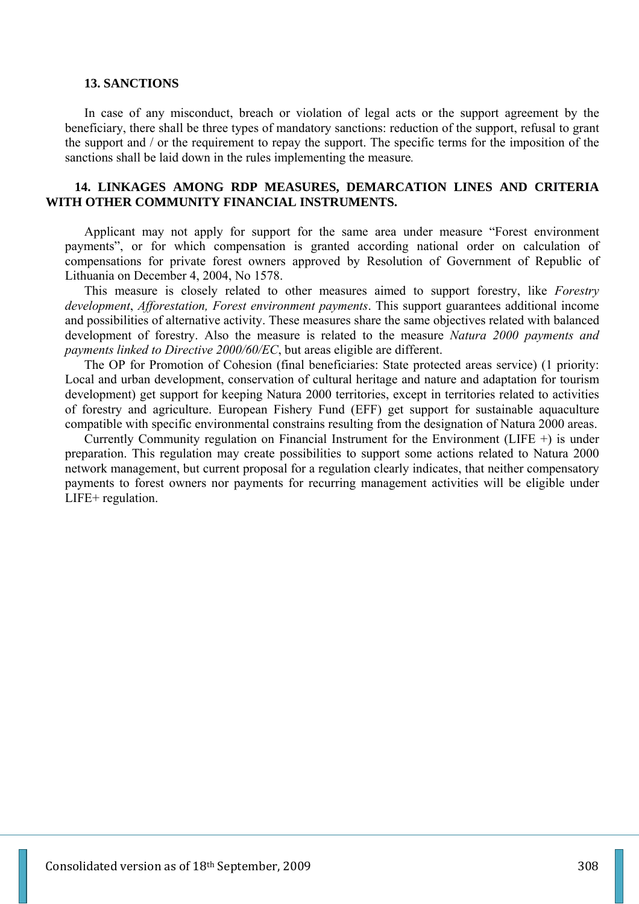#### **13. SANCTIONS**

In case of any misconduct, breach or violation of legal acts or the support agreement by the beneficiary, there shall be three types of mandatory sanctions: reduction of the support, refusal to grant the support and / or the requirement to repay the support. The specific terms for the imposition of the sanctions shall be laid down in the rules implementing the measure*.*

## **14. LINKAGES AMONG RDP MEASURES, DEMARCATION LINES AND CRITERIA WITH OTHER COMMUNITY FINANCIAL INSTRUMENTS.**

Applicant may not apply for support for the same area under measure "Forest environment payments", or for which compensation is granted according national order on calculation of compensations for private forest owners approved by Resolution of Government of Republic of Lithuania on December 4, 2004, No 1578.

This measure is closely related to other measures aimed to support forestry, like *Forestry development*, *Afforestation, Forest environment payments*. This support guarantees additional income and possibilities of alternative activity. These measures share the same objectives related with balanced development of forestry. Also the measure is related to the measure *Natura 2000 payments and payments linked to Directive 2000/60/EC*, but areas eligible are different.

The OP for Promotion of Cohesion (final beneficiaries: State protected areas service) (1 priority: Local and urban development, conservation of cultural heritage and nature and adaptation for tourism development) get support for keeping Natura 2000 territories, except in territories related to activities of forestry and agriculture. European Fishery Fund (EFF) get support for sustainable aquaculture compatible with specific environmental constrains resulting from the designation of Natura 2000 areas.

Currently Community regulation on Financial Instrument for the Environment (LIFE +) is under preparation. This regulation may create possibilities to support some actions related to Natura 2000 network management, but current proposal for a regulation clearly indicates, that neither compensatory payments to forest owners nor payments for recurring management activities will be eligible under LIFE+ regulation.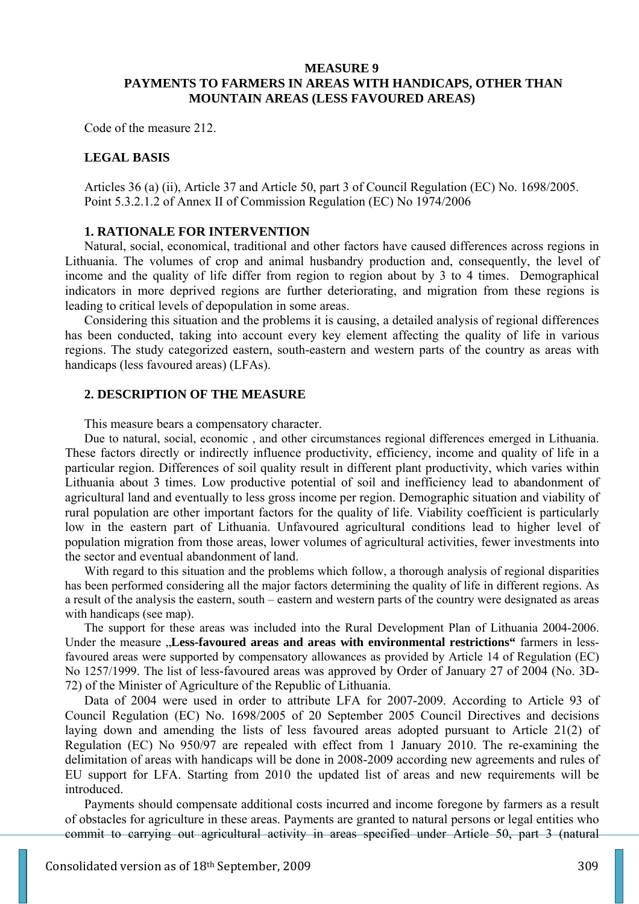#### **MEASURE 9 PAYMENTS TO FARMERS IN AREAS WITH HANDICAPS, OTHER THAN MOUNTAIN AREAS (LESS FAVOURED AREAS)**

Code of the measure 212.

#### **LEGAL BASIS**

Articles 36 (a) (ii), Article 37 and Article 50, part 3 of Council Regulation (EC) No. 1698/2005. Point 5.3.2.1.2 of Annex II of Commission Regulation (EC) No 1974/2006

#### **1. RATIONALE FOR INTERVENTION**

Natural, social, economical, traditional and other factors have caused differences across regions in Lithuania. The volumes of crop and animal husbandry production and, consequently, the level of income and the quality of life differ from region to region about by 3 to 4 times. Demographical indicators in more deprived regions are further deteriorating, and migration from these regions is leading to critical levels of depopulation in some areas.

Considering this situation and the problems it is causing, a detailed analysis of regional differences has been conducted, taking into account every key element affecting the quality of life in various regions. The study categorized eastern, south-eastern and western parts of the country as areas with handicaps (less favoured areas) (LFAs).

## **2. DESCRIPTION OF THE MEASURE**

This measure bears a compensatory character.

Due to natural, social, economic , and other circumstances regional differences emerged in Lithuania. These factors directly or indirectly influence productivity, efficiency, income and quality of life in a particular region. Differences of soil quality result in different plant productivity, which varies within Lithuania about 3 times. Low productive potential of soil and inefficiency lead to abandonment of agricultural land and eventually to less gross income per region. Demographic situation and viability of rural population are other important factors for the quality of life. Viability coefficient is particularly low in the eastern part of Lithuania. Unfavoured agricultural conditions lead to higher level of population migration from those areas, lower volumes of agricultural activities, fewer investments into the sector and eventual abandonment of land.

With regard to this situation and the problems which follow, a thorough analysis of regional disparities has been performed considering all the major factors determining the quality of life in different regions. As a result of the analysis the eastern, south – eastern and western parts of the country were designated as areas with handicaps (see map).

The support for these areas was included into the Rural Development Plan of Lithuania 2004-2006. Under the measure **Less-favoured areas and areas with environmental restrictions**" farmers in lessfavoured areas were supported by compensatory allowances as provided by Article 14 of Regulation (EC) No 1257/1999. The list of less-favoured areas was approved by Order of January 27 of 2004 (No. 3D-72) of the Minister of Agriculture of the Republic of Lithuania.

Data of 2004 were used in order to attribute LFA for 2007-2009. According to Article 93 of Council Regulation (EC) No. 1698/2005 of 20 September 2005 Council Directives and decisions laying down and amending the lists of less favoured areas adopted pursuant to Article 21(2) of Regulation (EC) No 950/97 are repealed with effect from 1 January 2010. The re-examining the delimitation of areas with handicaps will be done in 2008-2009 according new agreements and rules of EU support for LFA. Starting from 2010 the updated list of areas and new requirements will be introduced.

Payments should compensate additional costs incurred and income foregone by farmers as a result of obstacles for agriculture in these areas. Payments are granted to natural persons or legal entities who commit to carrying out agricultural activity in areas specified under Article 50, part 3 (natural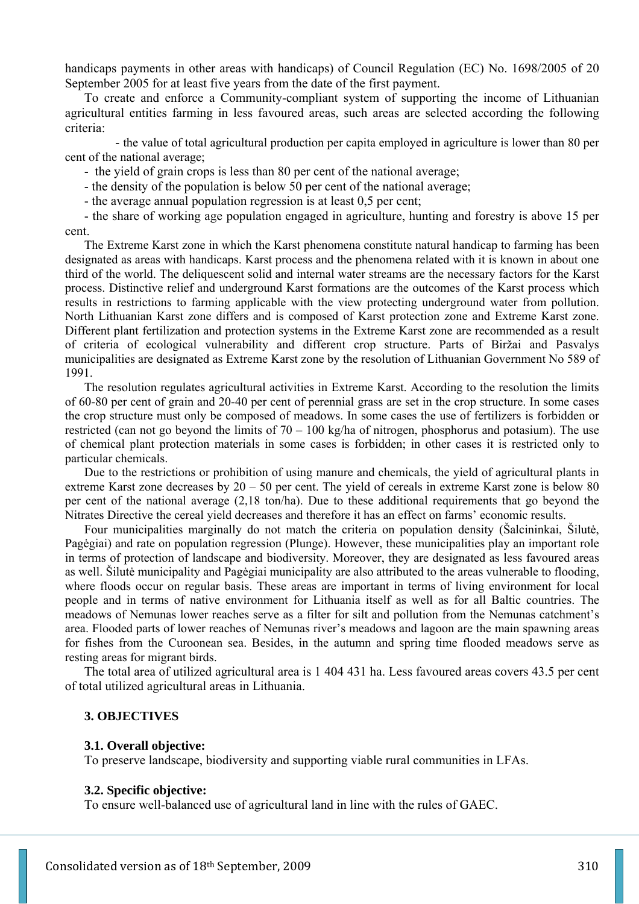handicaps payments in other areas with handicaps) of Council Regulation (EC) No. 1698/2005 of 20 September 2005 for at least five years from the date of the first payment.

To create and enforce a Community-compliant system of supporting the income of Lithuanian agricultural entities farming in less favoured areas, such areas are selected according the following criteria:

 - the value of total agricultural production per capita employed in agriculture is lower than 80 per cent of the national average;

- the yield of grain crops is less than 80 per cent of the national average;

- the density of the population is below 50 per cent of the national average;

- the average annual population regression is at least 0,5 per cent;

- the share of working age population engaged in agriculture, hunting and forestry is above 15 per cent.

The Extreme Karst zone in which the Karst phenomena constitute natural handicap to farming has been designated as areas with handicaps. Karst process and the phenomena related with it is known in about one third of the world. The deliquescent solid and internal water streams are the necessary factors for the Karst process. Distinctive relief and underground Karst formations are the outcomes of the Karst process which results in restrictions to farming applicable with the view protecting underground water from pollution. North Lithuanian Karst zone differs and is composed of Karst protection zone and Extreme Karst zone. Different plant fertilization and protection systems in the Extreme Karst zone are recommended as a result of criteria of ecological vulnerability and different crop structure. Parts of Biržai and Pasvalys municipalities are designated as Extreme Karst zone by the resolution of Lithuanian Government No 589 of 1991.

The resolution regulates agricultural activities in Extreme Karst. According to the resolution the limits of 60-80 per cent of grain and 20-40 per cent of perennial grass are set in the crop structure. In some cases the crop structure must only be composed of meadows. In some cases the use of fertilizers is forbidden or restricted (can not go beyond the limits of  $70 - 100$  kg/ha of nitrogen, phosphorus and potasium). The use of chemical plant protection materials in some cases is forbidden; in other cases it is restricted only to particular chemicals.

Due to the restrictions or prohibition of using manure and chemicals, the yield of agricultural plants in extreme Karst zone decreases by 20 – 50 per cent. The yield of cereals in extreme Karst zone is below 80 per cent of the national average (2,18 ton/ha). Due to these additional requirements that go beyond the Nitrates Directive the cereal yield decreases and therefore it has an effect on farms' economic results.

Four municipalities marginally do not match the criteria on population density (Šalcininkai, Šilutė, Pagėgiai) and rate on population regression (Plunge). However, these municipalities play an important role in terms of protection of landscape and biodiversity. Moreover, they are designated as less favoured areas as well. Šilutė municipality and Pagėgiai municipality are also attributed to the areas vulnerable to flooding, where floods occur on regular basis. These areas are important in terms of living environment for local people and in terms of native environment for Lithuania itself as well as for all Baltic countries. The meadows of Nemunas lower reaches serve as a filter for silt and pollution from the Nemunas catchment's area. Flooded parts of lower reaches of Nemunas river's meadows and lagoon are the main spawning areas for fishes from the Curoonean sea. Besides, in the autumn and spring time flooded meadows serve as resting areas for migrant birds.

The total area of utilized agricultural area is 1 404 431 ha. Less favoured areas covers 43.5 per cent of total utilized agricultural areas in Lithuania.

#### **3. OBJECTIVES**

#### **3.1. Overall objective:**

To preserve landscape, biodiversity and supporting viable rural communities in LFAs.

#### **3.2. Specific objective:**

To ensure well-balanced use of agricultural land in line with the rules of GAEC.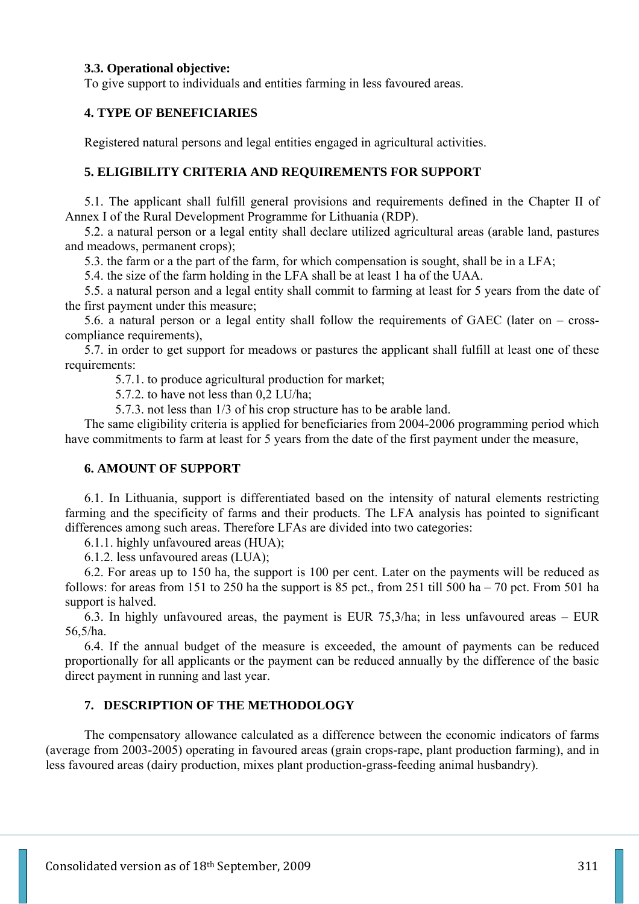## **3.3. Operational objective:**

To give support to individuals and entities farming in less favoured areas.

# **4. TYPE OF BENEFICIARIES**

Registered natural persons and legal entities engaged in agricultural activities.

## **5. ELIGIBILITY CRITERIA AND REQUIREMENTS FOR SUPPORT**

5.1. The applicant shall fulfill general provisions and requirements defined in the Chapter II of Annex I of the Rural Development Programme for Lithuania (RDP).

5.2. a natural person or a legal entity shall declare utilized agricultural areas (arable land, pastures and meadows, permanent crops);

5.3. the farm or a the part of the farm, for which compensation is sought, shall be in a LFA;

5.4. the size of the farm holding in the LFA shall be at least 1 ha of the UAA.

5.5. a natural person and a legal entity shall commit to farming at least for 5 years from the date of the first payment under this measure;

5.6. a natural person or a legal entity shall follow the requirements of GAEC (later on – crosscompliance requirements),

5.7. in order to get support for meadows or pastures the applicant shall fulfill at least one of these requirements:

5.7.1. to produce agricultural production for market;

5.7.2. to have not less than 0,2 LU/ha;

5.7.3. not less than 1/3 of his crop structure has to be arable land.

The same eligibility criteria is applied for beneficiaries from 2004-2006 programming period which have commitments to farm at least for 5 years from the date of the first payment under the measure,

## **6. AMOUNT OF SUPPORT**

6.1. In Lithuania, support is differentiated based on the intensity of natural elements restricting farming and the specificity of farms and their products. The LFA analysis has pointed to significant differences among such areas. Therefore LFAs are divided into two categories:

6.1.1. highly unfavoured areas (HUA);

6.1.2. less unfavoured areas (LUA);

6.2. For areas up to 150 ha, the support is 100 per cent. Later on the payments will be reduced as follows: for areas from 151 to 250 ha the support is 85 pct., from 251 till 500 ha – 70 pct. From 501 ha support is halved.

6.3. In highly unfavoured areas, the payment is EUR 75,3/ha; in less unfavoured areas – EUR 56,5/ha.

6.4. If the annual budget of the measure is exceeded, the amount of payments can be reduced proportionally for all applicants or the payment can be reduced annually by the difference of the basic direct payment in running and last year.

#### **7. DESCRIPTION OF THE METHODOLOGY**

The compensatory allowance calculated as a difference between the economic indicators of farms (average from 2003-2005) operating in favoured areas (grain crops-rape, plant production farming), and in less favoured areas (dairy production, mixes plant production-grass-feeding animal husbandry).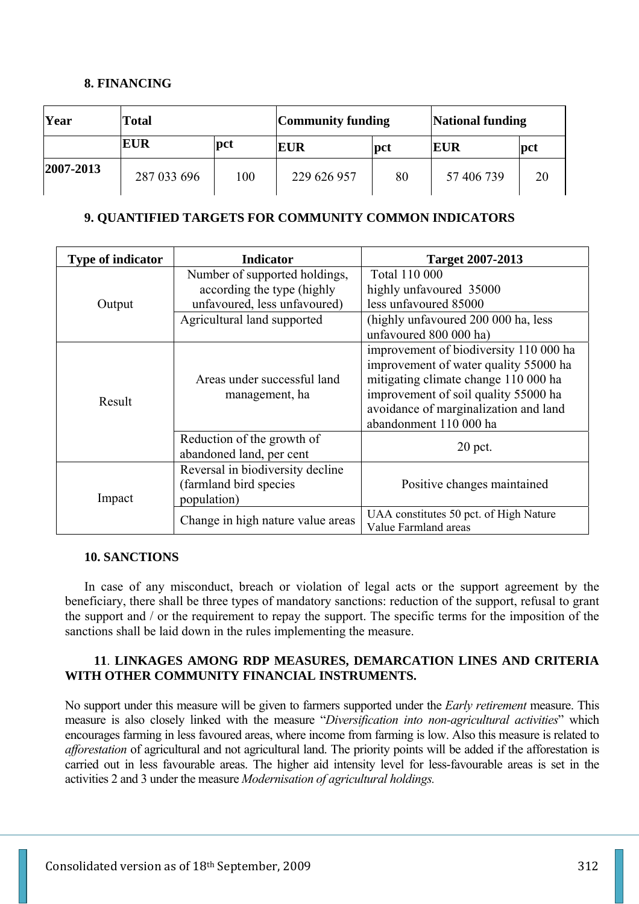# **8. FINANCING**

| Year            | Total       |     | <b>Community funding</b> |     | <b>National funding</b> |     |
|-----------------|-------------|-----|--------------------------|-----|-------------------------|-----|
|                 | <b>EUR</b>  | pct | <b>EUR</b>               | pct | EUR                     | pct |
| $ 2007 - 2013 $ | 287 033 696 | 100 | 229 626 957              | 80  | 57 406 739              | 20  |

# **9. QUANTIFIED TARGETS FOR COMMUNITY COMMON INDICATORS**

| <b>Type of indicator</b> | <b>Indicator</b>                  | <b>Target 2007-2013</b>                |
|--------------------------|-----------------------------------|----------------------------------------|
|                          | Number of supported holdings,     | Total 110 000                          |
|                          | according the type (highly        | highly unfavoured 35000                |
| Output                   | unfavoured, less unfavoured)      | less unfavoured 85000                  |
|                          | Agricultural land supported       | (highly unfavoured 200 000 ha, less    |
|                          |                                   | unfavoured 800 000 ha)                 |
|                          |                                   | improvement of biodiversity 110 000 ha |
|                          |                                   | improvement of water quality 55000 ha  |
|                          | Areas under successful land       | mitigating climate change 110 000 ha   |
| Result                   | management, ha                    | improvement of soil quality 55000 ha   |
|                          |                                   | avoidance of marginalization and land  |
|                          |                                   | abandonment 110 000 ha                 |
|                          | Reduction of the growth of        | $20$ pct.                              |
|                          | abandoned land, per cent          |                                        |
|                          | Reversal in biodiversity decline  |                                        |
| Impact                   | (farmland bird species)           | Positive changes maintained            |
|                          | population)                       |                                        |
|                          | Change in high nature value areas | UAA constitutes 50 pct. of High Nature |
|                          |                                   | Value Farmland areas                   |

## **10. SANCTIONS**

In case of any misconduct, breach or violation of legal acts or the support agreement by the beneficiary, there shall be three types of mandatory sanctions: reduction of the support, refusal to grant the support and / or the requirement to repay the support. The specific terms for the imposition of the sanctions shall be laid down in the rules implementing the measure.

## **11**. **LINKAGES AMONG RDP MEASURES, DEMARCATION LINES AND CRITERIA WITH OTHER COMMUNITY FINANCIAL INSTRUMENTS.**

No support under this measure will be given to farmers supported under the *Early retirement* measure. This measure is also closely linked with the measure "*Diversification into non-agricultural activities*" which encourages farming in less favoured areas, where income from farming is low. Also this measure is related to *afforestation* of agricultural and not agricultural land. The priority points will be added if the afforestation is carried out in less favourable areas. The higher aid intensity level for less-favourable areas is set in the activities 2 and 3 under the measure *Modernisation of agricultural holdings.*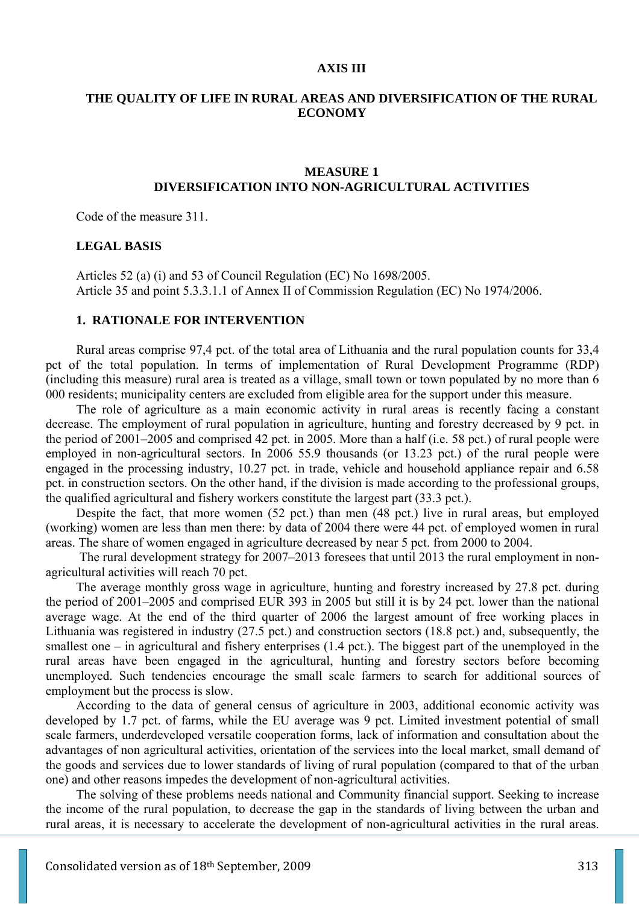#### **AXIS III**

## **THE QUALITY OF LIFE IN RURAL AREAS AND DIVERSIFICATION OF THE RURAL ECONOMY**

## **MEASURE 1 DIVERSIFICATION INTO NON-AGRICULTURAL ACTIVITIES**

Code of the measure 311.

## **LEGAL BASIS**

Articles 52 (a) (i) and 53 of Council Regulation (EC) No 1698/2005. Article 35 and point 5.3.3.1.1 of Annex II of Commission Regulation (EC) No 1974/2006.

#### **1. RATIONALE FOR INTERVENTION**

Rural areas comprise 97,4 pct. of the total area of Lithuania and the rural population counts for 33,4 pct of the total population. In terms of implementation of Rural Development Programme (RDP) (including this measure) rural area is treated as a village, small town or town populated by no more than 6 000 residents; municipality centers are excluded from eligible area for the support under this measure.

The role of agriculture as a main economic activity in rural areas is recently facing a constant decrease. The employment of rural population in agriculture, hunting and forestry decreased by 9 pct. in the period of 2001–2005 and comprised 42 pct. in 2005. More than a half (i.e. 58 pct.) of rural people were employed in non-agricultural sectors. In 2006 55.9 thousands (or 13.23 pct.) of the rural people were engaged in the processing industry, 10.27 pct. in trade, vehicle and household appliance repair and 6.58 pct. in construction sectors. On the other hand, if the division is made according to the professional groups, the qualified agricultural and fishery workers constitute the largest part (33.3 pct.).

Despite the fact, that more women (52 pct.) than men (48 pct.) live in rural areas, but employed (working) women are less than men there: by data of 2004 there were 44 pct. of employed women in rural areas. The share of women engaged in agriculture decreased by near 5 pct. from 2000 to 2004.

 The rural development strategy for 2007–2013 foresees that until 2013 the rural employment in nonagricultural activities will reach 70 pct.

The average monthly gross wage in agriculture, hunting and forestry increased by 27.8 pct. during the period of 2001–2005 and comprised EUR 393 in 2005 but still it is by 24 pct. lower than the national average wage. At the end of the third quarter of 2006 the largest amount of free working places in Lithuania was registered in industry (27.5 pct.) and construction sectors (18.8 pct.) and, subsequently, the smallest one – in agricultural and fishery enterprises (1.4 pct.). The biggest part of the unemployed in the rural areas have been engaged in the agricultural, hunting and forestry sectors before becoming unemployed. Such tendencies encourage the small scale farmers to search for additional sources of employment but the process is slow.

According to the data of general census of agriculture in 2003, additional economic activity was developed by 1.7 pct. of farms, while the EU average was 9 pct. Limited investment potential of small scale farmers, underdeveloped versatile cooperation forms, lack of information and consultation about the advantages of non agricultural activities, orientation of the services into the local market, small demand of the goods and services due to lower standards of living of rural population (compared to that of the urban one) and other reasons impedes the development of non-agricultural activities.

The solving of these problems needs national and Community financial support. Seeking to increase the income of the rural population, to decrease the gap in the standards of living between the urban and rural areas, it is necessary to accelerate the development of non-agricultural activities in the rural areas.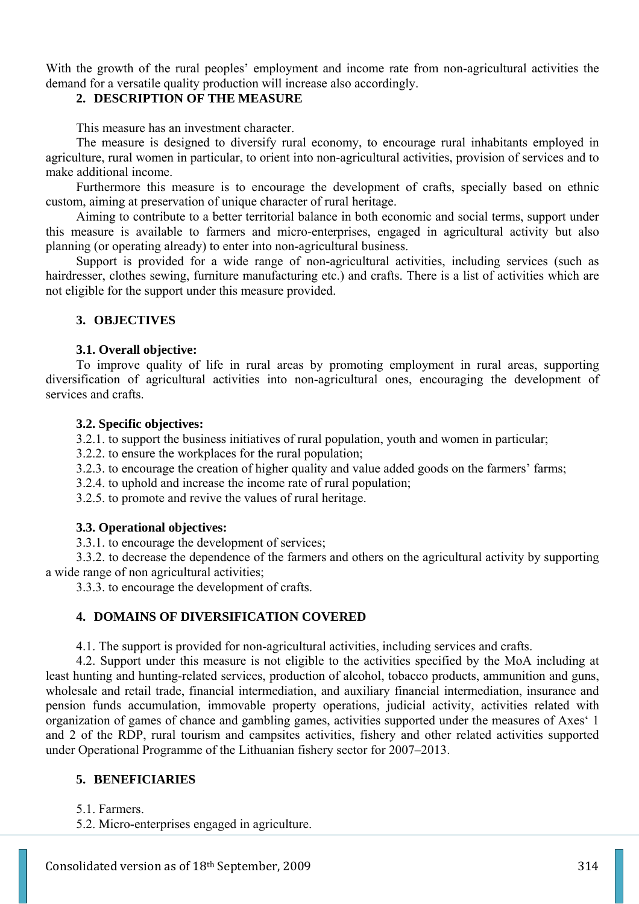With the growth of the rural peoples' employment and income rate from non-agricultural activities the demand for a versatile quality production will increase also accordingly.

# **2. DESCRIPTION OF THE MEASURE**

This measure has an investment character.

The measure is designed to diversify rural economy, to encourage rural inhabitants employed in agriculture, rural women in particular, to orient into non-agricultural activities, provision of services and to make additional income.

Furthermore this measure is to encourage the development of crafts, specially based on ethnic custom, aiming at preservation of unique character of rural heritage.

Aiming to contribute to a better territorial balance in both economic and social terms, support under this measure is available to farmers and micro-enterprises, engaged in agricultural activity but also planning (or operating already) to enter into non-agricultural business.

Support is provided for a wide range of non-agricultural activities, including services (such as hairdresser, clothes sewing, furniture manufacturing etc.) and crafts. There is a list of activities which are not eligible for the support under this measure provided.

## **3. OBJECTIVES**

## **3.1. Overall objective:**

To improve quality of life in rural areas by promoting employment in rural areas, supporting diversification of agricultural activities into non-agricultural ones, encouraging the development of services and crafts.

## **3.2. Specific objectives:**

3.2.1. to support the business initiatives of rural population, youth and women in particular;

3.2.2. to ensure the workplaces for the rural population;

3.2.3. to encourage the creation of higher quality and value added goods on the farmers' farms;

3.2.4. to uphold and increase the income rate of rural population;

3.2.5. to promote and revive the values of rural heritage.

# **3.3. Operational objectives:**

3.3.1. to encourage the development of services;

3.3.2. to decrease the dependence of the farmers and others on the agricultural activity by supporting a wide range of non agricultural activities;

3.3.3. to encourage the development of crafts.

# **4. DOMAINS OF DIVERSIFICATION COVERED**

4.1. The support is provided for non-agricultural activities, including services and crafts.

4.2. Support under this measure is not eligible to the activities specified by the MoA including at least hunting and hunting-related services, production of alcohol, tobacco products, ammunition and guns, wholesale and retail trade, financial intermediation, and auxiliary financial intermediation, insurance and pension funds accumulation, immovable property operations, judicial activity, activities related with organization of games of chance and gambling games, activities supported under the measures of Axes' 1 and 2 of the RDP, rural tourism and campsites activities, fishery and other related activities supported under Operational Programme of the Lithuanian fishery sector for 2007–2013.

# **5. BENEFICIARIES**

5.1. Farmers.

5.2. Micro-enterprises engaged in agriculture.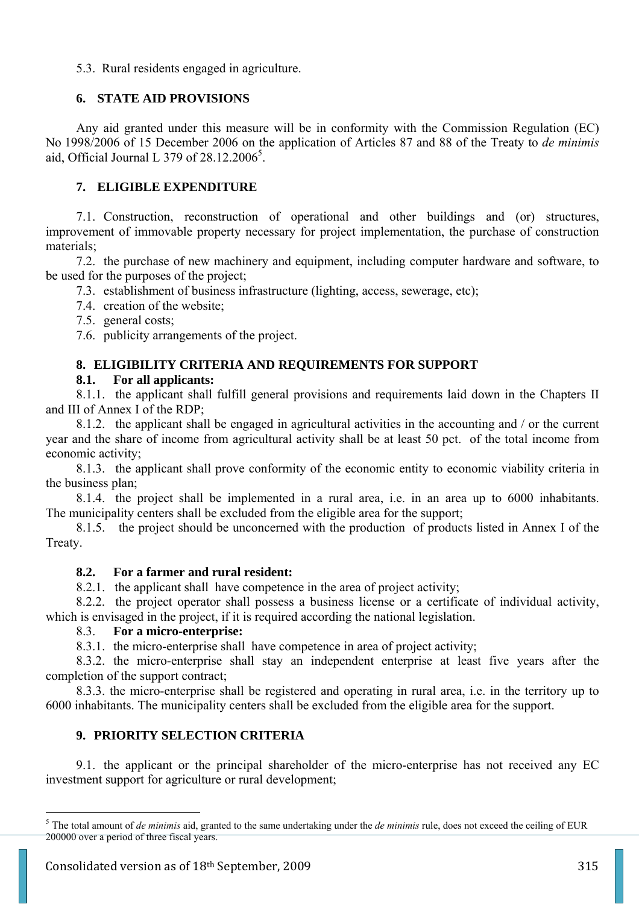5.3. Rural residents engaged in agriculture.

# **6. STATE AID PROVISIONS**

Any aid granted under this measure will be in conformity with the Commission Regulation (EC) No 1998/2006 of 15 December 2006 on the application of Articles 87 and 88 of the Treaty to *de minimis* aid, Official Journal L 379 of  $28.12.2006<sup>5</sup>$ .

# **7. ELIGIBLE EXPENDITURE**

7.1. Construction, reconstruction of operational and other buildings and (or) structures, improvement of immovable property necessary for project implementation, the purchase of construction materials;

7.2. the purchase of new machinery and equipment, including computer hardware and software, to be used for the purposes of the project;

7.3. establishment of business infrastructure (lighting, access, sewerage, etc);

- 7.4. creation of the website;
- 7.5. general costs;

7.6. publicity arrangements of the project.

# **8. ELIGIBILITY CRITERIA AND REQUIREMENTS FOR SUPPORT**

# **8.1. For all applicants:**

8.1.1. the applicant shall fulfill general provisions and requirements laid down in the Chapters II and III of Annex I of the RDP;

8.1.2. the applicant shall be engaged in agricultural activities in the accounting and / or the current year and the share of income from agricultural activity shall be at least 50 pct. of the total income from economic activity;

8.1.3. the applicant shall prove conformity of the economic entity to economic viability criteria in the business plan;

8.1.4. the project shall be implemented in a rural area, i.e. in an area up to 6000 inhabitants. The municipality centers shall be excluded from the eligible area for the support;

8.1.5. the project should be unconcerned with the production of products listed in Annex I of the Treaty.

# **8.2. For a farmer and rural resident:**

8.2.1. the applicant shall have competence in the area of project activity;

8.2.2. the project operator shall possess a business license or a certificate of individual activity, which is envisaged in the project, if it is required according the national legislation.

## 8.3. **For a micro-enterprise:**

8.3.1. the micro-enterprise shall have competence in area of project activity;

8.3.2. the micro-enterprise shall stay an independent enterprise at least five years after the completion of the support contract;

8.3.3. the micro-enterprise shall be registered and operating in rural area, i.e. in the territory up to 6000 inhabitants. The municipality centers shall be excluded from the eligible area for the support.

# **9. PRIORITY SELECTION CRITERIA**

9.1. the applicant or the principal shareholder of the micro-enterprise has not received any EC investment support for agriculture or rural development;

 $\overline{a}$ 

<sup>&</sup>lt;sup>5</sup> The total amount of *de minimis* aid, granted to the same undertaking under the *de minimis* rule, does not exceed the ceiling of EUR 200000 over a period of three fiscal years.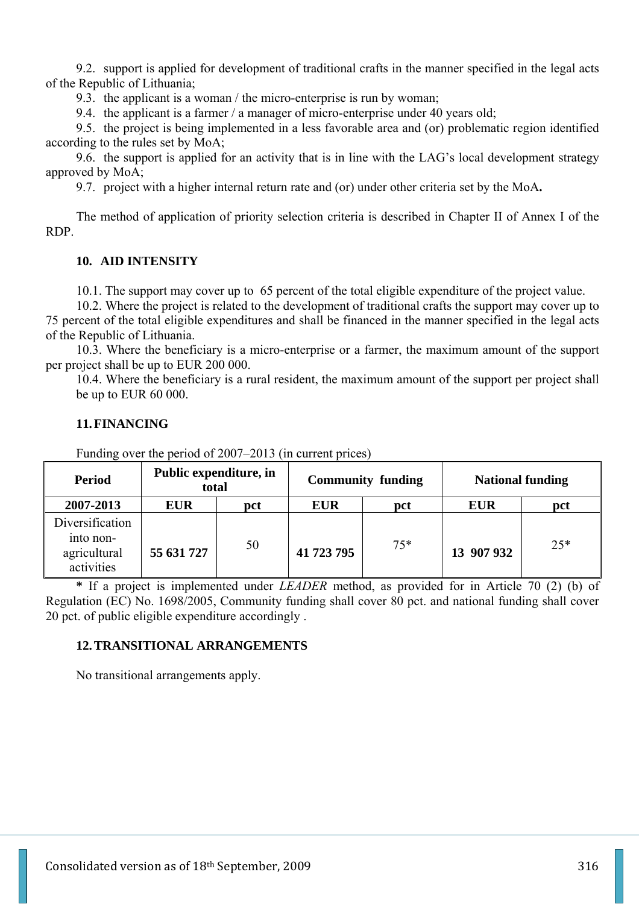9.2. support is applied for development of traditional crafts in the manner specified in the legal acts of the Republic of Lithuania;

9.3. the applicant is a woman / the micro-enterprise is run by woman;

9.4. the applicant is a farmer / a manager of micro-enterprise under 40 years old;

9.5. the project is being implemented in a less favorable area and (or) problematic region identified according to the rules set by MoA;

9.6. the support is applied for an activity that is in line with the LAG's local development strategy approved by MoA;

9.7. project with a higher internal return rate and (or) under other criteria set by the MoA**.** 

The method of application of priority selection criteria is described in Chapter II of Annex I of the RDP.

# **10. AID INTENSITY**

10.1. The support may cover up to 65 percent of the total eligible expenditure of the project value.

10.2. Where the project is related to the development of traditional crafts the support may cover up to 75 percent of the total eligible expenditures and shall be financed in the manner specified in the legal acts of the Republic of Lithuania.

10.3. Where the beneficiary is a micro-enterprise or a farmer, the maximum amount of the support per project shall be up to EUR 200 000.

10.4. Where the beneficiary is a rural resident, the maximum amount of the support per project shall be up to EUR 60 000.

# **11.FINANCING**

| <b>Period</b>                                              | Public expenditure, in<br>total |     | <b>Community funding</b> |       | <b>National funding</b> |       |
|------------------------------------------------------------|---------------------------------|-----|--------------------------|-------|-------------------------|-------|
| 2007-2013                                                  | <b>EUR</b>                      | pct | <b>EUR</b>               | pct   | <b>EUR</b>              | pct   |
| Diversification<br>into non-<br>agricultural<br>activities | 55 631 727                      | 50  | 41 723 795               | $75*$ | 13 907 932              | $25*$ |

Funding over the period of 2007–2013 (in current prices)

**\*** If a project is implemented under *LEADER* method, as provided for in Article 70 (2) (b) of Regulation (EC) No. 1698/2005, Community funding shall cover 80 pct. and national funding shall cover 20 pct. of public eligible expenditure accordingly .

## **12.TRANSITIONAL ARRANGEMENTS**

No transitional arrangements apply.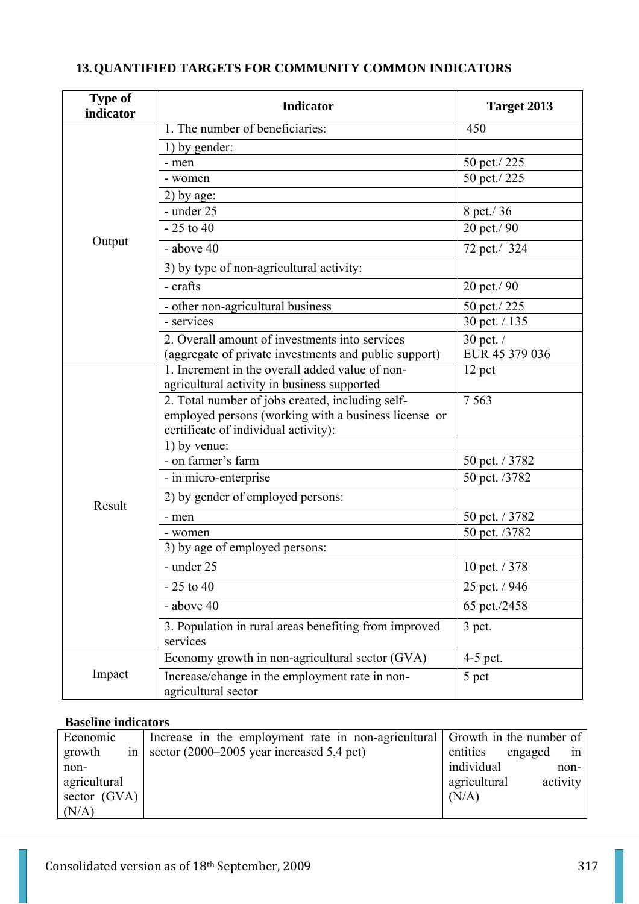| <b>Type of</b><br>indicator | <b>Indicator</b>                                                                                         | Target 2013    |
|-----------------------------|----------------------------------------------------------------------------------------------------------|----------------|
|                             | 1. The number of beneficiaries:                                                                          | 450            |
|                             | 1) by gender:                                                                                            |                |
|                             | - men                                                                                                    | 50 pct./225    |
|                             | - women                                                                                                  | 50 pct./225    |
|                             | $2)$ by age:                                                                                             |                |
|                             | $-$ under 25                                                                                             | 8 pct./36      |
|                             | $-25$ to 40                                                                                              | 20 pct./90     |
| Output                      | - above 40                                                                                               | 72 pct./ 324   |
|                             | 3) by type of non-agricultural activity:                                                                 |                |
|                             | - crafts                                                                                                 | 20 pct./90     |
|                             | - other non-agricultural business                                                                        | 50 pct./225    |
|                             | - services                                                                                               | 30 pct. / 135  |
|                             | 2. Overall amount of investments into services                                                           | 30 pct. /      |
|                             | (aggregate of private investments and public support)                                                    | EUR 45 379 036 |
|                             | 1. Increment in the overall added value of non-                                                          | 12 pct         |
|                             | agricultural activity in business supported                                                              |                |
|                             | 2. Total number of jobs created, including self-<br>employed persons (working with a business license or | 7 5 6 3        |
|                             | certificate of individual activity):                                                                     |                |
|                             | 1) by venue:                                                                                             |                |
|                             | - on farmer's farm                                                                                       | 50 pct. / 3782 |
|                             | - in micro-enterprise                                                                                    | 50 pct. /3782  |
| Result                      | 2) by gender of employed persons:                                                                        |                |
|                             | - men                                                                                                    | 50 pct. / 3782 |
|                             | - women                                                                                                  | 50 pct. /3782  |
|                             | 3) by age of employed persons:                                                                           |                |
|                             | - under 25                                                                                               | 10 pct. / 378  |
|                             | $-25$ to 40                                                                                              | 25 pct. / 946  |
|                             | - above 40                                                                                               | 65 pct./2458   |
|                             | 3. Population in rural areas benefiting from improved<br>services                                        | 3 pct.         |
|                             | Economy growth in non-agricultural sector (GVA)                                                          | 4-5 pct.       |
| Impact                      | Increase/change in the employment rate in non-<br>agricultural sector                                    | 5 pct          |

# **13.QUANTIFIED TARGETS FOR COMMUNITY COMMON INDICATORS**

# **Baseline indicators**

| Economic     | Increase in the employment rate in non-agricultural Growth in the number of |              |               |
|--------------|-----------------------------------------------------------------------------|--------------|---------------|
| growth<br>1n | sector $(2000-2005)$ year increased 5,4 pct)                                | entities     | engaged<br>1n |
| non-         |                                                                             | individual   | non-          |
| agricultural |                                                                             | agricultural | activity      |
| sector (GVA) |                                                                             | (N/A)        |               |
| (N/A)        |                                                                             |              |               |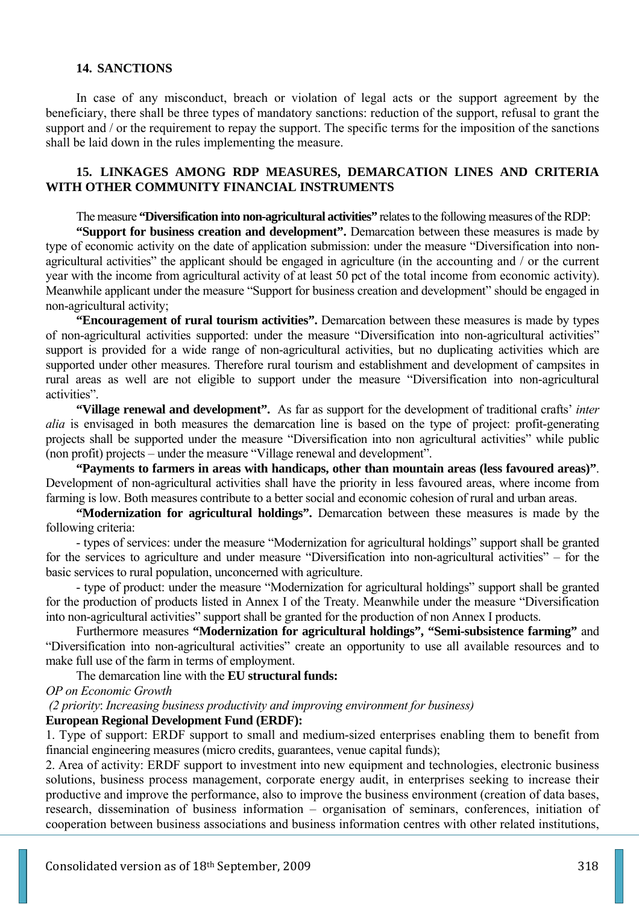#### **14. SANCTIONS**

In case of any misconduct, breach or violation of legal acts or the support agreement by the beneficiary, there shall be three types of mandatory sanctions: reduction of the support, refusal to grant the support and / or the requirement to repay the support. The specific terms for the imposition of the sanctions shall be laid down in the rules implementing the measure.

# **15. LINKAGES AMONG RDP MEASURES, DEMARCATION LINES AND CRITERIA WITH OTHER COMMUNITY FINANCIAL INSTRUMENTS**

The measure **"Diversification into non-agricultural activities"** relates to the following measures of the RDP:

**"Support for business creation and development".** Demarcation between these measures is made by type of economic activity on the date of application submission: under the measure "Diversification into nonagricultural activities" the applicant should be engaged in agriculture (in the accounting and / or the current year with the income from agricultural activity of at least 50 pct of the total income from economic activity). Meanwhile applicant under the measure "Support for business creation and development" should be engaged in non-agricultural activity;

**"Encouragement of rural tourism activities".** Demarcation between these measures is made by types of non-agricultural activities supported: under the measure "Diversification into non-agricultural activities" support is provided for a wide range of non-agricultural activities, but no duplicating activities which are supported under other measures. Therefore rural tourism and establishment and development of campsites in rural areas as well are not eligible to support under the measure "Diversification into non-agricultural activities".

**"Village renewal and development".** As far as support for the development of traditional crafts' *inter alia* is envisaged in both measures the demarcation line is based on the type of project: profit-generating projects shall be supported under the measure "Diversification into non agricultural activities" while public (non profit) projects – under the measure "Village renewal and development".

**"Payments to farmers in areas with handicaps, other than mountain areas (less favoured areas)"**. Development of non-agricultural activities shall have the priority in less favoured areas, where income from farming is low. Both measures contribute to a better social and economic cohesion of rural and urban areas.

**"Modernization for agricultural holdings".** Demarcation between these measures is made by the following criteria:

- types of services: under the measure "Modernization for agricultural holdings" support shall be granted for the services to agriculture and under measure "Diversification into non-agricultural activities" – for the basic services to rural population, unconcerned with agriculture.

- type of product: under the measure "Modernization for agricultural holdings" support shall be granted for the production of products listed in Annex I of the Treaty. Meanwhile under the measure "Diversification into non-agricultural activities" support shall be granted for the production of non Annex I products.

Furthermore measures **"Modernization for agricultural holdings", "Semi-subsistence farming"** and "Diversification into non-agricultural activities" create an opportunity to use all available resources and to make full use of the farm in terms of employment.

# The demarcation line with the **EU structural funds:**

*OP on Economic Growth* 

 *(2 priority*: *Increasing business productivity and improving environment for business)*

#### **European Regional Development Fund (ERDF):**

1. Type of support: ERDF support to small and medium-sized enterprises enabling them to benefit from financial engineering measures (micro credits, guarantees, venue capital funds);

2. Area of activity: ERDF support to investment into new equipment and technologies, electronic business solutions, business process management, corporate energy audit, in enterprises seeking to increase their productive and improve the performance, also to improve the business environment (creation of data bases, research, dissemination of business information – organisation of seminars, conferences, initiation of cooperation between business associations and business information centres with other related institutions,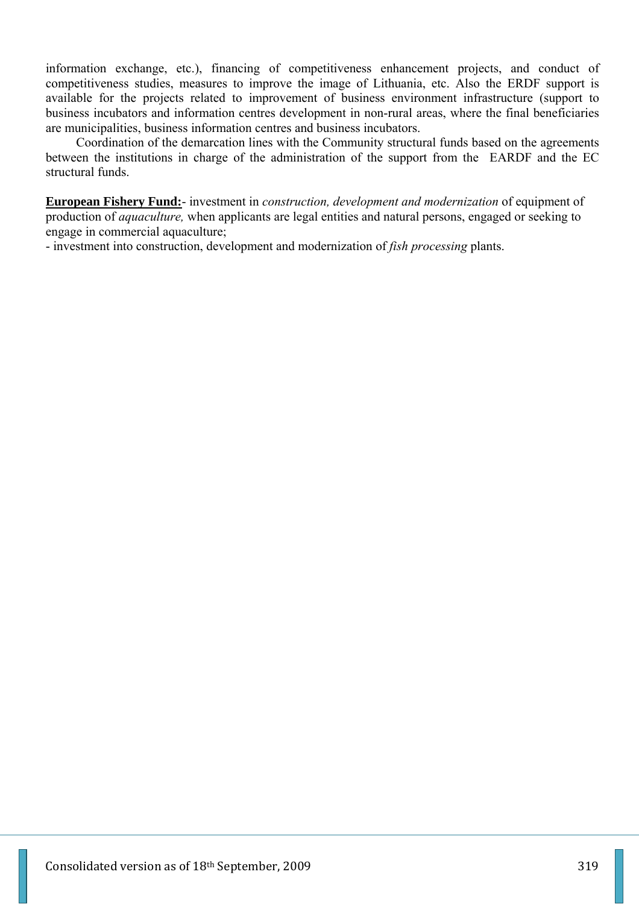information exchange, etc.), financing of competitiveness enhancement projects, and conduct of competitiveness studies, measures to improve the image of Lithuania, etc. Also the ERDF support is available for the projects related to improvement of business environment infrastructure (support to business incubators and information centres development in non-rural areas, where the final beneficiaries are municipalities, business information centres and business incubators.

Coordination of the demarcation lines with the Community structural funds based on the agreements between the institutions in charge of the administration of the support from the EARDF and the EC structural funds.

**European Fishery Fund:**- investment in *construction, development and modernization* of equipment of production of *aquaculture,* when applicants are legal entities and natural persons, engaged or seeking to engage in commercial aquaculture;

- investment into construction, development and modernization of *fish processing* plants.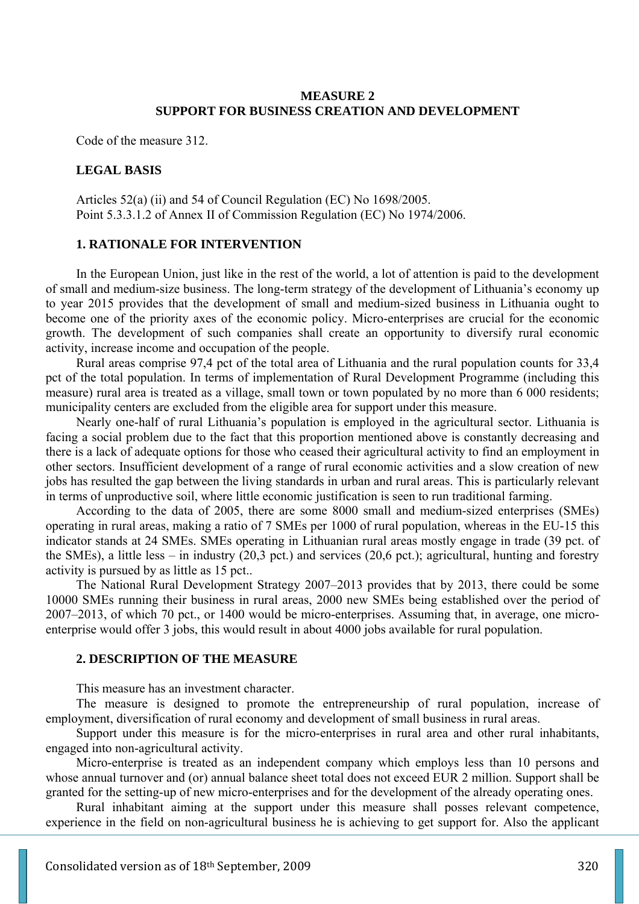### **MEASURE 2 SUPPORT FOR BUSINESS CREATION AND DEVELOPMENT**

Code of the measure 312.

### **LEGAL BASIS**

Articles 52(a) (ii) and 54 of Council Regulation (EC) No 1698/2005. Point 5.3.3.1.2 of Annex II of Commission Regulation (EC) No 1974/2006.

### **1. RATIONALE FOR INTERVENTION**

In the European Union, just like in the rest of the world, a lot of attention is paid to the development of small and medium-size business. The long-term strategy of the development of Lithuania's economy up to year 2015 provides that the development of small and medium-sized business in Lithuania ought to become one of the priority axes of the economic policy. Micro-enterprises are crucial for the economic growth. The development of such companies shall create an opportunity to diversify rural economic activity, increase income and occupation of the people.

Rural areas comprise 97,4 pct of the total area of Lithuania and the rural population counts for 33,4 pct of the total population. In terms of implementation of Rural Development Programme (including this measure) rural area is treated as a village, small town or town populated by no more than 6 000 residents; municipality centers are excluded from the eligible area for support under this measure.

Nearly one-half of rural Lithuania's population is employed in the agricultural sector. Lithuania is facing a social problem due to the fact that this proportion mentioned above is constantly decreasing and there is a lack of adequate options for those who ceased their agricultural activity to find an employment in other sectors. Insufficient development of a range of rural economic activities and a slow creation of new jobs has resulted the gap between the living standards in urban and rural areas. This is particularly relevant in terms of unproductive soil, where little economic justification is seen to run traditional farming.

According to the data of 2005, there are some 8000 small and medium-sized enterprises (SMEs) operating in rural areas, making a ratio of 7 SMEs per 1000 of rural population, whereas in the EU-15 this indicator stands at 24 SMEs. SMEs operating in Lithuanian rural areas mostly engage in trade (39 pct. of the SMEs), a little less – in industry (20,3 pct.) and services (20,6 pct.); agricultural, hunting and forestry activity is pursued by as little as 15 pct..

The National Rural Development Strategy 2007–2013 provides that by 2013, there could be some 10000 SMEs running their business in rural areas, 2000 new SMEs being established over the period of 2007–2013, of which 70 pct., or 1400 would be micro-enterprises. Assuming that, in average, one microenterprise would offer 3 jobs, this would result in about 4000 jobs available for rural population.

#### **2. DESCRIPTION OF THE MEASURE**

This measure has an investment character.

The measure is designed to promote the entrepreneurship of rural population, increase of employment, diversification of rural economy and development of small business in rural areas.

Support under this measure is for the micro-enterprises in rural area and other rural inhabitants, engaged into non-agricultural activity.

Micro-enterprise is treated as an independent company which employs less than 10 persons and whose annual turnover and (or) annual balance sheet total does not exceed EUR 2 million. Support shall be granted for the setting-up of new micro-enterprises and for the development of the already operating ones.

Rural inhabitant aiming at the support under this measure shall posses relevant competence, experience in the field on non-agricultural business he is achieving to get support for. Also the applicant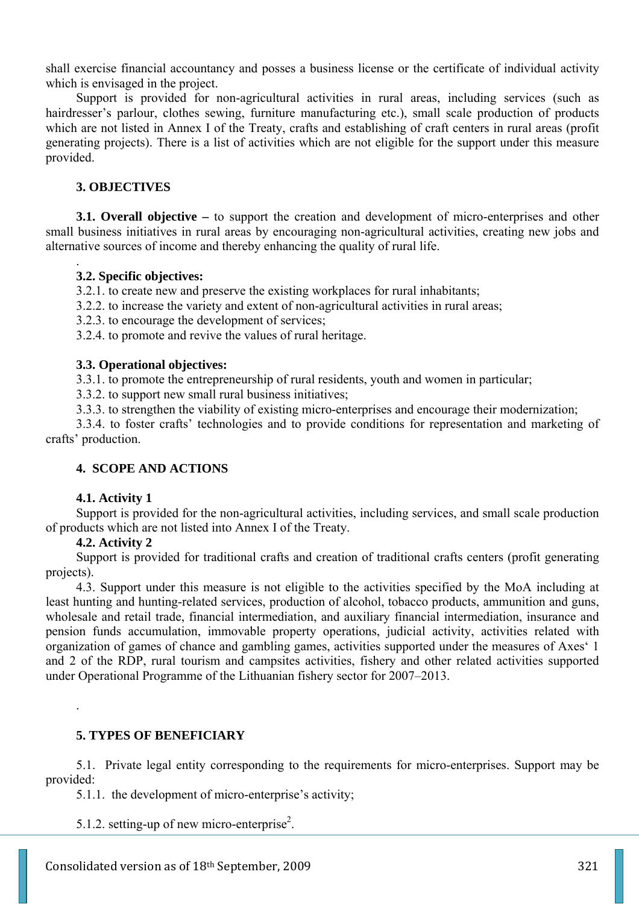shall exercise financial accountancy and posses a business license or the certificate of individual activity which is envisaged in the project.

Support is provided for non-agricultural activities in rural areas, including services (such as hairdresser's parlour, clothes sewing, furniture manufacturing etc.), small scale production of products which are not listed in Annex I of the Treaty, crafts and establishing of craft centers in rural areas (profit generating projects). There is a list of activities which are not eligible for the support under this measure provided.

# **3. OBJECTIVES**

.

**3.1. Overall objective –** to support the creation and development of micro-enterprises and other small business initiatives in rural areas by encouraging non-agricultural activities, creating new jobs and alternative sources of income and thereby enhancing the quality of rural life.

### **3.2. Specific objectives:**

3.2.1. to create new and preserve the existing workplaces for rural inhabitants;

3.2.2. to increase the variety and extent of non-agricultural activities in rural areas;

3.2.3. to encourage the development of services;

3.2.4. to promote and revive the values of rural heritage.

#### **3.3. Operational objectives:**

3.3.1. to promote the entrepreneurship of rural residents, youth and women in particular;

3.3.2. to support new small rural business initiatives;

3.3.3. to strengthen the viability of existing micro-enterprises and encourage their modernization;

3.3.4. to foster crafts' technologies and to provide conditions for representation and marketing of crafts' production.

### **4. SCOPE AND ACTIONS**

### **4.1. Activity 1**

Support is provided for the non-agricultural activities, including services, and small scale production of products which are not listed into Annex I of the Treaty.

### **4.2. Activity 2**

.

Support is provided for traditional crafts and creation of traditional crafts centers (profit generating projects).

4.3. Support under this measure is not eligible to the activities specified by the MoA including at least hunting and hunting-related services, production of alcohol, tobacco products, ammunition and guns, wholesale and retail trade, financial intermediation, and auxiliary financial intermediation, insurance and pension funds accumulation, immovable property operations, judicial activity, activities related with organization of games of chance and gambling games, activities supported under the measures of Axes' 1 and 2 of the RDP, rural tourism and campsites activities, fishery and other related activities supported under Operational Programme of the Lithuanian fishery sector for 2007–2013.

### **5. TYPES OF BENEFICIARY**

5.1. Private legal entity corresponding to the requirements for micro-enterprises. Support may be provided:

5.1.1. the development of micro-enterprise's activity;

5.1.2. setting-up of new micro-enterprise<sup>2</sup>.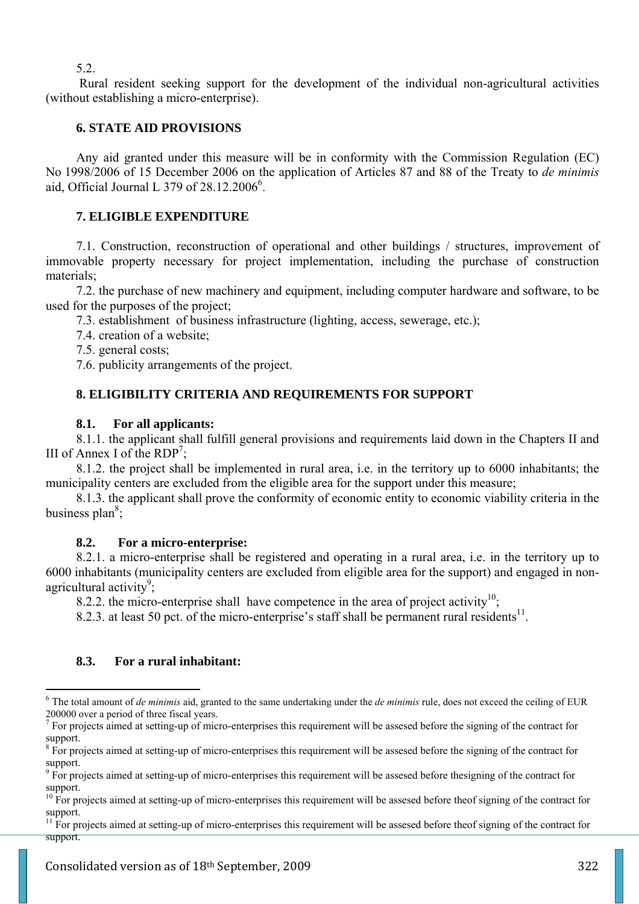5.2.

 Rural resident seeking support for the development of the individual non-agricultural activities (without establishing a micro-enterprise).

# **6. STATE AID PROVISIONS**

Any aid granted under this measure will be in conformity with the Commission Regulation (EC) No 1998/2006 of 15 December 2006 on the application of Articles 87 and 88 of the Treaty to *de minimis* aid, Official Journal L 379 of  $28.12.2006^6$ .

# **7. ELIGIBLE EXPENDITURE**

7.1. Construction, reconstruction of operational and other buildings / structures, improvement of immovable property necessary for project implementation, including the purchase of construction materials;

7.2. the purchase of new machinery and equipment, including computer hardware and software, to be used for the purposes of the project;

7.3. establishment of business infrastructure (lighting, access, sewerage, etc.);

7.4. creation of a website;

7.5. general costs;

7.6. publicity arrangements of the project.

# **8. ELIGIBILITY CRITERIA AND REQUIREMENTS FOR SUPPORT**

# **8.1. For all applicants:**

8.1.1. the applicant shall fulfill general provisions and requirements laid down in the Chapters II and III of Annex I of the  $RDP<sup>7</sup>$ ;

8.1.2. the project shall be implemented in rural area, i.e. in the territory up to 6000 inhabitants; the municipality centers are excluded from the eligible area for the support under this measure;

8.1.3. the applicant shall prove the conformity of economic entity to economic viability criteria in the business plan<sup>8</sup>;

# **8.2. For a micro-enterprise:**

8.2.1. a micro-enterprise shall be registered and operating in a rural area, i.e. in the territory up to 6000 inhabitants (municipality centers are excluded from eligible area for the support) and engaged in nonagricultural activity<sup>9</sup>;

8.2.2. the micro-enterprise shall have competence in the area of project activity<sup>10</sup>;

8.2.3. at least 50 pct. of the micro-enterprise's staff shall be permanent rural residents<sup>11</sup>.

# **8.3. For a rural inhabitant:**

 $\overline{a}$ 

<sup>6</sup> The total amount of *de minimis* aid, granted to the same undertaking under the *de minimis* rule, does not exceed the ceiling of EUR 200000 over a period of three fiscal years.

 $<sup>7</sup>$  For projects aimed at setting-up of micro-enterprises this requirement will be assesed before the signing of the contract for</sup> support.

<sup>&</sup>lt;sup>8</sup> For projects aimed at setting-up of micro-enterprises this requirement will be assesed before the signing of the contract for support.

<sup>&</sup>lt;sup>9</sup> For projects aimed at setting-up of micro-enterprises this requirement will be assesed before thesigning of the contract for support.

<sup>&</sup>lt;sup>10</sup> For projects aimed at setting-up of micro-enterprises this requirement will be assesed before theof signing of the contract for support.

 $11$  For projects aimed at setting-up of micro-enterprises this requirement will be assesed before theof signing of the contract for support.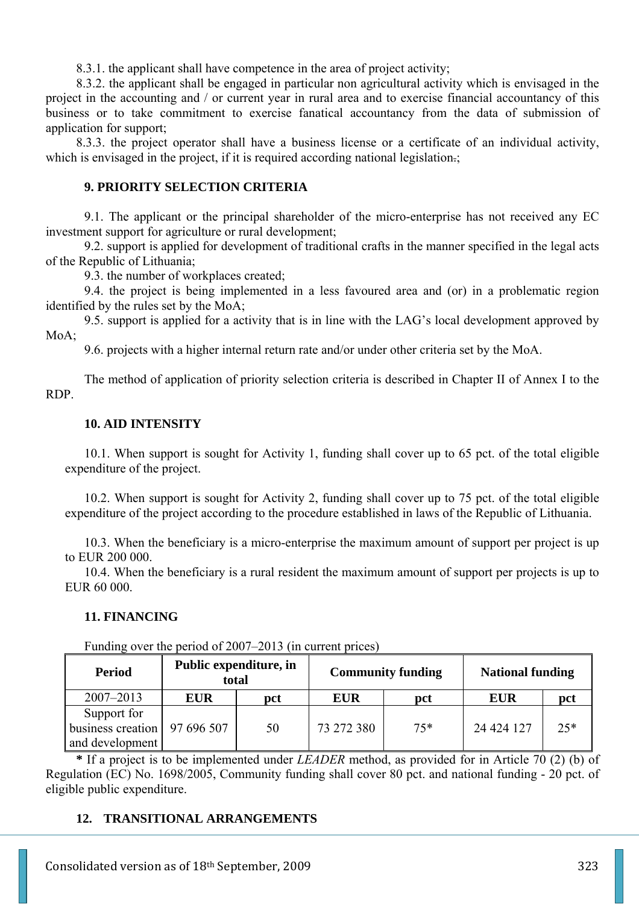8.3.1. the applicant shall have competence in the area of project activity;

8.3.2. the applicant shall be engaged in particular non agricultural activity which is envisaged in the project in the accounting and / or current year in rural area and to exercise financial accountancy of this business or to take commitment to exercise fanatical accountancy from the data of submission of application for support;

8.3.3. the project operator shall have a business license or a certificate of an individual activity, which is envisaged in the project, if it is required according national legislation.

# **9. PRIORITY SELECTION CRITERIA**

9.1. The applicant or the principal shareholder of the micro-enterprise has not received any EC investment support for agriculture or rural development;

9.2. support is applied for development of traditional crafts in the manner specified in the legal acts of the Republic of Lithuania;

9.3. the number of workplaces created;

9.4. the project is being implemented in a less favoured area and (or) in a problematic region identified by the rules set by the MoA;

9.5. support is applied for a activity that is in line with the LAG's local development approved by MoA;

9.6. projects with a higher internal return rate and/or under other criteria set by the MoA.

The method of application of priority selection criteria is described in Chapter II of Annex I to the RDP.

# **10. AID INTENSITY**

10.1. When support is sought for Activity 1, funding shall cover up to 65 pct. of the total eligible expenditure of the project.

10.2. When support is sought for Activity 2, funding shall cover up to 75 pct. of the total eligible expenditure of the project according to the procedure established in laws of the Republic of Lithuania.

10.3. When the beneficiary is a micro-enterprise the maximum amount of support per project is up to EUR 200 000.

10.4. When the beneficiary is a rural resident the maximum amount of support per projects is up to EUR 60 000.

# **11. FINANCING**

| <b>Period</b>                                       | Public expenditure, in<br>total |            |            | <b>National funding</b><br><b>Community funding</b> |            |       |
|-----------------------------------------------------|---------------------------------|------------|------------|-----------------------------------------------------|------------|-------|
| $2007 - 2013$                                       | <b>EUR</b>                      | <b>pct</b> | <b>EUR</b> | pct                                                 | <b>EUR</b> | pct   |
| Support for<br>business creation<br>and development | 97 696 507                      | 50         | 73 272 380 | $75*$                                               | 24 424 127 | $25*$ |

Funding over the period of 2007–2013 (in current prices)

**\*** If a project is to be implemented under *LEADER* method, as provided for in Article 70 (2) (b) of Regulation (EC) No. 1698/2005, Community funding shall cover 80 pct. and national funding - 20 pct. of eligible public expenditure.

# **12. TRANSITIONAL ARRANGEMENTS**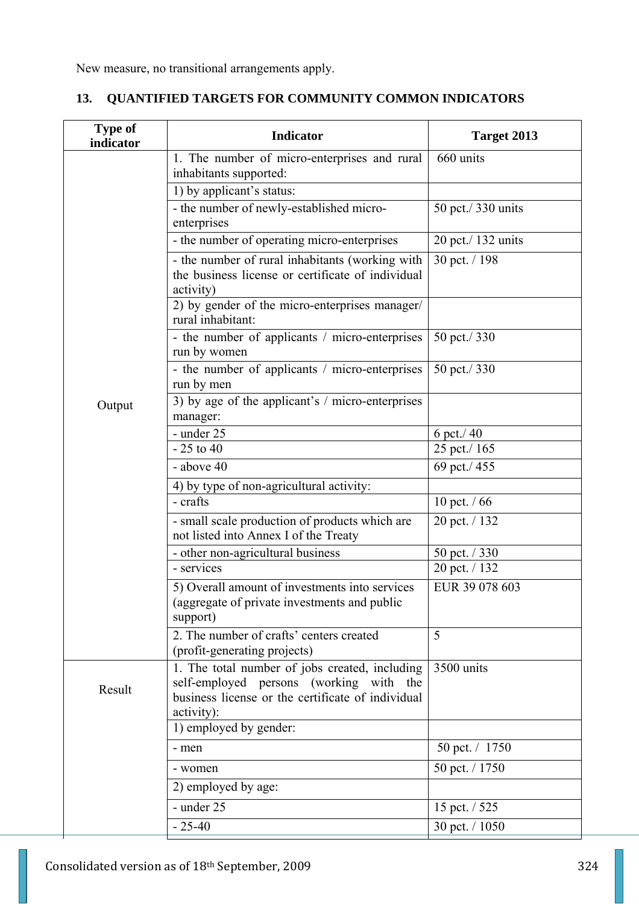New measure, no transitional arrangements apply.

| <b>Type of</b><br>indicator | <b>Indicator</b>                                                                                                                                             | Target 2013        |
|-----------------------------|--------------------------------------------------------------------------------------------------------------------------------------------------------------|--------------------|
|                             | 1. The number of micro-enterprises and rural<br>inhabitants supported:                                                                                       | 660 units          |
|                             | 1) by applicant's status:                                                                                                                                    |                    |
|                             | - the number of newly-established micro-                                                                                                                     | 50 pct./ 330 units |
|                             | enterprises                                                                                                                                                  |                    |
|                             | - the number of operating micro-enterprises                                                                                                                  | 20 pct./ 132 units |
|                             | - the number of rural inhabitants (working with<br>the business license or certificate of individual<br>activity)                                            | 30 pct. / 198      |
|                             | 2) by gender of the micro-enterprises manager/<br>rural inhabitant:                                                                                          |                    |
|                             | - the number of applicants / micro-enterprises<br>run by women                                                                                               | 50 pct./330        |
|                             | - the number of applicants / micro-enterprises<br>run by men                                                                                                 | 50 pct./330        |
| Output                      | 3) by age of the applicant's / micro-enterprises<br>manager:                                                                                                 |                    |
|                             | - under 25                                                                                                                                                   | 6 pct./40          |
|                             | $-25$ to 40                                                                                                                                                  | 25 pct./ 165       |
|                             | - above 40                                                                                                                                                   | 69 pct./455        |
|                             | 4) by type of non-agricultural activity:                                                                                                                     |                    |
|                             | - crafts                                                                                                                                                     | 10 pct. / 66       |
|                             | - small scale production of products which are<br>not listed into Annex I of the Treaty                                                                      | 20 pct. / 132      |
|                             | - other non-agricultural business                                                                                                                            | 50 pct. / 330      |
|                             | - services                                                                                                                                                   | 20 pct. / 132      |
|                             | 5) Overall amount of investments into services<br>(aggregate of private investments and public<br>support)                                                   | EUR 39 078 603     |
|                             | 2. The number of crafts' centers created<br>(profit-generating projects)                                                                                     | 5                  |
| Result                      | 1. The total number of jobs created, including<br>self-employed persons (working with the<br>business license or the certificate of individual<br>activity): | 3500 units         |
|                             | 1) employed by gender:                                                                                                                                       |                    |
|                             | - men                                                                                                                                                        | 50 pct. / 1750     |
|                             | - women                                                                                                                                                      | 50 pct. / 1750     |
|                             | 2) employed by age:                                                                                                                                          |                    |
|                             | - under 25                                                                                                                                                   | 15 pct. / 525      |
|                             | $-25-40$                                                                                                                                                     | 30 pct. / 1050     |

# **13. QUANTIFIED TARGETS FOR COMMUNITY COMMON INDICATORS**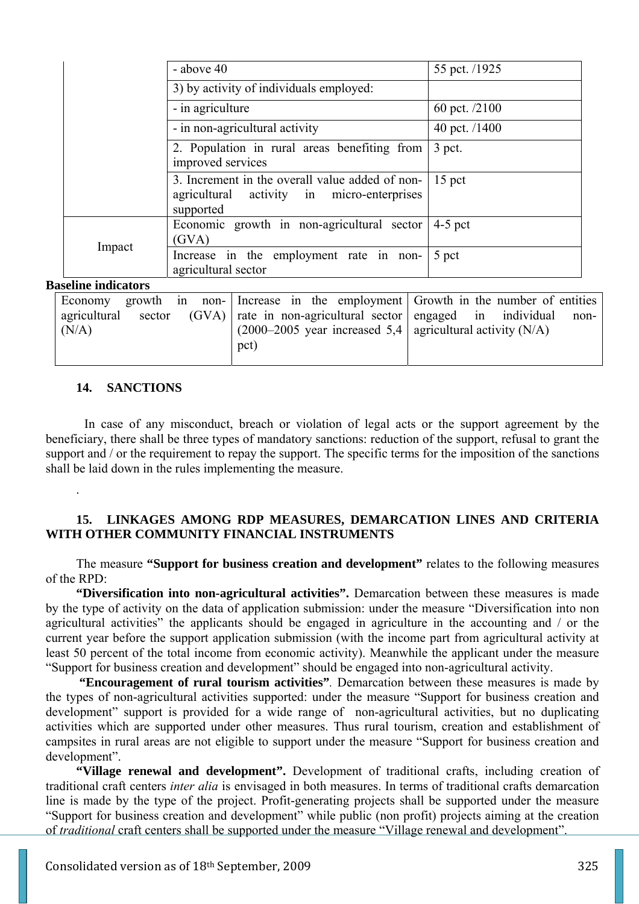|        | $-$ above 40                                                                                               | 55 pct. /1925 |  |
|--------|------------------------------------------------------------------------------------------------------------|---------------|--|
|        | 3) by activity of individuals employed:                                                                    |               |  |
|        | - in agriculture                                                                                           |               |  |
|        | - in non-agricultural activity                                                                             | 40 pct. /1400 |  |
|        | 2. Population in rural areas benefiting from<br>improved services                                          |               |  |
|        | 3. Increment in the overall value added of non-<br>agricultural activity in micro-enterprises<br>supported | 15 pct        |  |
|        | Economic growth in non-agricultural sector<br>(GVA)                                                        | $4-5$ pct     |  |
| Impact | Increase in the employment rate in non-<br>agricultural sector                                             | 5 pct         |  |

#### **Baseline indicators**

.

|              |                                                                       | Economy growth in non- Increase in the employment Growth in the number of entities |
|--------------|-----------------------------------------------------------------------|------------------------------------------------------------------------------------|
| agricultural | sector (GVA) rate in non-agricultural sector engaged in individual    | non-                                                                               |
| (N/A)        | $(2000-2005 \text{ year}$ increased 5,4   agricultural activity (N/A) |                                                                                    |
|              | pct)                                                                  |                                                                                    |
|              |                                                                       |                                                                                    |

#### **14. SANCTIONS**

In case of any misconduct, breach or violation of legal acts or the support agreement by the beneficiary, there shall be three types of mandatory sanctions: reduction of the support, refusal to grant the support and / or the requirement to repay the support. The specific terms for the imposition of the sanctions shall be laid down in the rules implementing the measure.

# **15. LINKAGES AMONG RDP MEASURES, DEMARCATION LINES AND CRITERIA WITH OTHER COMMUNITY FINANCIAL INSTRUMENTS**

The measure **"Support for business creation and development"** relates to the following measures of the RPD:

**"Diversification into non-agricultural activities".** Demarcation between these measures is made by the type of activity on the data of application submission: under the measure "Diversification into non agricultural activities" the applicants should be engaged in agriculture in the accounting and / or the current year before the support application submission (with the income part from agricultural activity at least 50 percent of the total income from economic activity). Meanwhile the applicant under the measure "Support for business creation and development" should be engaged into non-agricultural activity.

**"Encouragement of rural tourism activities"***.* Demarcation between these measures is made by the types of non-agricultural activities supported: under the measure "Support for business creation and development" support is provided for a wide range of non-agricultural activities, but no duplicating activities which are supported under other measures. Thus rural tourism, creation and establishment of campsites in rural areas are not eligible to support under the measure "Support for business creation and development".

**"Village renewal and development".** Development of traditional crafts, including creation of traditional craft centers *inter alia* is envisaged in both measures. In terms of traditional crafts demarcation line is made by the type of the project. Profit-generating projects shall be supported under the measure "Support for business creation and development" while public (non profit) projects aiming at the creation of *traditional* craft centers shall be supported under the measure "Village renewal and development".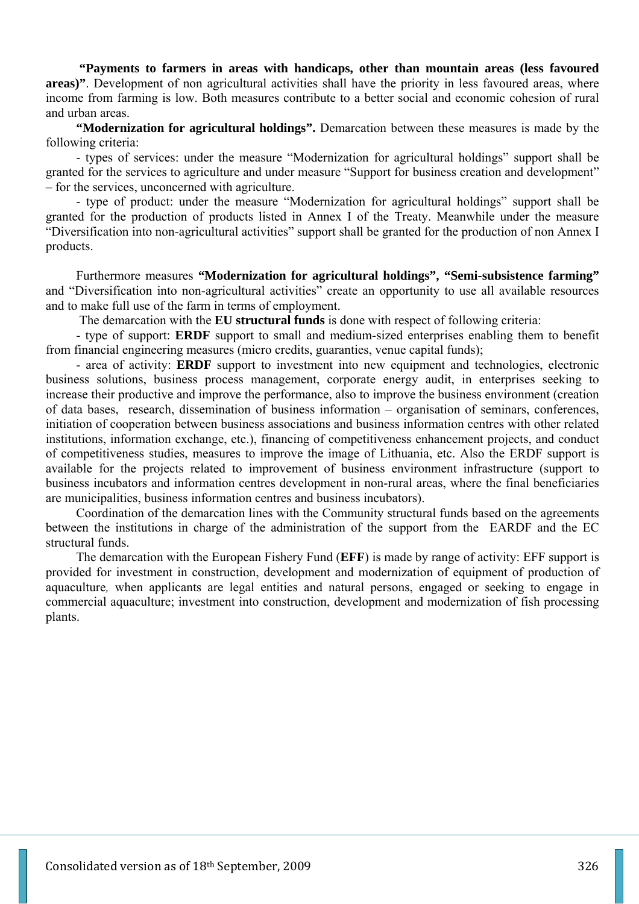**"Payments to farmers in areas with handicaps, other than mountain areas (less favoured areas**)". Development of non agricultural activities shall have the priority in less favoured areas, where income from farming is low. Both measures contribute to a better social and economic cohesion of rural and urban areas.

**"Modernization for agricultural holdings".** Demarcation between these measures is made by the following criteria:

- types of services: under the measure "Modernization for agricultural holdings" support shall be granted for the services to agriculture and under measure "Support for business creation and development" – for the services, unconcerned with agriculture.

- type of product: under the measure "Modernization for agricultural holdings" support shall be granted for the production of products listed in Annex I of the Treaty. Meanwhile under the measure "Diversification into non-agricultural activities" support shall be granted for the production of non Annex I products.

Furthermore measures **"Modernization for agricultural holdings", "Semi-subsistence farming"** and "Diversification into non-agricultural activities" create an opportunity to use all available resources and to make full use of the farm in terms of employment.

The demarcation with the **EU structural funds** is done with respect of following criteria:

- type of support: **ERDF** support to small and medium-sized enterprises enabling them to benefit from financial engineering measures (micro credits, guaranties, venue capital funds);

- area of activity: **ERDF** support to investment into new equipment and technologies, electronic business solutions, business process management, corporate energy audit, in enterprises seeking to increase their productive and improve the performance, also to improve the business environment (creation of data bases, research, dissemination of business information – organisation of seminars, conferences, initiation of cooperation between business associations and business information centres with other related institutions, information exchange, etc.), financing of competitiveness enhancement projects, and conduct of competitiveness studies, measures to improve the image of Lithuania, etc. Also the ERDF support is available for the projects related to improvement of business environment infrastructure (support to business incubators and information centres development in non-rural areas, where the final beneficiaries are municipalities, business information centres and business incubators).

Coordination of the demarcation lines with the Community structural funds based on the agreements between the institutions in charge of the administration of the support from the EARDF and the EC structural funds.

The demarcation with the European Fishery Fund (**EFF**) is made by range of activity: EFF support is provided for investment in construction, development and modernization of equipment of production of aquaculture*,* when applicants are legal entities and natural persons, engaged or seeking to engage in commercial aquaculture; investment into construction, development and modernization of fish processing plants.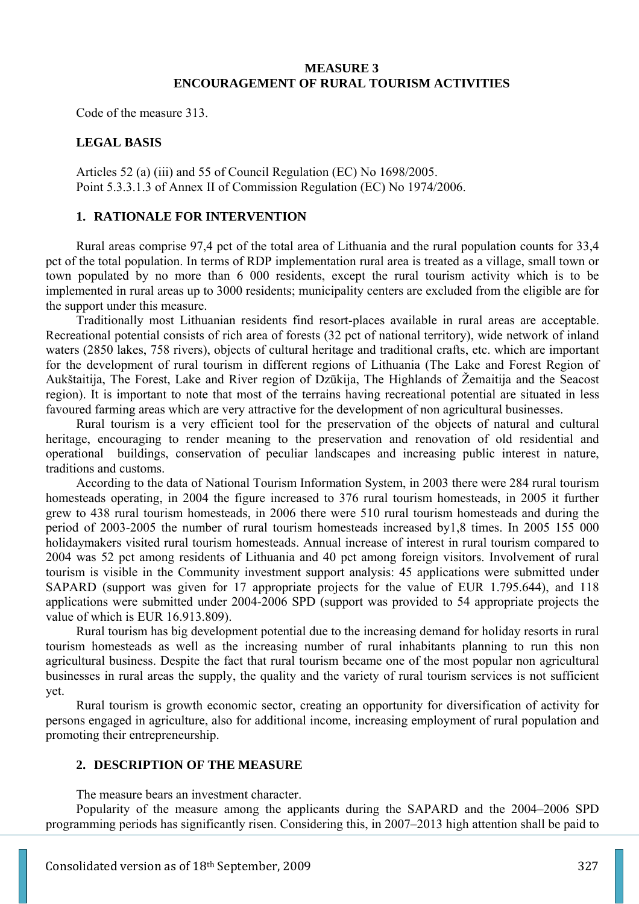#### **MEASURE 3 ENCOURAGEMENT OF RURAL TOURISM ACTIVITIES**

Code of the measure 313.

### **LEGAL BASIS**

Articles 52 (a) (iii) and 55 of Council Regulation (EC) No 1698/2005. Point 5.3.3.1.3 of Annex II of Commission Regulation (EC) No 1974/2006.

### **1. RATIONALE FOR INTERVENTION**

Rural areas comprise 97,4 pct of the total area of Lithuania and the rural population counts for 33,4 pct of the total population. In terms of RDP implementation rural area is treated as a village, small town or town populated by no more than 6 000 residents, except the rural tourism activity which is to be implemented in rural areas up to 3000 residents; municipality centers are excluded from the eligible are for the support under this measure.

Traditionally most Lithuanian residents find resort-places available in rural areas are acceptable. Recreational potential consists of rich area of forests (32 pct of national territory), wide network of inland waters (2850 lakes, 758 rivers), objects of cultural heritage and traditional crafts, etc. which are important for the development of rural tourism in different regions of Lithuania (The Lake and Forest Region of Aukštaitija, The Forest, Lake and River region of Dzūkija, The Highlands of Žemaitija and the Seacost region). It is important to note that most of the terrains having recreational potential are situated in less favoured farming areas which are very attractive for the development of non agricultural businesses.

Rural tourism is a very efficient tool for the preservation of the objects of natural and cultural heritage, encouraging to render meaning to the preservation and renovation of old residential and operational buildings, conservation of peculiar landscapes and increasing public interest in nature, traditions and customs.

According to the data of National Tourism Information System, in 2003 there were 284 rural tourism homesteads operating, in 2004 the figure increased to 376 rural tourism homesteads, in 2005 it further grew to 438 rural tourism homesteads, in 2006 there were 510 rural tourism homesteads and during the period of 2003-2005 the number of rural tourism homesteads increased by1,8 times. In 2005 155 000 holidaymakers visited rural tourism homesteads. Annual increase of interest in rural tourism compared to 2004 was 52 pct among residents of Lithuania and 40 pct among foreign visitors. Involvement of rural tourism is visible in the Community investment support analysis: 45 applications were submitted under SAPARD (support was given for 17 appropriate projects for the value of EUR 1.795.644), and 118 applications were submitted under 2004-2006 SPD (support was provided to 54 appropriate projects the value of which is EUR 16.913.809).

Rural tourism has big development potential due to the increasing demand for holiday resorts in rural tourism homesteads as well as the increasing number of rural inhabitants planning to run this non agricultural business. Despite the fact that rural tourism became one of the most popular non agricultural businesses in rural areas the supply, the quality and the variety of rural tourism services is not sufficient yet.

Rural tourism is growth economic sector, creating an opportunity for diversification of activity for persons engaged in agriculture, also for additional income, increasing employment of rural population and promoting their entrepreneurship.

### **2. DESCRIPTION OF THE MEASURE**

The measure bears an investment character.

Popularity of the measure among the applicants during the SAPARD and the 2004–2006 SPD programming periods has significantly risen. Considering this, in 2007–2013 high attention shall be paid to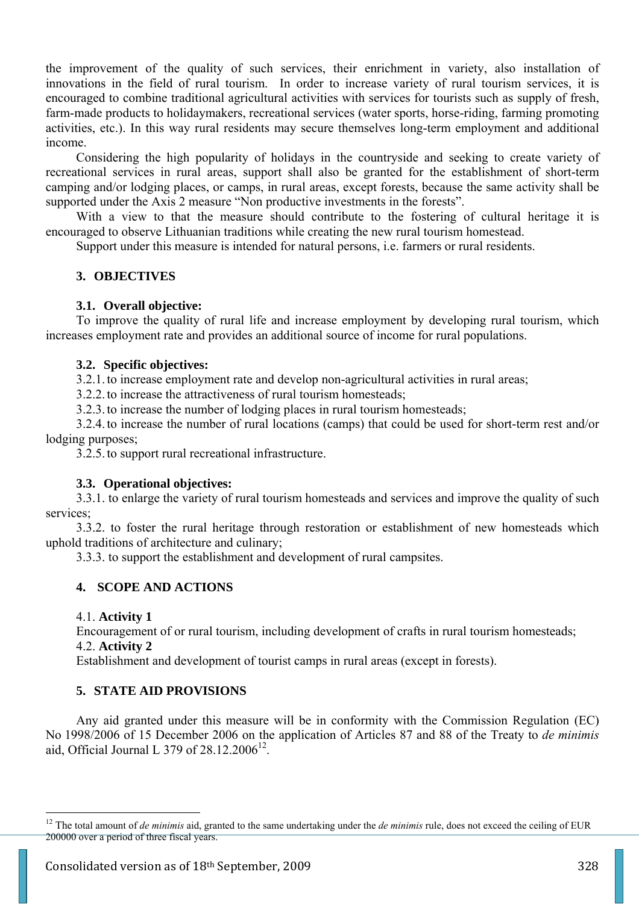the improvement of the quality of such services, their enrichment in variety, also installation of innovations in the field of rural tourism. In order to increase variety of rural tourism services, it is encouraged to combine traditional agricultural activities with services for tourists such as supply of fresh, farm-made products to holidaymakers, recreational services (water sports, horse-riding, farming promoting activities, etc.). In this way rural residents may secure themselves long-term employment and additional income.

Considering the high popularity of holidays in the countryside and seeking to create variety of recreational services in rural areas, support shall also be granted for the establishment of short-term camping and/or lodging places, or camps, in rural areas, except forests, because the same activity shall be supported under the Axis 2 measure "Non productive investments in the forests".

With a view to that the measure should contribute to the fostering of cultural heritage it is encouraged to observe Lithuanian traditions while creating the new rural tourism homestead.

Support under this measure is intended for natural persons, i.e. farmers or rural residents.

# **3. OBJECTIVES**

### **3.1. Overall objective:**

To improve the quality of rural life and increase employment by developing rural tourism, which increases employment rate and provides an additional source of income for rural populations.

### **3.2. Specific objectives:**

3.2.1.to increase employment rate and develop non-agricultural activities in rural areas;

3.2.2.to increase the attractiveness of rural tourism homesteads;

3.2.3.to increase the number of lodging places in rural tourism homesteads;

3.2.4.to increase the number of rural locations (camps) that could be used for short-term rest and/or lodging purposes;

3.2.5.to support rural recreational infrastructure.

### **3.3. Operational objectives:**

3.3.1. to enlarge the variety of rural tourism homesteads and services and improve the quality of such services<sup>.</sup>

3.3.2. to foster the rural heritage through restoration or establishment of new homesteads which uphold traditions of architecture and culinary;

3.3.3. to support the establishment and development of rural campsites.

### **4. SCOPE AND ACTIONS**

### 4.1. **Activity 1**

 $\overline{a}$ 

Encouragement of or rural tourism, including development of crafts in rural tourism homesteads; 4.2. **Activity 2**

Establishment and development of tourist camps in rural areas (except in forests).

### **5. STATE AID PROVISIONS**

Any aid granted under this measure will be in conformity with the Commission Regulation (EC) No 1998/2006 of 15 December 2006 on the application of Articles 87 and 88 of the Treaty to *de minimis* aid, Official Journal L 379 of  $28.12.2006^{12}$ .

<sup>&</sup>lt;sup>12</sup> The total amount of *de minimis* aid, granted to the same undertaking under the *de minimis* rule, does not exceed the ceiling of EUR 200000 over a period of three fiscal years.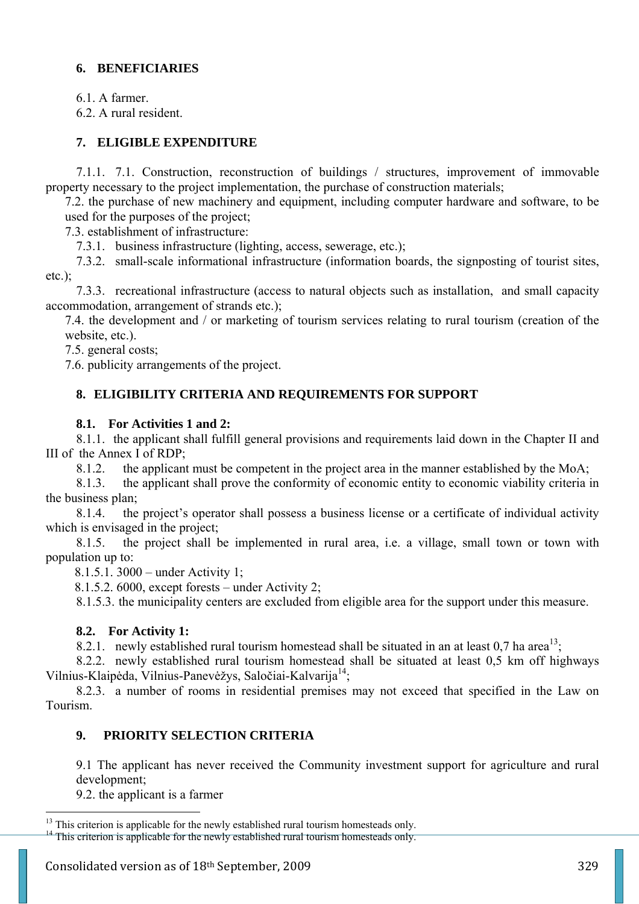# **6. BENEFICIARIES**

6.1. A farmer.

6.2. A rural resident.

# **7. ELIGIBLE EXPENDITURE**

7.1.1. 7.1. Construction, reconstruction of buildings / structures, improvement of immovable property necessary to the project implementation, the purchase of construction materials;

7.2. the purchase of new machinery and equipment, including computer hardware and software, to be used for the purposes of the project;

7.3. establishment of infrastructure:

7.3.1. business infrastructure (lighting, access, sewerage, etc.);

7.3.2. small-scale informational infrastructure (information boards, the signposting of tourist sites, etc.);

7.3.3. recreational infrastructure (access to natural objects such as installation, and small capacity accommodation, arrangement of strands etc.);

7.4. the development and / or marketing of tourism services relating to rural tourism (creation of the website, etc.).

7.5. general costs;

7.6. publicity arrangements of the project.

# **8. ELIGIBILITY CRITERIA AND REQUIREMENTS FOR SUPPORT**

# **8.1. For Activities 1 and 2:**

8.1.1. the applicant shall fulfill general provisions and requirements laid down in the Chapter II and III of the Annex I of RDP;

8.1.2. the applicant must be competent in the project area in the manner established by the MoA;

8.1.3. the applicant shall prove the conformity of economic entity to economic viability criteria in the business plan;

8.1.4. the project's operator shall possess a business license or a certificate of individual activity which is envisaged in the project;

8.1.5. the project shall be implemented in rural area, i.e. a village, small town or town with population up to:

8.1.5.1. 3000 – under Activity 1;

8.1.5.2. 6000, except forests – under Activity 2;

8.1.5.3. the municipality centers are excluded from eligible area for the support under this measure.

### **8.2. For Activity 1:**

8.2.1. newly established rural tourism homestead shall be situated in an at least  $0.7$  ha area<sup>13</sup>;

8.2.2. newly established rural tourism homestead shall be situated at least 0,5 km off highways Vilnius-Klaipėda, Vilnius-Panevėžys, Saločiai-Kalvarija<sup>14</sup>;

8.2.3. a number of rooms in residential premises may not exceed that specified in the Law on Tourism.

# **9. PRIORITY SELECTION CRITERIA**

9.1 The applicant has never received the Community investment support for agriculture and rural development;

9.2. the applicant is a farmer

 $\overline{a}$ 

<sup>&</sup>lt;sup>13</sup> This criterion is applicable for the newly established rural tourism homesteads only.

 $14$  This criterion is applicable for the newly established rural tourism homesteads only.

Consolidated version as of 18<sup>th</sup> September, 2009 329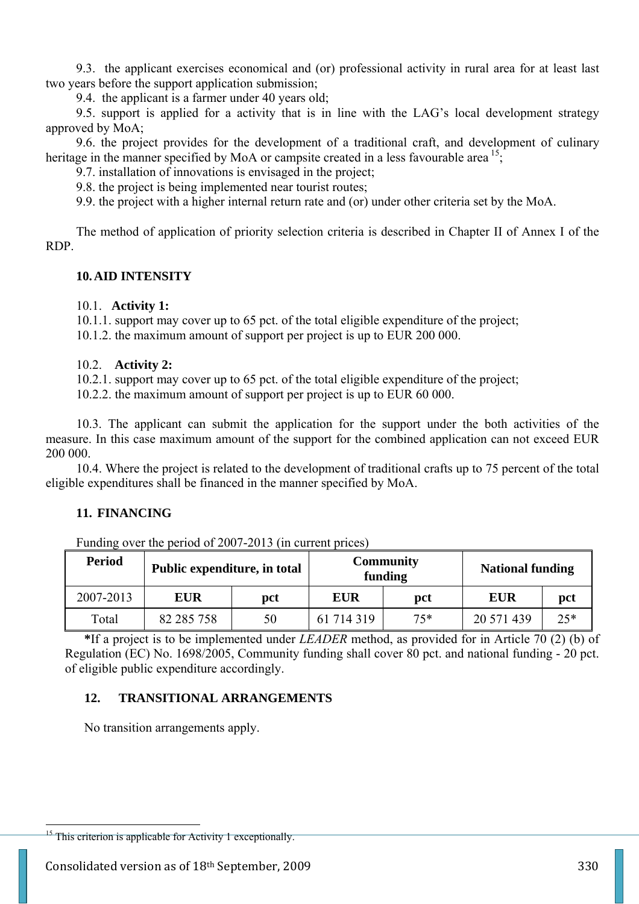9.3. the applicant exercises economical and (or) professional activity in rural area for at least last two years before the support application submission;

9.4. the applicant is a farmer under 40 years old;

9.5. support is applied for a activity that is in line with the LAG's local development strategy approved by MoA;

9.6. the project provides for the development of a traditional craft, and development of culinary heritage in the manner specified by MoA or campsite created in a less favourable area  $15$ .

9.7. installation of innovations is envisaged in the project;

9.8. the project is being implemented near tourist routes;

9.9. the project with a higher internal return rate and (or) under other criteria set by the MoA.

The method of application of priority selection criteria is described in Chapter II of Annex I of the RDP.

# **10.AID INTENSITY**

# 10.1. **Activity 1:**

10.1.1. support may cover up to 65 pct. of the total eligible expenditure of the project;

10.1.2. the maximum amount of support per project is up to EUR 200 000.

# 10.2. **Activity 2:**

10.2.1. support may cover up to 65 pct. of the total eligible expenditure of the project;

10.2.2. the maximum amount of support per project is up to EUR 60 000.

10.3. The applicant can submit the application for the support under the both activities of the measure. In this case maximum amount of the support for the combined application can not exceed EUR 200 000.

10.4. Where the project is related to the development of traditional crafts up to 75 percent of the total eligible expenditures shall be financed in the manner specified by MoA.

# **11. FINANCING**

Funding over the period of 2007-2013 (in current prices)

| <b>Period</b> | Public expenditure, in total |     | <b>Community</b><br>funding |       | <b>National funding</b> |       |
|---------------|------------------------------|-----|-----------------------------|-------|-------------------------|-------|
| 2007-2013     | <b>EUR</b>                   | pct | <b>EUR</b>                  | pct   | <b>EUR</b>              | pct   |
| Total         | 82 285 758                   | 50  | 61 714 319                  | $75*$ | 20 571 439              | $25*$ |

**\***If a project is to be implemented under *LEADER* method, as provided for in Article 70 (2) (b) of Regulation (EC) No. 1698/2005, Community funding shall cover 80 pct. and national funding - 20 pct. of eligible public expenditure accordingly.

# **12. TRANSITIONAL ARRANGEMENTS**

No transition arrangements apply.

 $\overline{a}$ 

 $15$  This criterion is applicable for Activity 1 exceptionally.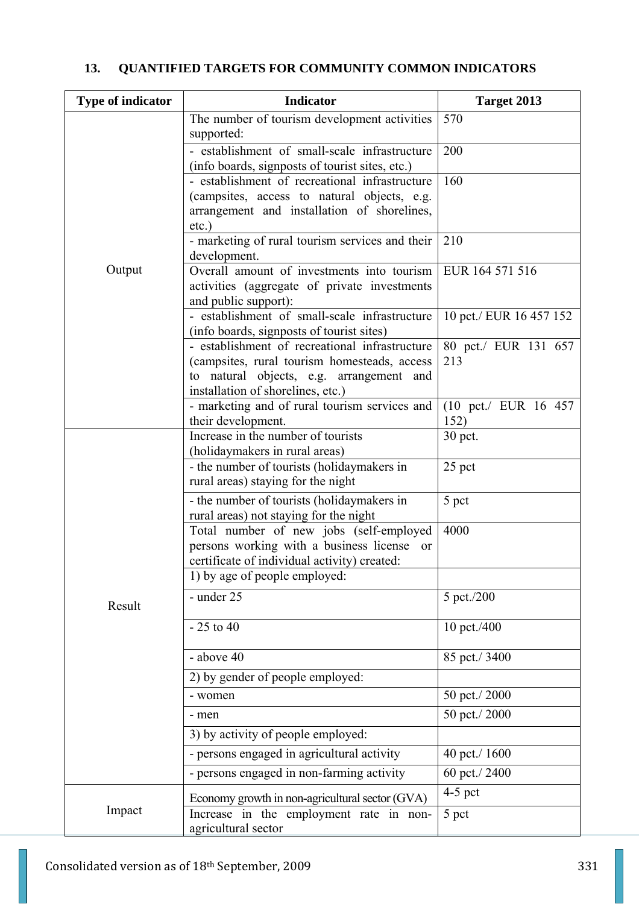# **13. QUANTIFIED TARGETS FOR COMMUNITY COMMON INDICATORS**

| <b>Type of indicator</b> | <b>Indicator</b>                                                                         | Target 2013             |
|--------------------------|------------------------------------------------------------------------------------------|-------------------------|
|                          | The number of tourism development activities                                             | 570                     |
|                          | supported:<br>- establishment of small-scale infrastructure                              | 200                     |
|                          | (info boards, signposts of tourist sites, etc.)                                          |                         |
|                          | - establishment of recreational infrastructure                                           | 160                     |
|                          | (campsites, access to natural objects, e.g.                                              |                         |
|                          | arrangement and installation of shorelines,                                              |                         |
|                          | $etc.$ )                                                                                 |                         |
|                          | - marketing of rural tourism services and their<br>development.                          | 210                     |
| Output                   | Overall amount of investments into tourism                                               | EUR 164 571 516         |
|                          | activities (aggregate of private investments                                             |                         |
|                          | and public support):                                                                     |                         |
|                          | - establishment of small-scale infrastructure                                            | 10 pct./ EUR 16 457 152 |
|                          | (info boards, signposts of tourist sites)                                                |                         |
|                          | - establishment of recreational infrastructure                                           | 80 pct./ EUR 131 657    |
|                          | (campsites, rural tourism homesteads, access<br>to natural objects, e.g. arrangement and | 213                     |
|                          | installation of shorelines, etc.)                                                        |                         |
|                          | - marketing and of rural tourism services and                                            | (10 pct./ EUR 16 457    |
|                          | their development.                                                                       | 152)                    |
|                          | Increase in the number of tourists                                                       | 30 pct.                 |
|                          | (holiday makers in rural areas)                                                          |                         |
|                          | - the number of tourists (holidaymakers in<br>rural areas) staying for the night         | 25 pct                  |
|                          |                                                                                          |                         |
|                          | - the number of tourists (holidaymakers in<br>rural areas) not staying for the night     | 5 pct                   |
|                          | Total number of new jobs (self-employed                                                  | 4000                    |
|                          | persons working with a business license<br>or                                            |                         |
|                          | certificate of individual activity) created:                                             |                         |
|                          | 1) by age of people employed:                                                            |                         |
| Result                   | - under 25                                                                               | 5 pct./200              |
|                          | $-25$ to 40                                                                              | 10 pct./400             |
|                          |                                                                                          |                         |
|                          | - above 40                                                                               | 85 pct./3400            |
|                          | 2) by gender of people employed:                                                         |                         |
|                          | - women                                                                                  | 50 pct./2000            |
|                          | - men                                                                                    | 50 pct./2000            |
|                          | 3) by activity of people employed:                                                       |                         |
|                          | - persons engaged in agricultural activity                                               | 40 pct./1600            |
|                          | - persons engaged in non-farming activity                                                | 60 pct./2400            |
|                          | Economy growth in non-agricultural sector (GVA)                                          | $4-5$ pct               |
| Impact                   | Increase in the employment rate in non-                                                  | 5 pct                   |
|                          | agricultural sector                                                                      |                         |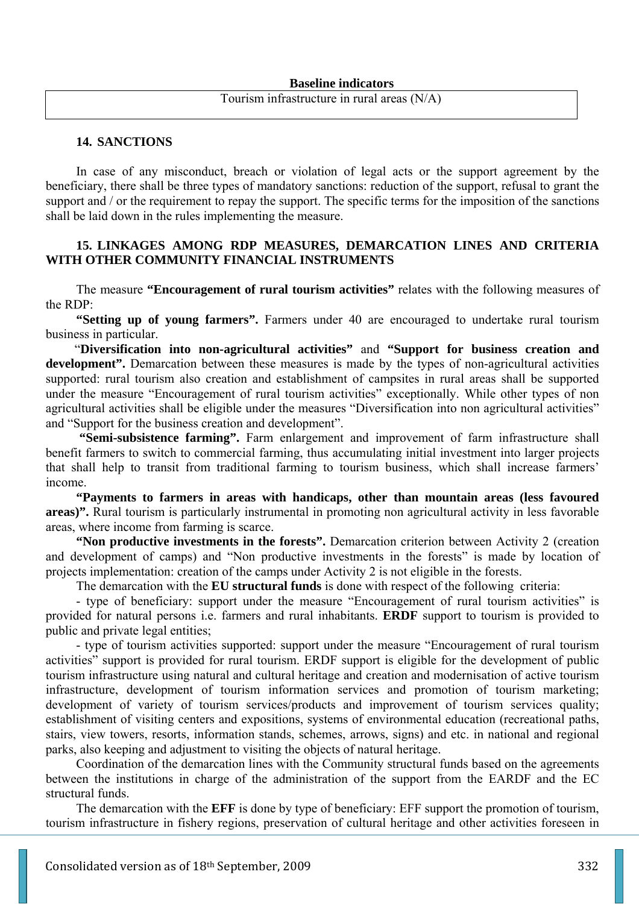#### **Baseline indicators**

### Tourism infrastructure in rural areas (N/A)

#### **14. SANCTIONS**

In case of any misconduct, breach or violation of legal acts or the support agreement by the beneficiary, there shall be three types of mandatory sanctions: reduction of the support, refusal to grant the support and / or the requirement to repay the support. The specific terms for the imposition of the sanctions shall be laid down in the rules implementing the measure.

# **15. LINKAGES AMONG RDP MEASURES, DEMARCATION LINES AND CRITERIA WITH OTHER COMMUNITY FINANCIAL INSTRUMENTS**

The measure **"Encouragement of rural tourism activities"** relates with the following measures of the RDP:

**"Setting up of young farmers".** Farmers under 40 are encouraged to undertake rural tourism business in particular.

 "**Diversification into non-agricultural activities"** and **"Support for business creation and**  development". Demarcation between these measures is made by the types of non-agricultural activities supported: rural tourism also creation and establishment of campsites in rural areas shall be supported under the measure "Encouragement of rural tourism activities" exceptionally. While other types of non agricultural activities shall be eligible under the measures "Diversification into non agricultural activities" and "Support for the business creation and development".

**"Semi-subsistence farming".** Farm enlargement and improvement of farm infrastructure shall benefit farmers to switch to commercial farming, thus accumulating initial investment into larger projects that shall help to transit from traditional farming to tourism business, which shall increase farmers' income.

**"Payments to farmers in areas with handicaps, other than mountain areas (less favoured areas)".** Rural tourism is particularly instrumental in promoting non agricultural activity in less favorable areas, where income from farming is scarce.

**"Non productive investments in the forests".** Demarcation criterion between Activity 2 (creation and development of camps) and "Non productive investments in the forests" is made by location of projects implementation: creation of the camps under Activity 2 is not eligible in the forests.

The demarcation with the **EU structural funds** is done with respect of the following criteria:

- type of beneficiary: support under the measure "Encouragement of rural tourism activities" is provided for natural persons i.e. farmers and rural inhabitants. **ERDF** support to tourism is provided to public and private legal entities;

- type of tourism activities supported: support under the measure "Encouragement of rural tourism activities" support is provided for rural tourism. ERDF support is eligible for the development of public tourism infrastructure using natural and cultural heritage and creation and modernisation of active tourism infrastructure, development of tourism information services and promotion of tourism marketing; development of variety of tourism services/products and improvement of tourism services quality; establishment of visiting centers and expositions, systems of environmental education (recreational paths, stairs, view towers, resorts, information stands, schemes, arrows, signs) and etc. in national and regional parks, also keeping and adjustment to visiting the objects of natural heritage.

Coordination of the demarcation lines with the Community structural funds based on the agreements between the institutions in charge of the administration of the support from the EARDF and the EC structural funds.

The demarcation with the **EFF** is done by type of beneficiary: EFF support the promotion of tourism, tourism infrastructure in fishery regions, preservation of cultural heritage and other activities foreseen in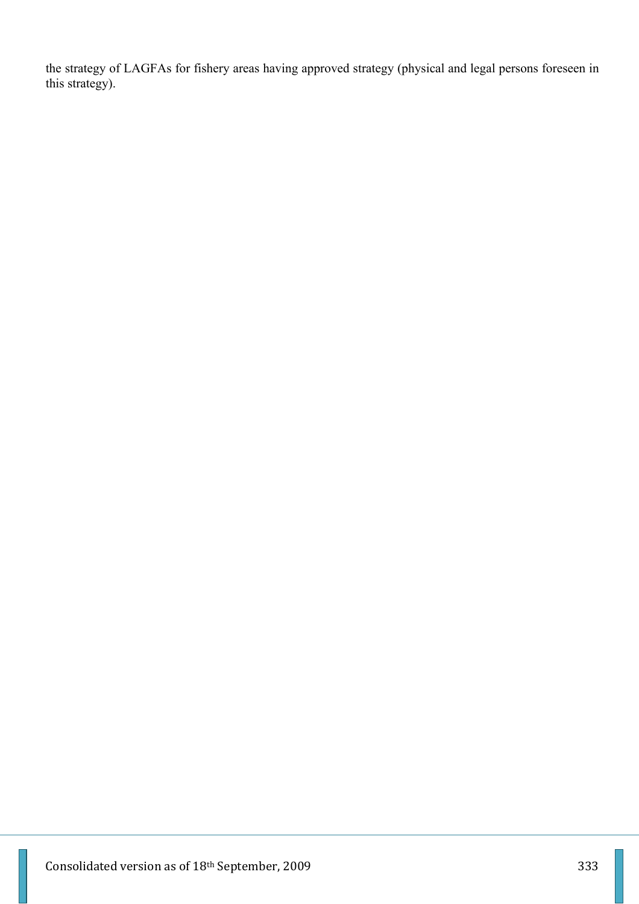the strategy of LAGFAs for fishery areas having approved strategy (physical and legal persons foreseen in this strategy).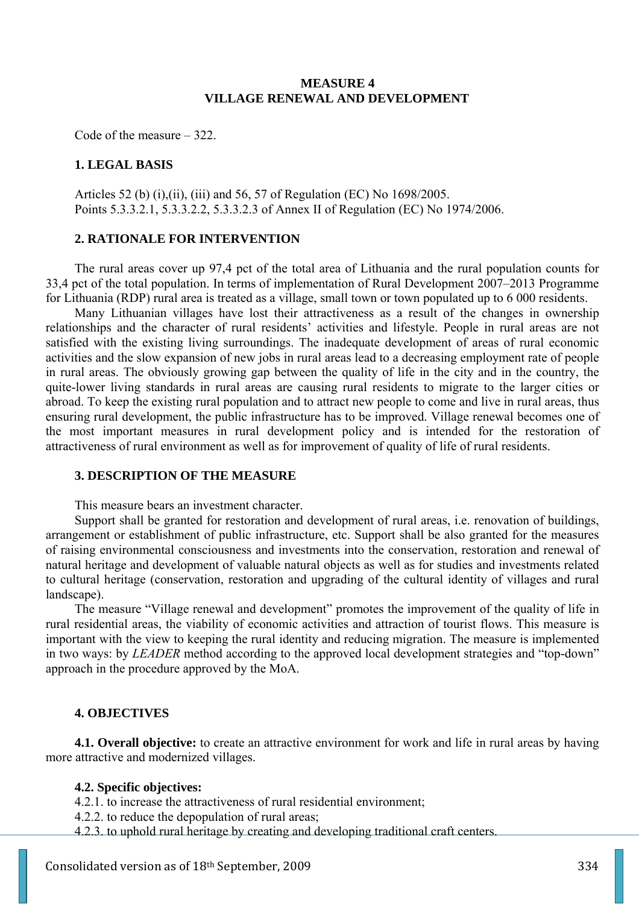### **MEASURE 4 VILLAGE RENEWAL AND DEVELOPMENT**

Code of the measure – 322.

### **1. LEGAL BASIS**

Articles 52 (b) (i),(ii), (iii) and 56, 57 of Regulation (EC) No 1698/2005. Points 5.3.3.2.1, 5.3.3.2.2, 5.3.3.2.3 of Annex II of Regulation (EC) No 1974/2006.

#### **2. RATIONALE FOR INTERVENTION**

The rural areas cover up 97,4 pct of the total area of Lithuania and the rural population counts for 33,4 pct of the total population. In terms of implementation of Rural Development 2007–2013 Programme for Lithuania (RDP) rural area is treated as a village, small town or town populated up to 6 000 residents.

Many Lithuanian villages have lost their attractiveness as a result of the changes in ownership relationships and the character of rural residents' activities and lifestyle. People in rural areas are not satisfied with the existing living surroundings. The inadequate development of areas of rural economic activities and the slow expansion of new jobs in rural areas lead to a decreasing employment rate of people in rural areas. The obviously growing gap between the quality of life in the city and in the country, the quite-lower living standards in rural areas are causing rural residents to migrate to the larger cities or abroad. To keep the existing rural population and to attract new people to come and live in rural areas, thus ensuring rural development, the public infrastructure has to be improved. Village renewal becomes one of the most important measures in rural development policy and is intended for the restoration of attractiveness of rural environment as well as for improvement of quality of life of rural residents.

### **3. DESCRIPTION OF THE MEASURE**

This measure bears an investment character.

Support shall be granted for restoration and development of rural areas, i.e. renovation of buildings, arrangement or establishment of public infrastructure, etc. Support shall be also granted for the measures of raising environmental consciousness and investments into the conservation, restoration and renewal of natural heritage and development of valuable natural objects as well as for studies and investments related to cultural heritage (conservation, restoration and upgrading of the cultural identity of villages and rural landscape).

The measure "Village renewal and development" promotes the improvement of the quality of life in rural residential areas, the viability of economic activities and attraction of tourist flows. This measure is important with the view to keeping the rural identity and reducing migration. The measure is implemented in two ways: by *LEADER* method according to the approved local development strategies and "top-down" approach in the procedure approved by the MoA.

#### **4. OBJECTIVES**

**4.1. Overall objective:** to create an attractive environment for work and life in rural areas by having more attractive and modernized villages.

#### **4.2. Specific objectives:**

- 4.2.1. to increase the attractiveness of rural residential environment;
- 4.2.2. to reduce the depopulation of rural areas;
- 4.2.3. to uphold rural heritage by creating and developing traditional craft centers.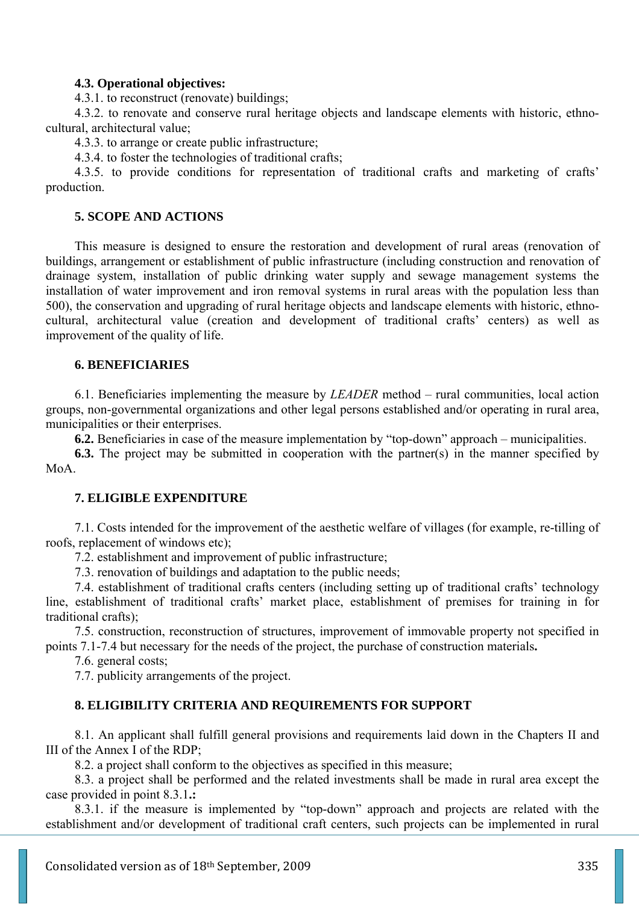### **4.3. Operational objectives:**

4.3.1. to reconstruct (renovate) buildings;

4.3.2. to renovate and conserve rural heritage objects and landscape elements with historic, ethnocultural, architectural value;

4.3.3. to arrange or create public infrastructure;

4.3.4. to foster the technologies of traditional crafts;

4.3.5. to provide conditions for representation of traditional crafts and marketing of crafts' production.

# **5. SCOPE AND ACTIONS**

This measure is designed to ensure the restoration and development of rural areas (renovation of buildings, arrangement or establishment of public infrastructure (including construction and renovation of drainage system, installation of public drinking water supply and sewage management systems the installation of water improvement and iron removal systems in rural areas with the population less than 500), the conservation and upgrading of rural heritage objects and landscape elements with historic, ethnocultural, architectural value (creation and development of traditional crafts' centers) as well as improvement of the quality of life.

### **6. BENEFICIARIES**

6.1. Beneficiaries implementing the measure by *LEADER* method – rural communities, local action groups, non-governmental organizations and other legal persons established and/or operating in rural area, municipalities or their enterprises.

**6.2.** Beneficiaries in case of the measure implementation by "top-down" approach – municipalities.

**6.3.** The project may be submitted in cooperation with the partner(s) in the manner specified by MoA.

# **7. ELIGIBLE EXPENDITURE**

7.1. Costs intended for the improvement of the aesthetic welfare of villages (for example, re-tilling of roofs, replacement of windows etc);

7.2. establishment and improvement of public infrastructure;

7.3. renovation of buildings and adaptation to the public needs;

7.4. establishment of traditional crafts centers (including setting up of traditional crafts' technology line, establishment of traditional crafts' market place, establishment of premises for training in for traditional crafts);

7.5. construction, reconstruction of structures, improvement of immovable property not specified in points 7.1-7.4 but necessary for the needs of the project, the purchase of construction materials**.**

7.6. general costs;

7.7. publicity arrangements of the project.

# **8. ELIGIBILITY CRITERIA AND REQUIREMENTS FOR SUPPORT**

8.1. An applicant shall fulfill general provisions and requirements laid down in the Chapters II and III of the Annex I of the RDP;

8.2. a project shall conform to the objectives as specified in this measure;

8.3. a project shall be performed and the related investments shall be made in rural area except the case provided in point 8.3.1**.:** 

8.3.1. if the measure is implemented by "top-down" approach and projects are related with the establishment and/or development of traditional craft centers, such projects can be implemented in rural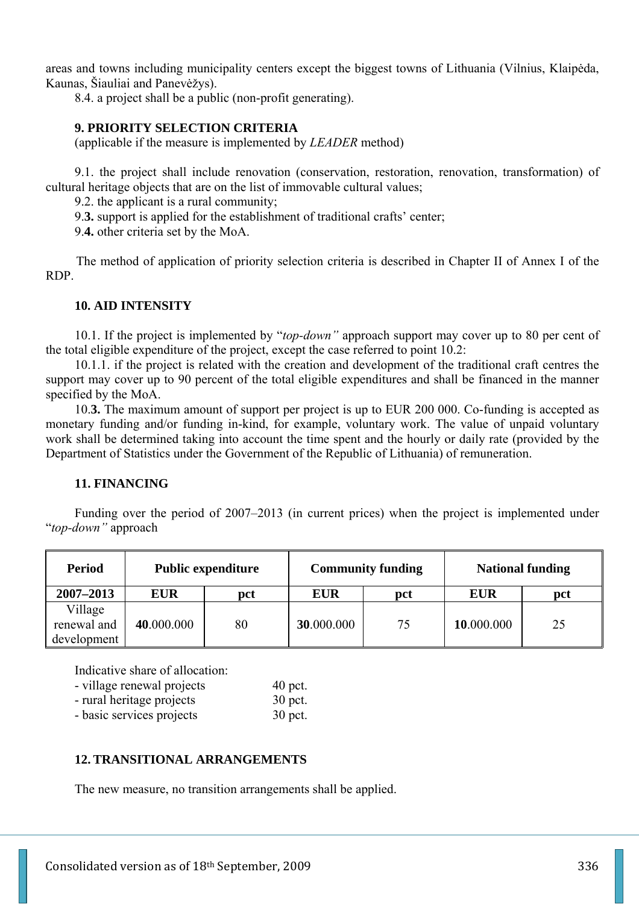areas and towns including municipality centers except the biggest towns of Lithuania (Vilnius, Klaipėda, Kaunas, Šiauliai and Panevėžys).

8.4. a project shall be a public (non-profit generating).

# **9. PRIORITY SELECTION CRITERIA**

(applicable if the measure is implemented by *LEADER* method)

9.1. the project shall include renovation (conservation, restoration, renovation, transformation) of cultural heritage objects that are on the list of immovable cultural values;

9.2. the applicant is a rural community;

9.**3.** support is applied for the establishment of traditional crafts' center;

9.**4.** other criteria set by the MoA.

The method of application of priority selection criteria is described in Chapter II of Annex I of the RDP.

### **10. AID INTENSITY**

10.1. If the project is implemented by "*top-down"* approach support may cover up to 80 per cent of the total eligible expenditure of the project, except the case referred to point 10.2:

10.1.1. if the project is related with the creation and development of the traditional craft centres the support may cover up to 90 percent of the total eligible expenditures and shall be financed in the manner specified by the MoA.

10.**3.** The maximum amount of support per project is up to EUR 200 000. Co-funding is accepted as monetary funding and/or funding in-kind, for example, voluntary work. The value of unpaid voluntary work shall be determined taking into account the time spent and the hourly or daily rate (provided by the Department of Statistics under the Government of the Republic of Lithuania) of remuneration.

# **11. FINANCING**

Funding over the period of 2007–2013 (in current prices) when the project is implemented under "*top-down"* approach

| <b>Period</b>                         | <b>Public expenditure</b> |     | <b>Community funding</b> |     |            | <b>National funding</b> |
|---------------------------------------|---------------------------|-----|--------------------------|-----|------------|-------------------------|
| $2007 - 2013$                         | <b>EUR</b>                | pct | <b>EUR</b>               | pct | <b>EUR</b> | pct                     |
| Village<br>renewal and<br>development | 40.000.000                | 80  | 30.000.000               | 75  | 10.000.000 | 25                      |

Indicative share of allocation:

| - village renewal projects | 40 pct. |
|----------------------------|---------|
|----------------------------|---------|

- rural heritage projects 30 pct.
- basic services projects 30 pct.

### **12. TRANSITIONAL ARRANGEMENTS**

The new measure, no transition arrangements shall be applied.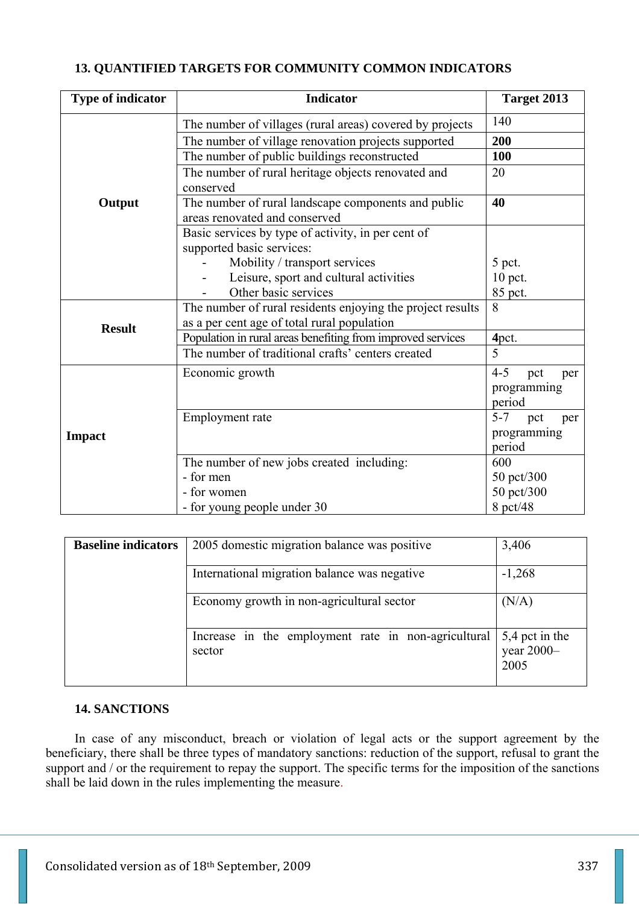# **13. QUANTIFIED TARGETS FOR COMMUNITY COMMON INDICATORS**

| <b>Type of indicator</b> | <b>Indicator</b>                                                                     | Target 2013           |  |
|--------------------------|--------------------------------------------------------------------------------------|-----------------------|--|
|                          | The number of villages (rural areas) covered by projects                             | 140                   |  |
|                          | The number of village renovation projects supported                                  | 200                   |  |
|                          | The number of public buildings reconstructed                                         | 100                   |  |
|                          | The number of rural heritage objects renovated and<br>conserved                      | 20                    |  |
| Output                   | The number of rural landscape components and public<br>areas renovated and conserved | 40                    |  |
|                          | Basic services by type of activity, in per cent of<br>supported basic services:      |                       |  |
|                          | Mobility / transport services                                                        | 5 pct.                |  |
|                          | Leisure, sport and cultural activities                                               | $10$ pct.             |  |
|                          | Other basic services                                                                 | 85 pct.               |  |
|                          | The number of rural residents enjoying the project results                           | 8                     |  |
| <b>Result</b>            | as a per cent age of total rural population                                          |                       |  |
|                          | Population in rural areas benefiting from improved services                          | 4pct.                 |  |
|                          | The number of traditional crafts' centers created                                    | 5                     |  |
|                          | Economic growth                                                                      | $4 - 5$<br>pct<br>per |  |
|                          |                                                                                      | programming           |  |
|                          |                                                                                      | period                |  |
|                          | Employment rate                                                                      | $5 - 7$<br>pct<br>per |  |
| <b>Impact</b>            |                                                                                      | programming           |  |
|                          |                                                                                      | period                |  |
|                          | The number of new jobs created including:                                            | 600                   |  |
|                          | - for men                                                                            | 50 pct/300            |  |
|                          | - for women                                                                          | 50 pct/300            |  |
|                          | - for young people under 30                                                          | 8 pct/48              |  |

| <b>Baseline indicators</b> | 2005 domestic migration balance was positive                  | 3,406                                  |
|----------------------------|---------------------------------------------------------------|----------------------------------------|
|                            | International migration balance was negative                  | $-1,268$                               |
|                            | Economy growth in non-agricultural sector                     | (N/A)                                  |
|                            | Increase in the employment rate in non-agricultural<br>sector | 5,4 pct in the<br>year $2000-$<br>2005 |

# **14. SANCTIONS**

In case of any misconduct, breach or violation of legal acts or the support agreement by the beneficiary, there shall be three types of mandatory sanctions: reduction of the support, refusal to grant the support and / or the requirement to repay the support. The specific terms for the imposition of the sanctions shall be laid down in the rules implementing the measure.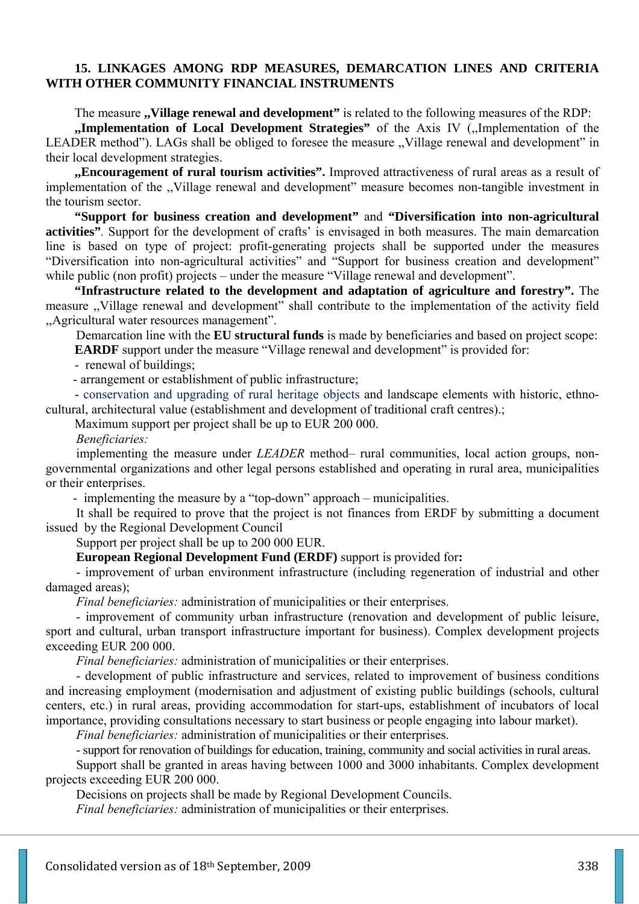### **15. LINKAGES AMONG RDP MEASURES, DEMARCATION LINES AND CRITERIA WITH OTHER COMMUNITY FINANCIAL INSTRUMENTS**

The measure **,,Village renewal and development"** is related to the following measures of the RDP: **,,Implementation of Local Development Strategies"** of the Axis IV (,,Implementation of the LEADER method"). LAGs shall be obliged to foresee the measure ,,Village renewal and development" in their local development strategies.

**,,Encouragement of rural tourism activities".** Improved attractiveness of rural areas as a result of implementation of the ,,Village renewal and development" measure becomes non-tangible investment in the tourism sector.

**"Support for business creation and development"** and **"Diversification into non-agricultural activities"***.* Support for the development of crafts' is envisaged in both measures. The main demarcation line is based on type of project: profit-generating projects shall be supported under the measures "Diversification into non-agricultural activities" and "Support for business creation and development" while public (non profit) projects – under the measure "Village renewal and development".

**"Infrastructure related to the development and adaptation of agriculture and forestry".** The measure ,,Village renewal and development" shall contribute to the implementation of the activity field ,,Agricultural water resources management".

Demarcation line with the **EU structural funds** is made by beneficiaries and based on project scope: **EARDF** support under the measure "Village renewal and development" is provided for:

- renewal of buildings;

- arrangement or establishment of public infrastructure;

- conservation and upgrading of rural heritage objects and landscape elements with historic, ethnocultural, architectural value (establishment and development of traditional craft centres).;

Maximum support per project shall be up to EUR 200 000.

*Beneficiaries:* 

implementing the measure under *LEADER* method– rural communities, local action groups, nongovernmental organizations and other legal persons established and operating in rural area, municipalities or their enterprises.

- implementing the measure by a "top-down" approach – municipalities.

It shall be required to prove that the project is not finances from ERDF by submitting a document issued by the Regional Development Council

Support per project shall be up to 200 000 EUR.

**European Regional Development Fund (ERDF)** support is provided for**:** 

- improvement of urban environment infrastructure (including regeneration of industrial and other damaged areas);

*Final beneficiaries:* administration of municipalities or their enterprises.

- improvement of community urban infrastructure (renovation and development of public leisure, sport and cultural, urban transport infrastructure important for business). Complex development projects exceeding EUR 200 000.

*Final beneficiaries:* administration of municipalities or their enterprises.

- development of public infrastructure and services, related to improvement of business conditions and increasing employment (modernisation and adjustment of existing public buildings (schools, cultural centers, etc.) in rural areas, providing accommodation for start-ups, establishment of incubators of local importance, providing consultations necessary to start business or people engaging into labour market).

*Final beneficiaries:* administration of municipalities or their enterprises.

- support for renovation of buildings for education, training, community and social activities in rural areas. Support shall be granted in areas having between 1000 and 3000 inhabitants. Complex development projects exceeding EUR 200 000.

Decisions on projects shall be made by Regional Development Councils.

*Final beneficiaries:* administration of municipalities or their enterprises.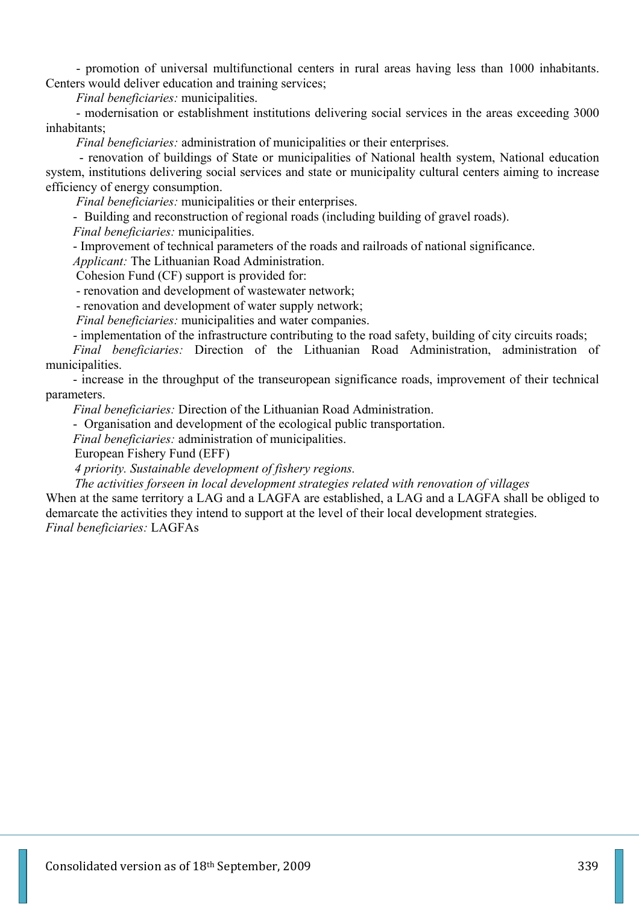- promotion of universal multifunctional centers in rural areas having less than 1000 inhabitants. Centers would deliver education and training services;

*Final beneficiaries:* municipalities.

- modernisation or establishment institutions delivering social services in the areas exceeding 3000 inhabitants;

*Final beneficiaries:* administration of municipalities or their enterprises.

 - renovation of buildings of State or municipalities of National health system, National education system, institutions delivering social services and state or municipality cultural centers aiming to increase efficiency of energy consumption.

*Final beneficiaries:* municipalities or their enterprises.

- Building and reconstruction of regional roads (including building of gravel roads).

*Final beneficiaries:* municipalities.

- Improvement of technical parameters of the roads and railroads of national significance.

*Applicant:* The Lithuanian Road Administration.

Cohesion Fund (CF) support is provided for:

- renovation and development of wastewater network;

- renovation and development of water supply network;

*Final beneficiaries:* municipalities and water companies.

- implementation of the infrastructure contributing to the road safety, building of city circuits roads;

*Final beneficiaries:* Direction of the Lithuanian Road Administration, administration of municipalities.

- increase in the throughput of the transeuropean significance roads, improvement of their technical parameters.

*Final beneficiaries:* Direction of the Lithuanian Road Administration.

- Organisation and development of the ecological public transportation.

*Final beneficiaries:* administration of municipalities.

European Fishery Fund (EFF)

*4 priority. Sustainable development of fishery regions.* 

*The activities forseen in local development strategies related with renovation of villages* 

When at the same territory a LAG and a LAGFA are established, a LAG and a LAGFA shall be obliged to demarcate the activities they intend to support at the level of their local development strategies. *Final beneficiaries:* LAGFAs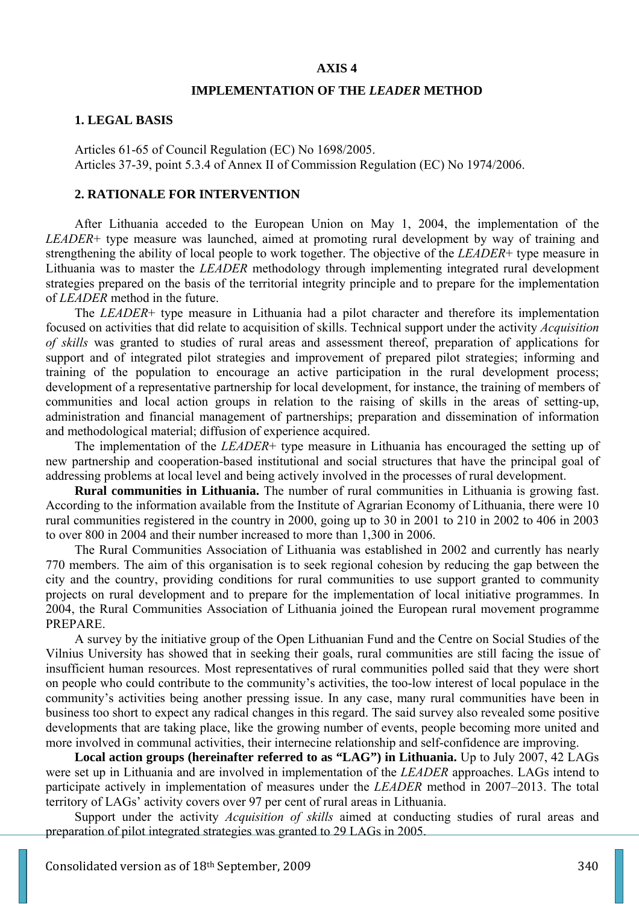#### **AXIS 4**

#### **IMPLEMENTATION OF THE** *LEADER* **METHOD**

#### **1. LEGAL BASIS**

Articles 61-65 of Council Regulation (EC) No 1698/2005. Articles 37-39, point 5.3.4 of Annex II of Commission Regulation (EC) No 1974/2006.

#### **2. RATIONALE FOR INTERVENTION**

After Lithuania acceded to the European Union on May 1, 2004, the implementation of the *LEADER*+ type measure was launched, aimed at promoting rural development by way of training and strengthening the ability of local people to work together. The objective of the *LEADER*+ type measure in Lithuania was to master the *LEADER* methodology through implementing integrated rural development strategies prepared on the basis of the territorial integrity principle and to prepare for the implementation of *LEADER* method in the future.

The *LEADER*+ type measure in Lithuania had a pilot character and therefore its implementation focused on activities that did relate to acquisition of skills. Technical support under the activity *Acquisition of skills* was granted to studies of rural areas and assessment thereof, preparation of applications for support and of integrated pilot strategies and improvement of prepared pilot strategies; informing and training of the population to encourage an active participation in the rural development process; development of a representative partnership for local development, for instance, the training of members of communities and local action groups in relation to the raising of skills in the areas of setting-up, administration and financial management of partnerships; preparation and dissemination of information and methodological material; diffusion of experience acquired.

The implementation of the *LEADER*+ type measure in Lithuania has encouraged the setting up of new partnership and cooperation-based institutional and social structures that have the principal goal of addressing problems at local level and being actively involved in the processes of rural development.

**Rural communities in Lithuania.** The number of rural communities in Lithuania is growing fast. According to the information available from the Institute of Agrarian Economy of Lithuania, there were 10 rural communities registered in the country in 2000, going up to 30 in 2001 to 210 in 2002 to 406 in 2003 to over 800 in 2004 and their number increased to more than 1,300 in 2006.

The Rural Communities Association of Lithuania was established in 2002 and currently has nearly 770 members. The aim of this organisation is to seek regional cohesion by reducing the gap between the city and the country, providing conditions for rural communities to use support granted to community projects on rural development and to prepare for the implementation of local initiative programmes. In 2004, the Rural Communities Association of Lithuania joined the European rural movement programme PREPARE.

A survey by the initiative group of the Open Lithuanian Fund and the Centre on Social Studies of the Vilnius University has showed that in seeking their goals, rural communities are still facing the issue of insufficient human resources. Most representatives of rural communities polled said that they were short on people who could contribute to the community's activities, the too-low interest of local populace in the community's activities being another pressing issue. In any case, many rural communities have been in business too short to expect any radical changes in this regard. The said survey also revealed some positive developments that are taking place, like the growing number of events, people becoming more united and more involved in communal activities, their internecine relationship and self-confidence are improving.

**Local action groups (hereinafter referred to as "LAG") in Lithuania.** Up to July 2007, 42 LAGs were set up in Lithuania and are involved in implementation of the *LEADER* approaches. LAGs intend to participate actively in implementation of measures under the *LEADER* method in 2007–2013. The total territory of LAGs' activity covers over 97 per cent of rural areas in Lithuania.

Support under the activity *Acquisition of skills* aimed at conducting studies of rural areas and preparation of pilot integrated strategies was granted to 29 LAGs in 2005.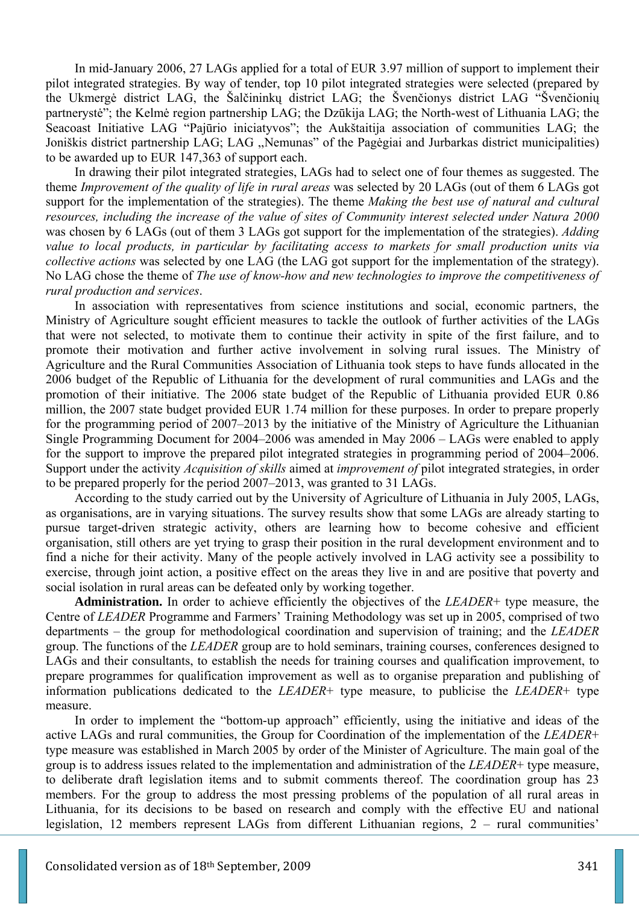In mid-January 2006, 27 LAGs applied for a total of EUR 3.97 million of support to implement their pilot integrated strategies. By way of tender, top 10 pilot integrated strategies were selected (prepared by the Ukmergė district LAG, the Šalčininkų district LAG; the Švenčionys district LAG "Švenčionių partnerystė"; the Kelmė region partnership LAG; the Dzūkija LAG; the North-west of Lithuania LAG; the Seacoast Initiative LAG "Pajūrio iniciatyvos"; the Aukštaitija association of communities LAG; the Joniškis district partnership LAG; LAG ,,Nemunas" of the Pagėgiai and Jurbarkas district municipalities) to be awarded up to EUR 147,363 of support each.

In drawing their pilot integrated strategies, LAGs had to select one of four themes as suggested. The theme *Improvement of the quality of life in rural areas* was selected by 20 LAGs (out of them 6 LAGs got support for the implementation of the strategies). The theme *Making the best use of natural and cultural resources, including the increase of the value of sites of Community interest selected under Natura 2000*  was chosen by 6 LAGs (out of them 3 LAGs got support for the implementation of the strategies). *Adding value to local products, in particular by facilitating access to markets for small production units via collective actions* was selected by one LAG (the LAG got support for the implementation of the strategy). No LAG chose the theme of *The use of know-how and new technologies to improve the competitiveness of rural production and services*.

In association with representatives from science institutions and social, economic partners, the Ministry of Agriculture sought efficient measures to tackle the outlook of further activities of the LAGs that were not selected, to motivate them to continue their activity in spite of the first failure, and to promote their motivation and further active involvement in solving rural issues. The Ministry of Agriculture and the Rural Communities Association of Lithuania took steps to have funds allocated in the 2006 budget of the Republic of Lithuania for the development of rural communities and LAGs and the promotion of their initiative. The 2006 state budget of the Republic of Lithuania provided EUR 0.86 million, the 2007 state budget provided EUR 1.74 million for these purposes. In order to prepare properly for the programming period of 2007–2013 by the initiative of the Ministry of Agriculture the Lithuanian Single Programming Document for 2004–2006 was amended in May 2006 – LAGs were enabled to apply for the support to improve the prepared pilot integrated strategies in programming period of 2004–2006. Support under the activity *Acquisition of skills* aimed at *improvement of* pilot integrated strategies, in order to be prepared properly for the period 2007–2013, was granted to 31 LAGs.

According to the study carried out by the University of Agriculture of Lithuania in July 2005, LAGs, as organisations, are in varying situations. The survey results show that some LAGs are already starting to pursue target-driven strategic activity, others are learning how to become cohesive and efficient organisation, still others are yet trying to grasp their position in the rural development environment and to find a niche for their activity. Many of the people actively involved in LAG activity see a possibility to exercise, through joint action, a positive effect on the areas they live in and are positive that poverty and social isolation in rural areas can be defeated only by working together.

**Administration.** In order to achieve efficiently the objectives of the *LEADER*+ type measure, the Centre of *LEADER* Programme and Farmers' Training Methodology was set up in 2005, comprised of two departments – the group for methodological coordination and supervision of training; and the *LEADER* group. The functions of the *LEADER* group are to hold seminars, training courses, conferences designed to LAGs and their consultants, to establish the needs for training courses and qualification improvement, to prepare programmes for qualification improvement as well as to organise preparation and publishing of information publications dedicated to the *LEADER*+ type measure, to publicise the *LEADER*+ type measure.

In order to implement the "bottom-up approach" efficiently, using the initiative and ideas of the active LAGs and rural communities, the Group for Coordination of the implementation of the *LEADER*+ type measure was established in March 2005 by order of the Minister of Agriculture. The main goal of the group is to address issues related to the implementation and administration of the *LEADER*+ type measure, to deliberate draft legislation items and to submit comments thereof. The coordination group has 23 members. For the group to address the most pressing problems of the population of all rural areas in Lithuania, for its decisions to be based on research and comply with the effective EU and national legislation, 12 members represent LAGs from different Lithuanian regions, 2 – rural communities'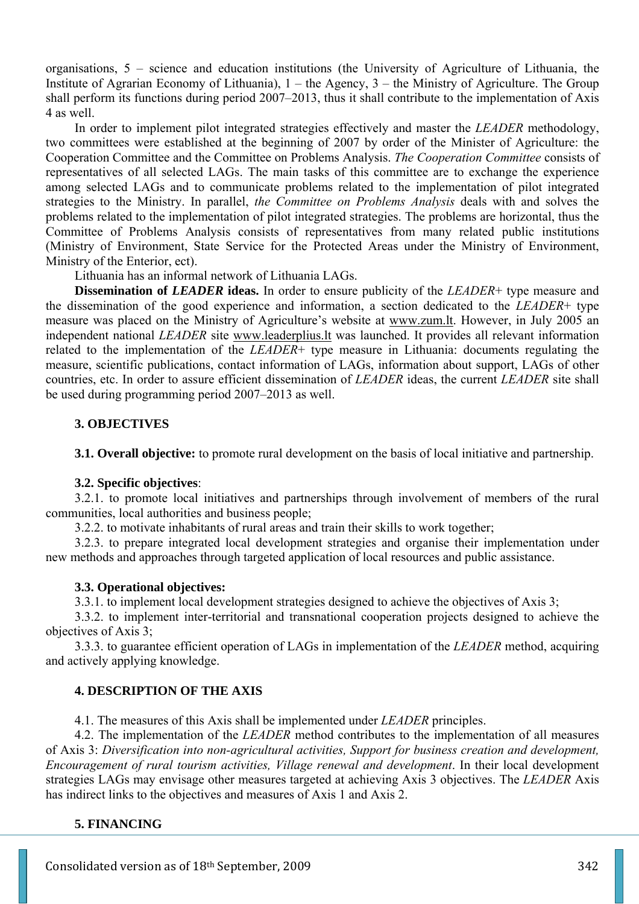organisations, 5 – science and education institutions (the University of Agriculture of Lithuania, the Institute of Agrarian Economy of Lithuania), 1 – the Agency, 3 – the Ministry of Agriculture. The Group shall perform its functions during period 2007–2013, thus it shall contribute to the implementation of Axis 4 as well.

In order to implement pilot integrated strategies effectively and master the *LEADER* methodology, two committees were established at the beginning of 2007 by order of the Minister of Agriculture: the Cooperation Committee and the Committee on Problems Analysis. *The Cooperation Committee* consists of representatives of all selected LAGs. The main tasks of this committee are to exchange the experience among selected LAGs and to communicate problems related to the implementation of pilot integrated strategies to the Ministry. In parallel, *the Committee on Problems Analysis* deals with and solves the problems related to the implementation of pilot integrated strategies. The problems are horizontal, thus the Committee of Problems Analysis consists of representatives from many related public institutions (Ministry of Environment, State Service for the Protected Areas under the Ministry of Environment, Ministry of the Enterior, ect).

Lithuania has an informal network of Lithuania LAGs.

**Dissemination of** *LEADER* ideas. In order to ensure publicity of the *LEADER*+ type measure and the dissemination of the good experience and information, a section dedicated to the *LEADER*+ type measure was placed on the Ministry of Agriculture's website at www.zum.lt. However, in July 2005 an independent national *LEADER* site www.leaderplius.lt was launched. It provides all relevant information related to the implementation of the *LEADER*+ type measure in Lithuania: documents regulating the measure, scientific publications, contact information of LAGs, information about support, LAGs of other countries, etc. In order to assure efficient dissemination of *LEADER* ideas, the current *LEADER* site shall be used during programming period 2007–2013 as well.

# **3. OBJECTIVES**

**3.1. Overall objective:** to promote rural development on the basis of local initiative and partnership.

# **3.2. Specific objectives**:

3.2.1. to promote local initiatives and partnerships through involvement of members of the rural communities, local authorities and business people;

3.2.2. to motivate inhabitants of rural areas and train their skills to work together;

3.2.3. to prepare integrated local development strategies and organise their implementation under new methods and approaches through targeted application of local resources and public assistance.

# **3.3. Operational objectives:**

3.3.1. to implement local development strategies designed to achieve the objectives of Axis 3;

3.3.2. to implement inter-territorial and transnational cooperation projects designed to achieve the objectives of Axis 3;

3.3.3. to guarantee efficient operation of LAGs in implementation of the *LEADER* method, acquiring and actively applying knowledge.

# **4. DESCRIPTION OF THE AXIS**

4.1. The measures of this Axis shall be implemented under *LEADER* principles.

4.2. The implementation of the *LEADER* method contributes to the implementation of all measures of Axis 3: *Diversification into non-agricultural activities, Support for business creation and development, Encouragement of rural tourism activities, Village renewal and development*. In their local development strategies LAGs may envisage other measures targeted at achieving Axis 3 objectives. The *LEADER* Axis has indirect links to the objectives and measures of Axis 1 and Axis 2.

# **5. FINANCING**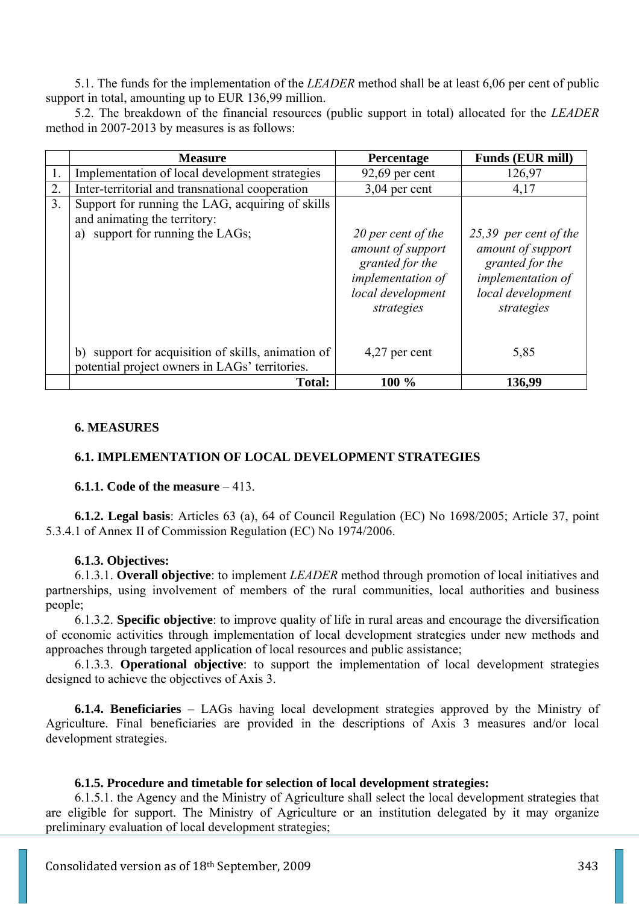5.1. The funds for the implementation of the *LEADER* method shall be at least 6,06 per cent of public support in total, amounting up to EUR 136,99 million.

5.2. The breakdown of the financial resources (public support in total) allocated for the *LEADER*  method in 2007-2013 by measures is as follows:

|                | <b>Measure</b>                                                                                                       | Percentage                                                                                                         | <b>Funds (EUR mill)</b>                                                                                               |
|----------------|----------------------------------------------------------------------------------------------------------------------|--------------------------------------------------------------------------------------------------------------------|-----------------------------------------------------------------------------------------------------------------------|
|                | Implementation of local development strategies                                                                       | $92,69$ per cent                                                                                                   | 126,97                                                                                                                |
| 2.             | Inter-territorial and transnational cooperation                                                                      | $3,04$ per cent                                                                                                    | 4,17                                                                                                                  |
| 3 <sub>1</sub> | Support for running the LAG, acquiring of skills<br>and animating the territory:<br>a) support for running the LAGs; | 20 per cent of the<br>amount of support<br>granted for the<br>implementation of<br>local development<br>strategies | 25,39 per cent of the<br>amount of support<br>granted for the<br>implementation of<br>local development<br>strategies |
|                | b) support for acquisition of skills, animation of<br>potential project owners in LAGs' territories.                 | $4,27$ per cent                                                                                                    | 5,85                                                                                                                  |
|                | <b>Total:</b>                                                                                                        | 100 %                                                                                                              | 136,99                                                                                                                |

# **6. MEASURES**

# **6.1. IMPLEMENTATION OF LOCAL DEVELOPMENT STRATEGIES**

### **6.1.1. Code of the measure** – 413.

**6.1.2. Legal basis**: Articles 63 (a), 64 of Council Regulation (EC) No 1698/2005; Article 37, point 5.3.4.1 of Annex II of Commission Regulation (EC) No 1974/2006.

# **6.1.3. Objectives:**

6.1.3.1. **Overall objective**: to implement *LEADER* method through promotion of local initiatives and partnerships, using involvement of members of the rural communities, local authorities and business people;

6.1.3.2. **Specific objective**: to improve quality of life in rural areas and encourage the diversification of economic activities through implementation of local development strategies under new methods and approaches through targeted application of local resources and public assistance;

6.1.3.3. **Operational objective**: to support the implementation of local development strategies designed to achieve the objectives of Axis 3.

**6.1.4. Beneficiaries** – LAGs having local development strategies approved by the Ministry of Agriculture. Final beneficiaries are provided in the descriptions of Axis 3 measures and/or local development strategies.

### **6.1.5. Procedure and timetable for selection of local development strategies:**

6.1.5.1. the Agency and the Ministry of Agriculture shall select the local development strategies that are eligible for support. The Ministry of Agriculture or an institution delegated by it may organize preliminary evaluation of local development strategies;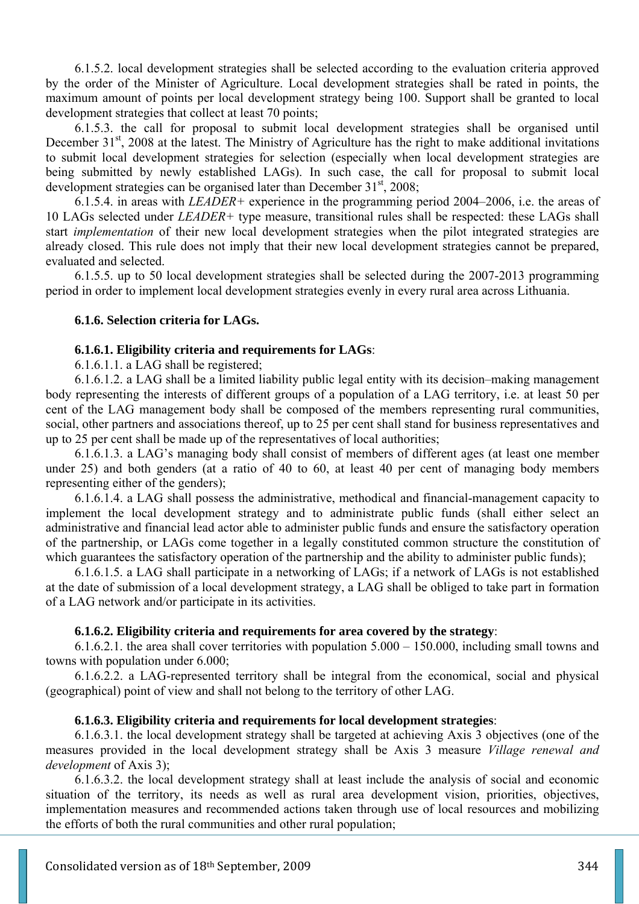6.1.5.2. local development strategies shall be selected according to the evaluation criteria approved by the order of the Minister of Agriculture. Local development strategies shall be rated in points, the maximum amount of points per local development strategy being 100. Support shall be granted to local development strategies that collect at least 70 points;

6.1.5.3. the call for proposal to submit local development strategies shall be organised until December  $31<sup>st</sup>$ , 2008 at the latest. The Ministry of Agriculture has the right to make additional invitations to submit local development strategies for selection (especially when local development strategies are being submitted by newly established LAGs). In such case, the call for proposal to submit local development strategies can be organised later than December  $31<sup>st</sup>$ , 2008;

6.1.5.4. in areas with *LEADER+* experience in the programming period 2004–2006, i.e. the areas of 10 LAGs selected under *LEADER+* type measure, transitional rules shall be respected: these LAGs shall start *implementation* of their new local development strategies when the pilot integrated strategies are already closed. This rule does not imply that their new local development strategies cannot be prepared, evaluated and selected.

6.1.5.5. up to 50 local development strategies shall be selected during the 2007-2013 programming period in order to implement local development strategies evenly in every rural area across Lithuania.

#### **6.1.6. Selection criteria for LAGs.**

#### **6.1.6.1. Eligibility criteria and requirements for LAGs**:

6.1.6.1.1. a LAG shall be registered;

6.1.6.1.2. a LAG shall be a limited liability public legal entity with its decision–making management body representing the interests of different groups of a population of a LAG territory, i.e. at least 50 per cent of the LAG management body shall be composed of the members representing rural communities, social, other partners and associations thereof, up to 25 per cent shall stand for business representatives and up to 25 per cent shall be made up of the representatives of local authorities;

6.1.6.1.3. a LAG's managing body shall consist of members of different ages (at least one member under 25) and both genders (at a ratio of 40 to 60, at least 40 per cent of managing body members representing either of the genders);

6.1.6.1.4. a LAG shall possess the administrative, methodical and financial-management capacity to implement the local development strategy and to administrate public funds (shall either select an administrative and financial lead actor able to administer public funds and ensure the satisfactory operation of the partnership, or LAGs come together in a legally constituted common structure the constitution of which guarantees the satisfactory operation of the partnership and the ability to administer public funds);

6.1.6.1.5. a LAG shall participate in a networking of LAGs; if a network of LAGs is not established at the date of submission of a local development strategy, a LAG shall be obliged to take part in formation of a LAG network and/or participate in its activities.

#### **6.1.6.2. Eligibility criteria and requirements for area covered by the strategy**:

6.1.6.2.1. the area shall cover territories with population 5.000 – 150.000, including small towns and towns with population under 6.000;

6.1.6.2.2. a LAG-represented territory shall be integral from the economical, social and physical (geographical) point of view and shall not belong to the territory of other LAG.

#### **6.1.6.3. Eligibility criteria and requirements for local development strategies**:

6.1.6.3.1. the local development strategy shall be targeted at achieving Axis 3 objectives (one of the measures provided in the local development strategy shall be Axis 3 measure *Village renewal and development* of Axis 3);

6.1.6.3.2. the local development strategy shall at least include the analysis of social and economic situation of the territory, its needs as well as rural area development vision, priorities, objectives, implementation measures and recommended actions taken through use of local resources and mobilizing the efforts of both the rural communities and other rural population;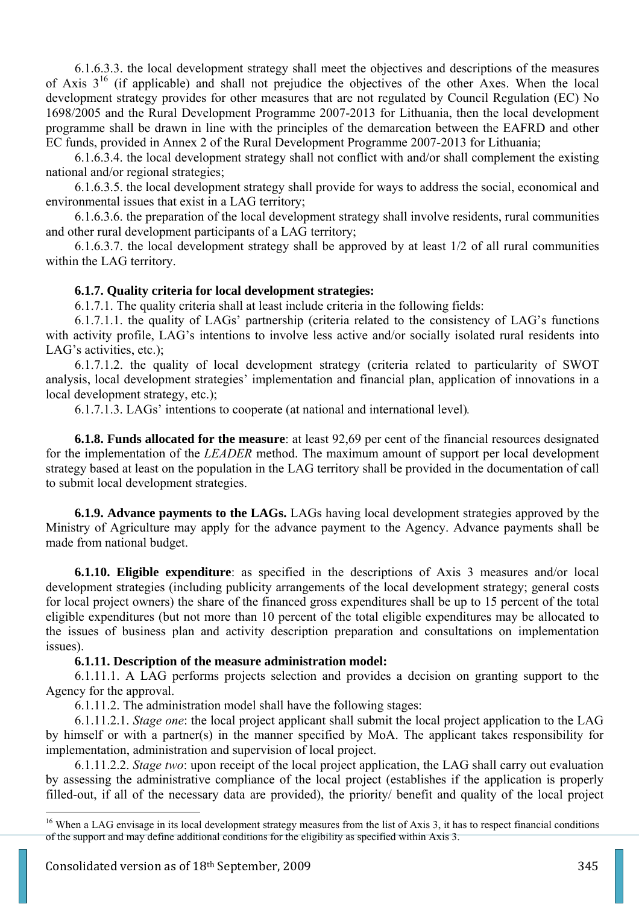6.1.6.3.3. the local development strategy shall meet the objectives and descriptions of the measures of Axis  $3^{16}$  (if applicable) and shall not prejudice the objectives of the other Axes. When the local development strategy provides for other measures that are not regulated by Council Regulation (EC) No 1698/2005 and the Rural Development Programme 2007-2013 for Lithuania, then the local development programme shall be drawn in line with the principles of the demarcation between the EAFRD and other EC funds, provided in Annex 2 of the Rural Development Programme 2007-2013 for Lithuania;

6.1.6.3.4. the local development strategy shall not conflict with and/or shall complement the existing national and/or regional strategies;

6.1.6.3.5. the local development strategy shall provide for ways to address the social, economical and environmental issues that exist in a LAG territory;

6.1.6.3.6. the preparation of the local development strategy shall involve residents, rural communities and other rural development participants of a LAG territory;

6.1.6.3.7. the local development strategy shall be approved by at least 1/2 of all rural communities within the LAG territory.

# **6.1.7. Quality criteria for local development strategies:**

6.1.7.1. The quality criteria shall at least include criteria in the following fields:

6.1.7.1.1. the quality of LAGs' partnership (criteria related to the consistency of LAG's functions with activity profile, LAG's intentions to involve less active and/or socially isolated rural residents into LAG's activities, etc.);

6.1.7.1.2. the quality of local development strategy (criteria related to particularity of SWOT analysis, local development strategies' implementation and financial plan, application of innovations in a local development strategy, etc.);

6.1.7.1.3. LAGs' intentions to cooperate (at national and international level)*.* 

**6.1.8. Funds allocated for the measure**: at least 92,69 per cent of the financial resources designated for the implementation of the *LEADER* method. The maximum amount of support per local development strategy based at least on the population in the LAG territory shall be provided in the documentation of call to submit local development strategies.

**6.1.9. Advance payments to the LAGs.** LAGs having local development strategies approved by the Ministry of Agriculture may apply for the advance payment to the Agency. Advance payments shall be made from national budget.

**6.1.10. Eligible expenditure**: as specified in the descriptions of Axis 3 measures and/or local development strategies (including publicity arrangements of the local development strategy; general costs for local project owners) the share of the financed gross expenditures shall be up to 15 percent of the total eligible expenditures (but not more than 10 percent of the total eligible expenditures may be allocated to the issues of business plan and activity description preparation and consultations on implementation issues).

### **6.1.11. Description of the measure administration model:**

6.1.11.1. A LAG performs projects selection and provides a decision on granting support to the Agency for the approval.

6.1.11.2. The administration model shall have the following stages:

6.1.11.2.1. *Stage one*: the local project applicant shall submit the local project application to the LAG by himself or with a partner(s) in the manner specified by MoA. The applicant takes responsibility for implementation, administration and supervision of local project.

6.1.11.2.2. *Stage two*: upon receipt of the local project application, the LAG shall carry out evaluation by assessing the administrative compliance of the local project (establishes if the application is properly filled-out, if all of the necessary data are provided), the priority/ benefit and quality of the local project

 $\overline{a}$ 

<sup>&</sup>lt;sup>16</sup> When a LAG envisage in its local development strategy measures from the list of Axis 3, it has to respect financial conditions of the support and may define additional conditions for the eligibility as specified within Axis 3.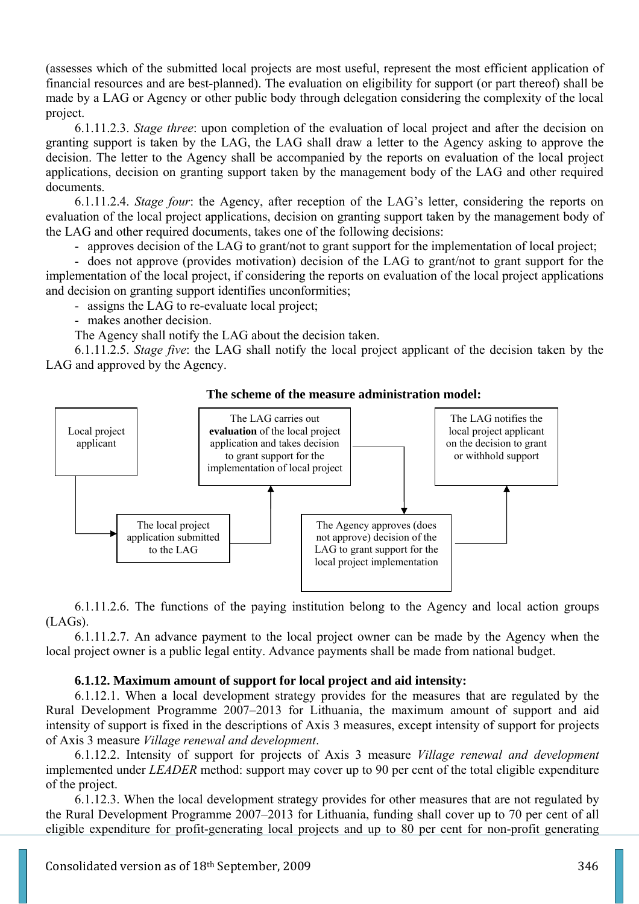(assesses which of the submitted local projects are most useful, represent the most efficient application of financial resources and are best-planned). The evaluation on eligibility for support (or part thereof) shall be made by a LAG or Agency or other public body through delegation considering the complexity of the local project.

6.1.11.2.3. *Stage three*: upon completion of the evaluation of local project and after the decision on granting support is taken by the LAG, the LAG shall draw a letter to the Agency asking to approve the decision. The letter to the Agency shall be accompanied by the reports on evaluation of the local project applications, decision on granting support taken by the management body of the LAG and other required documents.

6.1.11.2.4. *Stage four*: the Agency, after reception of the LAG's letter, considering the reports on evaluation of the local project applications, decision on granting support taken by the management body of the LAG and other required documents, takes one of the following decisions:

- approves decision of the LAG to grant/not to grant support for the implementation of local project;

- does not approve (provides motivation) decision of the LAG to grant/not to grant support for the implementation of the local project, if considering the reports on evaluation of the local project applications and decision on granting support identifies unconformities;

- assigns the LAG to re-evaluate local project;

- makes another decision.

The Agency shall notify the LAG about the decision taken.

6.1.11.2.5. *Stage five*: the LAG shall notify the local project applicant of the decision taken by the LAG and approved by the Agency.



# **The scheme of the measure administration model:**

6.1.11.2.6. The functions of the paying institution belong to the Agency and local action groups  $(LAGs)$ .

6.1.11.2.7. An advance payment to the local project owner can be made by the Agency when the local project owner is a public legal entity. Advance payments shall be made from national budget.

# **6.1.12. Maximum amount of support for local project and aid intensity:**

6.1.12.1. When a local development strategy provides for the measures that are regulated by the Rural Development Programme 2007–2013 for Lithuania, the maximum amount of support and aid intensity of support is fixed in the descriptions of Axis 3 measures, except intensity of support for projects of Axis 3 measure *Village renewal and development*.

6.1.12.2. Intensity of support for projects of Axis 3 measure *Village renewal and development* implemented under *LEADER* method: support may cover up to 90 per cent of the total eligible expenditure of the project.

6.1.12.3. When the local development strategy provides for other measures that are not regulated by the Rural Development Programme 2007–2013 for Lithuania, funding shall cover up to 70 per cent of all eligible expenditure for profit-generating local projects and up to 80 per cent for non-profit generating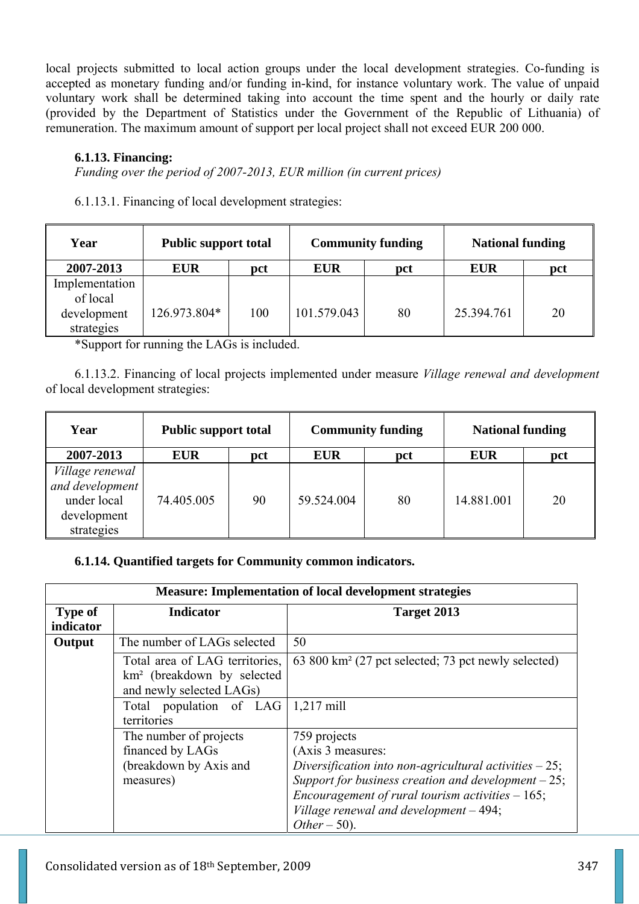local projects submitted to local action groups under the local development strategies. Co-funding is accepted as monetary funding and/or funding in-kind, for instance voluntary work. The value of unpaid voluntary work shall be determined taking into account the time spent and the hourly or daily rate (provided by the Department of Statistics under the Government of the Republic of Lithuania) of remuneration. The maximum amount of support per local project shall not exceed EUR 200 000.

# **6.1.13. Financing:**

*Funding over the period of 2007-2013, EUR million (in current prices)* 

6.1.13.1. Financing of local development strategies:

| Year                       | <b>Public support total</b> |     | <b>Community funding</b> |     | <b>National funding</b> |     |
|----------------------------|-----------------------------|-----|--------------------------|-----|-------------------------|-----|
| 2007-2013                  | <b>EUR</b>                  | pct | <b>EUR</b>               | pct | <b>EUR</b>              | pct |
| Implementation<br>of local |                             |     |                          |     |                         |     |
| development<br>strategies  | 126.973.804*                | 100 | 101.579.043              | 80  | 25.394.761              | 20  |

\*Support for running the LAGs is included.

6.1.13.2. Financing of local projects implemented under measure *Village renewal and development*  of local development strategies:

| Year                                                                           | <b>Public support total</b> |     |            | <b>Community funding</b> | <b>National funding</b> |     |
|--------------------------------------------------------------------------------|-----------------------------|-----|------------|--------------------------|-------------------------|-----|
| 2007-2013                                                                      | <b>EUR</b>                  | pct | <b>EUR</b> | pct                      | <b>EUR</b>              | pct |
| Village renewal<br>and development<br>under local<br>development<br>strategies | 74.405.005                  | 90  | 59.524.004 | 80                       | 14.881.001              | 20  |

# **6.1.14. Quantified targets for Community common indicators.**

|                                                                                                      | <b>Measure: Implementation of local development strategies</b>                    |                                                                                                                                                                                                                                                                            |  |  |  |  |
|------------------------------------------------------------------------------------------------------|-----------------------------------------------------------------------------------|----------------------------------------------------------------------------------------------------------------------------------------------------------------------------------------------------------------------------------------------------------------------------|--|--|--|--|
| <b>Type of</b><br>indicator                                                                          | <b>Indicator</b>                                                                  | Target 2013                                                                                                                                                                                                                                                                |  |  |  |  |
| The number of LAGs selected<br>Output                                                                |                                                                                   | 50                                                                                                                                                                                                                                                                         |  |  |  |  |
| Total area of LAG territories,<br>km <sup>2</sup> (breakdown by selected<br>and newly selected LAGs) |                                                                                   | 63 800 km <sup>2</sup> (27 pct selected; 73 pct newly selected)                                                                                                                                                                                                            |  |  |  |  |
| Total population of LAG<br>territories                                                               |                                                                                   | $1,217$ mill                                                                                                                                                                                                                                                               |  |  |  |  |
|                                                                                                      | The number of projects<br>financed by LAGs<br>(breakdown by Axis and<br>measures) | 759 projects<br>(Axis 3 measures:<br>Diversification into non-agricultural activities $-25$ ;<br>Support for business creation and development $-25$ ;<br>Encouragement of rural tourism activities $-165$ ;<br>Village renewal and development $-494$ ;<br>Other $-50$ ). |  |  |  |  |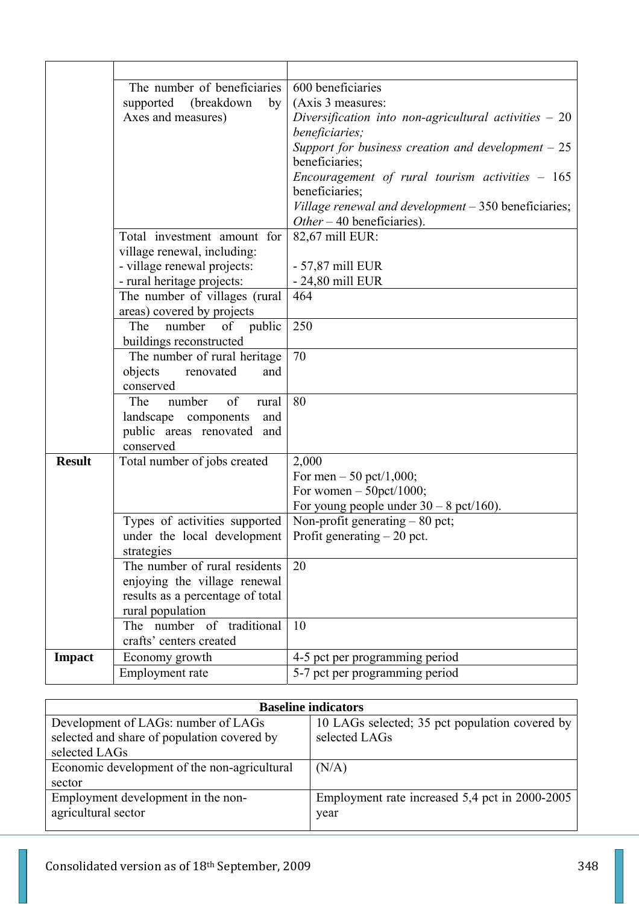|               | The number of beneficiaries      | 600 beneficiaries                                      |
|---------------|----------------------------------|--------------------------------------------------------|
|               | supported (breakdown<br>by       | (Axis 3 measures:                                      |
|               | Axes and measures)               | Diversification into non-agricultural activities $-20$ |
|               |                                  | beneficiaries;                                         |
|               |                                  | Support for business creation and development $-25$    |
|               |                                  | beneficiaries;                                         |
|               |                                  | Encouragement of rural tourism activities $-165$       |
|               |                                  | beneficiaries;                                         |
|               |                                  | Village renewal and development - 350 beneficiaries;   |
|               |                                  | <i>Other</i> – 40 beneficiaries).                      |
|               | Total investment amount for      | 82,67 mill EUR:                                        |
|               | village renewal, including:      |                                                        |
|               | - village renewal projects:      | - 57,87 mill EUR                                       |
|               | - rural heritage projects:       | - 24,80 mill EUR                                       |
|               | The number of villages (rural    | 464                                                    |
|               | areas) covered by projects       |                                                        |
|               | The<br>number<br>of<br>public    | 250                                                    |
|               | buildings reconstructed          |                                                        |
|               | The number of rural heritage     | 70                                                     |
|               | objects<br>renovated<br>and      |                                                        |
|               | conserved                        |                                                        |
|               | number<br>of<br>The<br>rural     | 80                                                     |
|               | landscape components<br>and      |                                                        |
|               | public areas renovated and       |                                                        |
|               | conserved                        |                                                        |
| <b>Result</b> | Total number of jobs created     | 2,000                                                  |
|               |                                  | For men $-50$ pct/1,000;                               |
|               |                                  | For women $-$ 50pct/1000;                              |
|               |                                  | For young people under $30 - 8$ pct/160).              |
|               | Types of activities supported    | Non-profit generating $-80$ pct;                       |
|               | under the local development      | Profit generating $-20$ pct.                           |
|               | strategies                       |                                                        |
|               | The number of rural residents    | 20                                                     |
|               | enjoying the village renewal     |                                                        |
|               | results as a percentage of total |                                                        |
|               | rural population                 |                                                        |
|               | The number of traditional        | 10                                                     |
|               | crafts' centers created          |                                                        |
| <b>Impact</b> | Economy growth                   | 4-5 pct per programming period                         |
|               | Employment rate                  | 5-7 pct per programming period                         |

| <b>Baseline indicators</b>                   |                                                |  |  |
|----------------------------------------------|------------------------------------------------|--|--|
| Development of LAGs: number of LAGs          | 10 LAGs selected; 35 pct population covered by |  |  |
| selected and share of population covered by  | selected LAGs                                  |  |  |
| selected LAGs                                |                                                |  |  |
| Economic development of the non-agricultural | (N/A)                                          |  |  |
| sector                                       |                                                |  |  |
| Employment development in the non-           | Employment rate increased 5,4 pct in 2000-2005 |  |  |
| agricultural sector                          | year                                           |  |  |
|                                              |                                                |  |  |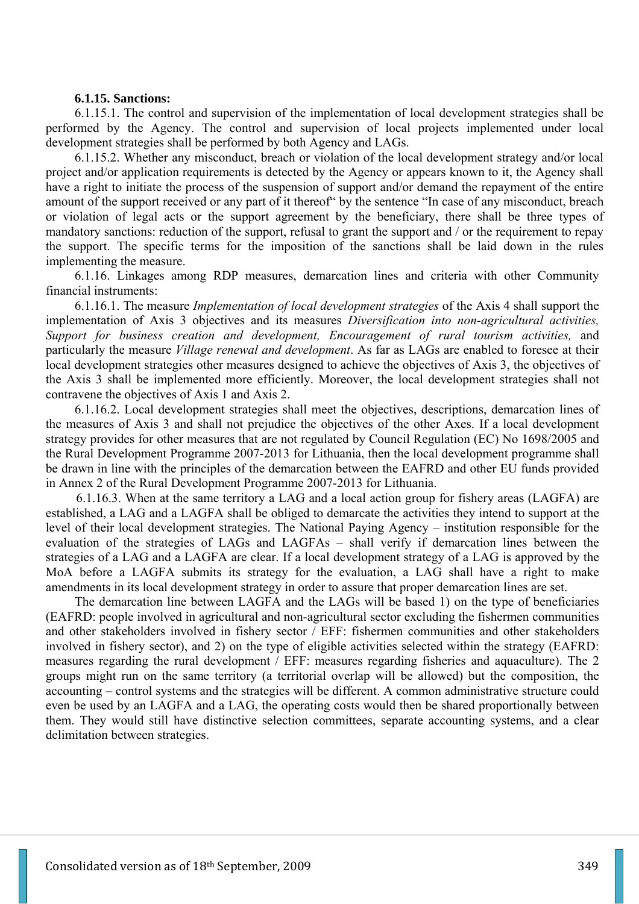#### **6.1.15. Sanctions:**

6.1.15.1. The control and supervision of the implementation of local development strategies shall be performed by the Agency. The control and supervision of local projects implemented under local development strategies shall be performed by both Agency and LAGs.

6.1.15.2. Whether any misconduct, breach or violation of the local development strategy and/or local project and/or application requirements is detected by the Agency or appears known to it, the Agency shall have a right to initiate the process of the suspension of support and/or demand the repayment of the entire amount of the support received or any part of it thereof" by the sentence "In case of any misconduct, breach or violation of legal acts or the support agreement by the beneficiary, there shall be three types of mandatory sanctions: reduction of the support, refusal to grant the support and / or the requirement to repay the support. The specific terms for the imposition of the sanctions shall be laid down in the rules implementing the measure.

6.1.16. Linkages among RDP measures, demarcation lines and criteria with other Community financial instruments:

6.1.16.1. The measure *Implementation of local development strategies* of the Axis 4 shall support the implementation of Axis 3 objectives and its measures *Diversification into non-agricultural activities, Support for business creation and development, Encouragement of rural tourism activities,* and particularly the measure *Village renewal and development*. As far as LAGs are enabled to foresee at their local development strategies other measures designed to achieve the objectives of Axis 3, the objectives of the Axis 3 shall be implemented more efficiently. Moreover, the local development strategies shall not contravene the objectives of Axis 1 and Axis 2.

6.1.16.2. Local development strategies shall meet the objectives, descriptions, demarcation lines of the measures of Axis 3 and shall not prejudice the objectives of the other Axes. If a local development strategy provides for other measures that are not regulated by Council Regulation (EC) No 1698/2005 and the Rural Development Programme 2007-2013 for Lithuania, then the local development programme shall be drawn in line with the principles of the demarcation between the EAFRD and other EU funds provided in Annex 2 of the Rural Development Programme 2007-2013 for Lithuania.

6.1.16.3. When at the same territory a LAG and a local action group for fishery areas (LAGFA) are established, a LAG and a LAGFA shall be obliged to demarcate the activities they intend to support at the level of their local development strategies. The National Paying Agency – institution responsible for the evaluation of the strategies of LAGs and LAGFAs – shall verify if demarcation lines between the strategies of a LAG and a LAGFA are clear. If a local development strategy of a LAG is approved by the MoA before a LAGFA submits its strategy for the evaluation, a LAG shall have a right to make amendments in its local development strategy in order to assure that proper demarcation lines are set.

The demarcation line between LAGFA and the LAGs will be based 1) on the type of beneficiaries (EAFRD: people involved in agricultural and non-agricultural sector excluding the fishermen communities and other stakeholders involved in fishery sector / EFF: fishermen communities and other stakeholders involved in fishery sector), and 2) on the type of eligible activities selected within the strategy (EAFRD: measures regarding the rural development / EFF: measures regarding fisheries and aquaculture). The 2 groups might run on the same territory (a territorial overlap will be allowed) but the composition, the accounting – control systems and the strategies will be different. A common administrative structure could even be used by an LAGFA and a LAG, the operating costs would then be shared proportionally between them. They would still have distinctive selection committees, separate accounting systems, and a clear delimitation between strategies.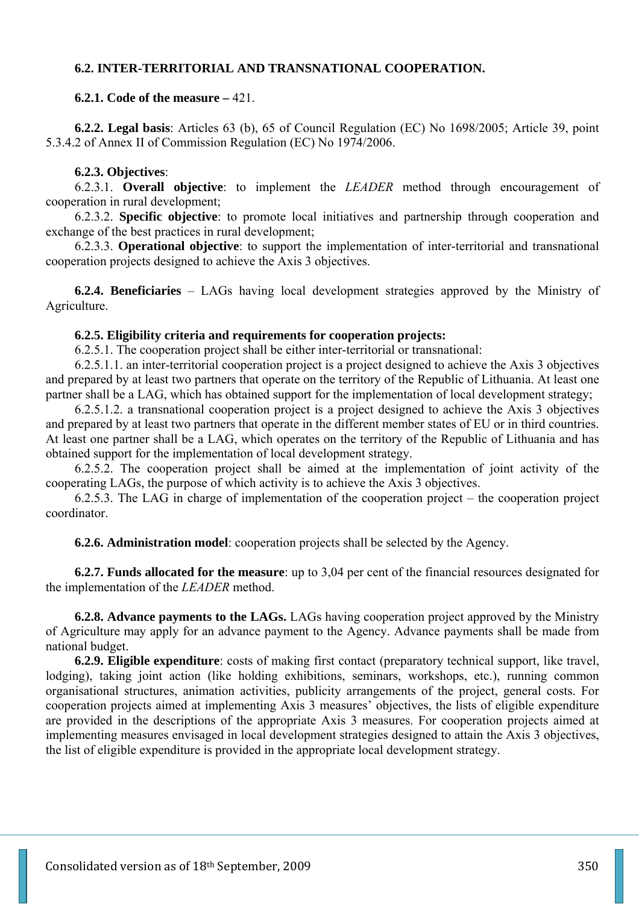# **6.2. INTER-TERRITORIAL AND TRANSNATIONAL COOPERATION.**

### **6.2.1. Code of the measure –** 421.

**6.2.2. Legal basis**: Articles 63 (b), 65 of Council Regulation (EC) No 1698/2005; Article 39, point 5.3.4.2 of Annex II of Commission Regulation (EC) No 1974/2006.

# **6.2.3. Objectives**:

6.2.3.1. **Overall objective**: to implement the *LEADER* method through encouragement of cooperation in rural development;

6.2.3.2. **Specific objective**: to promote local initiatives and partnership through cooperation and exchange of the best practices in rural development;

6.2.3.3. **Operational objective**: to support the implementation of inter-territorial and transnational cooperation projects designed to achieve the Axis 3 objectives.

**6.2.4. Beneficiaries** – LAGs having local development strategies approved by the Ministry of Agriculture.

# **6.2.5. Eligibility criteria and requirements for cooperation projects:**

6.2.5.1. The cooperation project shall be either inter-territorial or transnational:

6.2.5.1.1. an inter-territorial cooperation project is a project designed to achieve the Axis 3 objectives and prepared by at least two partners that operate on the territory of the Republic of Lithuania. At least one partner shall be a LAG, which has obtained support for the implementation of local development strategy;

6.2.5.1.2. a transnational cooperation project is a project designed to achieve the Axis 3 objectives and prepared by at least two partners that operate in the different member states of EU or in third countries. At least one partner shall be a LAG, which operates on the territory of the Republic of Lithuania and has obtained support for the implementation of local development strategy.

6.2.5.2. The cooperation project shall be aimed at the implementation of joint activity of the cooperating LAGs, the purpose of which activity is to achieve the Axis 3 objectives.

6.2.5.3. The LAG in charge of implementation of the cooperation project – the cooperation project coordinator.

**6.2.6. Administration model**: cooperation projects shall be selected by the Agency.

**6.2.7. Funds allocated for the measure**: up to 3,04 per cent of the financial resources designated for the implementation of the *LEADER* method.

**6.2.8. Advance payments to the LAGs.** LAGs having cooperation project approved by the Ministry of Agriculture may apply for an advance payment to the Agency. Advance payments shall be made from national budget.

**6.2.9. Eligible expenditure**: costs of making first contact (preparatory technical support, like travel, lodging), taking joint action (like holding exhibitions, seminars, workshops, etc.), running common organisational structures, animation activities, publicity arrangements of the project, general costs. For cooperation projects aimed at implementing Axis 3 measures' objectives, the lists of eligible expenditure are provided in the descriptions of the appropriate Axis 3 measures. For cooperation projects aimed at implementing measures envisaged in local development strategies designed to attain the Axis 3 objectives, the list of eligible expenditure is provided in the appropriate local development strategy.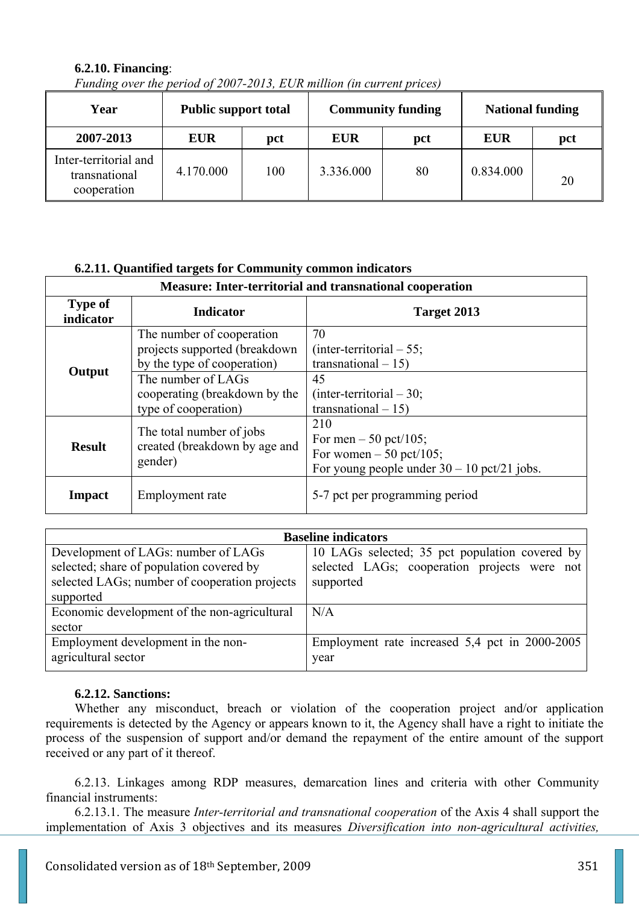# **6.2.10. Financing**:

| Year<br><b>Public support total</b>                   |            | <b>Community funding</b> |            | <b>National funding</b> |            |     |
|-------------------------------------------------------|------------|--------------------------|------------|-------------------------|------------|-----|
| 2007-2013                                             | <b>EUR</b> | pct                      | <b>EUR</b> | pct                     | <b>EUR</b> | pct |
| Inter-territorial and<br>transnational<br>cooperation | 4.170.000  | 100                      | 3.336.000  | 80                      | 0.834.000  | 20  |

*Funding over the period of 2007-2013, EUR million (in current prices)* 

# **6.2.11. Quantified targets for Community common indicators**

| <b>Measure: Inter-territorial and transnational cooperation</b>                       |                                                                                                                                                                          |                                                                                                                      |  |  |  |
|---------------------------------------------------------------------------------------|--------------------------------------------------------------------------------------------------------------------------------------------------------------------------|----------------------------------------------------------------------------------------------------------------------|--|--|--|
| <b>Type of</b><br>indicator                                                           | <b>Indicator</b>                                                                                                                                                         | Target 2013                                                                                                          |  |  |  |
| Output                                                                                | The number of cooperation<br>projects supported (breakdown<br>by the type of cooperation)<br>The number of LAGs<br>cooperating (breakdown by the<br>type of cooperation) | 70<br>$inter-territorial - 55$ ;<br>transnational $-15$ )<br>45<br>$inter-territical - 30;$<br>transnational $-15$ ) |  |  |  |
| The total number of jobs<br>created (breakdown by age and<br><b>Result</b><br>gender) |                                                                                                                                                                          | 210<br>For men $-50$ pct/105;<br>For women $-50$ pct/105;<br>For young people under $30 - 10$ pct/21 jobs.           |  |  |  |
| <b>Impact</b>                                                                         | Employment rate                                                                                                                                                          | 5-7 pct per programming period                                                                                       |  |  |  |

|                                               | <b>Baseline indicators</b>                     |
|-----------------------------------------------|------------------------------------------------|
| Development of LAGs: number of LAGs           | 10 LAGs selected; 35 pct population covered by |
| selected; share of population covered by      | selected LAGs; cooperation projects were not   |
| selected LAGs; number of cooperation projects | supported                                      |
| supported                                     |                                                |
| Economic development of the non-agricultural  | N/A                                            |
| sector                                        |                                                |
| Employment development in the non-            | Employment rate increased 5,4 pct in 2000-2005 |
| agricultural sector                           | year                                           |

# **6.2.12. Sanctions:**

Whether any misconduct, breach or violation of the cooperation project and/or application requirements is detected by the Agency or appears known to it, the Agency shall have a right to initiate the process of the suspension of support and/or demand the repayment of the entire amount of the support received or any part of it thereof.

6.2.13. Linkages among RDP measures, demarcation lines and criteria with other Community financial instruments:

6.2.13.1. The measure *Inter-territorial and transnational cooperation* of the Axis 4 shall support the implementation of Axis 3 objectives and its measures *Diversification into non-agricultural activities,*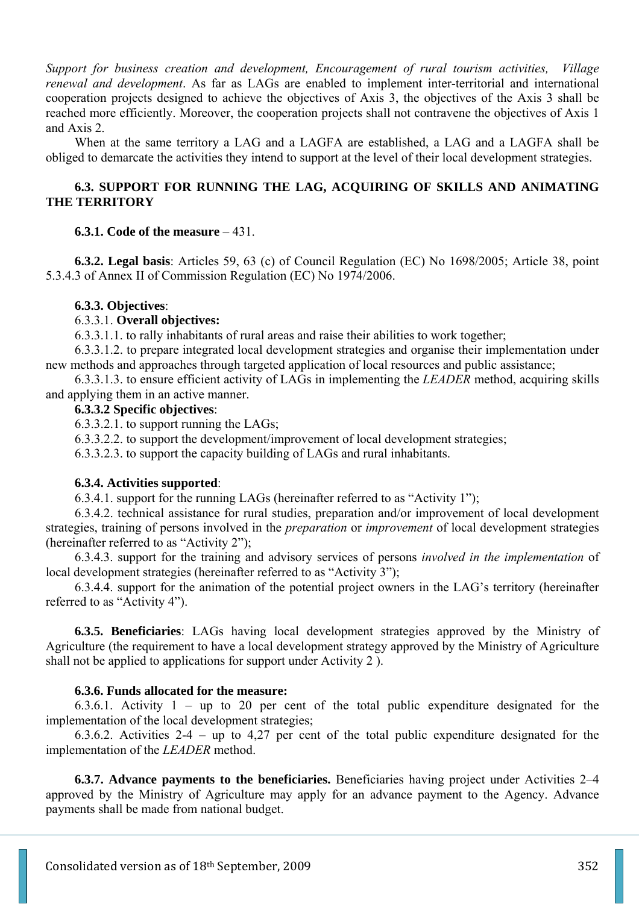*Support for business creation and development, Encouragement of rural tourism activities, Village renewal and development*. As far as LAGs are enabled to implement inter-territorial and international cooperation projects designed to achieve the objectives of Axis 3, the objectives of the Axis 3 shall be reached more efficiently. Moreover, the cooperation projects shall not contravene the objectives of Axis 1 and Axis 2.

When at the same territory a LAG and a LAGFA are established, a LAG and a LAGFA shall be obliged to demarcate the activities they intend to support at the level of their local development strategies.

# **6.3. SUPPORT FOR RUNNING THE LAG, ACQUIRING OF SKILLS AND ANIMATING THE TERRITORY**

# **6.3.1. Code of the measure** – 431.

**6.3.2. Legal basis**: Articles 59, 63 (c) of Council Regulation (EC) No 1698/2005; Article 38, point 5.3.4.3 of Annex II of Commission Regulation (EC) No 1974/2006.

# **6.3.3. Objectives**:

# 6.3.3.1. **Overall objectives:**

6.3.3.1.1. to rally inhabitants of rural areas and raise their abilities to work together;

6.3.3.1.2. to prepare integrated local development strategies and organise their implementation under new methods and approaches through targeted application of local resources and public assistance;

6.3.3.1.3. to ensure efficient activity of LAGs in implementing the *LEADER* method, acquiring skills and applying them in an active manner.

# **6.3.3.2 Specific objectives**:

6.3.3.2.1. to support running the LAGs;

6.3.3.2.2. to support the development/improvement of local development strategies;

6.3.3.2.3. to support the capacity building of LAGs and rural inhabitants.

### **6.3.4. Activities supported**:

6.3.4.1. support for the running LAGs (hereinafter referred to as "Activity 1");

6.3.4.2. technical assistance for rural studies, preparation and/or improvement of local development strategies, training of persons involved in the *preparation* or *improvement* of local development strategies (hereinafter referred to as "Activity 2");

6.3.4.3. support for the training and advisory services of persons *involved in the implementation* of local development strategies (hereinafter referred to as "Activity 3");

6.3.4.4. support for the animation of the potential project owners in the LAG's territory (hereinafter referred to as "Activity 4").

**6.3.5. Beneficiaries**: LAGs having local development strategies approved by the Ministry of Agriculture (the requirement to have a local development strategy approved by the Ministry of Agriculture shall not be applied to applications for support under Activity 2 ).

### **6.3.6. Funds allocated for the measure:**

6.3.6.1. Activity 1 – up to 20 per cent of the total public expenditure designated for the implementation of the local development strategies;

6.3.6.2. Activities 2-4 – up to 4,27 per cent of the total public expenditure designated for the implementation of the *LEADER* method.

**6.3.7. Advance payments to the beneficiaries.** Beneficiaries having project under Activities 2–4 approved by the Ministry of Agriculture may apply for an advance payment to the Agency. Advance payments shall be made from national budget.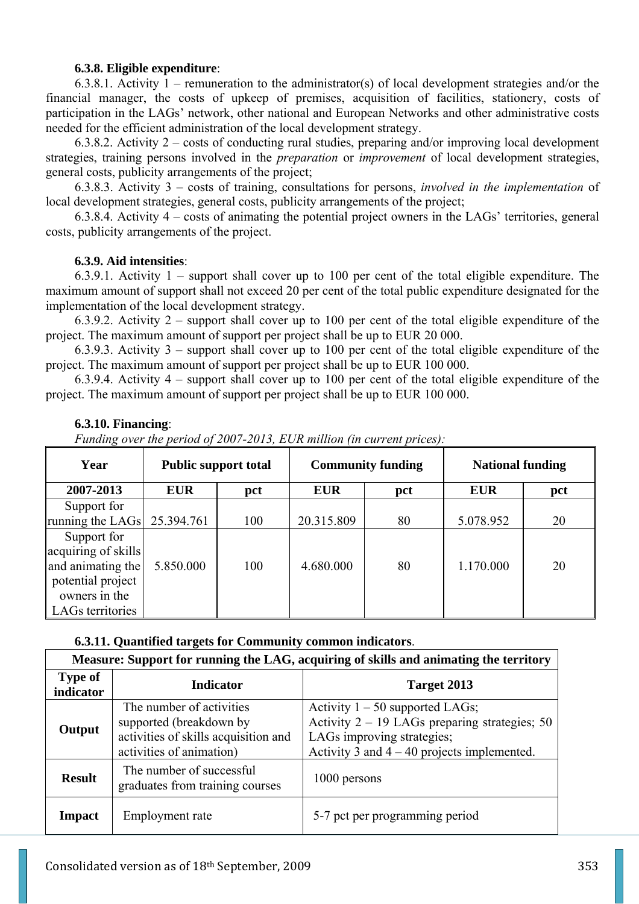### **6.3.8. Eligible expenditure**:

6.3.8.1. Activity 1 – remuneration to the administrator(s) of local development strategies and/or the financial manager, the costs of upkeep of premises, acquisition of facilities, stationery, costs of participation in the LAGs' network, other national and European Networks and other administrative costs needed for the efficient administration of the local development strategy.

6.3.8.2. Activity 2 – costs of conducting rural studies, preparing and/or improving local development strategies, training persons involved in the *preparation* or *improvement* of local development strategies, general costs, publicity arrangements of the project;

6.3.8.3. Activity 3 – costs of training, consultations for persons, *involved in the implementation* of local development strategies, general costs, publicity arrangements of the project;

6.3.8.4. Activity 4 – costs of animating the potential project owners in the LAGs' territories, general costs, publicity arrangements of the project.

### **6.3.9. Aid intensities**:

6.3.9.1. Activity 1 – support shall cover up to 100 per cent of the total eligible expenditure. The maximum amount of support shall not exceed 20 per cent of the total public expenditure designated for the implementation of the local development strategy.

6.3.9.2. Activity 2 – support shall cover up to 100 per cent of the total eligible expenditure of the project. The maximum amount of support per project shall be up to EUR 20 000.

6.3.9.3. Activity 3 – support shall cover up to 100 per cent of the total eligible expenditure of the project. The maximum amount of support per project shall be up to EUR 100 000.

6.3.9.4. Activity 4 – support shall cover up to 100 per cent of the total eligible expenditure of the project. The maximum amount of support per project shall be up to EUR 100 000.

| Year                |            | <b>Public support total</b> | <b>Community funding</b> |     | <b>National funding</b> |     |
|---------------------|------------|-----------------------------|--------------------------|-----|-------------------------|-----|
| 2007-2013           | <b>EUR</b> | pct                         | <b>EUR</b>               | pct | <b>EUR</b>              | pct |
| Support for         |            |                             |                          |     |                         |     |
| running the LAGs    | 25.394.761 | 100                         | 20.315.809               | 80  | 5.078.952               | 20  |
| Support for         |            |                             |                          |     |                         |     |
| acquiring of skills |            |                             |                          |     |                         |     |
| and animating the   | 5.850.000  | 100                         | 4.680.000                | 80  | 1.170.000               | 20  |
| potential project   |            |                             |                          |     |                         |     |
| owners in the       |            |                             |                          |     |                         |     |
| LAGs territories    |            |                             |                          |     |                         |     |

### **6.3.10. Financing**:

*Funding over the period of 2007-2013, EUR million (in current prices):* 

### **6.3.11. Quantified targets for Community common indicators**.

| Measure: Support for running the LAG, acquiring of skills and animating the territory |                                                                                                                         |                                                                                                                                                                     |  |  |
|---------------------------------------------------------------------------------------|-------------------------------------------------------------------------------------------------------------------------|---------------------------------------------------------------------------------------------------------------------------------------------------------------------|--|--|
| <b>Type of</b><br>indicator                                                           | <b>Indicator</b>                                                                                                        | Target 2013                                                                                                                                                         |  |  |
| Output                                                                                | The number of activities<br>supported (breakdown by<br>activities of skills acquisition and<br>activities of animation) | Activity $1 - 50$ supported LAGs;<br>Activity $2 - 19$ LAGs preparing strategies; 50<br>LAGs improving strategies;<br>Activity 3 and $4 - 40$ projects implemented. |  |  |
| <b>Result</b>                                                                         | The number of successful<br>graduates from training courses                                                             | 1000 persons                                                                                                                                                        |  |  |
| <b>Impact</b>                                                                         | Employment rate                                                                                                         | 5-7 pct per programming period                                                                                                                                      |  |  |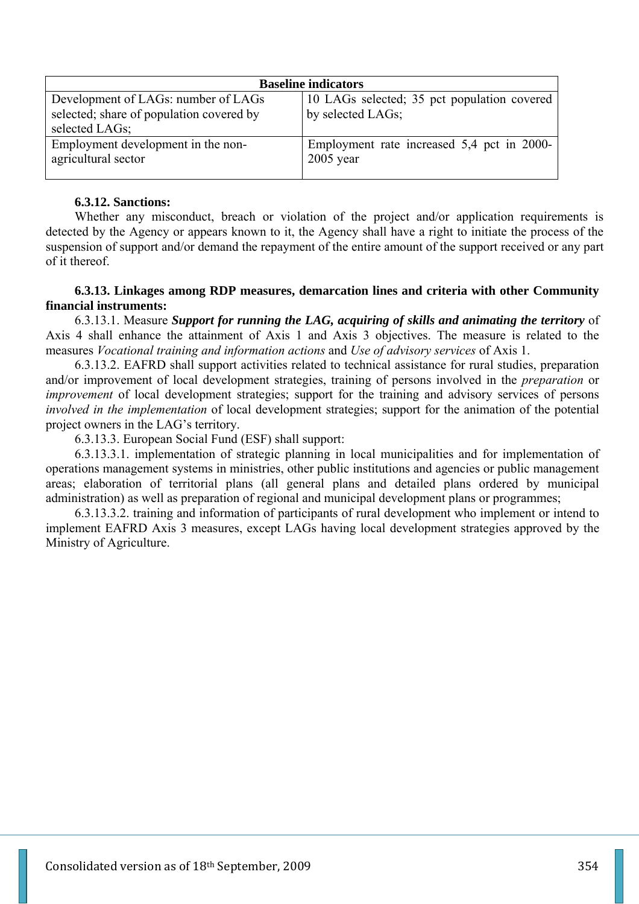| <b>Baseline indicators</b>               |                                             |  |  |  |
|------------------------------------------|---------------------------------------------|--|--|--|
| Development of LAGs: number of LAGs      | 10 LAGs selected; 35 pct population covered |  |  |  |
| selected; share of population covered by | by selected LAGs;                           |  |  |  |
| selected LAGs;                           |                                             |  |  |  |
| Employment development in the non-       | Employment rate increased 5,4 pct in 2000-  |  |  |  |
| agricultural sector                      | $2005$ year                                 |  |  |  |
|                                          |                                             |  |  |  |

### **6.3.12. Sanctions:**

Whether any misconduct, breach or violation of the project and/or application requirements is detected by the Agency or appears known to it, the Agency shall have a right to initiate the process of the suspension of support and/or demand the repayment of the entire amount of the support received or any part of it thereof.

### **6.3.13. Linkages among RDP measures, demarcation lines and criteria with other Community financial instruments:**

6.3.13.1. Measure *Support for running the LAG, acquiring of skills and animating the territory* of Axis 4 shall enhance the attainment of Axis 1 and Axis 3 objectives. The measure is related to the measures *Vocational training and information actions* and *Use of advisory services* of Axis 1.

6.3.13.2. EAFRD shall support activities related to technical assistance for rural studies, preparation and/or improvement of local development strategies, training of persons involved in the *preparation* or *improvement* of local development strategies; support for the training and advisory services of persons *involved in the implementation* of local development strategies; support for the animation of the potential project owners in the LAG's territory.

6.3.13.3. European Social Fund (ESF) shall support:

6.3.13.3.1. implementation of strategic planning in local municipalities and for implementation of operations management systems in ministries, other public institutions and agencies or public management areas; elaboration of territorial plans (all general plans and detailed plans ordered by municipal administration) as well as preparation of regional and municipal development plans or programmes;

6.3.13.3.2. training and information of participants of rural development who implement or intend to implement EAFRD Axis 3 measures, except LAGs having local development strategies approved by the Ministry of Agriculture.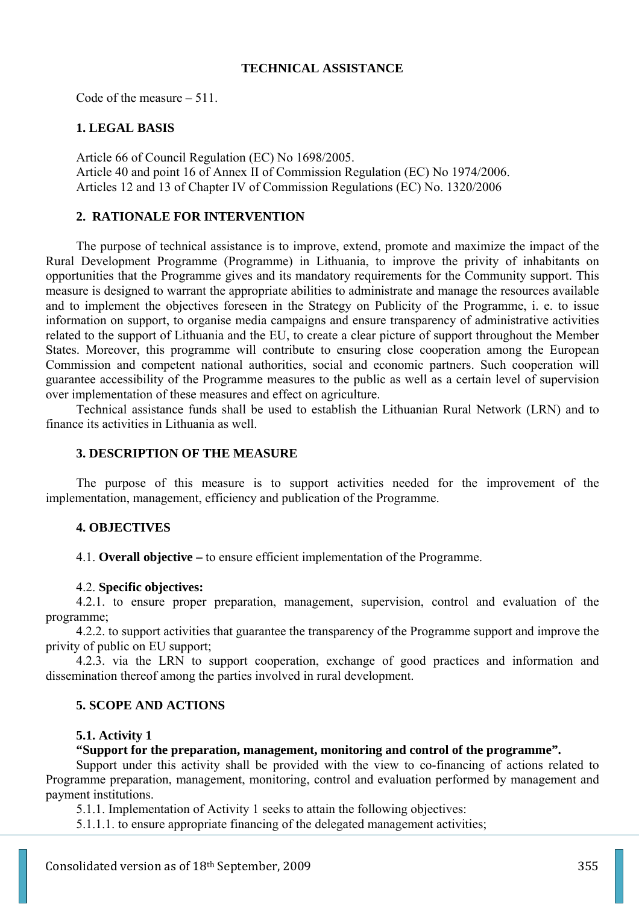### **TECHNICAL ASSISTANCE**

Code of the measure – 511.

### **1. LEGAL BASIS**

Article 66 of Council Regulation (EC) No 1698/2005. Article 40 and point 16 of Annex II of Commission Regulation (EC) No 1974/2006. Articles 12 and 13 of Chapter IV of Commission Regulations (EC) No. 1320/2006

### **2. RATIONALE FOR INTERVENTION**

The purpose of technical assistance is to improve, extend, promote and maximize the impact of the Rural Development Programme (Programme) in Lithuania, to improve the privity of inhabitants on opportunities that the Programme gives and its mandatory requirements for the Community support. This measure is designed to warrant the appropriate abilities to administrate and manage the resources available and to implement the objectives foreseen in the Strategy on Publicity of the Programme, i. e. to issue information on support, to organise media campaigns and ensure transparency of administrative activities related to the support of Lithuania and the EU, to create a clear picture of support throughout the Member States. Moreover, this programme will contribute to ensuring close cooperation among the European Commission and competent national authorities, social and economic partners. Such cooperation will guarantee accessibility of the Programme measures to the public as well as a certain level of supervision over implementation of these measures and effect on agriculture.

Technical assistance funds shall be used to establish the Lithuanian Rural Network (LRN) and to finance its activities in Lithuania as well.

### **3. DESCRIPTION OF THE MEASURE**

The purpose of this measure is to support activities needed for the improvement of the implementation, management, efficiency and publication of the Programme.

#### **4. OBJECTIVES**

4.1. **Overall objective –** to ensure efficient implementation of the Programme.

#### 4.2. **Specific objectives:**

4.2.1. to ensure proper preparation, management, supervision, control and evaluation of the programme;

4.2.2. to support activities that guarantee the transparency of the Programme support and improve the privity of public on EU support;

4.2.3. via the LRN to support cooperation, exchange of good practices and information and dissemination thereof among the parties involved in rural development.

#### **5. SCOPE AND ACTIONS**

#### **5.1. Activity 1**

#### **"Support for the preparation, management, monitoring and control of the programme".**

Support under this activity shall be provided with the view to co-financing of actions related to Programme preparation, management, monitoring, control and evaluation performed by management and payment institutions.

5.1.1. Implementation of Activity 1 seeks to attain the following objectives:

5.1.1.1. to ensure appropriate financing of the delegated management activities;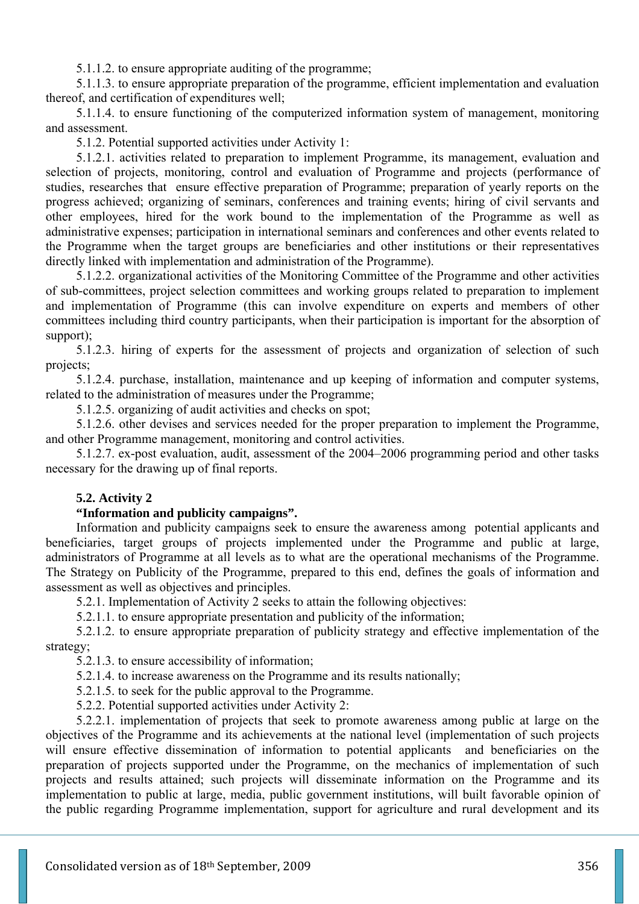5.1.1.2. to ensure appropriate auditing of the programme;

5.1.1.3. to ensure appropriate preparation of the programme, efficient implementation and evaluation thereof, and certification of expenditures well;

5.1.1.4. to ensure functioning of the computerized information system of management, monitoring and assessment.

5.1.2. Potential supported activities under Activity 1:

5.1.2.1. activities related to preparation to implement Programme, its management, evaluation and selection of projects, monitoring, control and evaluation of Programme and projects (performance of studies, researches that ensure effective preparation of Programme; preparation of yearly reports on the progress achieved; organizing of seminars, conferences and training events; hiring of civil servants and other employees, hired for the work bound to the implementation of the Programme as well as administrative expenses; participation in international seminars and conferences and other events related to the Programme when the target groups are beneficiaries and other institutions or their representatives directly linked with implementation and administration of the Programme).

5.1.2.2. organizational activities of the Monitoring Committee of the Programme and other activities of sub-committees, project selection committees and working groups related to preparation to implement and implementation of Programme (this can involve expenditure on experts and members of other committees including third country participants, when their participation is important for the absorption of support);

5.1.2.3. hiring of experts for the assessment of projects and organization of selection of such projects;

5.1.2.4. purchase, installation, maintenance and up keeping of information and computer systems, related to the administration of measures under the Programme;

5.1.2.5. organizing of audit activities and checks on spot;

5.1.2.6. other devises and services needed for the proper preparation to implement the Programme, and other Programme management, monitoring and control activities.

5.1.2.7. ex-post evaluation, audit, assessment of the 2004–2006 programming period and other tasks necessary for the drawing up of final reports.

# **5.2. Activity 2**

## **"Information and publicity campaigns".**

Information and publicity campaigns seek to ensure the awareness among potential applicants and beneficiaries, target groups of projects implemented under the Programme and public at large, administrators of Programme at all levels as to what are the operational mechanisms of the Programme. The Strategy on Publicity of the Programme, prepared to this end, defines the goals of information and assessment as well as objectives and principles.

5.2.1. Implementation of Activity 2 seeks to attain the following objectives:

5.2.1.1. to ensure appropriate presentation and publicity of the information;

5.2.1.2. to ensure appropriate preparation of publicity strategy and effective implementation of the strategy;

5.2.1.3. to ensure accessibility of information;

5.2.1.4. to increase awareness on the Programme and its results nationally;

5.2.1.5. to seek for the public approval to the Programme.

5.2.2. Potential supported activities under Activity 2:

5.2.2.1. implementation of projects that seek to promote awareness among public at large on the objectives of the Programme and its achievements at the national level (implementation of such projects will ensure effective dissemination of information to potential applicants and beneficiaries on the preparation of projects supported under the Programme, on the mechanics of implementation of such projects and results attained; such projects will disseminate information on the Programme and its implementation to public at large, media, public government institutions, will built favorable opinion of the public regarding Programme implementation, support for agriculture and rural development and its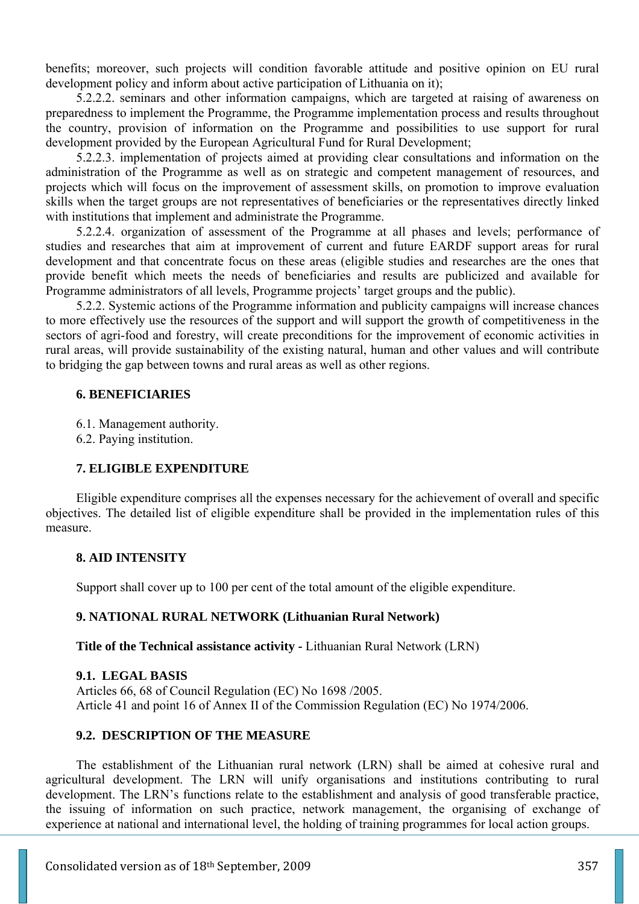benefits; moreover, such projects will condition favorable attitude and positive opinion on EU rural development policy and inform about active participation of Lithuania on it);

5.2.2.2. seminars and other information campaigns, which are targeted at raising of awareness on preparedness to implement the Programme, the Programme implementation process and results throughout the country, provision of information on the Programme and possibilities to use support for rural development provided by the European Agricultural Fund for Rural Development;

5.2.2.3. implementation of projects aimed at providing clear consultations and information on the administration of the Programme as well as on strategic and competent management of resources, and projects which will focus on the improvement of assessment skills, on promotion to improve evaluation skills when the target groups are not representatives of beneficiaries or the representatives directly linked with institutions that implement and administrate the Programme.

5.2.2.4. organization of assessment of the Programme at all phases and levels; performance of studies and researches that aim at improvement of current and future EARDF support areas for rural development and that concentrate focus on these areas (eligible studies and researches are the ones that provide benefit which meets the needs of beneficiaries and results are publicized and available for Programme administrators of all levels, Programme projects' target groups and the public).

5.2.2. Systemic actions of the Programme information and publicity campaigns will increase chances to more effectively use the resources of the support and will support the growth of competitiveness in the sectors of agri-food and forestry, will create preconditions for the improvement of economic activities in rural areas, will provide sustainability of the existing natural, human and other values and will contribute to bridging the gap between towns and rural areas as well as other regions.

### **6. BENEFICIARIES**

6.1. Management authority.

6.2. Paying institution.

### **7. ELIGIBLE EXPENDITURE**

Eligible expenditure comprises all the expenses necessary for the achievement of overall and specific objectives. The detailed list of eligible expenditure shall be provided in the implementation rules of this measure.

#### **8. AID INTENSITY**

Support shall cover up to 100 per cent of the total amount of the eligible expenditure.

### **9. NATIONAL RURAL NETWORK (Lithuanian Rural Network)**

**Title of the Technical assistance activity - Lithuanian Rural Network (LRN)** 

### **9.1. LEGAL BASIS**

Articles 66, 68 of Council Regulation (EC) No 1698 /2005. Article 41 and point 16 of Annex II of the Commission Regulation (EC) No 1974/2006.

### **9.2. DESCRIPTION OF THE MEASURE**

The establishment of the Lithuanian rural network (LRN) shall be aimed at cohesive rural and agricultural development. The LRN will unify organisations and institutions contributing to rural development. The LRN's functions relate to the establishment and analysis of good transferable practice, the issuing of information on such practice, network management, the organising of exchange of experience at national and international level, the holding of training programmes for local action groups.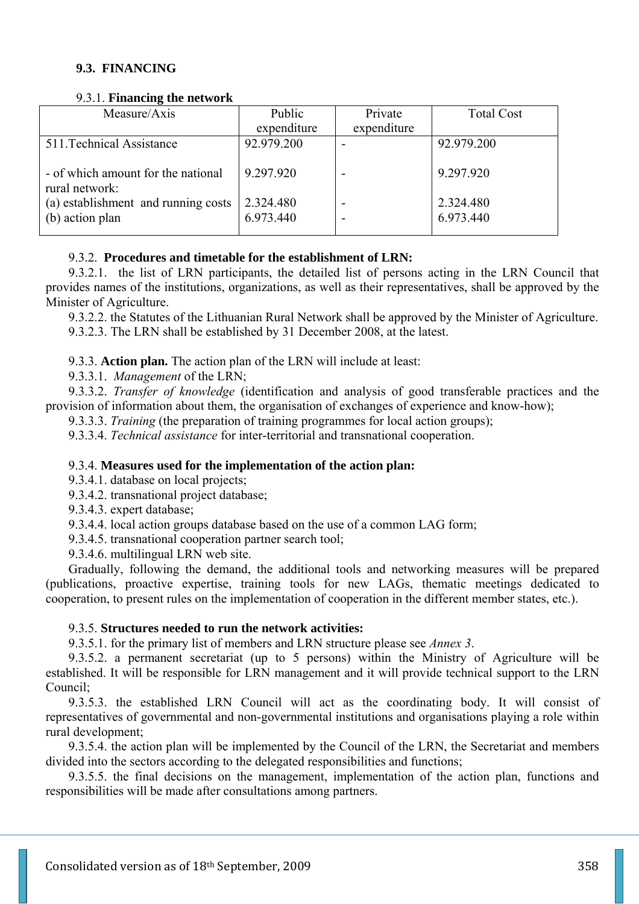## **9.3. FINANCING**

#### 9.3.1. **Financing the network**

| Measure/Axis                                         | Public      | Private     | <b>Total Cost</b> |
|------------------------------------------------------|-------------|-------------|-------------------|
|                                                      | expenditure | expenditure |                   |
| 511. Technical Assistance                            | 92.979.200  |             | 92.979.200        |
| - of which amount for the national<br>rural network: | 9.297.920   |             | 9.297.920         |
| (a) establishment and running costs                  | 2.324.480   |             | 2.324.480         |
| (b) action plan                                      | 6.973.440   |             | 6.973.440         |

## 9.3.2. **Procedures and timetable for the establishment of LRN:**

9.3.2.1. the list of LRN participants, the detailed list of persons acting in the LRN Council that provides names of the institutions, organizations, as well as their representatives, shall be approved by the Minister of Agriculture.

9.3.2.2. the Statutes of the Lithuanian Rural Network shall be approved by the Minister of Agriculture.

9.3.2.3. The LRN shall be established by 31 December 2008, at the latest.

9.3.3. **Action plan.** The action plan of the LRN will include at least:

9.3.3.1. *Management* of the LRN;

9.3.3.2. *Transfer of knowledge* (identification and analysis of good transferable practices and the provision of information about them, the organisation of exchanges of experience and know-how);

9.3.3.3. *Training* (the preparation of training programmes for local action groups);

9.3.3.4. *Technical assistance* for inter-territorial and transnational cooperation.

## 9.3.4. **Measures used for the implementation of the action plan:**

9.3.4.1. database on local projects;

9.3.4.2. transnational project database;

9.3.4.3. expert database;

9.3.4.4. local action groups database based on the use of a common LAG form;

9.3.4.5. transnational cooperation partner search tool;

9.3.4.6. multilingual LRN web site.

Gradually, following the demand, the additional tools and networking measures will be prepared (publications, proactive expertise, training tools for new LAGs, thematic meetings dedicated to cooperation, to present rules on the implementation of cooperation in the different member states, etc.).

## 9.3.5. **Structures needed to run the network activities:**

9.3.5.1. for the primary list of members and LRN structure please see *Annex 3*.

9.3.5.2. a permanent secretariat (up to 5 persons) within the Ministry of Agriculture will be established. It will be responsible for LRN management and it will provide technical support to the LRN Council;

9.3.5.3. the established LRN Council will act as the coordinating body. It will consist of representatives of governmental and non-governmental institutions and organisations playing a role within rural development;

9.3.5.4. the action plan will be implemented by the Council of the LRN, the Secretariat and members divided into the sectors according to the delegated responsibilities and functions;

9.3.5.5. the final decisions on the management, implementation of the action plan, functions and responsibilities will be made after consultations among partners.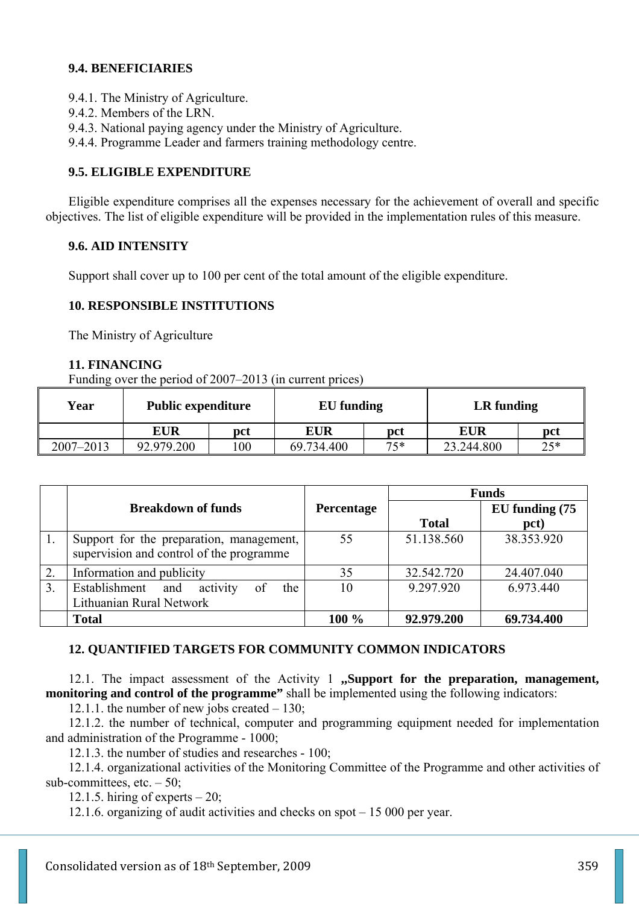## **9.4. BENEFICIARIES**

- 9.4.1. The Ministry of Agriculture.
- 9.4.2. Members of the LRN.
- 9.4.3. National paying agency under the Ministry of Agriculture.
- 9.4.4. Programme Leader and farmers training methodology centre.

## **9.5. ELIGIBLE EXPENDITURE**

Eligible expenditure comprises all the expenses necessary for the achievement of overall and specific objectives. The list of eligible expenditure will be provided in the implementation rules of this measure.

### **9.6. AID INTENSITY**

Support shall cover up to 100 per cent of the total amount of the eligible expenditure.

### **10. RESPONSIBLE INSTITUTIONS**

The Ministry of Agriculture

### **11. FINANCING**

Funding over the period of 2007–2013 (in current prices)

| Year          | <b>Public expenditure</b> |     | <b>EU</b> funding |       | LR funding |       |
|---------------|---------------------------|-----|-------------------|-------|------------|-------|
|               | <b>EUR</b>                | pct | <b>EUR</b>        | pct   | <b>EUR</b> | pct   |
| $2007 - 2013$ | 92.979.200                | 100 | 69.734.400        | $75*$ | 23.244.800 | $25*$ |

|    |                                            |            | <b>Funds</b> |                |  |
|----|--------------------------------------------|------------|--------------|----------------|--|
|    | <b>Breakdown of funds</b>                  | Percentage |              | EU funding (75 |  |
|    |                                            |            | <b>Total</b> | pct)           |  |
|    | Support for the preparation, management,   | 55         | 51.138.560   | 38.353.920     |  |
|    | supervision and control of the programme   |            |              |                |  |
| 2. | Information and publicity                  | 35         | 32.542.720   | 24.407.040     |  |
| 3. | Establishment and<br>activity<br>the<br>of | 10         | 9.297.920    | 6.973.440      |  |
|    | Lithuanian Rural Network                   |            |              |                |  |
|    | <b>Total</b>                               | 100 %      | 92.979.200   | 69.734.400     |  |

### **12. QUANTIFIED TARGETS FOR COMMUNITY COMMON INDICATORS**

12.1. The impact assessment of the Activity 1 **,,Support for the preparation, management, monitoring and control of the programme"** shall be implemented using the following indicators:

12.1.1. the number of new jobs created – 130;

12.1.2. the number of technical, computer and programming equipment needed for implementation and administration of the Programme - 1000;

12.1.3. the number of studies and researches - 100;

12.1.4. organizational activities of the Monitoring Committee of the Programme and other activities of sub-committees, etc.  $-50$ ;

12.1.5. hiring of experts  $-20$ ;

12.1.6. organizing of audit activities and checks on spot – 15 000 per year.